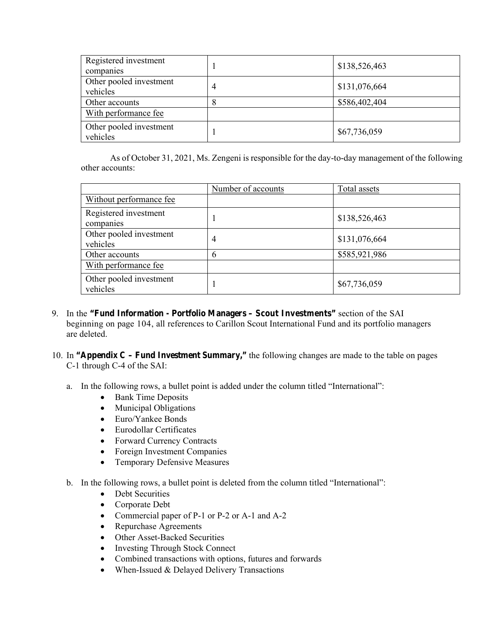| Registered investment<br>companies  |   | \$138,526,463 |
|-------------------------------------|---|---------------|
| Other pooled investment<br>vehicles | 4 | \$131,076,664 |
| Other accounts                      | Ω | \$586,402,404 |
| With performance fee                |   |               |
| Other pooled investment<br>vehicles |   | \$67,736,059  |

As of October 31, 2021, Ms. Zengeni is responsible for the day-to-day management of the following other accounts:

|                                     | Number of accounts | Total assets  |
|-------------------------------------|--------------------|---------------|
| Without performance fee             |                    |               |
| Registered investment<br>companies  |                    | \$138,526,463 |
| Other pooled investment<br>vehicles | 4                  | \$131,076,664 |
| Other accounts                      | 6                  | \$585,921,986 |
| With performance fee                |                    |               |
| Other pooled investment<br>vehicles |                    | \$67,736,059  |

- 9. In the **"Fund Information Portfolio Managers Scout Investments"** section of the SAI beginning on page 104, all references to Carillon Scout International Fund and its portfolio managers are deleted.
- 10. In **"Appendix C Fund Investment Summary,"** the following changes are made to the table on pages C-1 through C-4 of the SAI:
	- a. In the following rows, a bullet point is added under the column titled "International":
		- Bank Time Deposits
		- Municipal Obligations
		- Euro/Yankee Bonds
		- Eurodollar Certificates
		- Forward Currency Contracts
		- Foreign Investment Companies
		- Temporary Defensive Measures
	- b. In the following rows, a bullet point is deleted from the column titled "International":
		- Debt Securities
		- Corporate Debt
		- Commercial paper of P-1 or P-2 or A-1 and A-2
		- Repurchase Agreements
		- Other Asset-Backed Securities
		- Investing Through Stock Connect
		- Combined transactions with options, futures and forwards
		- When-Issued & Delayed Delivery Transactions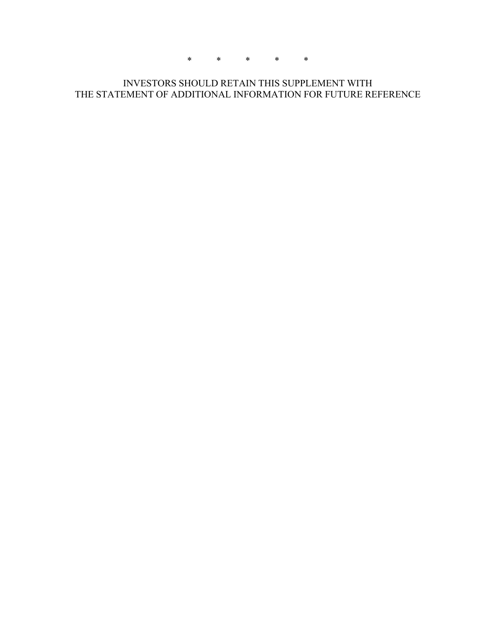\* \* \* \* \*

INVESTORS SHOULD RETAIN THIS SUPPLEMENT WITH THE STATEMENT OF ADDITIONAL INFORMATION FOR FUTURE REFERENCE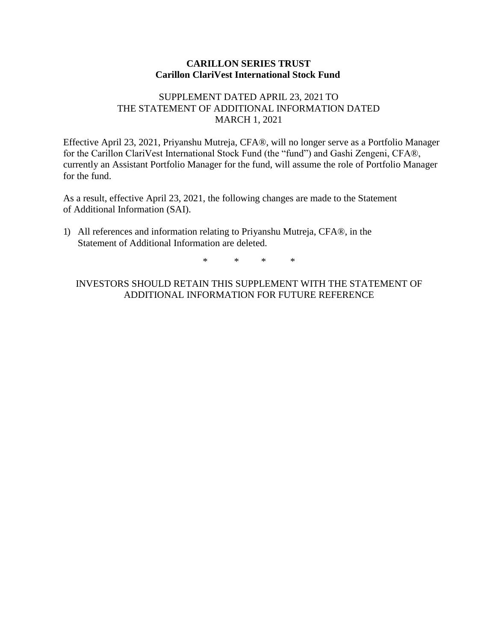# **CARILLON SERIES TRUST Carillon ClariVest International Stock Fund**

# SUPPLEMENT DATED APRIL 23, 2021 TO THE STATEMENT OF ADDITIONAL INFORMATION DATED MARCH 1, 2021

Effective April 23, 2021, Priyanshu Mutreja, CFA®, will no longer serve as a Portfolio Manager for the Carillon ClariVest International Stock Fund (the "fund") and Gashi Zengeni, CFA®, currently an Assistant Portfolio Manager for the fund, will assume the role of Portfolio Manager for the fund.

As a result, effective April 23, 2021, the following changes are made to the Statement of Additional Information (SAI).

1) All references and information relating to Priyanshu Mutreja, CFA®, in the Statement of Additional Information are deleted.

\* \* \* \*

INVESTORS SHOULD RETAIN THIS SUPPLEMENT WITH THE STATEMENT OF ADDITIONAL INFORMATION FOR FUTURE REFERENCE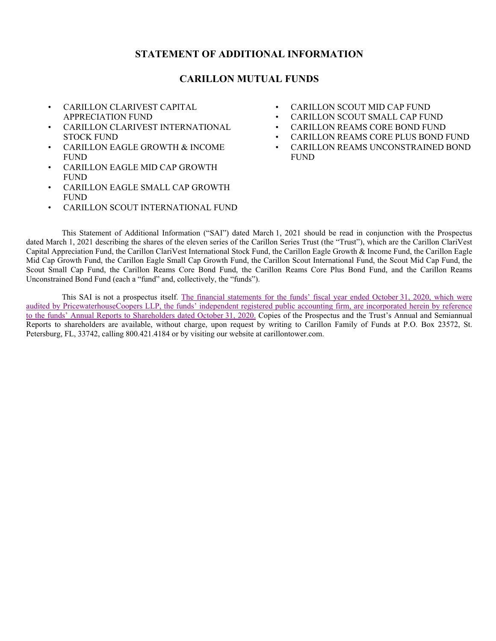# **STATEMENT OF ADDITIONAL INFORMATION**

# **CARILLON MUTUAL FUNDS**

- CARILLON CLARIVEST CAPITAL APPRECIATION FUND
- CARILLON CLARIVEST INTERNATIONAL STOCK FUND
- CARILLON EAGLE GROWTH & INCOME FUND
- CARILLON EAGLE MID CAP GROWTH **FUND**
- CARILLON EAGLE SMALL CAP GROWTH FUND
- CARILLON SCOUT INTERNATIONAL FUND
- CARILLON SCOUT MID CAP FUND
- CARILLON SCOUT SMALL CAP FUND
- CARILLON REAMS CORE BOND FUND
- CARILLON REAMS CORE PLUS BOND FUND
- CARILLON REAMS UNCONSTRAINED BOND FUND

This Statement of Additional Information ("SAI") dated March 1, 2021 should be read in conjunction with the Prospectus dated March 1, 2021 describing the shares of the eleven series of the Carillon Series Trust (the "Trust"), which are the Carillon ClariVest Capital Appreciation Fund, the Carillon ClariVest International Stock Fund, the Carillon Eagle Growth & Income Fund, the Carillon Eagle Mid Cap Growth Fund, the Carillon Eagle Small Cap Growth Fund, the Carillon Scout International Fund, the Scout Mid Cap Fund, the Scout Small Cap Fund, the Carillon Reams Core Bond Fund, the Carillon Reams Core Plus Bond Fund, and the Carillon Reams Unconstrained Bond Fund (each a "fund" and, collectively, the "funds").

This SAI is not a prospectus itself. The financial statements for the funds' fiscal year ended October 31, 2020, which were audited by PricewaterhouseCoopers LLP, the funds' independent registered public accounting firm, are incorporated herein by reference to the funds' Annual Reports to Shareholders dated October 31, 2020. Copies of the Prospectus and the Trust's Annual and Semiannual Reports to shareholders are available, without charge, upon request by writing to Carillon Family of Funds at P.O. Box 23572, St. Petersburg, FL, 33742, calling 800.421.4184 or by visiting our website at carillontower.com.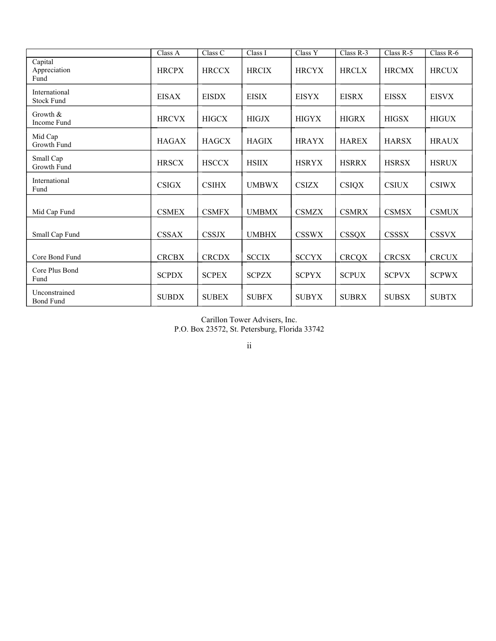|                                    | $\overline{\text{Class}}$ A | Class C      | Class I      | Class Y      | Class R-3    | Class R-5    | Class R-6    |
|------------------------------------|-----------------------------|--------------|--------------|--------------|--------------|--------------|--------------|
| Capital<br>Appreciation<br>Fund    | <b>HRCPX</b>                | <b>HRCCX</b> | <b>HRCIX</b> | <b>HRCYX</b> | <b>HRCLX</b> | <b>HRCMX</b> | <b>HRCUX</b> |
| International<br><b>Stock Fund</b> | <b>EISAX</b>                | <b>EISDX</b> | <b>EISIX</b> | <b>EISYX</b> | <b>EISRX</b> | <b>EISSX</b> | <b>EISVX</b> |
| Growth &<br><b>Income Fund</b>     | <b>HRCVX</b>                | <b>HIGCX</b> | <b>HIGJX</b> | <b>HIGYX</b> | <b>HIGRX</b> | <b>HIGSX</b> | <b>HIGUX</b> |
| Mid Cap<br>Growth Fund             | <b>HAGAX</b>                | <b>HAGCX</b> | <b>HAGIX</b> | <b>HRAYX</b> | <b>HAREX</b> | <b>HARSX</b> | <b>HRAUX</b> |
| Small Cap<br>Growth Fund           | <b>HRSCX</b>                | <b>HSCCX</b> | <b>HSIIX</b> | <b>HSRYX</b> | <b>HSRRX</b> | <b>HSRSX</b> | <b>HSRUX</b> |
| International<br>Fund              | <b>CSIGX</b>                | <b>CSIHX</b> | <b>UMBWX</b> | <b>CSIZX</b> | <b>CSIQX</b> | <b>CSIUX</b> | <b>CSIWX</b> |
| Mid Cap Fund                       | <b>CSMEX</b>                | <b>CSMFX</b> | <b>UMBMX</b> | <b>CSMZX</b> | <b>CSMRX</b> | <b>CSMSX</b> | <b>CSMUX</b> |
| Small Cap Fund                     | <b>CSSAX</b>                | <b>CSSJX</b> | <b>UMBHX</b> | <b>CSSWX</b> | <b>CSSQX</b> | <b>CSSSX</b> | <b>CSSVX</b> |
| Core Bond Fund                     | <b>CRCBX</b>                | <b>CRCDX</b> | <b>SCCIX</b> | <b>SCCYX</b> | <b>CRCQX</b> | <b>CRCSX</b> | <b>CRCUX</b> |
| Core Plus Bond<br>Fund             | <b>SCPDX</b>                | <b>SCPEX</b> | <b>SCPZX</b> | <b>SCPYX</b> | <b>SCPUX</b> | <b>SCPVX</b> | <b>SCPWX</b> |
| Unconstrained<br><b>Bond Fund</b>  | <b>SUBDX</b>                | <b>SUBEX</b> | <b>SUBFX</b> | <b>SUBYX</b> | <b>SUBRX</b> | <b>SUBSX</b> | <b>SUBTX</b> |

Carillon Tower Advisers, Inc. P.O. Box 23572, St. Petersburg, Florida 33742

ii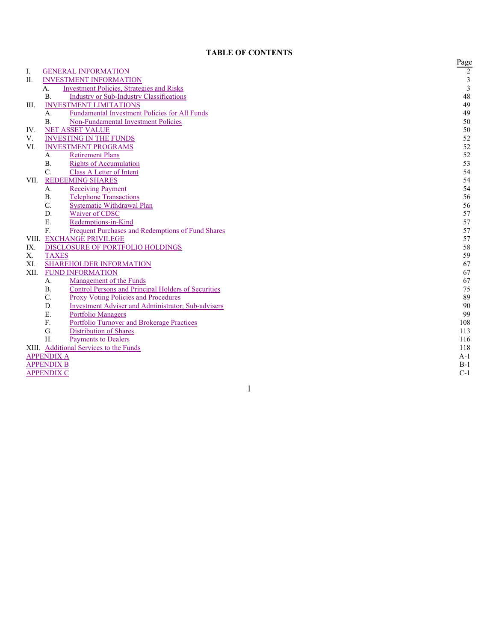## **TABLE OF CONTENTS**

|           |                                                                         | Page           |
|-----------|-------------------------------------------------------------------------|----------------|
| Ι.        | <b>GENERAL INFORMATION</b>                                              | $\overline{2}$ |
| II.       | <b>INVESTMENT INFORMATION</b>                                           | $\mathfrak{Z}$ |
|           | <b>Investment Policies, Strategies and Risks</b><br>A.                  | $\mathfrak{Z}$ |
|           | <b>Industry or Sub-Industry Classifications</b><br><b>B.</b>            | $48\,$         |
| Ш.        | <b>INVESTMENT LIMITATIONS</b>                                           | 49             |
|           | Fundamental Investment Policies for All Funds<br>A.                     | 49             |
|           | B <sub>1</sub><br><b>Non-Fundamental Investment Policies</b>            | 50             |
| IV.       | NET ASSET VALUE                                                         | 50             |
| V.        | <b>INVESTING IN THE FUNDS</b>                                           | 52             |
| VI.       | <b>INVESTMENT PROGRAMS</b>                                              | 52             |
|           | <b>Retirement Plans</b><br>A <sub>1</sub>                               | 52             |
|           | <b>Rights of Accumulation</b><br><b>B.</b>                              | 53             |
|           | $\mathcal{C}$ .<br>Class A Letter of Intent                             | 54             |
| VII.      | <b>REDEEMING SHARES</b>                                                 | 54             |
|           | <b>Receiving Payment</b><br>А.                                          | 54             |
|           | <b>B.</b><br><b>Telephone Transactions</b>                              | 56             |
|           | C.<br><b>Systematic Withdrawal Plan</b>                                 | 56             |
|           | Waiver of CDSC<br>D.<br>${\bf E}.$                                      | 57<br>57       |
|           | Redemptions-in-Kind<br>F.                                               |                |
|           | Frequent Purchases and Redemptions of Fund Shares                       | 57<br>57       |
|           | VIII. EXCHANGE PRIVILEGE                                                | 58             |
| IX.<br>Х. | DISCLOSURE OF PORTFOLIO HOLDINGS<br><b>TAXES</b>                        | 59             |
| XI.       | <b>SHAREHOLDER INFORMATION</b>                                          | 67             |
| XII.      | <b>FUND INFORMATION</b>                                                 | 67             |
|           | Management of the Funds<br>A.                                           | 67             |
|           | <b>Control Persons and Principal Holders of Securities</b><br><b>B.</b> | 75             |
|           | C.<br>Proxy Voting Policies and Procedures                              | 89             |
|           | <b>Investment Adviser and Administrator</b> ; Sub-advisers<br>D.        | 90             |
|           | Ε.<br><b>Portfolio Managers</b>                                         | 99             |
|           | Portfolio Turnover and Brokerage Practices<br>F.                        | 108            |
|           | G.<br><b>Distribution of Shares</b>                                     | 113            |
|           | H.<br><b>Payments to Dealers</b>                                        | 116            |
|           | XIII. Additional Services to the Funds                                  | 118            |
|           | <b>APPENDIX A</b>                                                       | $A-1$          |
|           | <b>APPENDIX B</b>                                                       | $B-1$          |
|           | <b>APPENDIX C</b>                                                       | $C-1$          |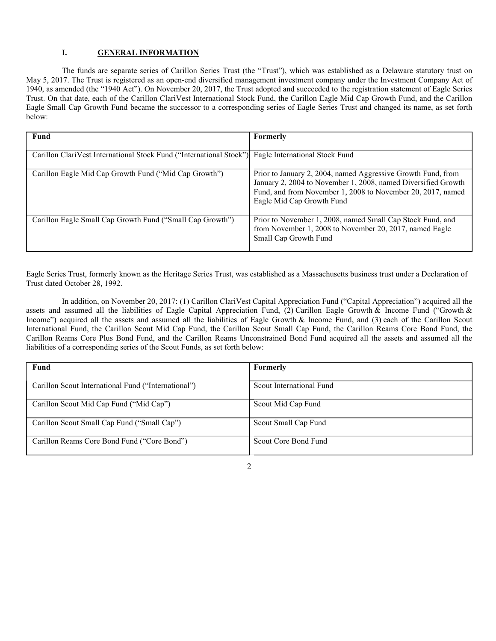## **I. GENERAL INFORMATION**

The funds are separate series of Carillon Series Trust (the "Trust"), which was established as a Delaware statutory trust on May 5, 2017. The Trust is registered as an open-end diversified management investment company under the Investment Company Act of 1940, as amended (the "1940 Act"). On November 20, 2017, the Trust adopted and succeeded to the registration statement of Eagle Series Trust. On that date, each of the Carillon ClariVest International Stock Fund, the Carillon Eagle Mid Cap Growth Fund, and the Carillon Eagle Small Cap Growth Fund became the successor to a corresponding series of Eagle Series Trust and changed its name, as set forth below:

| Fund                                                                | <b>Formerly</b>                                                                                                                                                                                                           |
|---------------------------------------------------------------------|---------------------------------------------------------------------------------------------------------------------------------------------------------------------------------------------------------------------------|
| Carillon ClariVest International Stock Fund ("International Stock") | Eagle International Stock Fund                                                                                                                                                                                            |
| Carillon Eagle Mid Cap Growth Fund ("Mid Cap Growth")               | Prior to January 2, 2004, named Aggressive Growth Fund, from<br>January 2, 2004 to November 1, 2008, named Diversified Growth<br>Fund, and from November 1, 2008 to November 20, 2017, named<br>Eagle Mid Cap Growth Fund |
| Carillon Eagle Small Cap Growth Fund ("Small Cap Growth")           | Prior to November 1, 2008, named Small Cap Stock Fund, and<br>from November 1, 2008 to November 20, 2017, named Eagle<br>Small Cap Growth Fund                                                                            |

Eagle Series Trust, formerly known as the Heritage Series Trust, was established as a Massachusetts business trust under a Declaration of Trust dated October 28, 1992.

In addition, on November 20, 2017: (1) Carillon ClariVest Capital Appreciation Fund ("Capital Appreciation") acquired all the assets and assumed all the liabilities of Eagle Capital Appreciation Fund, (2) Carillon Eagle Growth & Income Fund ("Growth & Income") acquired all the assets and assumed all the liabilities of Eagle Growth & Income Fund, and (3) each of the Carillon Scout International Fund, the Carillon Scout Mid Cap Fund, the Carillon Scout Small Cap Fund, the Carillon Reams Core Bond Fund, the Carillon Reams Core Plus Bond Fund, and the Carillon Reams Unconstrained Bond Fund acquired all the assets and assumed all the liabilities of a corresponding series of the Scout Funds, as set forth below:

| <b>Fund</b>                                         | Formerly                 |
|-----------------------------------------------------|--------------------------|
| Carillon Scout International Fund ("International") | Scout International Fund |
| Carillon Scout Mid Cap Fund ("Mid Cap")             | Scout Mid Cap Fund       |
| Carillon Scout Small Cap Fund ("Small Cap")         | Scout Small Cap Fund     |
| Carillon Reams Core Bond Fund ("Core Bond")         | Scout Core Bond Fund     |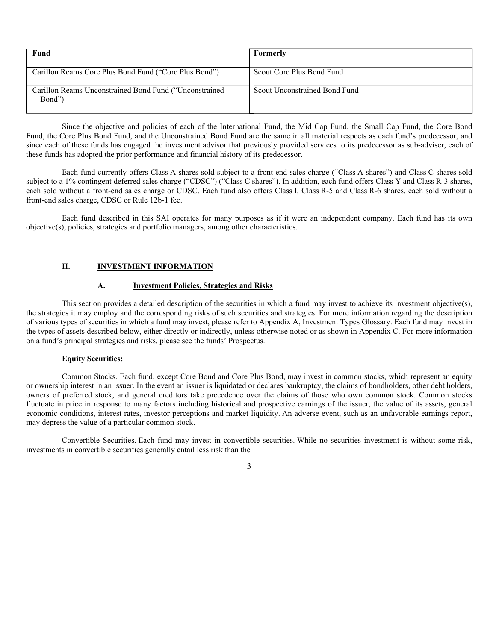| Fund                                                            | Formerly                             |
|-----------------------------------------------------------------|--------------------------------------|
| Carillon Reams Core Plus Bond Fund ("Core Plus Bond")           | Scout Core Plus Bond Fund            |
| Carillon Reams Unconstrained Bond Fund ("Unconstrained<br>Bond" | <b>Scout Unconstrained Bond Fund</b> |

Since the objective and policies of each of the International Fund, the Mid Cap Fund, the Small Cap Fund, the Core Bond Fund, the Core Plus Bond Fund, and the Unconstrained Bond Fund are the same in all material respects as each fund's predecessor, and since each of these funds has engaged the investment advisor that previously provided services to its predecessor as sub-adviser, each of these funds has adopted the prior performance and financial history of its predecessor.

Each fund currently offers Class A shares sold subject to a front-end sales charge ("Class A shares") and Class C shares sold subject to a 1% contingent deferred sales charge ("CDSC") ("Class C shares"). In addition, each fund offers Class Y and Class R-3 shares, each sold without a front-end sales charge or CDSC. Each fund also offers Class I, Class R-5 and Class R-6 shares, each sold without a front-end sales charge, CDSC or Rule 12b-1 fee.

Each fund described in this SAI operates for many purposes as if it were an independent company. Each fund has its own objective(s), policies, strategies and portfolio managers, among other characteristics.

## **II. INVESTMENT INFORMATION**

## **A. Investment Policies, Strategies and Risks**

This section provides a detailed description of the securities in which a fund may invest to achieve its investment objective(s), the strategies it may employ and the corresponding risks of such securities and strategies. For more information regarding the description of various types of securities in which a fund may invest, please refer to Appendix A, Investment Types Glossary. Each fund may invest in the types of assets described below, either directly or indirectly, unless otherwise noted or as shown in Appendix C. For more information on a fund's principal strategies and risks, please see the funds' Prospectus.

### **Equity Securities:**

Common Stocks. Each fund, except Core Bond and Core Plus Bond, may invest in common stocks, which represent an equity or ownership interest in an issuer. In the event an issuer is liquidated or declares bankruptcy, the claims of bondholders, other debt holders, owners of preferred stock, and general creditors take precedence over the claims of those who own common stock. Common stocks fluctuate in price in response to many factors including historical and prospective earnings of the issuer, the value of its assets, general economic conditions, interest rates, investor perceptions and market liquidity. An adverse event, such as an unfavorable earnings report, may depress the value of a particular common stock.

Convertible Securities. Each fund may invest in convertible securities. While no securities investment is without some risk, investments in convertible securities generally entail less risk than the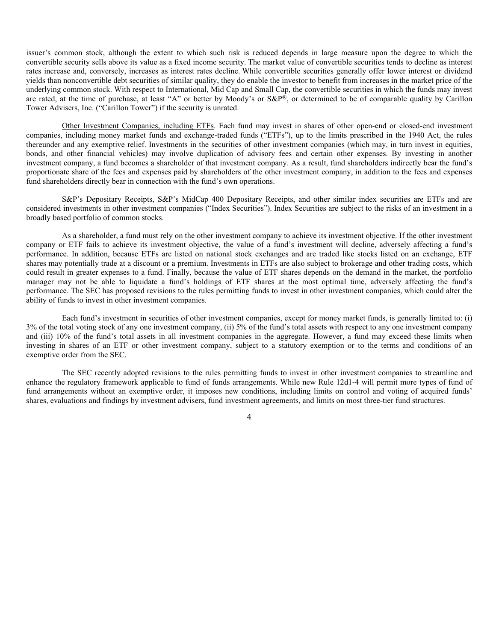issuer's common stock, although the extent to which such risk is reduced depends in large measure upon the degree to which the convertible security sells above its value as a fixed income security. The market value of convertible securities tends to decline as interest rates increase and, conversely, increases as interest rates decline. While convertible securities generally offer lower interest or dividend yields than nonconvertible debt securities of similar quality, they do enable the investor to benefit from increases in the market price of the underlying common stock. With respect to International, Mid Cap and Small Cap, the convertible securities in which the funds may invest are rated, at the time of purchase, at least "A" or better by Moody's or  $S\&P^{\mathbb{R}}$ , or determined to be of comparable quality by Carillon Tower Advisers, Inc. ("Carillon Tower") if the security is unrated.

Other Investment Companies, including ETFs. Each fund may invest in shares of other open-end or closed-end investment companies, including money market funds and exchange-traded funds ("ETFs"), up to the limits prescribed in the 1940 Act, the rules thereunder and any exemptive relief. Investments in the securities of other investment companies (which may, in turn invest in equities, bonds, and other financial vehicles) may involve duplication of advisory fees and certain other expenses. By investing in another investment company, a fund becomes a shareholder of that investment company. As a result, fund shareholders indirectly bear the fund's proportionate share of the fees and expenses paid by shareholders of the other investment company, in addition to the fees and expenses fund shareholders directly bear in connection with the fund's own operations.

S&P's Depositary Receipts, S&P's MidCap 400 Depositary Receipts, and other similar index securities are ETFs and are considered investments in other investment companies ("Index Securities"). Index Securities are subject to the risks of an investment in a broadly based portfolio of common stocks.

As a shareholder, a fund must rely on the other investment company to achieve its investment objective. If the other investment company or ETF fails to achieve its investment objective, the value of a fund's investment will decline, adversely affecting a fund's performance. In addition, because ETFs are listed on national stock exchanges and are traded like stocks listed on an exchange, ETF shares may potentially trade at a discount or a premium. Investments in ETFs are also subject to brokerage and other trading costs, which could result in greater expenses to a fund. Finally, because the value of ETF shares depends on the demand in the market, the portfolio manager may not be able to liquidate a fund's holdings of ETF shares at the most optimal time, adversely affecting the fund's performance. The SEC has proposed revisions to the rules permitting funds to invest in other investment companies, which could alter the ability of funds to invest in other investment companies.

Each fund's investment in securities of other investment companies, except for money market funds, is generally limited to: (i) 3% of the total voting stock of any one investment company, (ii) 5% of the fund's total assets with respect to any one investment company and (iii) 10% of the fund's total assets in all investment companies in the aggregate. However, a fund may exceed these limits when investing in shares of an ETF or other investment company, subject to a statutory exemption or to the terms and conditions of an exemptive order from the SEC.

The SEC recently adopted revisions to the rules permitting funds to invest in other investment companies to streamline and enhance the regulatory framework applicable to fund of funds arrangements. While new Rule 12d1-4 will permit more types of fund of fund arrangements without an exemptive order, it imposes new conditions, including limits on control and voting of acquired funds' shares, evaluations and findings by investment advisers, fund investment agreements, and limits on most three-tier fund structures.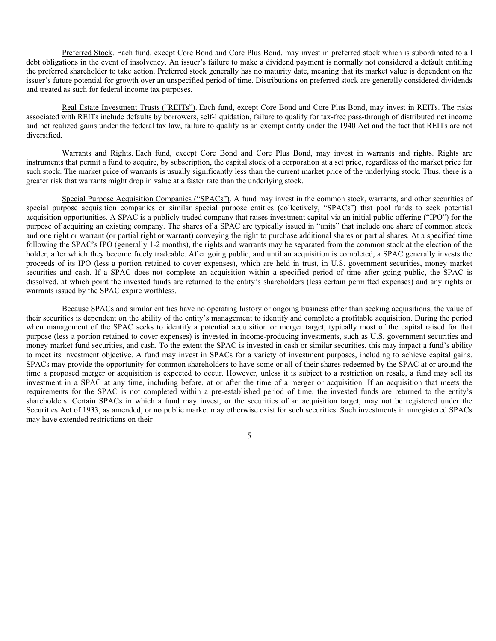Preferred Stock. Each fund, except Core Bond and Core Plus Bond, may invest in preferred stock which is subordinated to all debt obligations in the event of insolvency. An issuer's failure to make a dividend payment is normally not considered a default entitling the preferred shareholder to take action. Preferred stock generally has no maturity date, meaning that its market value is dependent on the issuer's future potential for growth over an unspecified period of time. Distributions on preferred stock are generally considered dividends and treated as such for federal income tax purposes.

Real Estate Investment Trusts ("REITs"). Each fund, except Core Bond and Core Plus Bond, may invest in REITs. The risks associated with REITs include defaults by borrowers, self-liquidation, failure to qualify for tax-free pass-through of distributed net income and net realized gains under the federal tax law, failure to qualify as an exempt entity under the 1940 Act and the fact that REITs are not diversified.

Warrants and Rights. Each fund, except Core Bond and Core Plus Bond, may invest in warrants and rights. Rights are instruments that permit a fund to acquire, by subscription, the capital stock of a corporation at a set price, regardless of the market price for such stock. The market price of warrants is usually significantly less than the current market price of the underlying stock. Thus, there is a greater risk that warrants might drop in value at a faster rate than the underlying stock.

Special Purpose Acquisition Companies ("SPACs"). A fund may invest in the common stock, warrants, and other securities of special purpose acquisition companies or similar special purpose entities (collectively, "SPACs") that pool funds to seek potential acquisition opportunities. A SPAC is a publicly traded company that raises investment capital via an initial public offering ("IPO") for the purpose of acquiring an existing company. The shares of a SPAC are typically issued in "units" that include one share of common stock and one right or warrant (or partial right or warrant) conveying the right to purchase additional shares or partial shares. At a specified time following the SPAC's IPO (generally 1-2 months), the rights and warrants may be separated from the common stock at the election of the holder, after which they become freely tradeable. After going public, and until an acquisition is completed, a SPAC generally invests the proceeds of its IPO (less a portion retained to cover expenses), which are held in trust, in U.S. government securities, money market securities and cash. If a SPAC does not complete an acquisition within a specified period of time after going public, the SPAC is dissolved, at which point the invested funds are returned to the entity's shareholders (less certain permitted expenses) and any rights or warrants issued by the SPAC expire worthless.

Because SPACs and similar entities have no operating history or ongoing business other than seeking acquisitions, the value of their securities is dependent on the ability of the entity's management to identify and complete a profitable acquisition. During the period when management of the SPAC seeks to identify a potential acquisition or merger target, typically most of the capital raised for that purpose (less a portion retained to cover expenses) is invested in income-producing investments, such as U.S. government securities and money market fund securities, and cash. To the extent the SPAC is invested in cash or similar securities, this may impact a fund's ability to meet its investment objective. A fund may invest in SPACs for a variety of investment purposes, including to achieve capital gains. SPACs may provide the opportunity for common shareholders to have some or all of their shares redeemed by the SPAC at or around the time a proposed merger or acquisition is expected to occur. However, unless it is subject to a restriction on resale, a fund may sell its investment in a SPAC at any time, including before, at or after the time of a merger or acquisition. If an acquisition that meets the requirements for the SPAC is not completed within a pre-established period of time, the invested funds are returned to the entity's shareholders. Certain SPACs in which a fund may invest, or the securities of an acquisition target, may not be registered under the Securities Act of 1933, as amended, or no public market may otherwise exist for such securities. Such investments in unregistered SPACs may have extended restrictions on their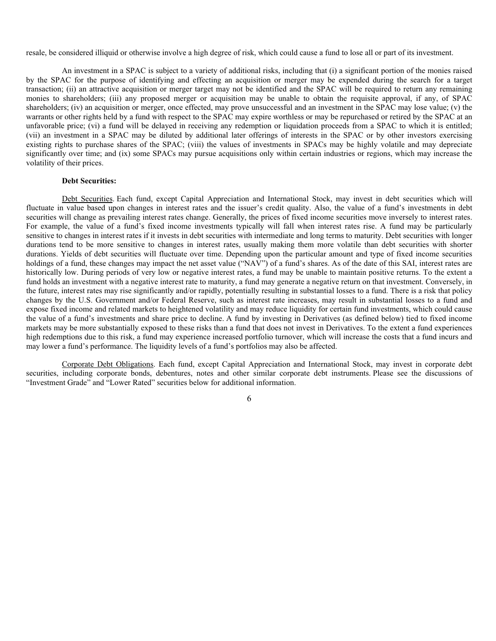resale, be considered illiquid or otherwise involve a high degree of risk, which could cause a fund to lose all or part of its investment.

An investment in a SPAC is subject to a variety of additional risks, including that (i) a significant portion of the monies raised by the SPAC for the purpose of identifying and effecting an acquisition or merger may be expended during the search for a target transaction; (ii) an attractive acquisition or merger target may not be identified and the SPAC will be required to return any remaining monies to shareholders; (iii) any proposed merger or acquisition may be unable to obtain the requisite approval, if any, of SPAC shareholders; (iv) an acquisition or merger, once effected, may prove unsuccessful and an investment in the SPAC may lose value; (v) the warrants or other rights held by a fund with respect to the SPAC may expire worthless or may be repurchased or retired by the SPAC at an unfavorable price; (vi) a fund will be delayed in receiving any redemption or liquidation proceeds from a SPAC to which it is entitled; (vii) an investment in a SPAC may be diluted by additional later offerings of interests in the SPAC or by other investors exercising existing rights to purchase shares of the SPAC; (viii) the values of investments in SPACs may be highly volatile and may depreciate significantly over time; and (ix) some SPACs may pursue acquisitions only within certain industries or regions, which may increase the volatility of their prices.

### **Debt Securities:**

Debt Securities. Each fund, except Capital Appreciation and International Stock, may invest in debt securities which will fluctuate in value based upon changes in interest rates and the issuer's credit quality. Also, the value of a fund's investments in debt securities will change as prevailing interest rates change. Generally, the prices of fixed income securities move inversely to interest rates. For example, the value of a fund's fixed income investments typically will fall when interest rates rise. A fund may be particularly sensitive to changes in interest rates if it invests in debt securities with intermediate and long terms to maturity. Debt securities with longer durations tend to be more sensitive to changes in interest rates, usually making them more volatile than debt securities with shorter durations. Yields of debt securities will fluctuate over time. Depending upon the particular amount and type of fixed income securities holdings of a fund, these changes may impact the net asset value ("NAV") of a fund's shares. As of the date of this SAI, interest rates are historically low. During periods of very low or negative interest rates, a fund may be unable to maintain positive returns. To the extent a fund holds an investment with a negative interest rate to maturity, a fund may generate a negative return on that investment. Conversely, in the future, interest rates may rise significantly and/or rapidly, potentially resulting in substantial losses to a fund. There is a risk that policy changes by the U.S. Government and/or Federal Reserve, such as interest rate increases, may result in substantial losses to a fund and expose fixed income and related markets to heightened volatility and may reduce liquidity for certain fund investments, which could cause the value of a fund's investments and share price to decline. A fund by investing in Derivatives (as defined below) tied to fixed income markets may be more substantially exposed to these risks than a fund that does not invest in Derivatives. To the extent a fund experiences high redemptions due to this risk, a fund may experience increased portfolio turnover, which will increase the costs that a fund incurs and may lower a fund's performance. The liquidity levels of a fund's portfolios may also be affected.

Corporate Debt Obligations. Each fund, except Capital Appreciation and International Stock, may invest in corporate debt securities, including corporate bonds, debentures, notes and other similar corporate debt instruments. Please see the discussions of "Investment Grade" and "Lower Rated" securities below for additional information.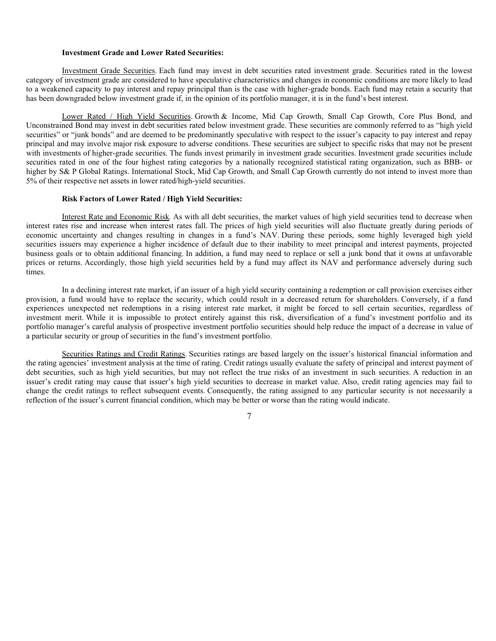### **Investment Grade and Lower Rated Securities:**

Investment Grade Securities. Each fund may invest in debt securities rated investment grade. Securities rated in the lowest category of investment grade are considered to have speculative characteristics and changes in economic conditions are more likely to lead to a weakened capacity to pay interest and repay principal than is the case with higher-grade bonds. Each fund may retain a security that has been downgraded below investment grade if, in the opinion of its portfolio manager, it is in the fund's best interest.

Lower Rated / High Yield Securities. Growth & Income, Mid Cap Growth, Small Cap Growth, Core Plus Bond, and Unconstrained Bond may invest in debt securities rated below investment grade. These securities are commonly referred to as "high yield securities" or "junk bonds" and are deemed to be predominantly speculative with respect to the issuer's capacity to pay interest and repay principal and may involve major risk exposure to adverse conditions. These securities are subject to specific risks that may not be present with investments of higher-grade securities. The funds invest primarily in investment grade securities. Investment grade securities include securities rated in one of the four highest rating categories by a nationally recognized statistical rating organization, such as BBB- or higher by S& P Global Ratings. International Stock, Mid Cap Growth, and Small Cap Growth currently do not intend to invest more than 5% of their respective net assets in lower rated/high-yield securities.

#### **Risk Factors of Lower Rated / High Yield Securities:**

Interest Rate and Economic Risk*.* As with all debt securities, the market values of high yield securities tend to decrease when interest rates rise and increase when interest rates fall. The prices of high yield securities will also fluctuate greatly during periods of economic uncertainty and changes resulting in changes in a fund's NAV. During these periods, some highly leveraged high yield securities issuers may experience a higher incidence of default due to their inability to meet principal and interest payments, projected business goals or to obtain additional financing. In addition, a fund may need to replace or sell a junk bond that it owns at unfavorable prices or returns. Accordingly, those high yield securities held by a fund may affect its NAV and performance adversely during such times.

In a declining interest rate market, if an issuer of a high yield security containing a redemption or call provision exercises either provision, a fund would have to replace the security, which could result in a decreased return for shareholders. Conversely, if a fund experiences unexpected net redemptions in a rising interest rate market, it might be forced to sell certain securities, regardless of investment merit. While it is impossible to protect entirely against this risk, diversification of a fund's investment portfolio and its portfolio manager's careful analysis of prospective investment portfolio securities should help reduce the impact of a decrease in value of a particular security or group of securities in the fund's investment portfolio.

Securities Ratings and Credit Ratings. Securities ratings are based largely on the issuer's historical financial information and the rating agencies' investment analysis at the time of rating. Credit ratings usually evaluate the safety of principal and interest payment of debt securities, such as high yield securities, but may not reflect the true risks of an investment in such securities. A reduction in an issuer's credit rating may cause that issuer's high yield securities to decrease in market value. Also, credit rating agencies may fail to change the credit ratings to reflect subsequent events. Consequently, the rating assigned to any particular security is not necessarily a reflection of the issuer's current financial condition, which may be better or worse than the rating would indicate.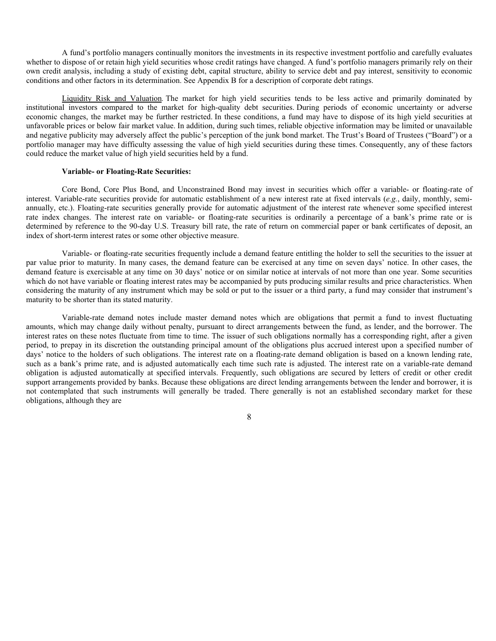A fund's portfolio managers continually monitors the investments in its respective investment portfolio and carefully evaluates whether to dispose of or retain high yield securities whose credit ratings have changed. A fund's portfolio managers primarily rely on their own credit analysis, including a study of existing debt, capital structure, ability to service debt and pay interest, sensitivity to economic conditions and other factors in its determination. See Appendix B for a description of corporate debt ratings.

Liquidity Risk and Valuation*.* The market for high yield securities tends to be less active and primarily dominated by institutional investors compared to the market for high-quality debt securities. During periods of economic uncertainty or adverse economic changes, the market may be further restricted. In these conditions, a fund may have to dispose of its high yield securities at unfavorable prices or below fair market value. In addition, during such times, reliable objective information may be limited or unavailable and negative publicity may adversely affect the public's perception of the junk bond market. The Trust's Board of Trustees ("Board") or a portfolio manager may have difficulty assessing the value of high yield securities during these times. Consequently, any of these factors could reduce the market value of high yield securities held by a fund.

#### **Variable- or Floating-Rate Securities:**

Core Bond, Core Plus Bond, and Unconstrained Bond may invest in securities which offer a variable- or floating-rate of interest. Variable-rate securities provide for automatic establishment of a new interest rate at fixed intervals (*e.g.*, daily, monthly, semiannually, etc.). Floating-rate securities generally provide for automatic adjustment of the interest rate whenever some specified interest rate index changes. The interest rate on variable- or floating-rate securities is ordinarily a percentage of a bank's prime rate or is determined by reference to the 90-day U.S. Treasury bill rate, the rate of return on commercial paper or bank certificates of deposit, an index of short-term interest rates or some other objective measure.

Variable- or floating-rate securities frequently include a demand feature entitling the holder to sell the securities to the issuer at par value prior to maturity. In many cases, the demand feature can be exercised at any time on seven days' notice. In other cases, the demand feature is exercisable at any time on 30 days' notice or on similar notice at intervals of not more than one year. Some securities which do not have variable or floating interest rates may be accompanied by puts producing similar results and price characteristics. When considering the maturity of any instrument which may be sold or put to the issuer or a third party, a fund may consider that instrument's maturity to be shorter than its stated maturity.

Variable-rate demand notes include master demand notes which are obligations that permit a fund to invest fluctuating amounts, which may change daily without penalty, pursuant to direct arrangements between the fund, as lender, and the borrower. The interest rates on these notes fluctuate from time to time. The issuer of such obligations normally has a corresponding right, after a given period, to prepay in its discretion the outstanding principal amount of the obligations plus accrued interest upon a specified number of days' notice to the holders of such obligations. The interest rate on a floating-rate demand obligation is based on a known lending rate, such as a bank's prime rate, and is adjusted automatically each time such rate is adjusted. The interest rate on a variable-rate demand obligation is adjusted automatically at specified intervals. Frequently, such obligations are secured by letters of credit or other credit support arrangements provided by banks. Because these obligations are direct lending arrangements between the lender and borrower, it is not contemplated that such instruments will generally be traded. There generally is not an established secondary market for these obligations, although they are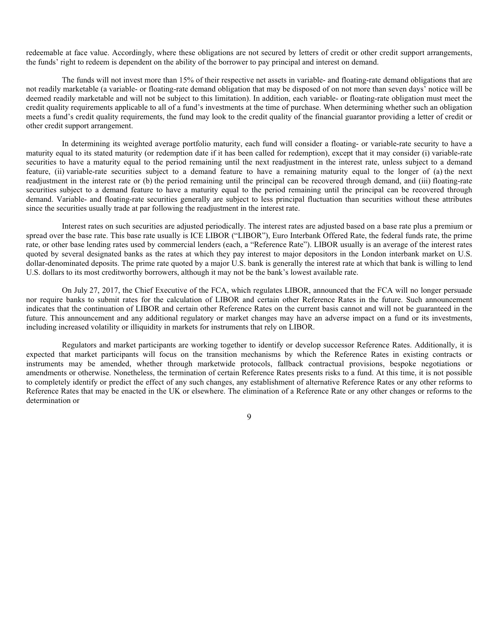redeemable at face value. Accordingly, where these obligations are not secured by letters of credit or other credit support arrangements, the funds' right to redeem is dependent on the ability of the borrower to pay principal and interest on demand.

The funds will not invest more than 15% of their respective net assets in variable- and floating-rate demand obligations that are not readily marketable (a variable- or floating-rate demand obligation that may be disposed of on not more than seven days' notice will be deemed readily marketable and will not be subject to this limitation). In addition, each variable- or floating-rate obligation must meet the credit quality requirements applicable to all of a fund's investments at the time of purchase. When determining whether such an obligation meets a fund's credit quality requirements, the fund may look to the credit quality of the financial guarantor providing a letter of credit or other credit support arrangement.

In determining its weighted average portfolio maturity, each fund will consider a floating- or variable-rate security to have a maturity equal to its stated maturity (or redemption date if it has been called for redemption), except that it may consider (i) variable-rate securities to have a maturity equal to the period remaining until the next readjustment in the interest rate, unless subject to a demand feature, (ii) variable-rate securities subject to a demand feature to have a remaining maturity equal to the longer of (a) the next readjustment in the interest rate or (b) the period remaining until the principal can be recovered through demand, and (iii) floating-rate securities subject to a demand feature to have a maturity equal to the period remaining until the principal can be recovered through demand. Variable- and floating-rate securities generally are subject to less principal fluctuation than securities without these attributes since the securities usually trade at par following the readjustment in the interest rate.

Interest rates on such securities are adjusted periodically. The interest rates are adjusted based on a base rate plus a premium or spread over the base rate. This base rate usually is ICE LIBOR ("LIBOR"), Euro Interbank Offered Rate, the federal funds rate, the prime rate, or other base lending rates used by commercial lenders (each, a "Reference Rate"). LIBOR usually is an average of the interest rates quoted by several designated banks as the rates at which they pay interest to major depositors in the London interbank market on U.S. dollar-denominated deposits. The prime rate quoted by a major U.S. bank is generally the interest rate at which that bank is willing to lend U.S. dollars to its most creditworthy borrowers, although it may not be the bank's lowest available rate.

On July 27, 2017, the Chief Executive of the FCA, which regulates LIBOR, announced that the FCA will no longer persuade nor require banks to submit rates for the calculation of LIBOR and certain other Reference Rates in the future. Such announcement indicates that the continuation of LIBOR and certain other Reference Rates on the current basis cannot and will not be guaranteed in the future. This announcement and any additional regulatory or market changes may have an adverse impact on a fund or its investments, including increased volatility or illiquidity in markets for instruments that rely on LIBOR.

Regulators and market participants are working together to identify or develop successor Reference Rates. Additionally, it is expected that market participants will focus on the transition mechanisms by which the Reference Rates in existing contracts or instruments may be amended, whether through marketwide protocols, fallback contractual provisions, bespoke negotiations or amendments or otherwise. Nonetheless, the termination of certain Reference Rates presents risks to a fund. At this time, it is not possible to completely identify or predict the effect of any such changes, any establishment of alternative Reference Rates or any other reforms to Reference Rates that may be enacted in the UK or elsewhere. The elimination of a Reference Rate or any other changes or reforms to the determination or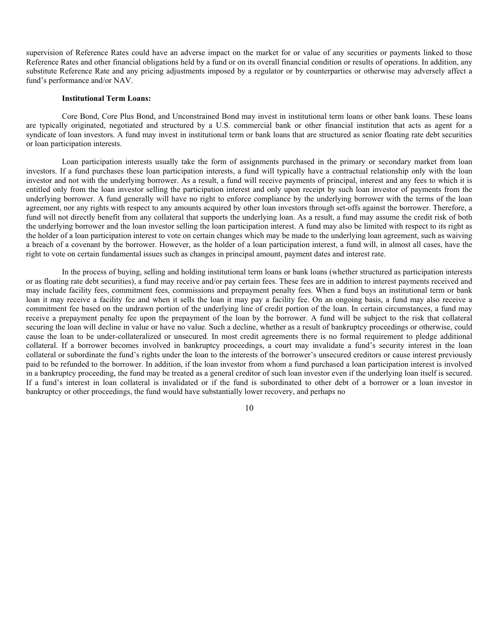supervision of Reference Rates could have an adverse impact on the market for or value of any securities or payments linked to those Reference Rates and other financial obligations held by a fund or on its overall financial condition or results of operations. In addition, any substitute Reference Rate and any pricing adjustments imposed by a regulator or by counterparties or otherwise may adversely affect a fund's performance and/or NAV.

### **Institutional Term Loans:**

Core Bond, Core Plus Bond, and Unconstrained Bond may invest in institutional term loans or other bank loans. These loans are typically originated, negotiated and structured by a U.S. commercial bank or other financial institution that acts as agent for a syndicate of loan investors. A fund may invest in institutional term or bank loans that are structured as senior floating rate debt securities or loan participation interests.

Loan participation interests usually take the form of assignments purchased in the primary or secondary market from loan investors. If a fund purchases these loan participation interests, a fund will typically have a contractual relationship only with the loan investor and not with the underlying borrower. As a result, a fund will receive payments of principal, interest and any fees to which it is entitled only from the loan investor selling the participation interest and only upon receipt by such loan investor of payments from the underlying borrower. A fund generally will have no right to enforce compliance by the underlying borrower with the terms of the loan agreement, nor any rights with respect to any amounts acquired by other loan investors through set-offs against the borrower. Therefore, a fund will not directly benefit from any collateral that supports the underlying loan. As a result, a fund may assume the credit risk of both the underlying borrower and the loan investor selling the loan participation interest. A fund may also be limited with respect to its right as the holder of a loan participation interest to vote on certain changes which may be made to the underlying loan agreement, such as waiving a breach of a covenant by the borrower. However, as the holder of a loan participation interest, a fund will, in almost all cases, have the right to vote on certain fundamental issues such as changes in principal amount, payment dates and interest rate.

In the process of buying, selling and holding institutional term loans or bank loans (whether structured as participation interests or as floating rate debt securities), a fund may receive and/or pay certain fees. These fees are in addition to interest payments received and may include facility fees, commitment fees, commissions and prepayment penalty fees. When a fund buys an institutional term or bank loan it may receive a facility fee and when it sells the loan it may pay a facility fee. On an ongoing basis, a fund may also receive a commitment fee based on the undrawn portion of the underlying line of credit portion of the loan. In certain circumstances, a fund may receive a prepayment penalty fee upon the prepayment of the loan by the borrower. A fund will be subject to the risk that collateral securing the loan will decline in value or have no value. Such a decline, whether as a result of bankruptcy proceedings or otherwise, could cause the loan to be under-collateralized or unsecured. In most credit agreements there is no formal requirement to pledge additional collateral. If a borrower becomes involved in bankruptcy proceedings, a court may invalidate a fund's security interest in the loan collateral or subordinate the fund's rights under the loan to the interests of the borrower's unsecured creditors or cause interest previously paid to be refunded to the borrower. In addition, if the loan investor from whom a fund purchased a loan participation interest is involved in a bankruptcy proceeding, the fund may be treated as a general creditor of such loan investor even if the underlying loan itself is secured. If a fund's interest in loan collateral is invalidated or if the fund is subordinated to other debt of a borrower or a loan investor in bankruptcy or other proceedings, the fund would have substantially lower recovery, and perhaps no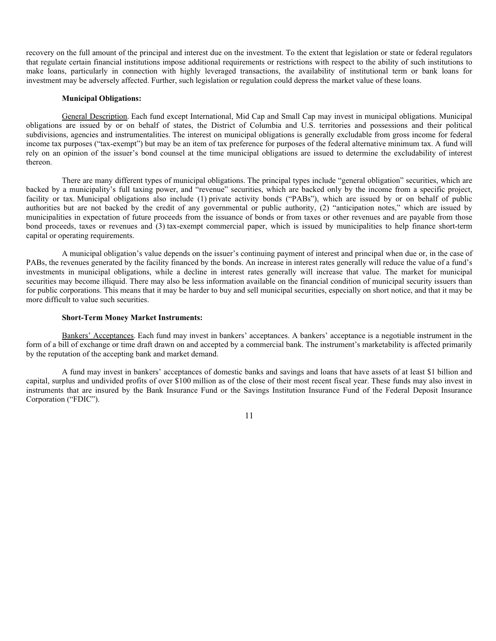recovery on the full amount of the principal and interest due on the investment. To the extent that legislation or state or federal regulators that regulate certain financial institutions impose additional requirements or restrictions with respect to the ability of such institutions to make loans, particularly in connection with highly leveraged transactions, the availability of institutional term or bank loans for investment may be adversely affected. Further, such legislation or regulation could depress the market value of these loans.

### **Municipal Obligations:**

General Description. Each fund except International, Mid Cap and Small Cap may invest in municipal obligations. Municipal obligations are issued by or on behalf of states, the District of Columbia and U.S. territories and possessions and their political subdivisions, agencies and instrumentalities. The interest on municipal obligations is generally excludable from gross income for federal income tax purposes ("tax-exempt") but may be an item of tax preference for purposes of the federal alternative minimum tax. A fund will rely on an opinion of the issuer's bond counsel at the time municipal obligations are issued to determine the excludability of interest thereon.

There are many different types of municipal obligations. The principal types include "general obligation" securities, which are backed by a municipality's full taxing power, and "revenue" securities, which are backed only by the income from a specific project, facility or tax. Municipal obligations also include (1) private activity bonds ("PABs"), which are issued by or on behalf of public authorities but are not backed by the credit of any governmental or public authority, (2) "anticipation notes," which are issued by municipalities in expectation of future proceeds from the issuance of bonds or from taxes or other revenues and are payable from those bond proceeds, taxes or revenues and (3) tax-exempt commercial paper, which is issued by municipalities to help finance short-term capital or operating requirements.

A municipal obligation's value depends on the issuer's continuing payment of interest and principal when due or, in the case of PABs, the revenues generated by the facility financed by the bonds. An increase in interest rates generally will reduce the value of a fund's investments in municipal obligations, while a decline in interest rates generally will increase that value. The market for municipal securities may become illiquid. There may also be less information available on the financial condition of municipal security issuers than for public corporations. This means that it may be harder to buy and sell municipal securities, especially on short notice, and that it may be more difficult to value such securities.

#### **Short-Term Money Market Instruments:**

Bankers' Acceptances. Each fund may invest in bankers' acceptances. A bankers' acceptance is a negotiable instrument in the form of a bill of exchange or time draft drawn on and accepted by a commercial bank. The instrument's marketability is affected primarily by the reputation of the accepting bank and market demand.

A fund may invest in bankers' acceptances of domestic banks and savings and loans that have assets of at least \$1 billion and capital, surplus and undivided profits of over \$100 million as of the close of their most recent fiscal year. These funds may also invest in instruments that are insured by the Bank Insurance Fund or the Savings Institution Insurance Fund of the Federal Deposit Insurance Corporation ("FDIC").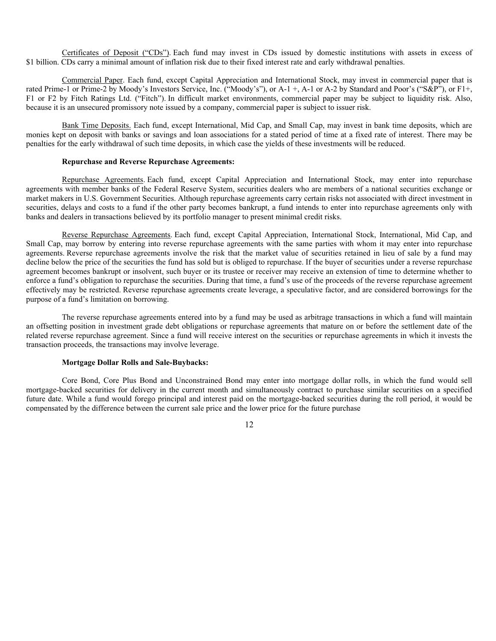Certificates of Deposit ("CDs"). Each fund may invest in CDs issued by domestic institutions with assets in excess of \$1 billion. CDs carry a minimal amount of inflation risk due to their fixed interest rate and early withdrawal penalties.

Commercial Paper. Each fund, except Capital Appreciation and International Stock, may invest in commercial paper that is rated Prime-1 or Prime-2 by Moody's Investors Service, Inc. ("Moody's"), or A-1 +, A-1 or A-2 by Standard and Poor's ("S&P"), or F1+, F1 or F2 by Fitch Ratings Ltd. ("Fitch"). In difficult market environments, commercial paper may be subject to liquidity risk. Also, because it is an unsecured promissory note issued by a company, commercial paper is subject to issuer risk.

Bank Time Deposits. Each fund, except International, Mid Cap, and Small Cap, may invest in bank time deposits, which are monies kept on deposit with banks or savings and loan associations for a stated period of time at a fixed rate of interest. There may be penalties for the early withdrawal of such time deposits, in which case the yields of these investments will be reduced.

#### **Repurchase and Reverse Repurchase Agreements:**

Repurchase Agreements. Each fund, except Capital Appreciation and International Stock, may enter into repurchase agreements with member banks of the Federal Reserve System, securities dealers who are members of a national securities exchange or market makers in U.S. Government Securities. Although repurchase agreements carry certain risks not associated with direct investment in securities, delays and costs to a fund if the other party becomes bankrupt, a fund intends to enter into repurchase agreements only with banks and dealers in transactions believed by its portfolio manager to present minimal credit risks.

Reverse Repurchase Agreements. Each fund, except Capital Appreciation, International Stock, International, Mid Cap, and Small Cap, may borrow by entering into reverse repurchase agreements with the same parties with whom it may enter into repurchase agreements. Reverse repurchase agreements involve the risk that the market value of securities retained in lieu of sale by a fund may decline below the price of the securities the fund has sold but is obliged to repurchase. If the buyer of securities under a reverse repurchase agreement becomes bankrupt or insolvent, such buyer or its trustee or receiver may receive an extension of time to determine whether to enforce a fund's obligation to repurchase the securities. During that time, a fund's use of the proceeds of the reverse repurchase agreement effectively may be restricted. Reverse repurchase agreements create leverage, a speculative factor, and are considered borrowings for the purpose of a fund's limitation on borrowing.

The reverse repurchase agreements entered into by a fund may be used as arbitrage transactions in which a fund will maintain an offsetting position in investment grade debt obligations or repurchase agreements that mature on or before the settlement date of the related reverse repurchase agreement. Since a fund will receive interest on the securities or repurchase agreements in which it invests the transaction proceeds, the transactions may involve leverage.

#### **Mortgage Dollar Rolls and Sale-Buybacks:**

Core Bond, Core Plus Bond and Unconstrained Bond may enter into mortgage dollar rolls, in which the fund would sell mortgage-backed securities for delivery in the current month and simultaneously contract to purchase similar securities on a specified future date. While a fund would forego principal and interest paid on the mortgage-backed securities during the roll period, it would be compensated by the difference between the current sale price and the lower price for the future purchase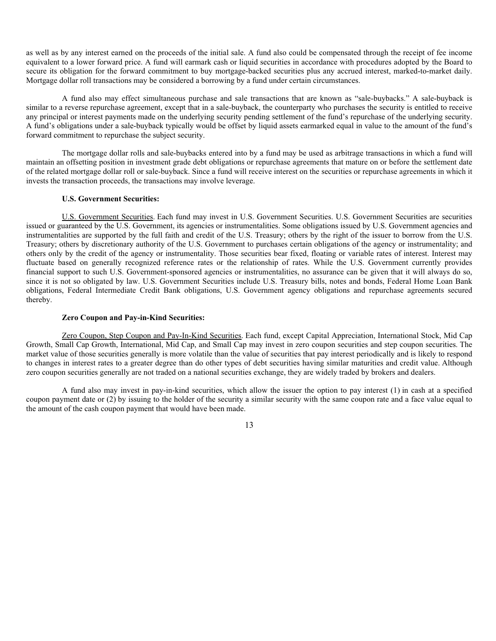as well as by any interest earned on the proceeds of the initial sale. A fund also could be compensated through the receipt of fee income equivalent to a lower forward price. A fund will earmark cash or liquid securities in accordance with procedures adopted by the Board to secure its obligation for the forward commitment to buy mortgage-backed securities plus any accrued interest, marked-to-market daily. Mortgage dollar roll transactions may be considered a borrowing by a fund under certain circumstances.

A fund also may effect simultaneous purchase and sale transactions that are known as "sale-buybacks." A sale-buyback is similar to a reverse repurchase agreement, except that in a sale-buyback, the counterparty who purchases the security is entitled to receive any principal or interest payments made on the underlying security pending settlement of the fund's repurchase of the underlying security. A fund's obligations under a sale-buyback typically would be offset by liquid assets earmarked equal in value to the amount of the fund's forward commitment to repurchase the subject security.

The mortgage dollar rolls and sale-buybacks entered into by a fund may be used as arbitrage transactions in which a fund will maintain an offsetting position in investment grade debt obligations or repurchase agreements that mature on or before the settlement date of the related mortgage dollar roll or sale-buyback. Since a fund will receive interest on the securities or repurchase agreements in which it invests the transaction proceeds, the transactions may involve leverage.

#### **U.S. Government Securities:**

U.S. Government Securities. Each fund may invest in U.S. Government Securities. U.S. Government Securities are securities issued or guaranteed by the U.S. Government, its agencies or instrumentalities. Some obligations issued by U.S. Government agencies and instrumentalities are supported by the full faith and credit of the U.S. Treasury; others by the right of the issuer to borrow from the U.S. Treasury; others by discretionary authority of the U.S. Government to purchases certain obligations of the agency or instrumentality; and others only by the credit of the agency or instrumentality. Those securities bear fixed, floating or variable rates of interest. Interest may fluctuate based on generally recognized reference rates or the relationship of rates. While the U.S. Government currently provides financial support to such U.S. Government-sponsored agencies or instrumentalities, no assurance can be given that it will always do so, since it is not so obligated by law. U.S. Government Securities include U.S. Treasury bills, notes and bonds, Federal Home Loan Bank obligations, Federal Intermediate Credit Bank obligations, U.S. Government agency obligations and repurchase agreements secured thereby.

## **Zero Coupon and Pay-in-Kind Securities:**

Zero Coupon, Step Coupon and Pay-In-Kind Securities. Each fund, except Capital Appreciation, International Stock, Mid Cap Growth, Small Cap Growth, International, Mid Cap, and Small Cap may invest in zero coupon securities and step coupon securities. The market value of those securities generally is more volatile than the value of securities that pay interest periodically and is likely to respond to changes in interest rates to a greater degree than do other types of debt securities having similar maturities and credit value. Although zero coupon securities generally are not traded on a national securities exchange, they are widely traded by brokers and dealers.

A fund also may invest in pay-in-kind securities, which allow the issuer the option to pay interest (1) in cash at a specified coupon payment date or (2) by issuing to the holder of the security a similar security with the same coupon rate and a face value equal to the amount of the cash coupon payment that would have been made.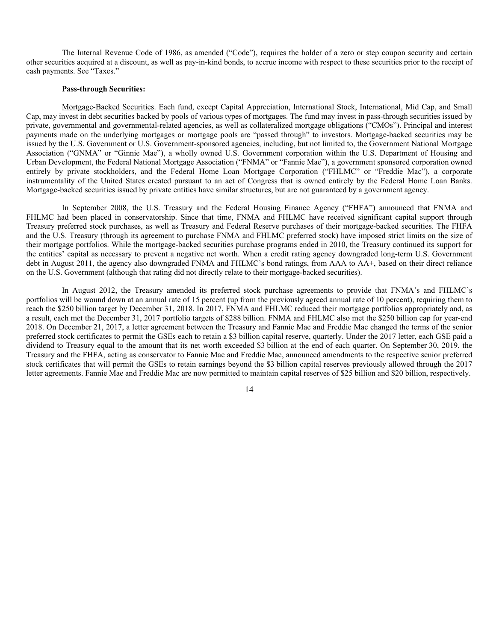The Internal Revenue Code of 1986, as amended ("Code"), requires the holder of a zero or step coupon security and certain other securities acquired at a discount, as well as pay-in-kind bonds, to accrue income with respect to these securities prior to the receipt of cash payments. See "Taxes."

### **Pass-through Securities:**

Mortgage-Backed Securities. Each fund, except Capital Appreciation, International Stock, International, Mid Cap, and Small Cap, may invest in debt securities backed by pools of various types of mortgages. The fund may invest in pass-through securities issued by private, governmental and governmental-related agencies, as well as collateralized mortgage obligations ("CMOs"). Principal and interest payments made on the underlying mortgages or mortgage pools are "passed through" to investors. Mortgage-backed securities may be issued by the U.S. Government or U.S. Government-sponsored agencies, including, but not limited to, the Government National Mortgage Association ("GNMA" or "Ginnie Mae"), a wholly owned U.S. Government corporation within the U.S. Department of Housing and Urban Development, the Federal National Mortgage Association ("FNMA" or "Fannie Mae"), a government sponsored corporation owned entirely by private stockholders, and the Federal Home Loan Mortgage Corporation ("FHLMC" or "Freddie Mac"), a corporate instrumentality of the United States created pursuant to an act of Congress that is owned entirely by the Federal Home Loan Banks. Mortgage-backed securities issued by private entities have similar structures, but are not guaranteed by a government agency.

In September 2008, the U.S. Treasury and the Federal Housing Finance Agency ("FHFA") announced that FNMA and FHLMC had been placed in conservatorship. Since that time, FNMA and FHLMC have received significant capital support through Treasury preferred stock purchases, as well as Treasury and Federal Reserve purchases of their mortgage-backed securities. The FHFA and the U.S. Treasury (through its agreement to purchase FNMA and FHLMC preferred stock) have imposed strict limits on the size of their mortgage portfolios. While the mortgage-backed securities purchase programs ended in 2010, the Treasury continued its support for the entities' capital as necessary to prevent a negative net worth. When a credit rating agency downgraded long-term U.S. Government debt in August 2011, the agency also downgraded FNMA and FHLMC's bond ratings, from AAA to AA+, based on their direct reliance on the U.S. Government (although that rating did not directly relate to their mortgage-backed securities).

In August 2012, the Treasury amended its preferred stock purchase agreements to provide that FNMA's and FHLMC's portfolios will be wound down at an annual rate of 15 percent (up from the previously agreed annual rate of 10 percent), requiring them to reach the \$250 billion target by December 31, 2018. In 2017, FNMA and FHLMC reduced their mortgage portfolios appropriately and, as a result, each met the December 31, 2017 portfolio targets of \$288 billion. FNMA and FHLMC also met the \$250 billion cap for year-end 2018. On December 21, 2017, a letter agreement between the Treasury and Fannie Mae and Freddie Mac changed the terms of the senior preferred stock certificates to permit the GSEs each to retain a \$3 billion capital reserve, quarterly. Under the 2017 letter, each GSE paid a dividend to Treasury equal to the amount that its net worth exceeded \$3 billion at the end of each quarter. On September 30, 2019, the Treasury and the FHFA, acting as conservator to Fannie Mae and Freddie Mac, announced amendments to the respective senior preferred stock certificates that will permit the GSEs to retain earnings beyond the \$3 billion capital reserves previously allowed through the 2017 letter agreements. Fannie Mae and Freddie Mac are now permitted to maintain capital reserves of \$25 billion and \$20 billion, respectively.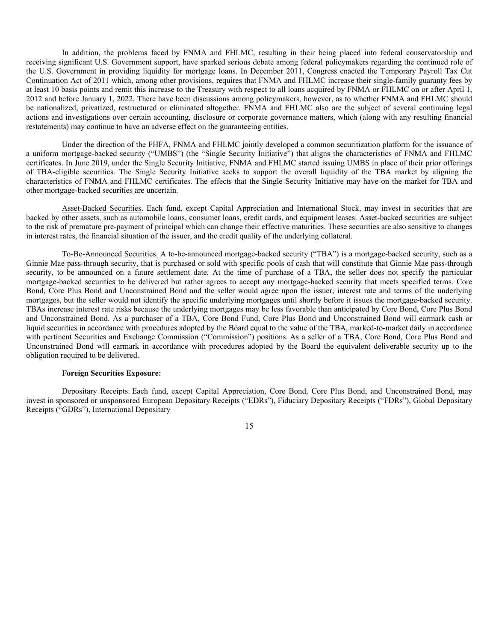In addition, the problems faced by FNMA and FHLMC, resulting in their being placed into federal conservatorship and receiving significant U.S. Government support, have sparked serious debate among federal policymakers regarding the continued role of the U.S. Government in providing liquidity for mortgage loans. In December 2011, Congress enacted the Temporary Payroll Tax Cut Continuation Act of 2011 which, among other provisions, requires that FNMA and FHLMC increase their single-family guaranty fees by at least 10 basis points and remit this increase to the Treasury with respect to all loans acquired by FNMA or FHLMC on or after April 1, 2012 and before January 1, 2022. There have been discussions among policymakers, however, as to whether FNMA and FHLMC should be nationalized, privatized, restructured or eliminated altogether. FNMA and FHLMC also are the subject of several continuing legal actions and investigations over certain accounting, disclosure or corporate governance matters, which (along with any resulting financial restatements) may continue to have an adverse effect on the guaranteeing entities.

Under the direction of the FHFA, FNMA and FHLMC jointly developed a common securitization platform for the issuance of a uniform mortgage-backed security ("UMBS") (the "Single Security Initiative") that aligns the characteristics of FNMA and FHLMC certificates. In June 2019, under the Single Security Initiative, FNMA and FHLMC started issuing UMBS in place of their prior offerings of TBA-eligible securities. The Single Security Initiative seeks to support the overall liquidity of the TBA market by aligning the characteristics of FNMA and FHLMC certificates. The effects that the Single Security Initiative may have on the market for TBA and other mortgage-backed securities are uncertain.

Asset-Backed Securities. Each fund, except Capital Appreciation and International Stock, may invest in securities that are backed by other assets, such as automobile loans, consumer loans, credit cards, and equipment leases. Asset-backed securities are subject to the risk of premature pre-payment of principal which can change their effective maturities. These securities are also sensitive to changes in interest rates, the financial situation of the issuer, and the credit quality of the underlying collateral.

To-Be-Announced Securities. A to-be-announced mortgage-backed security ("TBA") is a mortgage-backed security, such as a Ginnie Mae pass-through security, that is purchased or sold with specific pools of cash that will constitute that Ginnie Mae pass-through security, to be announced on a future settlement date. At the time of purchase of a TBA, the seller does not specify the particular mortgage-backed securities to be delivered but rather agrees to accept any mortgage-backed security that meets specified terms. Core Bond, Core Plus Bond and Unconstrained Bond and the seller would agree upon the issuer, interest rate and terms of the underlying mortgages, but the seller would not identify the specific underlying mortgages until shortly before it issues the mortgage-backed security. TBAs increase interest rate risks because the underlying mortgages may be less favorable than anticipated by Core Bond, Core Plus Bond and Unconstrained Bond. As a purchaser of a TBA, Core Bond Fund, Core Plus Bond and Unconstrained Bond will earmark cash or liquid securities in accordance with procedures adopted by the Board equal to the value of the TBA, marked-to-market daily in accordance with pertinent Securities and Exchange Commission ("Commission") positions. As a seller of a TBA, Core Bond, Core Plus Bond and Unconstrained Bond will earmark in accordance with procedures adopted by the Board the equivalent deliverable security up to the obligation required to be delivered.

#### **Foreign Securities Exposure:**

Depositary Receipts. Each fund, except Capital Appreciation, Core Bond, Core Plus Bond, and Unconstrained Bond, may invest in sponsored or unsponsored European Depositary Receipts ("EDRs"), Fiduciary Depositary Receipts ("FDRs"), Global Depositary Receipts ("GDRs"), International Depositary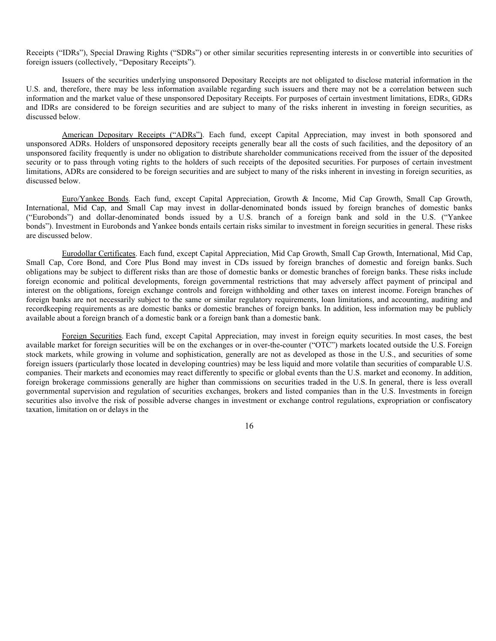Receipts ("IDRs"), Special Drawing Rights ("SDRs") or other similar securities representing interests in or convertible into securities of foreign issuers (collectively, "Depositary Receipts").

Issuers of the securities underlying unsponsored Depositary Receipts are not obligated to disclose material information in the U.S. and, therefore, there may be less information available regarding such issuers and there may not be a correlation between such information and the market value of these unsponsored Depositary Receipts. For purposes of certain investment limitations, EDRs, GDRs and IDRs are considered to be foreign securities and are subject to many of the risks inherent in investing in foreign securities, as discussed below.

American Depositary Receipts ("ADRs"). Each fund, except Capital Appreciation, may invest in both sponsored and unsponsored ADRs. Holders of unsponsored depository receipts generally bear all the costs of such facilities, and the depository of an unsponsored facility frequently is under no obligation to distribute shareholder communications received from the issuer of the deposited security or to pass through voting rights to the holders of such receipts of the deposited securities. For purposes of certain investment limitations, ADRs are considered to be foreign securities and are subject to many of the risks inherent in investing in foreign securities, as discussed below.

Euro/Yankee Bonds. Each fund, except Capital Appreciation, Growth & Income, Mid Cap Growth, Small Cap Growth, International, Mid Cap, and Small Cap may invest in dollar-denominated bonds issued by foreign branches of domestic banks ("Eurobonds") and dollar-denominated bonds issued by a U.S. branch of a foreign bank and sold in the U.S. ("Yankee bonds"). Investment in Eurobonds and Yankee bonds entails certain risks similar to investment in foreign securities in general. These risks are discussed below.

Eurodollar Certificates. Each fund, except Capital Appreciation, Mid Cap Growth, Small Cap Growth, International, Mid Cap, Small Cap, Core Bond, and Core Plus Bond may invest in CDs issued by foreign branches of domestic and foreign banks. Such obligations may be subject to different risks than are those of domestic banks or domestic branches of foreign banks. These risks include foreign economic and political developments, foreign governmental restrictions that may adversely affect payment of principal and interest on the obligations, foreign exchange controls and foreign withholding and other taxes on interest income. Foreign branches of foreign banks are not necessarily subject to the same or similar regulatory requirements, loan limitations, and accounting, auditing and recordkeeping requirements as are domestic banks or domestic branches of foreign banks. In addition, less information may be publicly available about a foreign branch of a domestic bank or a foreign bank than a domestic bank.

Foreign Securities. Each fund, except Capital Appreciation, may invest in foreign equity securities. In most cases, the best available market for foreign securities will be on the exchanges or in over-the-counter ("OTC") markets located outside the U.S. Foreign stock markets, while growing in volume and sophistication, generally are not as developed as those in the U.S., and securities of some foreign issuers (particularly those located in developing countries) may be less liquid and more volatile than securities of comparable U.S. companies. Their markets and economies may react differently to specific or global events than the U.S. market and economy. In addition, foreign brokerage commissions generally are higher than commissions on securities traded in the U.S. In general, there is less overall governmental supervision and regulation of securities exchanges, brokers and listed companies than in the U.S. Investments in foreign securities also involve the risk of possible adverse changes in investment or exchange control regulations, expropriation or confiscatory taxation, limitation on or delays in the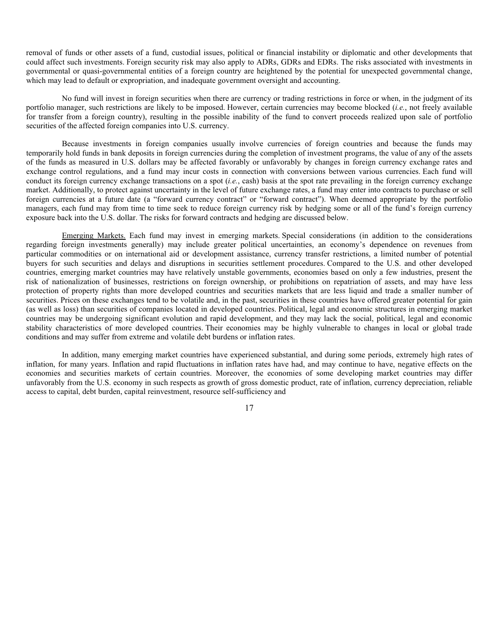removal of funds or other assets of a fund, custodial issues, political or financial instability or diplomatic and other developments that could affect such investments. Foreign security risk may also apply to ADRs, GDRs and EDRs. The risks associated with investments in governmental or quasi-governmental entities of a foreign country are heightened by the potential for unexpected governmental change, which may lead to default or expropriation, and inadequate government oversight and accounting.

No fund will invest in foreign securities when there are currency or trading restrictions in force or when, in the judgment of its portfolio manager, such restrictions are likely to be imposed. However, certain currencies may become blocked (*i.e.*, not freely available for transfer from a foreign country), resulting in the possible inability of the fund to convert proceeds realized upon sale of portfolio securities of the affected foreign companies into U.S. currency.

Because investments in foreign companies usually involve currencies of foreign countries and because the funds may temporarily hold funds in bank deposits in foreign currencies during the completion of investment programs, the value of any of the assets of the funds as measured in U.S. dollars may be affected favorably or unfavorably by changes in foreign currency exchange rates and exchange control regulations, and a fund may incur costs in connection with conversions between various currencies. Each fund will conduct its foreign currency exchange transactions on a spot (*i.e.*, cash) basis at the spot rate prevailing in the foreign currency exchange market. Additionally, to protect against uncertainty in the level of future exchange rates, a fund may enter into contracts to purchase or sell foreign currencies at a future date (a "forward currency contract" or "forward contract"). When deemed appropriate by the portfolio managers, each fund may from time to time seek to reduce foreign currency risk by hedging some or all of the fund's foreign currency exposure back into the U.S. dollar. The risks for forward contracts and hedging are discussed below.

Emerging Markets. Each fund may invest in emerging markets. Special considerations (in addition to the considerations regarding foreign investments generally) may include greater political uncertainties, an economy's dependence on revenues from particular commodities or on international aid or development assistance, currency transfer restrictions, a limited number of potential buyers for such securities and delays and disruptions in securities settlement procedures. Compared to the U.S. and other developed countries, emerging market countries may have relatively unstable governments, economies based on only a few industries, present the risk of nationalization of businesses, restrictions on foreign ownership, or prohibitions on repatriation of assets, and may have less protection of property rights than more developed countries and securities markets that are less liquid and trade a smaller number of securities. Prices on these exchanges tend to be volatile and, in the past, securities in these countries have offered greater potential for gain (as well as loss) than securities of companies located in developed countries. Political, legal and economic structures in emerging market countries may be undergoing significant evolution and rapid development, and they may lack the social, political, legal and economic stability characteristics of more developed countries. Their economies may be highly vulnerable to changes in local or global trade conditions and may suffer from extreme and volatile debt burdens or inflation rates.

In addition, many emerging market countries have experienced substantial, and during some periods, extremely high rates of inflation, for many years. Inflation and rapid fluctuations in inflation rates have had, and may continue to have, negative effects on the economies and securities markets of certain countries. Moreover, the economies of some developing market countries may differ unfavorably from the U.S. economy in such respects as growth of gross domestic product, rate of inflation, currency depreciation, reliable access to capital, debt burden, capital reinvestment, resource self-sufficiency and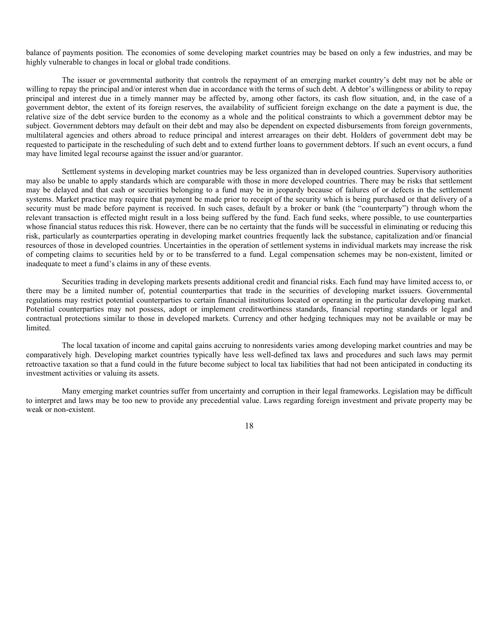balance of payments position. The economies of some developing market countries may be based on only a few industries, and may be highly vulnerable to changes in local or global trade conditions.

The issuer or governmental authority that controls the repayment of an emerging market country's debt may not be able or willing to repay the principal and/or interest when due in accordance with the terms of such debt. A debtor's willingness or ability to repay principal and interest due in a timely manner may be affected by, among other factors, its cash flow situation, and, in the case of a government debtor, the extent of its foreign reserves, the availability of sufficient foreign exchange on the date a payment is due, the relative size of the debt service burden to the economy as a whole and the political constraints to which a government debtor may be subject. Government debtors may default on their debt and may also be dependent on expected disbursements from foreign governments, multilateral agencies and others abroad to reduce principal and interest arrearages on their debt. Holders of government debt may be requested to participate in the rescheduling of such debt and to extend further loans to government debtors. If such an event occurs, a fund may have limited legal recourse against the issuer and/or guarantor.

Settlement systems in developing market countries may be less organized than in developed countries. Supervisory authorities may also be unable to apply standards which are comparable with those in more developed countries. There may be risks that settlement may be delayed and that cash or securities belonging to a fund may be in jeopardy because of failures of or defects in the settlement systems. Market practice may require that payment be made prior to receipt of the security which is being purchased or that delivery of a security must be made before payment is received. In such cases, default by a broker or bank (the "counterparty") through whom the relevant transaction is effected might result in a loss being suffered by the fund. Each fund seeks, where possible, to use counterparties whose financial status reduces this risk. However, there can be no certainty that the funds will be successful in eliminating or reducing this risk, particularly as counterparties operating in developing market countries frequently lack the substance, capitalization and/or financial resources of those in developed countries. Uncertainties in the operation of settlement systems in individual markets may increase the risk of competing claims to securities held by or to be transferred to a fund. Legal compensation schemes may be non-existent, limited or inadequate to meet a fund's claims in any of these events.

Securities trading in developing markets presents additional credit and financial risks. Each fund may have limited access to, or there may be a limited number of, potential counterparties that trade in the securities of developing market issuers. Governmental regulations may restrict potential counterparties to certain financial institutions located or operating in the particular developing market. Potential counterparties may not possess, adopt or implement creditworthiness standards, financial reporting standards or legal and contractual protections similar to those in developed markets. Currency and other hedging techniques may not be available or may be limited.

The local taxation of income and capital gains accruing to nonresidents varies among developing market countries and may be comparatively high. Developing market countries typically have less well-defined tax laws and procedures and such laws may permit retroactive taxation so that a fund could in the future become subject to local tax liabilities that had not been anticipated in conducting its investment activities or valuing its assets.

Many emerging market countries suffer from uncertainty and corruption in their legal frameworks. Legislation may be difficult to interpret and laws may be too new to provide any precedential value. Laws regarding foreign investment and private property may be weak or non-existent.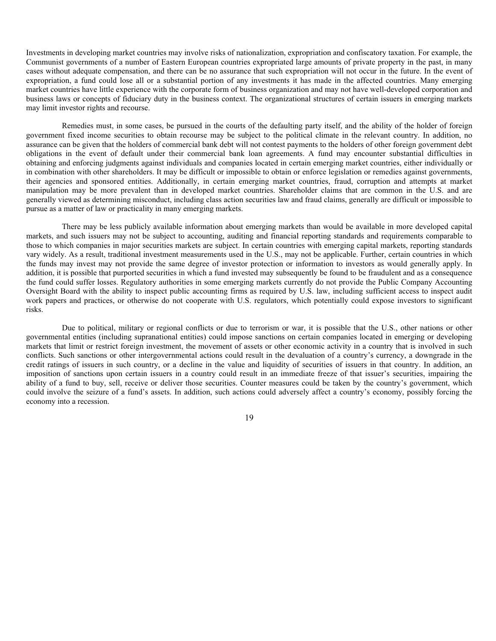Investments in developing market countries may involve risks of nationalization, expropriation and confiscatory taxation. For example, the Communist governments of a number of Eastern European countries expropriated large amounts of private property in the past, in many cases without adequate compensation, and there can be no assurance that such expropriation will not occur in the future. In the event of expropriation, a fund could lose all or a substantial portion of any investments it has made in the affected countries. Many emerging market countries have little experience with the corporate form of business organization and may not have well-developed corporation and business laws or concepts of fiduciary duty in the business context. The organizational structures of certain issuers in emerging markets may limit investor rights and recourse.

Remedies must, in some cases, be pursued in the courts of the defaulting party itself, and the ability of the holder of foreign government fixed income securities to obtain recourse may be subject to the political climate in the relevant country. In addition, no assurance can be given that the holders of commercial bank debt will not contest payments to the holders of other foreign government debt obligations in the event of default under their commercial bank loan agreements. A fund may encounter substantial difficulties in obtaining and enforcing judgments against individuals and companies located in certain emerging market countries, either individually or in combination with other shareholders. It may be difficult or impossible to obtain or enforce legislation or remedies against governments, their agencies and sponsored entities. Additionally, in certain emerging market countries, fraud, corruption and attempts at market manipulation may be more prevalent than in developed market countries. Shareholder claims that are common in the U.S. and are generally viewed as determining misconduct, including class action securities law and fraud claims, generally are difficult or impossible to pursue as a matter of law or practicality in many emerging markets.

There may be less publicly available information about emerging markets than would be available in more developed capital markets, and such issuers may not be subject to accounting, auditing and financial reporting standards and requirements comparable to those to which companies in major securities markets are subject. In certain countries with emerging capital markets, reporting standards vary widely. As a result, traditional investment measurements used in the U.S., may not be applicable. Further, certain countries in which the funds may invest may not provide the same degree of investor protection or information to investors as would generally apply. In addition, it is possible that purported securities in which a fund invested may subsequently be found to be fraudulent and as a consequence the fund could suffer losses. Regulatory authorities in some emerging markets currently do not provide the Public Company Accounting Oversight Board with the ability to inspect public accounting firms as required by U.S. law, including sufficient access to inspect audit work papers and practices, or otherwise do not cooperate with U.S. regulators, which potentially could expose investors to significant risks.

Due to political, military or regional conflicts or due to terrorism or war, it is possible that the U.S., other nations or other governmental entities (including supranational entities) could impose sanctions on certain companies located in emerging or developing markets that limit or restrict foreign investment, the movement of assets or other economic activity in a country that is involved in such conflicts. Such sanctions or other intergovernmental actions could result in the devaluation of a country's currency, a downgrade in the credit ratings of issuers in such country, or a decline in the value and liquidity of securities of issuers in that country. In addition, an imposition of sanctions upon certain issuers in a country could result in an immediate freeze of that issuer's securities, impairing the ability of a fund to buy, sell, receive or deliver those securities. Counter measures could be taken by the country's government, which could involve the seizure of a fund's assets. In addition, such actions could adversely affect a country's economy, possibly forcing the economy into a recession.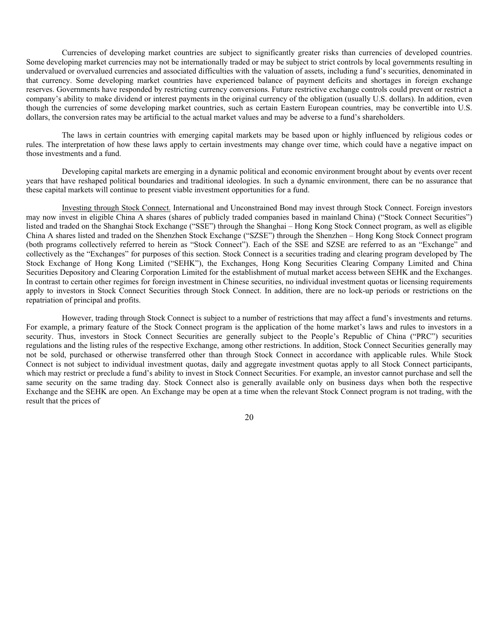Currencies of developing market countries are subject to significantly greater risks than currencies of developed countries. Some developing market currencies may not be internationally traded or may be subject to strict controls by local governments resulting in undervalued or overvalued currencies and associated difficulties with the valuation of assets, including a fund's securities, denominated in that currency. Some developing market countries have experienced balance of payment deficits and shortages in foreign exchange reserves. Governments have responded by restricting currency conversions. Future restrictive exchange controls could prevent or restrict a company's ability to make dividend or interest payments in the original currency of the obligation (usually U.S. dollars). In addition, even though the currencies of some developing market countries, such as certain Eastern European countries, may be convertible into U.S. dollars, the conversion rates may be artificial to the actual market values and may be adverse to a fund's shareholders.

The laws in certain countries with emerging capital markets may be based upon or highly influenced by religious codes or rules. The interpretation of how these laws apply to certain investments may change over time, which could have a negative impact on those investments and a fund.

Developing capital markets are emerging in a dynamic political and economic environment brought about by events over recent years that have reshaped political boundaries and traditional ideologies. In such a dynamic environment, there can be no assurance that these capital markets will continue to present viable investment opportunities for a fund.

Investing through Stock Connect. International and Unconstrained Bond may invest through Stock Connect. Foreign investors may now invest in eligible China A shares (shares of publicly traded companies based in mainland China) ("Stock Connect Securities") listed and traded on the Shanghai Stock Exchange ("SSE") through the Shanghai – Hong Kong Stock Connect program, as well as eligible China A shares listed and traded on the Shenzhen Stock Exchange ("SZSE") through the Shenzhen – Hong Kong Stock Connect program (both programs collectively referred to herein as "Stock Connect"). Each of the SSE and SZSE are referred to as an "Exchange" and collectively as the "Exchanges" for purposes of this section. Stock Connect is a securities trading and clearing program developed by The Stock Exchange of Hong Kong Limited ("SEHK"), the Exchanges, Hong Kong Securities Clearing Company Limited and China Securities Depository and Clearing Corporation Limited for the establishment of mutual market access between SEHK and the Exchanges. In contrast to certain other regimes for foreign investment in Chinese securities, no individual investment quotas or licensing requirements apply to investors in Stock Connect Securities through Stock Connect. In addition, there are no lock-up periods or restrictions on the repatriation of principal and profits.

However, trading through Stock Connect is subject to a number of restrictions that may affect a fund's investments and returns. For example, a primary feature of the Stock Connect program is the application of the home market's laws and rules to investors in a security. Thus, investors in Stock Connect Securities are generally subject to the People's Republic of China ("PRC") securities regulations and the listing rules of the respective Exchange, among other restrictions. In addition, Stock Connect Securities generally may not be sold, purchased or otherwise transferred other than through Stock Connect in accordance with applicable rules. While Stock Connect is not subject to individual investment quotas, daily and aggregate investment quotas apply to all Stock Connect participants, which may restrict or preclude a fund's ability to invest in Stock Connect Securities. For example, an investor cannot purchase and sell the same security on the same trading day. Stock Connect also is generally available only on business days when both the respective Exchange and the SEHK are open. An Exchange may be open at a time when the relevant Stock Connect program is not trading, with the result that the prices of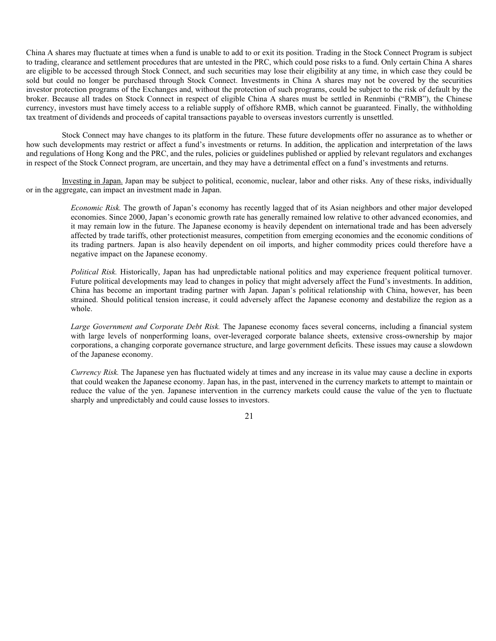China A shares may fluctuate at times when a fund is unable to add to or exit its position. Trading in the Stock Connect Program is subject to trading, clearance and settlement procedures that are untested in the PRC, which could pose risks to a fund. Only certain China A shares are eligible to be accessed through Stock Connect, and such securities may lose their eligibility at any time, in which case they could be sold but could no longer be purchased through Stock Connect. Investments in China A shares may not be covered by the securities investor protection programs of the Exchanges and, without the protection of such programs, could be subject to the risk of default by the broker. Because all trades on Stock Connect in respect of eligible China A shares must be settled in Renminbi ("RMB"), the Chinese currency, investors must have timely access to a reliable supply of offshore RMB, which cannot be guaranteed. Finally, the withholding tax treatment of dividends and proceeds of capital transactions payable to overseas investors currently is unsettled.

Stock Connect may have changes to its platform in the future. These future developments offer no assurance as to whether or how such developments may restrict or affect a fund's investments or returns. In addition, the application and interpretation of the laws and regulations of Hong Kong and the PRC, and the rules, policies or guidelines published or applied by relevant regulators and exchanges in respect of the Stock Connect program, are uncertain, and they may have a detrimental effect on a fund's investments and returns.

Investing in Japan. Japan may be subject to political, economic, nuclear, labor and other risks. Any of these risks, individually or in the aggregate, can impact an investment made in Japan.

*Economic Risk.* The growth of Japan's economy has recently lagged that of its Asian neighbors and other major developed economies. Since 2000, Japan's economic growth rate has generally remained low relative to other advanced economies, and it may remain low in the future. The Japanese economy is heavily dependent on international trade and has been adversely affected by trade tariffs, other protectionist measures, competition from emerging economies and the economic conditions of its trading partners. Japan is also heavily dependent on oil imports, and higher commodity prices could therefore have a negative impact on the Japanese economy.

*Political Risk.* Historically, Japan has had unpredictable national politics and may experience frequent political turnover. Future political developments may lead to changes in policy that might adversely affect the Fund's investments. In addition, China has become an important trading partner with Japan. Japan's political relationship with China, however, has been strained. Should political tension increase, it could adversely affect the Japanese economy and destabilize the region as a whole.

*Large Government and Corporate Debt Risk.* The Japanese economy faces several concerns, including a financial system with large levels of nonperforming loans, over-leveraged corporate balance sheets, extensive cross-ownership by major corporations, a changing corporate governance structure, and large government deficits. These issues may cause a slowdown of the Japanese economy.

*Currency Risk.* The Japanese yen has fluctuated widely at times and any increase in its value may cause a decline in exports that could weaken the Japanese economy. Japan has, in the past, intervened in the currency markets to attempt to maintain or reduce the value of the yen. Japanese intervention in the currency markets could cause the value of the yen to fluctuate sharply and unpredictably and could cause losses to investors.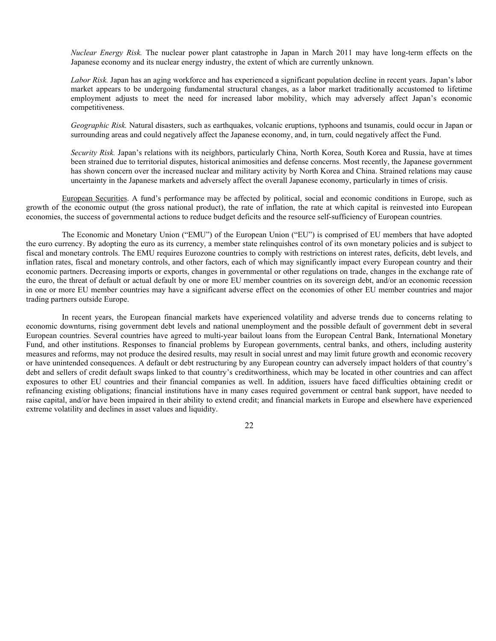*Nuclear Energy Risk.* The nuclear power plant catastrophe in Japan in March 2011 may have long-term effects on the Japanese economy and its nuclear energy industry, the extent of which are currently unknown.

*Labor Risk.* Japan has an aging workforce and has experienced a significant population decline in recent years. Japan's labor market appears to be undergoing fundamental structural changes, as a labor market traditionally accustomed to lifetime employment adjusts to meet the need for increased labor mobility, which may adversely affect Japan's economic competitiveness.

*Geographic Risk.* Natural disasters, such as earthquakes, volcanic eruptions, typhoons and tsunamis, could occur in Japan or surrounding areas and could negatively affect the Japanese economy, and, in turn, could negatively affect the Fund.

*Security Risk.* Japan's relations with its neighbors, particularly China, North Korea, South Korea and Russia, have at times been strained due to territorial disputes, historical animosities and defense concerns. Most recently, the Japanese government has shown concern over the increased nuclear and military activity by North Korea and China. Strained relations may cause uncertainty in the Japanese markets and adversely affect the overall Japanese economy, particularly in times of crisis.

European Securities. A fund's performance may be affected by political, social and economic conditions in Europe, such as growth of the economic output (the gross national product), the rate of inflation, the rate at which capital is reinvested into European economies, the success of governmental actions to reduce budget deficits and the resource self-sufficiency of European countries.

The Economic and Monetary Union ("EMU") of the European Union ("EU") is comprised of EU members that have adopted the euro currency. By adopting the euro as its currency, a member state relinquishes control of its own monetary policies and is subject to fiscal and monetary controls. The EMU requires Eurozone countries to comply with restrictions on interest rates, deficits, debt levels, and inflation rates, fiscal and monetary controls, and other factors, each of which may significantly impact every European country and their economic partners. Decreasing imports or exports, changes in governmental or other regulations on trade, changes in the exchange rate of the euro, the threat of default or actual default by one or more EU member countries on its sovereign debt, and/or an economic recession in one or more EU member countries may have a significant adverse effect on the economies of other EU member countries and major trading partners outside Europe.

In recent years, the European financial markets have experienced volatility and adverse trends due to concerns relating to economic downturns, rising government debt levels and national unemployment and the possible default of government debt in several European countries. Several countries have agreed to multi-year bailout loans from the European Central Bank, International Monetary Fund, and other institutions. Responses to financial problems by European governments, central banks, and others, including austerity measures and reforms, may not produce the desired results, may result in social unrest and may limit future growth and economic recovery or have unintended consequences. A default or debt restructuring by any European country can adversely impact holders of that country's debt and sellers of credit default swaps linked to that country's creditworthiness, which may be located in other countries and can affect exposures to other EU countries and their financial companies as well. In addition, issuers have faced difficulties obtaining credit or refinancing existing obligations; financial institutions have in many cases required government or central bank support, have needed to raise capital, and/or have been impaired in their ability to extend credit; and financial markets in Europe and elsewhere have experienced extreme volatility and declines in asset values and liquidity.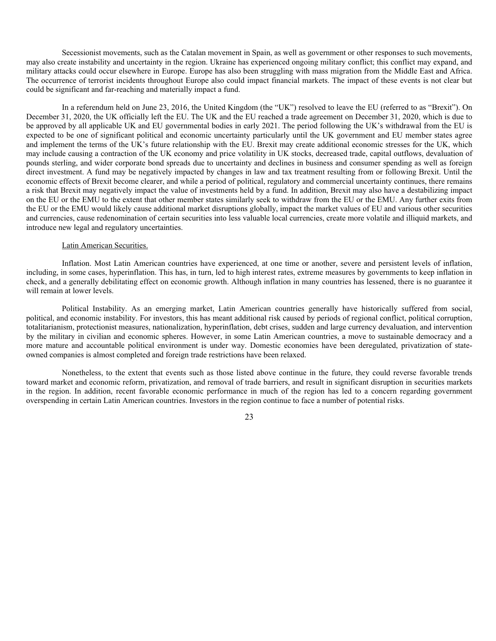Secessionist movements, such as the Catalan movement in Spain, as well as government or other responses to such movements, may also create instability and uncertainty in the region. Ukraine has experienced ongoing military conflict; this conflict may expand, and military attacks could occur elsewhere in Europe. Europe has also been struggling with mass migration from the Middle East and Africa. The occurrence of terrorist incidents throughout Europe also could impact financial markets. The impact of these events is not clear but could be significant and far-reaching and materially impact a fund.

In a referendum held on June 23, 2016, the United Kingdom (the "UK") resolved to leave the EU (referred to as "Brexit"). On December 31, 2020, the UK officially left the EU. The UK and the EU reached a trade agreement on December 31, 2020, which is due to be approved by all applicable UK and EU governmental bodies in early 2021. The period following the UK's withdrawal from the EU is expected to be one of significant political and economic uncertainty particularly until the UK government and EU member states agree and implement the terms of the UK's future relationship with the EU. Brexit may create additional economic stresses for the UK, which may include causing a contraction of the UK economy and price volatility in UK stocks, decreased trade, capital outflows, devaluation of pounds sterling, and wider corporate bond spreads due to uncertainty and declines in business and consumer spending as well as foreign direct investment. A fund may be negatively impacted by changes in law and tax treatment resulting from or following Brexit. Until the economic effects of Brexit become clearer, and while a period of political, regulatory and commercial uncertainty continues, there remains a risk that Brexit may negatively impact the value of investments held by a fund. In addition, Brexit may also have a destabilizing impact on the EU or the EMU to the extent that other member states similarly seek to withdraw from the EU or the EMU. Any further exits from the EU or the EMU would likely cause additional market disruptions globally, impact the market values of EU and various other securities and currencies, cause redenomination of certain securities into less valuable local currencies, create more volatile and illiquid markets, and introduce new legal and regulatory uncertainties.

### Latin American Securities.

Inflation. Most Latin American countries have experienced, at one time or another, severe and persistent levels of inflation, including, in some cases, hyperinflation. This has, in turn, led to high interest rates, extreme measures by governments to keep inflation in check, and a generally debilitating effect on economic growth. Although inflation in many countries has lessened, there is no guarantee it will remain at lower levels.

Political Instability. As an emerging market, Latin American countries generally have historically suffered from social, political, and economic instability. For investors, this has meant additional risk caused by periods of regional conflict, political corruption, totalitarianism, protectionist measures, nationalization, hyperinflation, debt crises, sudden and large currency devaluation, and intervention by the military in civilian and economic spheres. However, in some Latin American countries, a move to sustainable democracy and a more mature and accountable political environment is under way. Domestic economies have been deregulated, privatization of stateowned companies is almost completed and foreign trade restrictions have been relaxed.

Nonetheless, to the extent that events such as those listed above continue in the future, they could reverse favorable trends toward market and economic reform, privatization, and removal of trade barriers, and result in significant disruption in securities markets in the region. In addition, recent favorable economic performance in much of the region has led to a concern regarding government overspending in certain Latin American countries. Investors in the region continue to face a number of potential risks.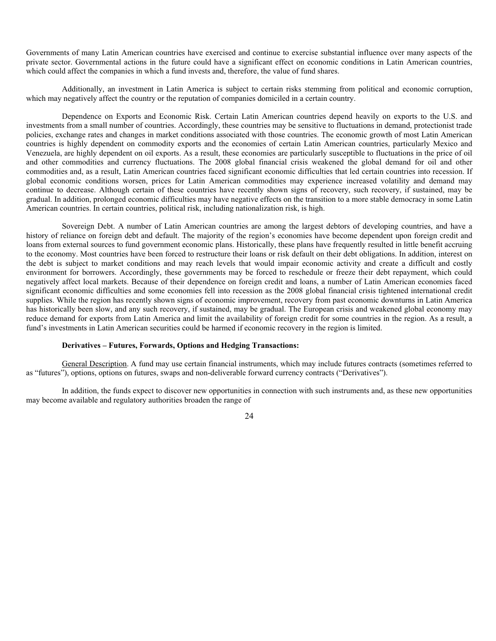Governments of many Latin American countries have exercised and continue to exercise substantial influence over many aspects of the private sector. Governmental actions in the future could have a significant effect on economic conditions in Latin American countries, which could affect the companies in which a fund invests and, therefore, the value of fund shares.

Additionally, an investment in Latin America is subject to certain risks stemming from political and economic corruption, which may negatively affect the country or the reputation of companies domiciled in a certain country.

Dependence on Exports and Economic Risk. Certain Latin American countries depend heavily on exports to the U.S. and investments from a small number of countries. Accordingly, these countries may be sensitive to fluctuations in demand, protectionist trade policies, exchange rates and changes in market conditions associated with those countries. The economic growth of most Latin American countries is highly dependent on commodity exports and the economies of certain Latin American countries, particularly Mexico and Venezuela, are highly dependent on oil exports. As a result, these economies are particularly susceptible to fluctuations in the price of oil and other commodities and currency fluctuations. The 2008 global financial crisis weakened the global demand for oil and other commodities and, as a result, Latin American countries faced significant economic difficulties that led certain countries into recession. If global economic conditions worsen, prices for Latin American commodities may experience increased volatility and demand may continue to decrease. Although certain of these countries have recently shown signs of recovery, such recovery, if sustained, may be gradual. In addition, prolonged economic difficulties may have negative effects on the transition to a more stable democracy in some Latin American countries. In certain countries, political risk, including nationalization risk, is high.

Sovereign Debt. A number of Latin American countries are among the largest debtors of developing countries, and have a history of reliance on foreign debt and default. The majority of the region's economies have become dependent upon foreign credit and loans from external sources to fund government economic plans. Historically, these plans have frequently resulted in little benefit accruing to the economy. Most countries have been forced to restructure their loans or risk default on their debt obligations. In addition, interest on the debt is subject to market conditions and may reach levels that would impair economic activity and create a difficult and costly environment for borrowers. Accordingly, these governments may be forced to reschedule or freeze their debt repayment, which could negatively affect local markets. Because of their dependence on foreign credit and loans, a number of Latin American economies faced significant economic difficulties and some economies fell into recession as the 2008 global financial crisis tightened international credit supplies. While the region has recently shown signs of economic improvement, recovery from past economic downturns in Latin America has historically been slow, and any such recovery, if sustained, may be gradual. The European crisis and weakened global economy may reduce demand for exports from Latin America and limit the availability of foreign credit for some countries in the region. As a result, a fund's investments in Latin American securities could be harmed if economic recovery in the region is limited.

#### **Derivatives – Futures, Forwards, Options and Hedging Transactions:**

General Description. A fund may use certain financial instruments, which may include futures contracts (sometimes referred to as "futures"), options, options on futures, swaps and non-deliverable forward currency contracts ("Derivatives").

In addition, the funds expect to discover new opportunities in connection with such instruments and, as these new opportunities may become available and regulatory authorities broaden the range of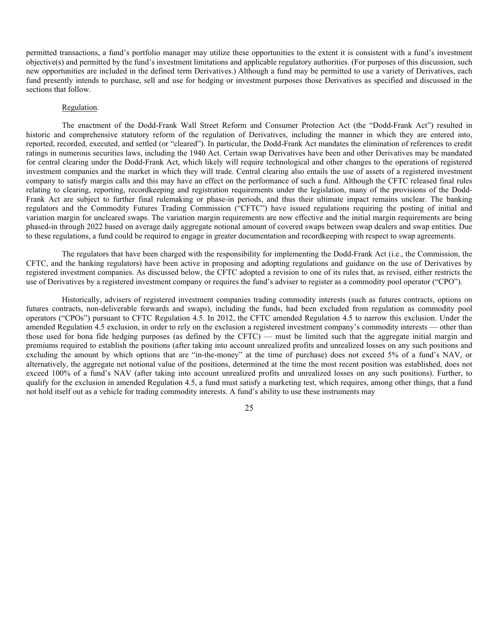permitted transactions, a fund's portfolio manager may utilize these opportunities to the extent it is consistent with a fund's investment objective(s) and permitted by the fund's investment limitations and applicable regulatory authorities. (For purposes of this discussion, such new opportunities are included in the defined term Derivatives.) Although a fund may be permitted to use a variety of Derivatives, each fund presently intends to purchase, sell and use for hedging or investment purposes those Derivatives as specified and discussed in the sections that follow.

### Regulation.

The enactment of the Dodd-Frank Wall Street Reform and Consumer Protection Act (the "Dodd-Frank Act") resulted in historic and comprehensive statutory reform of the regulation of Derivatives, including the manner in which they are entered into, reported, recorded, executed, and settled (or "cleared"). In particular, the Dodd-Frank Act mandates the elimination of references to credit ratings in numerous securities laws, including the 1940 Act. Certain swap Derivatives have been and other Derivatives may be mandated for central clearing under the Dodd-Frank Act, which likely will require technological and other changes to the operations of registered investment companies and the market in which they will trade. Central clearing also entails the use of assets of a registered investment company to satisfy margin calls and this may have an effect on the performance of such a fund. Although the CFTC released final rules relating to clearing, reporting, recordkeeping and registration requirements under the legislation, many of the provisions of the Dodd-Frank Act are subject to further final rulemaking or phase-in periods, and thus their ultimate impact remains unclear. The banking regulators and the Commodity Futures Trading Commission ("CFTC") have issued regulations requiring the posting of initial and variation margin for uncleared swaps. The variation margin requirements are now effective and the initial margin requirements are being phased-in through 2022 based on average daily aggregate notional amount of covered swaps between swap dealers and swap entities. Due to these regulations, a fund could be required to engage in greater documentation and recordkeeping with respect to swap agreements.

The regulators that have been charged with the responsibility for implementing the Dodd-Frank Act (i.e., the Commission, the CFTC, and the banking regulators) have been active in proposing and adopting regulations and guidance on the use of Derivatives by registered investment companies. As discussed below, the CFTC adopted a revision to one of its rules that, as revised, either restricts the use of Derivatives by a registered investment company or requires the fund's adviser to register as a commodity pool operator ("CPO").

Historically, advisers of registered investment companies trading commodity interests (such as futures contracts, options on futures contracts, non-deliverable forwards and swaps), including the funds, had been excluded from regulation as commodity pool operators ("CPOs") pursuant to CFTC Regulation 4.5. In 2012, the CFTC amended Regulation 4.5 to narrow this exclusion. Under the amended Regulation 4.5 exclusion, in order to rely on the exclusion a registered investment company's commodity interests — other than those used for bona fide hedging purposes (as defined by the CFTC) — must be limited such that the aggregate initial margin and premiums required to establish the positions (after taking into account unrealized profits and unrealized losses on any such positions and excluding the amount by which options that are "in-the-money" at the time of purchase) does not exceed 5% of a fund's NAV, or alternatively, the aggregate net notional value of the positions, determined at the time the most recent position was established, does not exceed 100% of a fund's NAV (after taking into account unrealized profits and unrealized losses on any such positions). Further, to qualify for the exclusion in amended Regulation 4.5, a fund must satisfy a marketing test, which requires, among other things, that a fund not hold itself out as a vehicle for trading commodity interests. A fund's ability to use these instruments may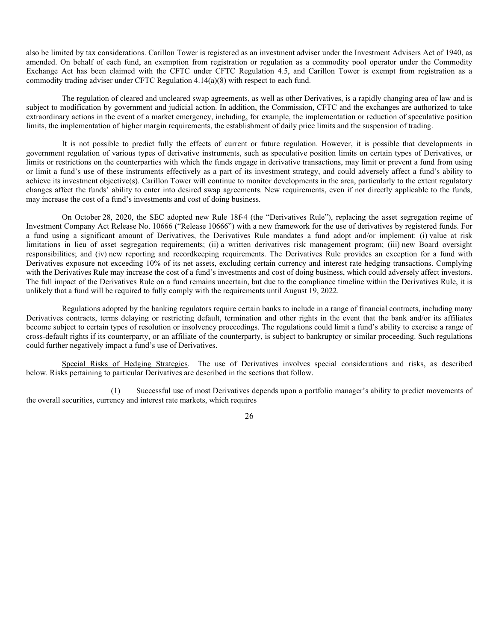also be limited by tax considerations. Carillon Tower is registered as an investment adviser under the Investment Advisers Act of 1940, as amended. On behalf of each fund, an exemption from registration or regulation as a commodity pool operator under the Commodity Exchange Act has been claimed with the CFTC under CFTC Regulation 4.5, and Carillon Tower is exempt from registration as a commodity trading adviser under CFTC Regulation 4.14(a)(8) with respect to each fund.

The regulation of cleared and uncleared swap agreements, as well as other Derivatives, is a rapidly changing area of law and is subject to modification by government and judicial action. In addition, the Commission, CFTC and the exchanges are authorized to take extraordinary actions in the event of a market emergency, including, for example, the implementation or reduction of speculative position limits, the implementation of higher margin requirements, the establishment of daily price limits and the suspension of trading.

It is not possible to predict fully the effects of current or future regulation. However, it is possible that developments in government regulation of various types of derivative instruments, such as speculative position limits on certain types of Derivatives, or limits or restrictions on the counterparties with which the funds engage in derivative transactions, may limit or prevent a fund from using or limit a fund's use of these instruments effectively as a part of its investment strategy, and could adversely affect a fund's ability to achieve its investment objective(s). Carillon Tower will continue to monitor developments in the area, particularly to the extent regulatory changes affect the funds' ability to enter into desired swap agreements. New requirements, even if not directly applicable to the funds, may increase the cost of a fund's investments and cost of doing business.

On October 28, 2020, the SEC adopted new Rule 18f-4 (the "Derivatives Rule"), replacing the asset segregation regime of Investment Company Act Release No. 10666 ("Release 10666") with a new framework for the use of derivatives by registered funds. For a fund using a significant amount of Derivatives, the Derivatives Rule mandates a fund adopt and/or implement: (i) value at risk limitations in lieu of asset segregation requirements; (ii) a written derivatives risk management program; (iii) new Board oversight responsibilities; and (iv) new reporting and recordkeeping requirements. The Derivatives Rule provides an exception for a fund with Derivatives exposure not exceeding 10% of its net assets, excluding certain currency and interest rate hedging transactions. Complying with the Derivatives Rule may increase the cost of a fund's investments and cost of doing business, which could adversely affect investors. The full impact of the Derivatives Rule on a fund remains uncertain, but due to the compliance timeline within the Derivatives Rule, it is unlikely that a fund will be required to fully comply with the requirements until August 19, 2022.

Regulations adopted by the banking regulators require certain banks to include in a range of financial contracts, including many Derivatives contracts, terms delaying or restricting default, termination and other rights in the event that the bank and/or its affiliates become subject to certain types of resolution or insolvency proceedings. The regulations could limit a fund's ability to exercise a range of cross-default rights if its counterparty, or an affiliate of the counterparty, is subject to bankruptcy or similar proceeding. Such regulations could further negatively impact a fund's use of Derivatives.

Special Risks of Hedging Strategies. The use of Derivatives involves special considerations and risks, as described below. Risks pertaining to particular Derivatives are described in the sections that follow.

(1) Successful use of most Derivatives depends upon a portfolio manager's ability to predict movements of the overall securities, currency and interest rate markets, which requires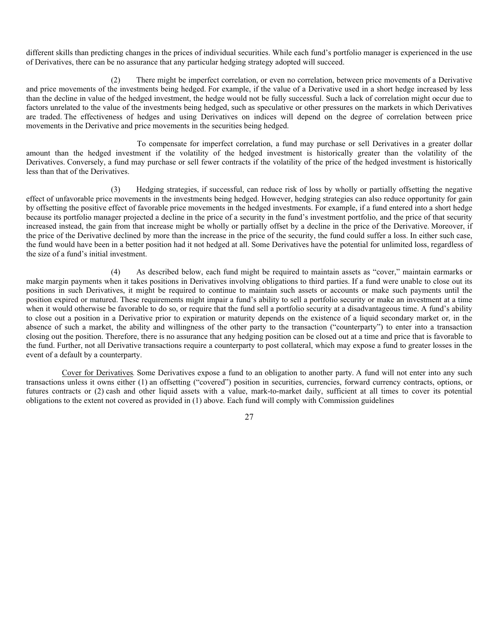different skills than predicting changes in the prices of individual securities. While each fund's portfolio manager is experienced in the use of Derivatives, there can be no assurance that any particular hedging strategy adopted will succeed.

(2) There might be imperfect correlation, or even no correlation, between price movements of a Derivative and price movements of the investments being hedged. For example, if the value of a Derivative used in a short hedge increased by less than the decline in value of the hedged investment, the hedge would not be fully successful. Such a lack of correlation might occur due to factors unrelated to the value of the investments being hedged, such as speculative or other pressures on the markets in which Derivatives are traded. The effectiveness of hedges and using Derivatives on indices will depend on the degree of correlation between price movements in the Derivative and price movements in the securities being hedged.

 To compensate for imperfect correlation, a fund may purchase or sell Derivatives in a greater dollar amount than the hedged investment if the volatility of the hedged investment is historically greater than the volatility of the Derivatives. Conversely, a fund may purchase or sell fewer contracts if the volatility of the price of the hedged investment is historically less than that of the Derivatives.

(3) Hedging strategies, if successful, can reduce risk of loss by wholly or partially offsetting the negative effect of unfavorable price movements in the investments being hedged. However, hedging strategies can also reduce opportunity for gain by offsetting the positive effect of favorable price movements in the hedged investments. For example, if a fund entered into a short hedge because its portfolio manager projected a decline in the price of a security in the fund's investment portfolio, and the price of that security increased instead, the gain from that increase might be wholly or partially offset by a decline in the price of the Derivative. Moreover, if the price of the Derivative declined by more than the increase in the price of the security, the fund could suffer a loss. In either such case, the fund would have been in a better position had it not hedged at all. Some Derivatives have the potential for unlimited loss, regardless of the size of a fund's initial investment.

(4) As described below, each fund might be required to maintain assets as "cover," maintain earmarks or make margin payments when it takes positions in Derivatives involving obligations to third parties. If a fund were unable to close out its positions in such Derivatives, it might be required to continue to maintain such assets or accounts or make such payments until the position expired or matured. These requirements might impair a fund's ability to sell a portfolio security or make an investment at a time when it would otherwise be favorable to do so, or require that the fund sell a portfolio security at a disadvantageous time. A fund's ability to close out a position in a Derivative prior to expiration or maturity depends on the existence of a liquid secondary market or, in the absence of such a market, the ability and willingness of the other party to the transaction ("counterparty") to enter into a transaction closing out the position. Therefore, there is no assurance that any hedging position can be closed out at a time and price that is favorable to the fund. Further, not all Derivative transactions require a counterparty to post collateral, which may expose a fund to greater losses in the event of a default by a counterparty.

Cover for Derivatives*.* Some Derivatives expose a fund to an obligation to another party. A fund will not enter into any such transactions unless it owns either (1) an offsetting ("covered") position in securities, currencies, forward currency contracts, options, or futures contracts or (2) cash and other liquid assets with a value, mark-to-market daily, sufficient at all times to cover its potential obligations to the extent not covered as provided in (1) above. Each fund will comply with Commission guidelines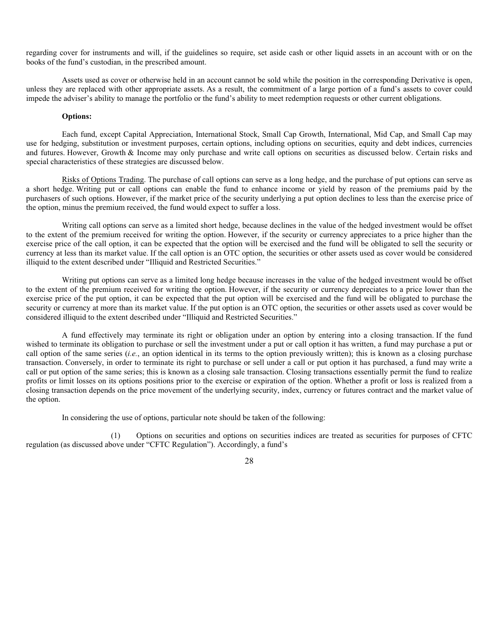regarding cover for instruments and will, if the guidelines so require, set aside cash or other liquid assets in an account with or on the books of the fund's custodian, in the prescribed amount.

Assets used as cover or otherwise held in an account cannot be sold while the position in the corresponding Derivative is open, unless they are replaced with other appropriate assets. As a result, the commitment of a large portion of a fund's assets to cover could impede the adviser's ability to manage the portfolio or the fund's ability to meet redemption requests or other current obligations.

#### **Options:**

Each fund, except Capital Appreciation, International Stock, Small Cap Growth, International, Mid Cap, and Small Cap may use for hedging, substitution or investment purposes, certain options, including options on securities, equity and debt indices, currencies and futures. However, Growth & Income may only purchase and write call options on securities as discussed below. Certain risks and special characteristics of these strategies are discussed below.

Risks of Options Trading. The purchase of call options can serve as a long hedge, and the purchase of put options can serve as a short hedge. Writing put or call options can enable the fund to enhance income or yield by reason of the premiums paid by the purchasers of such options. However, if the market price of the security underlying a put option declines to less than the exercise price of the option, minus the premium received, the fund would expect to suffer a loss.

Writing call options can serve as a limited short hedge, because declines in the value of the hedged investment would be offset to the extent of the premium received for writing the option. However, if the security or currency appreciates to a price higher than the exercise price of the call option, it can be expected that the option will be exercised and the fund will be obligated to sell the security or currency at less than its market value. If the call option is an OTC option, the securities or other assets used as cover would be considered illiquid to the extent described under "Illiquid and Restricted Securities."

Writing put options can serve as a limited long hedge because increases in the value of the hedged investment would be offset to the extent of the premium received for writing the option. However, if the security or currency depreciates to a price lower than the exercise price of the put option, it can be expected that the put option will be exercised and the fund will be obligated to purchase the security or currency at more than its market value. If the put option is an OTC option, the securities or other assets used as cover would be considered illiquid to the extent described under "Illiquid and Restricted Securities."

A fund effectively may terminate its right or obligation under an option by entering into a closing transaction. If the fund wished to terminate its obligation to purchase or sell the investment under a put or call option it has written, a fund may purchase a put or call option of the same series (*i.e.*, an option identical in its terms to the option previously written); this is known as a closing purchase transaction. Conversely, in order to terminate its right to purchase or sell under a call or put option it has purchased, a fund may write a call or put option of the same series; this is known as a closing sale transaction. Closing transactions essentially permit the fund to realize profits or limit losses on its options positions prior to the exercise or expiration of the option. Whether a profit or loss is realized from a closing transaction depends on the price movement of the underlying security, index, currency or futures contract and the market value of the option.

In considering the use of options, particular note should be taken of the following:

(1) Options on securities and options on securities indices are treated as securities for purposes of CFTC regulation (as discussed above under "CFTC Regulation"). Accordingly, a fund's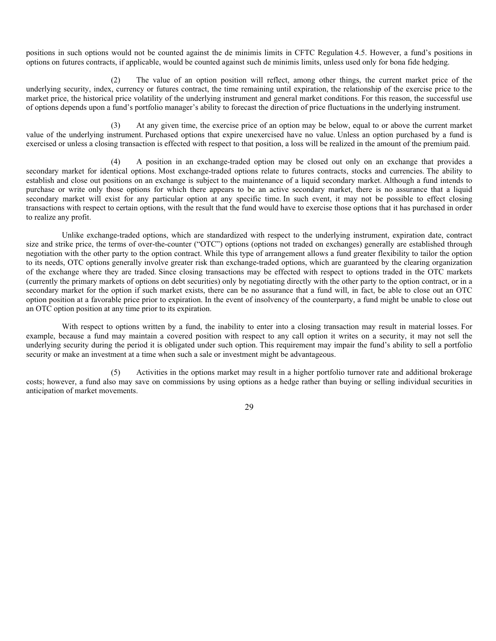positions in such options would not be counted against the de minimis limits in CFTC Regulation 4.5. However, a fund's positions in options on futures contracts, if applicable, would be counted against such de minimis limits, unless used only for bona fide hedging.

(2) The value of an option position will reflect, among other things, the current market price of the underlying security, index, currency or futures contract, the time remaining until expiration, the relationship of the exercise price to the market price, the historical price volatility of the underlying instrument and general market conditions. For this reason, the successful use of options depends upon a fund's portfolio manager's ability to forecast the direction of price fluctuations in the underlying instrument.

(3) At any given time, the exercise price of an option may be below, equal to or above the current market value of the underlying instrument. Purchased options that expire unexercised have no value. Unless an option purchased by a fund is exercised or unless a closing transaction is effected with respect to that position, a loss will be realized in the amount of the premium paid.

(4) A position in an exchange-traded option may be closed out only on an exchange that provides a secondary market for identical options. Most exchange-traded options relate to futures contracts, stocks and currencies. The ability to establish and close out positions on an exchange is subject to the maintenance of a liquid secondary market. Although a fund intends to purchase or write only those options for which there appears to be an active secondary market, there is no assurance that a liquid secondary market will exist for any particular option at any specific time. In such event, it may not be possible to effect closing transactions with respect to certain options, with the result that the fund would have to exercise those options that it has purchased in order to realize any profit.

Unlike exchange-traded options, which are standardized with respect to the underlying instrument, expiration date, contract size and strike price, the terms of over-the-counter ("OTC") options (options not traded on exchanges) generally are established through negotiation with the other party to the option contract. While this type of arrangement allows a fund greater flexibility to tailor the option to its needs, OTC options generally involve greater risk than exchange-traded options, which are guaranteed by the clearing organization of the exchange where they are traded. Since closing transactions may be effected with respect to options traded in the OTC markets (currently the primary markets of options on debt securities) only by negotiating directly with the other party to the option contract, or in a secondary market for the option if such market exists, there can be no assurance that a fund will, in fact, be able to close out an OTC option position at a favorable price prior to expiration. In the event of insolvency of the counterparty, a fund might be unable to close out an OTC option position at any time prior to its expiration.

With respect to options written by a fund, the inability to enter into a closing transaction may result in material losses. For example, because a fund may maintain a covered position with respect to any call option it writes on a security, it may not sell the underlying security during the period it is obligated under such option. This requirement may impair the fund's ability to sell a portfolio security or make an investment at a time when such a sale or investment might be advantageous.

(5) Activities in the options market may result in a higher portfolio turnover rate and additional brokerage costs; however, a fund also may save on commissions by using options as a hedge rather than buying or selling individual securities in anticipation of market movements.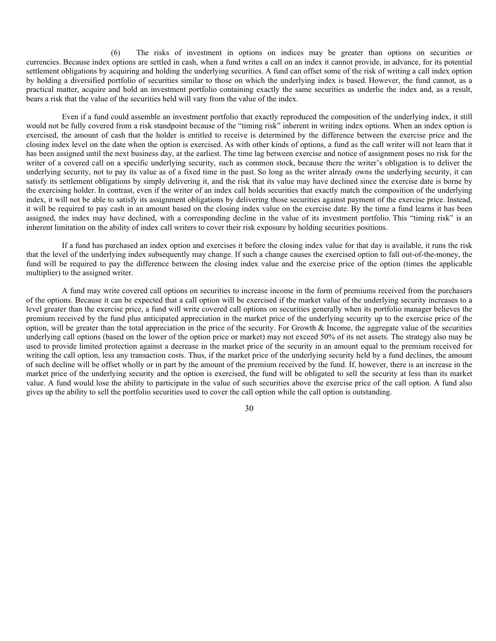(6) The risks of investment in options on indices may be greater than options on securities or currencies. Because index options are settled in cash, when a fund writes a call on an index it cannot provide, in advance, for its potential settlement obligations by acquiring and holding the underlying securities. A fund can offset some of the risk of writing a call index option by holding a diversified portfolio of securities similar to those on which the underlying index is based. However, the fund cannot, as a practical matter, acquire and hold an investment portfolio containing exactly the same securities as underlie the index and, as a result, bears a risk that the value of the securities held will vary from the value of the index.

Even if a fund could assemble an investment portfolio that exactly reproduced the composition of the underlying index, it still would not be fully covered from a risk standpoint because of the "timing risk" inherent in writing index options. When an index option is exercised, the amount of cash that the holder is entitled to receive is determined by the difference between the exercise price and the closing index level on the date when the option is exercised. As with other kinds of options, a fund as the call writer will not learn that it has been assigned until the next business day, at the earliest. The time lag between exercise and notice of assignment poses no risk for the writer of a covered call on a specific underlying security, such as common stock, because there the writer's obligation is to deliver the underlying security, not to pay its value as of a fixed time in the past. So long as the writer already owns the underlying security, it can satisfy its settlement obligations by simply delivering it, and the risk that its value may have declined since the exercise date is borne by the exercising holder. In contrast, even if the writer of an index call holds securities that exactly match the composition of the underlying index, it will not be able to satisfy its assignment obligations by delivering those securities against payment of the exercise price. Instead, it will be required to pay cash in an amount based on the closing index value on the exercise date. By the time a fund learns it has been assigned, the index may have declined, with a corresponding decline in the value of its investment portfolio. This "timing risk" is an inherent limitation on the ability of index call writers to cover their risk exposure by holding securities positions.

If a fund has purchased an index option and exercises it before the closing index value for that day is available, it runs the risk that the level of the underlying index subsequently may change. If such a change causes the exercised option to fall out-of-the-money, the fund will be required to pay the difference between the closing index value and the exercise price of the option (times the applicable multiplier) to the assigned writer.

A fund may write covered call options on securities to increase income in the form of premiums received from the purchasers of the options. Because it can be expected that a call option will be exercised if the market value of the underlying security increases to a level greater than the exercise price, a fund will write covered call options on securities generally when its portfolio manager believes the premium received by the fund plus anticipated appreciation in the market price of the underlying security up to the exercise price of the option, will be greater than the total appreciation in the price of the security. For Growth & Income, the aggregate value of the securities underlying call options (based on the lower of the option price or market) may not exceed 50% of its net assets. The strategy also may be used to provide limited protection against a decrease in the market price of the security in an amount equal to the premium received for writing the call option, less any transaction costs. Thus, if the market price of the underlying security held by a fund declines, the amount of such decline will be offset wholly or in part by the amount of the premium received by the fund. If, however, there is an increase in the market price of the underlying security and the option is exercised, the fund will be obligated to sell the security at less than its market value. A fund would lose the ability to participate in the value of such securities above the exercise price of the call option. A fund also gives up the ability to sell the portfolio securities used to cover the call option while the call option is outstanding.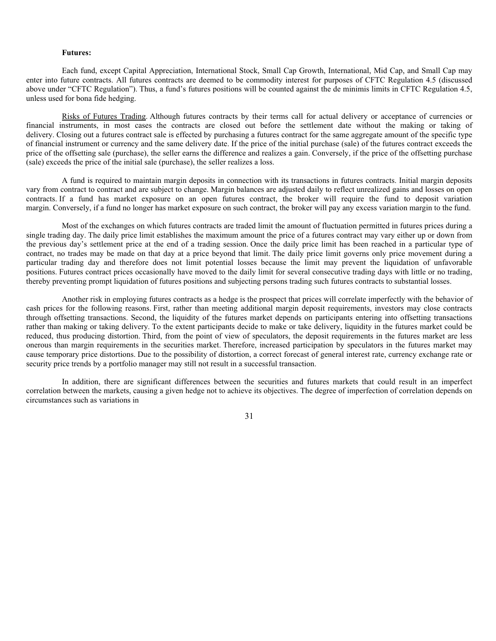## **Futures:**

Each fund, except Capital Appreciation, International Stock, Small Cap Growth, International, Mid Cap, and Small Cap may enter into future contracts. All futures contracts are deemed to be commodity interest for purposes of CFTC Regulation 4.5 (discussed above under "CFTC Regulation"). Thus, a fund's futures positions will be counted against the de minimis limits in CFTC Regulation 4.5, unless used for bona fide hedging.

Risks of Futures Trading. Although futures contracts by their terms call for actual delivery or acceptance of currencies or financial instruments, in most cases the contracts are closed out before the settlement date without the making or taking of delivery. Closing out a futures contract sale is effected by purchasing a futures contract for the same aggregate amount of the specific type of financial instrument or currency and the same delivery date. If the price of the initial purchase (sale) of the futures contract exceeds the price of the offsetting sale (purchase), the seller earns the difference and realizes a gain. Conversely, if the price of the offsetting purchase (sale) exceeds the price of the initial sale (purchase), the seller realizes a loss.

A fund is required to maintain margin deposits in connection with its transactions in futures contracts. Initial margin deposits vary from contract to contract and are subject to change. Margin balances are adjusted daily to reflect unrealized gains and losses on open contracts. If a fund has market exposure on an open futures contract, the broker will require the fund to deposit variation margin. Conversely, if a fund no longer has market exposure on such contract, the broker will pay any excess variation margin to the fund.

Most of the exchanges on which futures contracts are traded limit the amount of fluctuation permitted in futures prices during a single trading day. The daily price limit establishes the maximum amount the price of a futures contract may vary either up or down from the previous day's settlement price at the end of a trading session. Once the daily price limit has been reached in a particular type of contract, no trades may be made on that day at a price beyond that limit. The daily price limit governs only price movement during a particular trading day and therefore does not limit potential losses because the limit may prevent the liquidation of unfavorable positions. Futures contract prices occasionally have moved to the daily limit for several consecutive trading days with little or no trading, thereby preventing prompt liquidation of futures positions and subjecting persons trading such futures contracts to substantial losses.

Another risk in employing futures contracts as a hedge is the prospect that prices will correlate imperfectly with the behavior of cash prices for the following reasons. First, rather than meeting additional margin deposit requirements, investors may close contracts through offsetting transactions. Second, the liquidity of the futures market depends on participants entering into offsetting transactions rather than making or taking delivery. To the extent participants decide to make or take delivery, liquidity in the futures market could be reduced, thus producing distortion. Third, from the point of view of speculators, the deposit requirements in the futures market are less onerous than margin requirements in the securities market. Therefore, increased participation by speculators in the futures market may cause temporary price distortions. Due to the possibility of distortion, a correct forecast of general interest rate, currency exchange rate or security price trends by a portfolio manager may still not result in a successful transaction.

In addition, there are significant differences between the securities and futures markets that could result in an imperfect correlation between the markets, causing a given hedge not to achieve its objectives. The degree of imperfection of correlation depends on circumstances such as variations in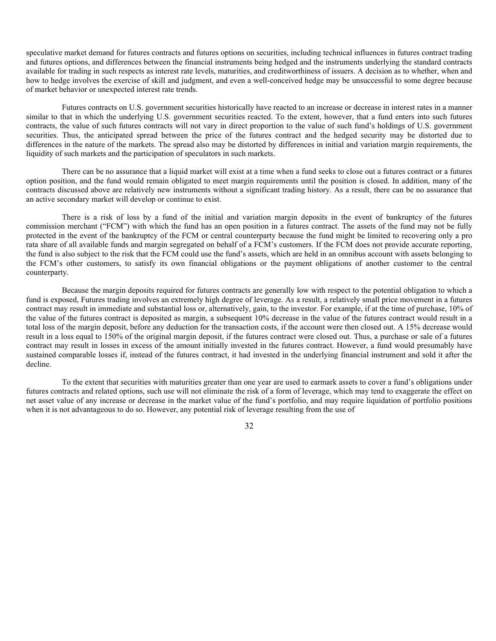speculative market demand for futures contracts and futures options on securities, including technical influences in futures contract trading and futures options, and differences between the financial instruments being hedged and the instruments underlying the standard contracts available for trading in such respects as interest rate levels, maturities, and creditworthiness of issuers. A decision as to whether, when and how to hedge involves the exercise of skill and judgment, and even a well-conceived hedge may be unsuccessful to some degree because of market behavior or unexpected interest rate trends.

Futures contracts on U.S. government securities historically have reacted to an increase or decrease in interest rates in a manner similar to that in which the underlying U.S. government securities reacted. To the extent, however, that a fund enters into such futures contracts, the value of such futures contracts will not vary in direct proportion to the value of such fund's holdings of U.S. government securities. Thus, the anticipated spread between the price of the futures contract and the hedged security may be distorted due to differences in the nature of the markets. The spread also may be distorted by differences in initial and variation margin requirements, the liquidity of such markets and the participation of speculators in such markets.

There can be no assurance that a liquid market will exist at a time when a fund seeks to close out a futures contract or a futures option position, and the fund would remain obligated to meet margin requirements until the position is closed. In addition, many of the contracts discussed above are relatively new instruments without a significant trading history. As a result, there can be no assurance that an active secondary market will develop or continue to exist.

There is a risk of loss by a fund of the initial and variation margin deposits in the event of bankruptcy of the futures commission merchant ("FCM") with which the fund has an open position in a futures contract. The assets of the fund may not be fully protected in the event of the bankruptcy of the FCM or central counterparty because the fund might be limited to recovering only a pro rata share of all available funds and margin segregated on behalf of a FCM's customers. If the FCM does not provide accurate reporting, the fund is also subject to the risk that the FCM could use the fund's assets, which are held in an omnibus account with assets belonging to the FCM's other customers, to satisfy its own financial obligations or the payment obligations of another customer to the central counterparty.

Because the margin deposits required for futures contracts are generally low with respect to the potential obligation to which a fund is exposed, Futures trading involves an extremely high degree of leverage. As a result, a relatively small price movement in a futures contract may result in immediate and substantial loss or, alternatively, gain, to the investor. For example, if at the time of purchase, 10% of the value of the futures contract is deposited as margin, a subsequent 10% decrease in the value of the futures contract would result in a total loss of the margin deposit, before any deduction for the transaction costs, if the account were then closed out. A 15% decrease would result in a loss equal to 150% of the original margin deposit, if the futures contract were closed out. Thus, a purchase or sale of a futures contract may result in losses in excess of the amount initially invested in the futures contract. However, a fund would presumably have sustained comparable losses if, instead of the futures contract, it had invested in the underlying financial instrument and sold it after the decline.

To the extent that securities with maturities greater than one year are used to earmark assets to cover a fund's obligations under futures contracts and related options, such use will not eliminate the risk of a form of leverage, which may tend to exaggerate the effect on net asset value of any increase or decrease in the market value of the fund's portfolio, and may require liquidation of portfolio positions when it is not advantageous to do so. However, any potential risk of leverage resulting from the use of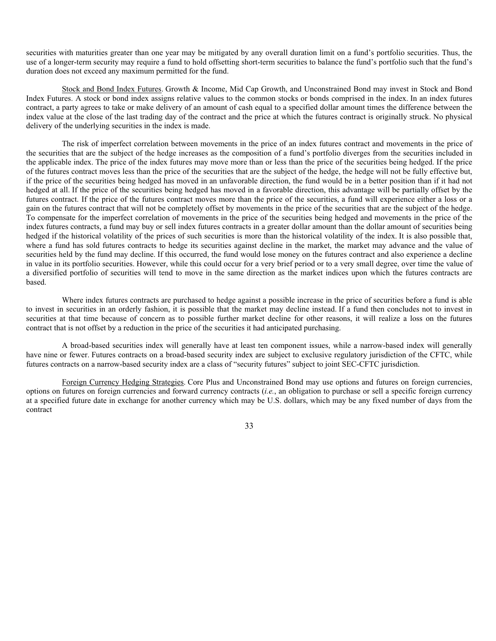securities with maturities greater than one year may be mitigated by any overall duration limit on a fund's portfolio securities. Thus, the use of a longer-term security may require a fund to hold offsetting short-term securities to balance the fund's portfolio such that the fund's duration does not exceed any maximum permitted for the fund.

Stock and Bond Index Futures. Growth & Income, Mid Cap Growth, and Unconstrained Bond may invest in Stock and Bond Index Futures. A stock or bond index assigns relative values to the common stocks or bonds comprised in the index. In an index futures contract, a party agrees to take or make delivery of an amount of cash equal to a specified dollar amount times the difference between the index value at the close of the last trading day of the contract and the price at which the futures contract is originally struck. No physical delivery of the underlying securities in the index is made.

The risk of imperfect correlation between movements in the price of an index futures contract and movements in the price of the securities that are the subject of the hedge increases as the composition of a fund's portfolio diverges from the securities included in the applicable index. The price of the index futures may move more than or less than the price of the securities being hedged. If the price of the futures contract moves less than the price of the securities that are the subject of the hedge, the hedge will not be fully effective but, if the price of the securities being hedged has moved in an unfavorable direction, the fund would be in a better position than if it had not hedged at all. If the price of the securities being hedged has moved in a favorable direction, this advantage will be partially offset by the futures contract. If the price of the futures contract moves more than the price of the securities, a fund will experience either a loss or a gain on the futures contract that will not be completely offset by movements in the price of the securities that are the subject of the hedge. To compensate for the imperfect correlation of movements in the price of the securities being hedged and movements in the price of the index futures contracts, a fund may buy or sell index futures contracts in a greater dollar amount than the dollar amount of securities being hedged if the historical volatility of the prices of such securities is more than the historical volatility of the index. It is also possible that, where a fund has sold futures contracts to hedge its securities against decline in the market, the market may advance and the value of securities held by the fund may decline. If this occurred, the fund would lose money on the futures contract and also experience a decline in value in its portfolio securities. However, while this could occur for a very brief period or to a very small degree, over time the value of a diversified portfolio of securities will tend to move in the same direction as the market indices upon which the futures contracts are based.

Where index futures contracts are purchased to hedge against a possible increase in the price of securities before a fund is able to invest in securities in an orderly fashion, it is possible that the market may decline instead. If a fund then concludes not to invest in securities at that time because of concern as to possible further market decline for other reasons, it will realize a loss on the futures contract that is not offset by a reduction in the price of the securities it had anticipated purchasing.

A broad-based securities index will generally have at least ten component issues, while a narrow-based index will generally have nine or fewer. Futures contracts on a broad-based security index are subject to exclusive regulatory jurisdiction of the CFTC, while futures contracts on a narrow-based security index are a class of "security futures" subject to joint SEC-CFTC jurisdiction.

Foreign Currency Hedging Strategies. Core Plus and Unconstrained Bond may use options and futures on foreign currencies, options on futures on foreign currencies and forward currency contracts (*i.e.*, an obligation to purchase or sell a specific foreign currency at a specified future date in exchange for another currency which may be U.S. dollars, which may be any fixed number of days from the contract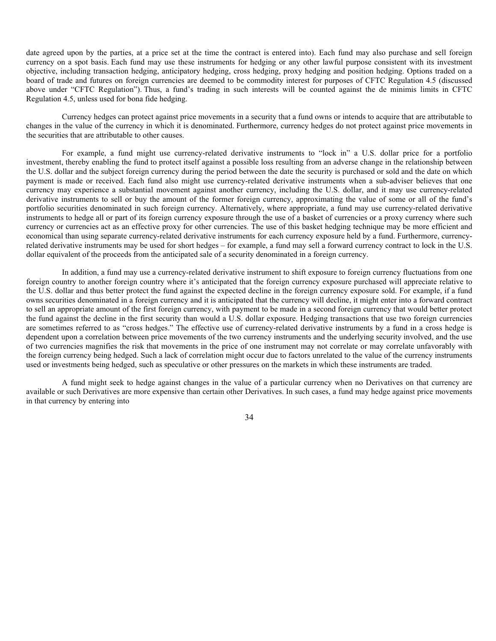date agreed upon by the parties, at a price set at the time the contract is entered into). Each fund may also purchase and sell foreign currency on a spot basis. Each fund may use these instruments for hedging or any other lawful purpose consistent with its investment objective, including transaction hedging, anticipatory hedging, cross hedging, proxy hedging and position hedging. Options traded on a board of trade and futures on foreign currencies are deemed to be commodity interest for purposes of CFTC Regulation 4.5 (discussed above under "CFTC Regulation"). Thus, a fund's trading in such interests will be counted against the de minimis limits in CFTC Regulation 4.5, unless used for bona fide hedging.

Currency hedges can protect against price movements in a security that a fund owns or intends to acquire that are attributable to changes in the value of the currency in which it is denominated. Furthermore, currency hedges do not protect against price movements in the securities that are attributable to other causes.

For example, a fund might use currency-related derivative instruments to "lock in" a U.S. dollar price for a portfolio investment, thereby enabling the fund to protect itself against a possible loss resulting from an adverse change in the relationship between the U.S. dollar and the subject foreign currency during the period between the date the security is purchased or sold and the date on which payment is made or received. Each fund also might use currency-related derivative instruments when a sub-adviser believes that one currency may experience a substantial movement against another currency, including the U.S. dollar, and it may use currency-related derivative instruments to sell or buy the amount of the former foreign currency, approximating the value of some or all of the fund's portfolio securities denominated in such foreign currency. Alternatively, where appropriate, a fund may use currency-related derivative instruments to hedge all or part of its foreign currency exposure through the use of a basket of currencies or a proxy currency where such currency or currencies act as an effective proxy for other currencies. The use of this basket hedging technique may be more efficient and economical than using separate currency-related derivative instruments for each currency exposure held by a fund. Furthermore, currencyrelated derivative instruments may be used for short hedges – for example, a fund may sell a forward currency contract to lock in the U.S. dollar equivalent of the proceeds from the anticipated sale of a security denominated in a foreign currency.

In addition, a fund may use a currency-related derivative instrument to shift exposure to foreign currency fluctuations from one foreign country to another foreign country where it's anticipated that the foreign currency exposure purchased will appreciate relative to the U.S. dollar and thus better protect the fund against the expected decline in the foreign currency exposure sold. For example, if a fund owns securities denominated in a foreign currency and it is anticipated that the currency will decline, it might enter into a forward contract to sell an appropriate amount of the first foreign currency, with payment to be made in a second foreign currency that would better protect the fund against the decline in the first security than would a U.S. dollar exposure. Hedging transactions that use two foreign currencies are sometimes referred to as "cross hedges." The effective use of currency-related derivative instruments by a fund in a cross hedge is dependent upon a correlation between price movements of the two currency instruments and the underlying security involved, and the use of two currencies magnifies the risk that movements in the price of one instrument may not correlate or may correlate unfavorably with the foreign currency being hedged. Such a lack of correlation might occur due to factors unrelated to the value of the currency instruments used or investments being hedged, such as speculative or other pressures on the markets in which these instruments are traded.

A fund might seek to hedge against changes in the value of a particular currency when no Derivatives on that currency are available or such Derivatives are more expensive than certain other Derivatives. In such cases, a fund may hedge against price movements in that currency by entering into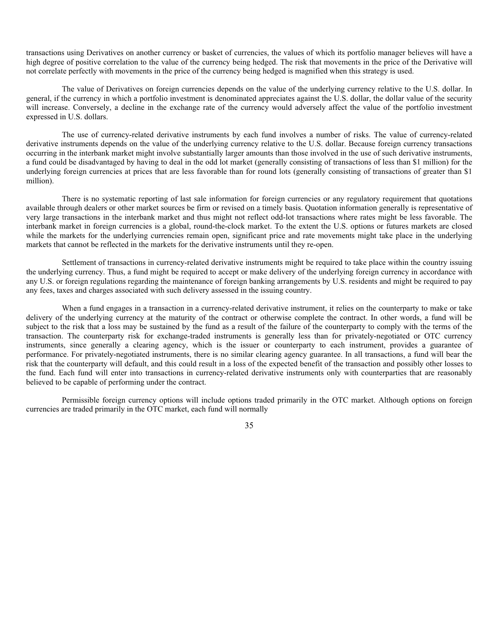transactions using Derivatives on another currency or basket of currencies, the values of which its portfolio manager believes will have a high degree of positive correlation to the value of the currency being hedged. The risk that movements in the price of the Derivative will not correlate perfectly with movements in the price of the currency being hedged is magnified when this strategy is used.

The value of Derivatives on foreign currencies depends on the value of the underlying currency relative to the U.S. dollar. In general, if the currency in which a portfolio investment is denominated appreciates against the U.S. dollar, the dollar value of the security will increase. Conversely, a decline in the exchange rate of the currency would adversely affect the value of the portfolio investment expressed in U.S. dollars.

The use of currency-related derivative instruments by each fund involves a number of risks. The value of currency-related derivative instruments depends on the value of the underlying currency relative to the U.S. dollar. Because foreign currency transactions occurring in the interbank market might involve substantially larger amounts than those involved in the use of such derivative instruments, a fund could be disadvantaged by having to deal in the odd lot market (generally consisting of transactions of less than \$1 million) for the underlying foreign currencies at prices that are less favorable than for round lots (generally consisting of transactions of greater than \$1 million).

There is no systematic reporting of last sale information for foreign currencies or any regulatory requirement that quotations available through dealers or other market sources be firm or revised on a timely basis. Quotation information generally is representative of very large transactions in the interbank market and thus might not reflect odd-lot transactions where rates might be less favorable. The interbank market in foreign currencies is a global, round-the-clock market. To the extent the U.S. options or futures markets are closed while the markets for the underlying currencies remain open, significant price and rate movements might take place in the underlying markets that cannot be reflected in the markets for the derivative instruments until they re-open.

Settlement of transactions in currency-related derivative instruments might be required to take place within the country issuing the underlying currency. Thus, a fund might be required to accept or make delivery of the underlying foreign currency in accordance with any U.S. or foreign regulations regarding the maintenance of foreign banking arrangements by U.S. residents and might be required to pay any fees, taxes and charges associated with such delivery assessed in the issuing country.

When a fund engages in a transaction in a currency-related derivative instrument, it relies on the counterparty to make or take delivery of the underlying currency at the maturity of the contract or otherwise complete the contract. In other words, a fund will be subject to the risk that a loss may be sustained by the fund as a result of the failure of the counterparty to comply with the terms of the transaction. The counterparty risk for exchange-traded instruments is generally less than for privately-negotiated or OTC currency instruments, since generally a clearing agency, which is the issuer or counterparty to each instrument, provides a guarantee of performance. For privately-negotiated instruments, there is no similar clearing agency guarantee. In all transactions, a fund will bear the risk that the counterparty will default, and this could result in a loss of the expected benefit of the transaction and possibly other losses to the fund. Each fund will enter into transactions in currency-related derivative instruments only with counterparties that are reasonably believed to be capable of performing under the contract.

Permissible foreign currency options will include options traded primarily in the OTC market. Although options on foreign currencies are traded primarily in the OTC market, each fund will normally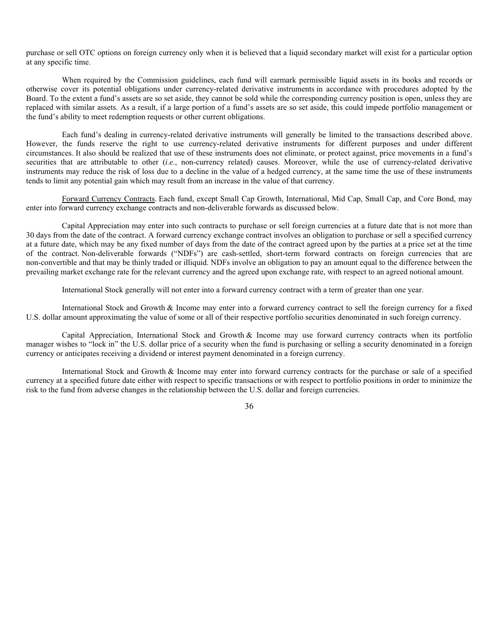purchase or sell OTC options on foreign currency only when it is believed that a liquid secondary market will exist for a particular option at any specific time.

When required by the Commission guidelines, each fund will earmark permissible liquid assets in its books and records or otherwise cover its potential obligations under currency-related derivative instruments in accordance with procedures adopted by the Board. To the extent a fund's assets are so set aside, they cannot be sold while the corresponding currency position is open, unless they are replaced with similar assets. As a result, if a large portion of a fund's assets are so set aside, this could impede portfolio management or the fund's ability to meet redemption requests or other current obligations.

Each fund's dealing in currency-related derivative instruments will generally be limited to the transactions described above. However, the funds reserve the right to use currency-related derivative instruments for different purposes and under different circumstances. It also should be realized that use of these instruments does not eliminate, or protect against, price movements in a fund's securities that are attributable to other (*i.e.*, non-currency related) causes. Moreover, while the use of currency-related derivative instruments may reduce the risk of loss due to a decline in the value of a hedged currency, at the same time the use of these instruments tends to limit any potential gain which may result from an increase in the value of that currency.

Forward Currency Contracts. Each fund, except Small Cap Growth, International, Mid Cap, Small Cap, and Core Bond, may enter into forward currency exchange contracts and non-deliverable forwards as discussed below.

Capital Appreciation may enter into such contracts to purchase or sell foreign currencies at a future date that is not more than 30 days from the date of the contract. A forward currency exchange contract involves an obligation to purchase or sell a specified currency at a future date, which may be any fixed number of days from the date of the contract agreed upon by the parties at a price set at the time of the contract. Non-deliverable forwards ("NDFs") are cash-settled, short-term forward contracts on foreign currencies that are non-convertible and that may be thinly traded or illiquid. NDFs involve an obligation to pay an amount equal to the difference between the prevailing market exchange rate for the relevant currency and the agreed upon exchange rate, with respect to an agreed notional amount.

International Stock generally will not enter into a forward currency contract with a term of greater than one year.

International Stock and Growth & Income may enter into a forward currency contract to sell the foreign currency for a fixed U.S. dollar amount approximating the value of some or all of their respective portfolio securities denominated in such foreign currency.

Capital Appreciation, International Stock and Growth & Income may use forward currency contracts when its portfolio manager wishes to "lock in" the U.S. dollar price of a security when the fund is purchasing or selling a security denominated in a foreign currency or anticipates receiving a dividend or interest payment denominated in a foreign currency.

International Stock and Growth & Income may enter into forward currency contracts for the purchase or sale of a specified currency at a specified future date either with respect to specific transactions or with respect to portfolio positions in order to minimize the risk to the fund from adverse changes in the relationship between the U.S. dollar and foreign currencies.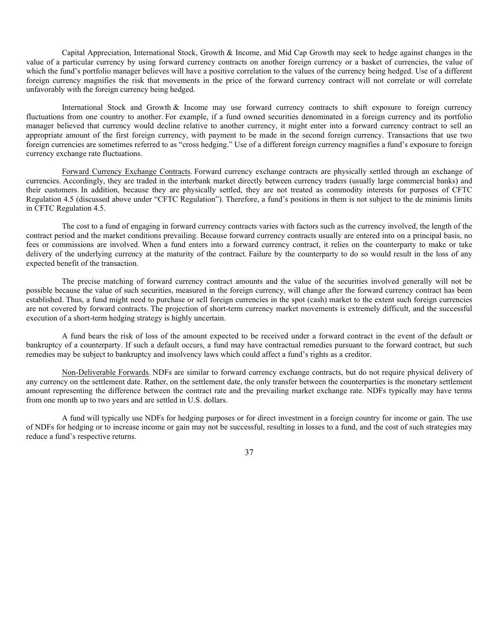Capital Appreciation, International Stock, Growth & Income, and Mid Cap Growth may seek to hedge against changes in the value of a particular currency by using forward currency contracts on another foreign currency or a basket of currencies, the value of which the fund's portfolio manager believes will have a positive correlation to the values of the currency being hedged. Use of a different foreign currency magnifies the risk that movements in the price of the forward currency contract will not correlate or will correlate unfavorably with the foreign currency being hedged.

International Stock and Growth & Income may use forward currency contracts to shift exposure to foreign currency fluctuations from one country to another. For example, if a fund owned securities denominated in a foreign currency and its portfolio manager believed that currency would decline relative to another currency, it might enter into a forward currency contract to sell an appropriate amount of the first foreign currency, with payment to be made in the second foreign currency. Transactions that use two foreign currencies are sometimes referred to as "cross hedging." Use of a different foreign currency magnifies a fund's exposure to foreign currency exchange rate fluctuations.

Forward Currency Exchange Contracts. Forward currency exchange contracts are physically settled through an exchange of currencies. Accordingly, they are traded in the interbank market directly between currency traders (usually large commercial banks) and their customers. In addition, because they are physically settled, they are not treated as commodity interests for purposes of CFTC Regulation 4.5 (discussed above under "CFTC Regulation"). Therefore, a fund's positions in them is not subject to the de minimis limits in CFTC Regulation 4.5.

The cost to a fund of engaging in forward currency contracts varies with factors such as the currency involved, the length of the contract period and the market conditions prevailing. Because forward currency contracts usually are entered into on a principal basis, no fees or commissions are involved. When a fund enters into a forward currency contract, it relies on the counterparty to make or take delivery of the underlying currency at the maturity of the contract. Failure by the counterparty to do so would result in the loss of any expected benefit of the transaction.

The precise matching of forward currency contract amounts and the value of the securities involved generally will not be possible because the value of such securities, measured in the foreign currency, will change after the forward currency contract has been established. Thus, a fund might need to purchase or sell foreign currencies in the spot (cash) market to the extent such foreign currencies are not covered by forward contracts. The projection of short-term currency market movements is extremely difficult, and the successful execution of a short-term hedging strategy is highly uncertain.

A fund bears the risk of loss of the amount expected to be received under a forward contract in the event of the default or bankruptcy of a counterparty. If such a default occurs, a fund may have contractual remedies pursuant to the forward contract, but such remedies may be subject to bankruptcy and insolvency laws which could affect a fund's rights as a creditor.

Non-Deliverable Forwards. NDFs are similar to forward currency exchange contracts, but do not require physical delivery of any currency on the settlement date. Rather, on the settlement date, the only transfer between the counterparties is the monetary settlement amount representing the difference between the contract rate and the prevailing market exchange rate. NDFs typically may have terms from one month up to two years and are settled in U.S. dollars.

A fund will typically use NDFs for hedging purposes or for direct investment in a foreign country for income or gain. The use of NDFs for hedging or to increase income or gain may not be successful, resulting in losses to a fund, and the cost of such strategies may reduce a fund's respective returns.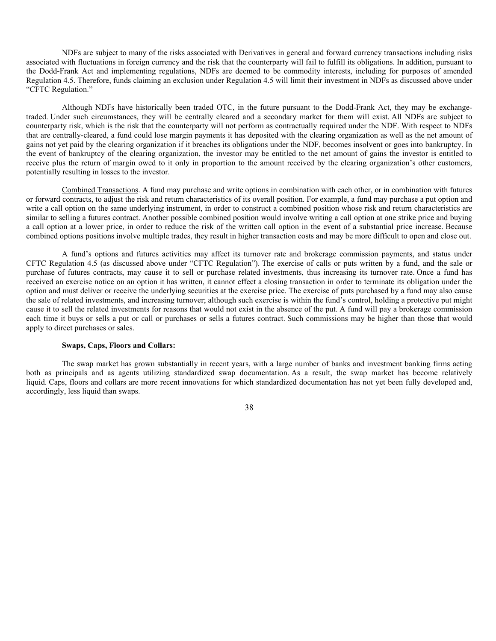NDFs are subject to many of the risks associated with Derivatives in general and forward currency transactions including risks associated with fluctuations in foreign currency and the risk that the counterparty will fail to fulfill its obligations. In addition, pursuant to the Dodd-Frank Act and implementing regulations, NDFs are deemed to be commodity interests, including for purposes of amended Regulation 4.5. Therefore, funds claiming an exclusion under Regulation 4.5 will limit their investment in NDFs as discussed above under "CFTC Regulation."

Although NDFs have historically been traded OTC, in the future pursuant to the Dodd-Frank Act, they may be exchangetraded. Under such circumstances, they will be centrally cleared and a secondary market for them will exist. All NDFs are subject to counterparty risk, which is the risk that the counterparty will not perform as contractually required under the NDF. With respect to NDFs that are centrally-cleared, a fund could lose margin payments it has deposited with the clearing organization as well as the net amount of gains not yet paid by the clearing organization if it breaches its obligations under the NDF, becomes insolvent or goes into bankruptcy. In the event of bankruptcy of the clearing organization, the investor may be entitled to the net amount of gains the investor is entitled to receive plus the return of margin owed to it only in proportion to the amount received by the clearing organization's other customers, potentially resulting in losses to the investor.

Combined Transactions. A fund may purchase and write options in combination with each other, or in combination with futures or forward contracts, to adjust the risk and return characteristics of its overall position. For example, a fund may purchase a put option and write a call option on the same underlying instrument, in order to construct a combined position whose risk and return characteristics are similar to selling a futures contract. Another possible combined position would involve writing a call option at one strike price and buying a call option at a lower price, in order to reduce the risk of the written call option in the event of a substantial price increase. Because combined options positions involve multiple trades, they result in higher transaction costs and may be more difficult to open and close out.

A fund's options and futures activities may affect its turnover rate and brokerage commission payments, and status under CFTC Regulation 4.5 (as discussed above under "CFTC Regulation"). The exercise of calls or puts written by a fund, and the sale or purchase of futures contracts, may cause it to sell or purchase related investments, thus increasing its turnover rate. Once a fund has received an exercise notice on an option it has written, it cannot effect a closing transaction in order to terminate its obligation under the option and must deliver or receive the underlying securities at the exercise price. The exercise of puts purchased by a fund may also cause the sale of related investments, and increasing turnover; although such exercise is within the fund's control, holding a protective put might cause it to sell the related investments for reasons that would not exist in the absence of the put. A fund will pay a brokerage commission each time it buys or sells a put or call or purchases or sells a futures contract. Such commissions may be higher than those that would apply to direct purchases or sales.

#### **Swaps, Caps, Floors and Collars:**

The swap market has grown substantially in recent years, with a large number of banks and investment banking firms acting both as principals and as agents utilizing standardized swap documentation. As a result, the swap market has become relatively liquid. Caps, floors and collars are more recent innovations for which standardized documentation has not yet been fully developed and, accordingly, less liquid than swaps.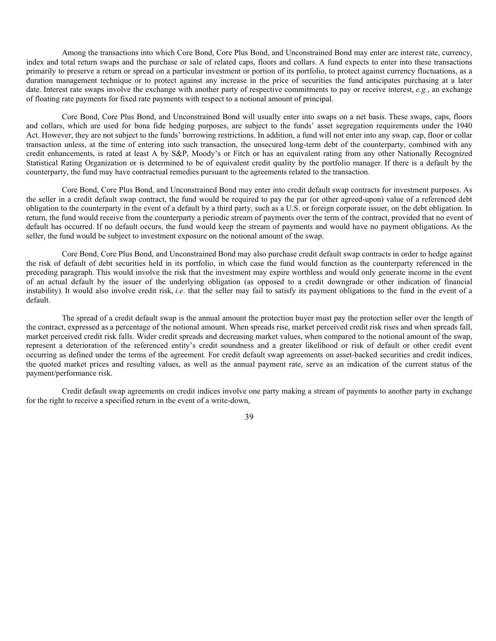Among the transactions into which Core Bond, Core Plus Bond, and Unconstrained Bond may enter are interest rate, currency, index and total return swaps and the purchase or sale of related caps, floors and collars. A fund expects to enter into these transactions primarily to preserve a return or spread on a particular investment or portion of its portfolio, to protect against currency fluctuations, as a duration management technique or to protect against any increase in the price of securities the fund anticipates purchasing at a later date. Interest rate swaps involve the exchange with another party of respective commitments to pay or receive interest, *e.g.*, an exchange of floating rate payments for fixed rate payments with respect to a notional amount of principal.

Core Bond, Core Plus Bond, and Unconstrained Bond will usually enter into swaps on a net basis. These swaps, caps, floors and collars, which are used for bona fide hedging purposes, are subject to the funds' asset segregation requirements under the 1940 Act. However, they are not subject to the funds' borrowing restrictions. In addition, a fund will not enter into any swap, cap, floor or collar transaction unless, at the time of entering into such transaction, the unsecured long-term debt of the counterparty, combined with any credit enhancements, is rated at least A by S&P, Moody's or Fitch or has an equivalent rating from any other Nationally Recognized Statistical Rating Organization or is determined to be of equivalent credit quality by the portfolio manager. If there is a default by the counterparty, the fund may have contractual remedies pursuant to the agreements related to the transaction.

Core Bond, Core Plus Bond, and Unconstrained Bond may enter into credit default swap contracts for investment purposes. As the seller in a credit default swap contract, the fund would be required to pay the par (or other agreed-upon) value of a referenced debt obligation to the counterparty in the event of a default by a third party, such as a U.S. or foreign corporate issuer, on the debt obligation. In return, the fund would receive from the counterparty a periodic stream of payments over the term of the contract, provided that no event of default has occurred. If no default occurs, the fund would keep the stream of payments and would have no payment obligations. As the seller, the fund would be subject to investment exposure on the notional amount of the swap.

Core Bond, Core Plus Bond, and Unconstrained Bond may also purchase credit default swap contracts in order to hedge against the risk of default of debt securities held in its portfolio, in which case the fund would function as the counterparty referenced in the preceding paragraph. This would involve the risk that the investment may expire worthless and would only generate income in the event of an actual default by the issuer of the underlying obligation (as opposed to a credit downgrade or other indication of financial instability). It would also involve credit risk, *i.e*. that the seller may fail to satisfy its payment obligations to the fund in the event of a default.

The spread of a credit default swap is the annual amount the protection buyer must pay the protection seller over the length of the contract, expressed as a percentage of the notional amount. When spreads rise, market perceived credit risk rises and when spreads fall, market perceived credit risk falls. Wider credit spreads and decreasing market values, when compared to the notional amount of the swap, represent a deterioration of the referenced entity's credit soundness and a greater likelihood or risk of default or other credit event occurring as defined under the terms of the agreement. For credit default swap agreements on asset-backed securities and credit indices, the quoted market prices and resulting values, as well as the annual payment rate, serve as an indication of the current status of the payment/performance risk.

Credit default swap agreements on credit indices involve one party making a stream of payments to another party in exchange for the right to receive a specified return in the event of a write-down,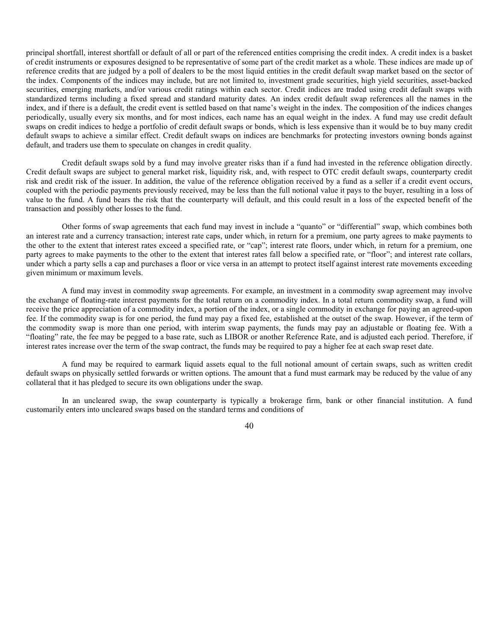principal shortfall, interest shortfall or default of all or part of the referenced entities comprising the credit index. A credit index is a basket of credit instruments or exposures designed to be representative of some part of the credit market as a whole. These indices are made up of reference credits that are judged by a poll of dealers to be the most liquid entities in the credit default swap market based on the sector of the index. Components of the indices may include, but are not limited to, investment grade securities, high yield securities, asset-backed securities, emerging markets, and/or various credit ratings within each sector. Credit indices are traded using credit default swaps with standardized terms including a fixed spread and standard maturity dates. An index credit default swap references all the names in the index, and if there is a default, the credit event is settled based on that name's weight in the index. The composition of the indices changes periodically, usually every six months, and for most indices, each name has an equal weight in the index. A fund may use credit default swaps on credit indices to hedge a portfolio of credit default swaps or bonds, which is less expensive than it would be to buy many credit default swaps to achieve a similar effect. Credit default swaps on indices are benchmarks for protecting investors owning bonds against default, and traders use them to speculate on changes in credit quality.

Credit default swaps sold by a fund may involve greater risks than if a fund had invested in the reference obligation directly. Credit default swaps are subject to general market risk, liquidity risk, and, with respect to OTC credit default swaps, counterparty credit risk and credit risk of the issuer. In addition, the value of the reference obligation received by a fund as a seller if a credit event occurs, coupled with the periodic payments previously received, may be less than the full notional value it pays to the buyer, resulting in a loss of value to the fund. A fund bears the risk that the counterparty will default, and this could result in a loss of the expected benefit of the transaction and possibly other losses to the fund.

Other forms of swap agreements that each fund may invest in include a "quanto" or "differential" swap, which combines both an interest rate and a currency transaction; interest rate caps, under which, in return for a premium, one party agrees to make payments to the other to the extent that interest rates exceed a specified rate, or "cap"; interest rate floors, under which, in return for a premium, one party agrees to make payments to the other to the extent that interest rates fall below a specified rate, or "floor"; and interest rate collars, under which a party sells a cap and purchases a floor or vice versa in an attempt to protect itself against interest rate movements exceeding given minimum or maximum levels.

A fund may invest in commodity swap agreements. For example, an investment in a commodity swap agreement may involve the exchange of floating-rate interest payments for the total return on a commodity index. In a total return commodity swap, a fund will receive the price appreciation of a commodity index, a portion of the index, or a single commodity in exchange for paying an agreed-upon fee. If the commodity swap is for one period, the fund may pay a fixed fee, established at the outset of the swap. However, if the term of the commodity swap is more than one period, with interim swap payments, the funds may pay an adjustable or floating fee. With a "floating" rate, the fee may be pegged to a base rate, such as LIBOR or another Reference Rate, and is adjusted each period. Therefore, if interest rates increase over the term of the swap contract, the funds may be required to pay a higher fee at each swap reset date.

A fund may be required to earmark liquid assets equal to the full notional amount of certain swaps, such as written credit default swaps on physically settled forwards or written options. The amount that a fund must earmark may be reduced by the value of any collateral that it has pledged to secure its own obligations under the swap.

In an uncleared swap, the swap counterparty is typically a brokerage firm, bank or other financial institution. A fund customarily enters into uncleared swaps based on the standard terms and conditions of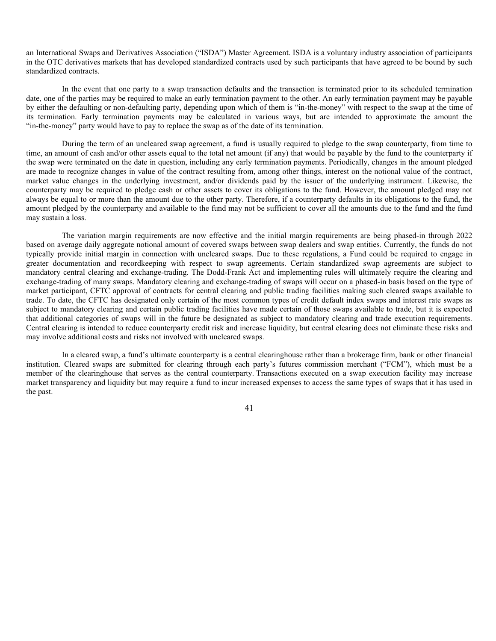an International Swaps and Derivatives Association ("ISDA") Master Agreement. ISDA is a voluntary industry association of participants in the OTC derivatives markets that has developed standardized contracts used by such participants that have agreed to be bound by such standardized contracts.

In the event that one party to a swap transaction defaults and the transaction is terminated prior to its scheduled termination date, one of the parties may be required to make an early termination payment to the other. An early termination payment may be payable by either the defaulting or non-defaulting party, depending upon which of them is "in-the-money" with respect to the swap at the time of its termination. Early termination payments may be calculated in various ways, but are intended to approximate the amount the "in-the-money" party would have to pay to replace the swap as of the date of its termination.

During the term of an uncleared swap agreement, a fund is usually required to pledge to the swap counterparty, from time to time, an amount of cash and/or other assets equal to the total net amount (if any) that would be payable by the fund to the counterparty if the swap were terminated on the date in question, including any early termination payments. Periodically, changes in the amount pledged are made to recognize changes in value of the contract resulting from, among other things, interest on the notional value of the contract, market value changes in the underlying investment, and/or dividends paid by the issuer of the underlying instrument. Likewise, the counterparty may be required to pledge cash or other assets to cover its obligations to the fund. However, the amount pledged may not always be equal to or more than the amount due to the other party. Therefore, if a counterparty defaults in its obligations to the fund, the amount pledged by the counterparty and available to the fund may not be sufficient to cover all the amounts due to the fund and the fund may sustain a loss.

The variation margin requirements are now effective and the initial margin requirements are being phased-in through 2022 based on average daily aggregate notional amount of covered swaps between swap dealers and swap entities. Currently, the funds do not typically provide initial margin in connection with uncleared swaps. Due to these regulations, a Fund could be required to engage in greater documentation and recordkeeping with respect to swap agreements. Certain standardized swap agreements are subject to mandatory central clearing and exchange-trading. The Dodd-Frank Act and implementing rules will ultimately require the clearing and exchange-trading of many swaps. Mandatory clearing and exchange-trading of swaps will occur on a phased-in basis based on the type of market participant, CFTC approval of contracts for central clearing and public trading facilities making such cleared swaps available to trade. To date, the CFTC has designated only certain of the most common types of credit default index swaps and interest rate swaps as subject to mandatory clearing and certain public trading facilities have made certain of those swaps available to trade, but it is expected that additional categories of swaps will in the future be designated as subject to mandatory clearing and trade execution requirements. Central clearing is intended to reduce counterparty credit risk and increase liquidity, but central clearing does not eliminate these risks and may involve additional costs and risks not involved with uncleared swaps.

In a cleared swap, a fund's ultimate counterparty is a central clearinghouse rather than a brokerage firm, bank or other financial institution. Cleared swaps are submitted for clearing through each party's futures commission merchant ("FCM"), which must be a member of the clearinghouse that serves as the central counterparty. Transactions executed on a swap execution facility may increase market transparency and liquidity but may require a fund to incur increased expenses to access the same types of swaps that it has used in the past.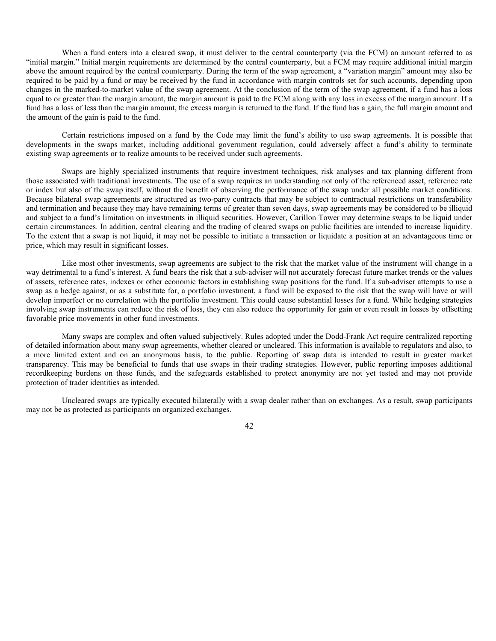When a fund enters into a cleared swap, it must deliver to the central counterparty (via the FCM) an amount referred to as "initial margin." Initial margin requirements are determined by the central counterparty, but a FCM may require additional initial margin above the amount required by the central counterparty. During the term of the swap agreement, a "variation margin" amount may also be required to be paid by a fund or may be received by the fund in accordance with margin controls set for such accounts, depending upon changes in the marked-to-market value of the swap agreement. At the conclusion of the term of the swap agreement, if a fund has a loss equal to or greater than the margin amount, the margin amount is paid to the FCM along with any loss in excess of the margin amount. If a fund has a loss of less than the margin amount, the excess margin is returned to the fund. If the fund has a gain, the full margin amount and the amount of the gain is paid to the fund.

Certain restrictions imposed on a fund by the Code may limit the fund's ability to use swap agreements. It is possible that developments in the swaps market, including additional government regulation, could adversely affect a fund's ability to terminate existing swap agreements or to realize amounts to be received under such agreements.

Swaps are highly specialized instruments that require investment techniques, risk analyses and tax planning different from those associated with traditional investments. The use of a swap requires an understanding not only of the referenced asset, reference rate or index but also of the swap itself, without the benefit of observing the performance of the swap under all possible market conditions. Because bilateral swap agreements are structured as two-party contracts that may be subject to contractual restrictions on transferability and termination and because they may have remaining terms of greater than seven days, swap agreements may be considered to be illiquid and subject to a fund's limitation on investments in illiquid securities. However, Carillon Tower may determine swaps to be liquid under certain circumstances. In addition, central clearing and the trading of cleared swaps on public facilities are intended to increase liquidity. To the extent that a swap is not liquid, it may not be possible to initiate a transaction or liquidate a position at an advantageous time or price, which may result in significant losses.

Like most other investments, swap agreements are subject to the risk that the market value of the instrument will change in a way detrimental to a fund's interest. A fund bears the risk that a sub-adviser will not accurately forecast future market trends or the values of assets, reference rates, indexes or other economic factors in establishing swap positions for the fund. If a sub-adviser attempts to use a swap as a hedge against, or as a substitute for, a portfolio investment, a fund will be exposed to the risk that the swap will have or will develop imperfect or no correlation with the portfolio investment. This could cause substantial losses for a fund. While hedging strategies involving swap instruments can reduce the risk of loss, they can also reduce the opportunity for gain or even result in losses by offsetting favorable price movements in other fund investments.

Many swaps are complex and often valued subjectively. Rules adopted under the Dodd-Frank Act require centralized reporting of detailed information about many swap agreements, whether cleared or uncleared. This information is available to regulators and also, to a more limited extent and on an anonymous basis, to the public. Reporting of swap data is intended to result in greater market transparency. This may be beneficial to funds that use swaps in their trading strategies. However, public reporting imposes additional recordkeeping burdens on these funds, and the safeguards established to protect anonymity are not yet tested and may not provide protection of trader identities as intended.

Uncleared swaps are typically executed bilaterally with a swap dealer rather than on exchanges. As a result, swap participants may not be as protected as participants on organized exchanges.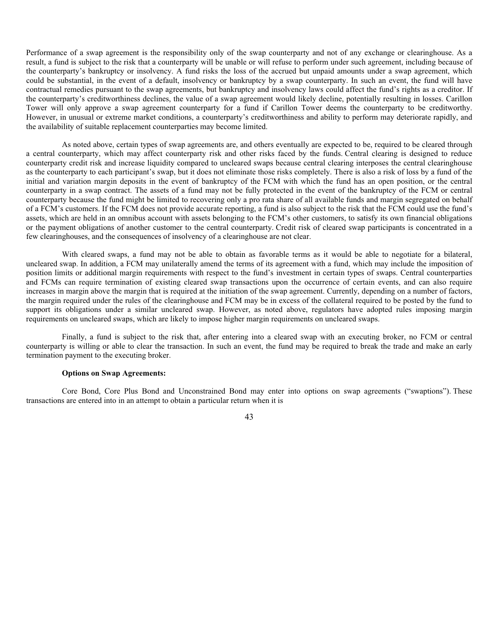Performance of a swap agreement is the responsibility only of the swap counterparty and not of any exchange or clearinghouse. As a result, a fund is subject to the risk that a counterparty will be unable or will refuse to perform under such agreement, including because of the counterparty's bankruptcy or insolvency. A fund risks the loss of the accrued but unpaid amounts under a swap agreement, which could be substantial, in the event of a default, insolvency or bankruptcy by a swap counterparty. In such an event, the fund will have contractual remedies pursuant to the swap agreements, but bankruptcy and insolvency laws could affect the fund's rights as a creditor. If the counterparty's creditworthiness declines, the value of a swap agreement would likely decline, potentially resulting in losses. Carillon Tower will only approve a swap agreement counterparty for a fund if Carillon Tower deems the counterparty to be creditworthy. However, in unusual or extreme market conditions, a counterparty's creditworthiness and ability to perform may deteriorate rapidly, and the availability of suitable replacement counterparties may become limited.

As noted above, certain types of swap agreements are, and others eventually are expected to be, required to be cleared through a central counterparty, which may affect counterparty risk and other risks faced by the funds. Central clearing is designed to reduce counterparty credit risk and increase liquidity compared to uncleared swaps because central clearing interposes the central clearinghouse as the counterparty to each participant's swap, but it does not eliminate those risks completely. There is also a risk of loss by a fund of the initial and variation margin deposits in the event of bankruptcy of the FCM with which the fund has an open position, or the central counterparty in a swap contract. The assets of a fund may not be fully protected in the event of the bankruptcy of the FCM or central counterparty because the fund might be limited to recovering only a pro rata share of all available funds and margin segregated on behalf of a FCM's customers. If the FCM does not provide accurate reporting, a fund is also subject to the risk that the FCM could use the fund's assets, which are held in an omnibus account with assets belonging to the FCM's other customers, to satisfy its own financial obligations or the payment obligations of another customer to the central counterparty. Credit risk of cleared swap participants is concentrated in a few clearinghouses, and the consequences of insolvency of a clearinghouse are not clear.

With cleared swaps, a fund may not be able to obtain as favorable terms as it would be able to negotiate for a bilateral, uncleared swap. In addition, a FCM may unilaterally amend the terms of its agreement with a fund, which may include the imposition of position limits or additional margin requirements with respect to the fund's investment in certain types of swaps. Central counterparties and FCMs can require termination of existing cleared swap transactions upon the occurrence of certain events, and can also require increases in margin above the margin that is required at the initiation of the swap agreement. Currently, depending on a number of factors, the margin required under the rules of the clearinghouse and FCM may be in excess of the collateral required to be posted by the fund to support its obligations under a similar uncleared swap. However, as noted above, regulators have adopted rules imposing margin requirements on uncleared swaps, which are likely to impose higher margin requirements on uncleared swaps.

Finally, a fund is subject to the risk that, after entering into a cleared swap with an executing broker, no FCM or central counterparty is willing or able to clear the transaction. In such an event, the fund may be required to break the trade and make an early termination payment to the executing broker.

## **Options on Swap Agreements:**

Core Bond, Core Plus Bond and Unconstrained Bond may enter into options on swap agreements ("swaptions"). These transactions are entered into in an attempt to obtain a particular return when it is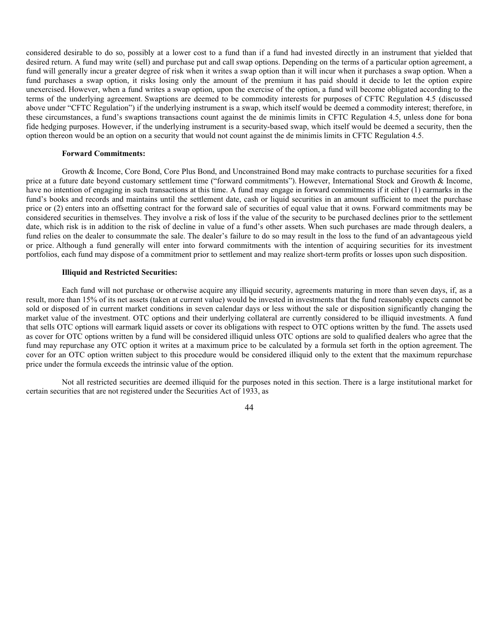considered desirable to do so, possibly at a lower cost to a fund than if a fund had invested directly in an instrument that yielded that desired return. A fund may write (sell) and purchase put and call swap options. Depending on the terms of a particular option agreement, a fund will generally incur a greater degree of risk when it writes a swap option than it will incur when it purchases a swap option. When a fund purchases a swap option, it risks losing only the amount of the premium it has paid should it decide to let the option expire unexercised. However, when a fund writes a swap option, upon the exercise of the option, a fund will become obligated according to the terms of the underlying agreement. Swaptions are deemed to be commodity interests for purposes of CFTC Regulation 4.5 (discussed above under "CFTC Regulation") if the underlying instrument is a swap, which itself would be deemed a commodity interest; therefore, in these circumstances, a fund's swaptions transactions count against the de minimis limits in CFTC Regulation 4.5, unless done for bona fide hedging purposes. However, if the underlying instrument is a security-based swap, which itself would be deemed a security, then the option thereon would be an option on a security that would not count against the de minimis limits in CFTC Regulation 4.5.

#### **Forward Commitments:**

Growth & Income, Core Bond, Core Plus Bond, and Unconstrained Bond may make contracts to purchase securities for a fixed price at a future date beyond customary settlement time ("forward commitments"). However, International Stock and Growth & Income, have no intention of engaging in such transactions at this time. A fund may engage in forward commitments if it either (1) earmarks in the fund's books and records and maintains until the settlement date, cash or liquid securities in an amount sufficient to meet the purchase price or (2) enters into an offsetting contract for the forward sale of securities of equal value that it owns. Forward commitments may be considered securities in themselves. They involve a risk of loss if the value of the security to be purchased declines prior to the settlement date, which risk is in addition to the risk of decline in value of a fund's other assets. When such purchases are made through dealers, a fund relies on the dealer to consummate the sale. The dealer's failure to do so may result in the loss to the fund of an advantageous yield or price. Although a fund generally will enter into forward commitments with the intention of acquiring securities for its investment portfolios, each fund may dispose of a commitment prior to settlement and may realize short-term profits or losses upon such disposition.

### **Illiquid and Restricted Securities:**

Each fund will not purchase or otherwise acquire any illiquid security, agreements maturing in more than seven days, if, as a result, more than 15% of its net assets (taken at current value) would be invested in investments that the fund reasonably expects cannot be sold or disposed of in current market conditions in seven calendar days or less without the sale or disposition significantly changing the market value of the investment. OTC options and their underlying collateral are currently considered to be illiquid investments. A fund that sells OTC options will earmark liquid assets or cover its obligations with respect to OTC options written by the fund. The assets used as cover for OTC options written by a fund will be considered illiquid unless OTC options are sold to qualified dealers who agree that the fund may repurchase any OTC option it writes at a maximum price to be calculated by a formula set forth in the option agreement. The cover for an OTC option written subject to this procedure would be considered illiquid only to the extent that the maximum repurchase price under the formula exceeds the intrinsic value of the option.

Not all restricted securities are deemed illiquid for the purposes noted in this section. There is a large institutional market for certain securities that are not registered under the Securities Act of 1933, as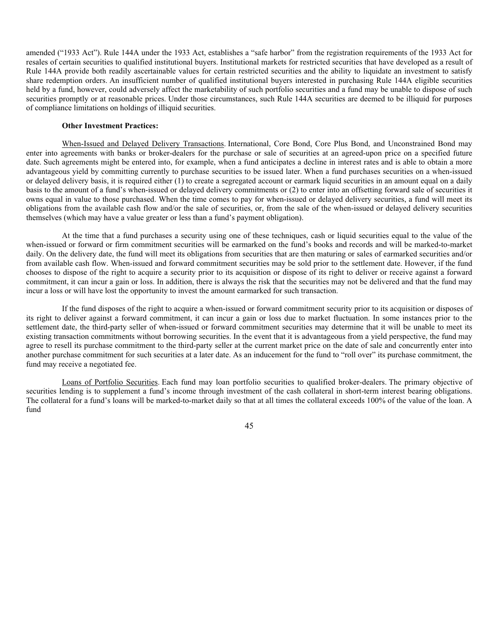amended ("1933 Act"). Rule 144A under the 1933 Act, establishes a "safe harbor" from the registration requirements of the 1933 Act for resales of certain securities to qualified institutional buyers. Institutional markets for restricted securities that have developed as a result of Rule 144A provide both readily ascertainable values for certain restricted securities and the ability to liquidate an investment to satisfy share redemption orders. An insufficient number of qualified institutional buyers interested in purchasing Rule 144A eligible securities held by a fund, however, could adversely affect the marketability of such portfolio securities and a fund may be unable to dispose of such securities promptly or at reasonable prices. Under those circumstances, such Rule 144A securities are deemed to be illiquid for purposes of compliance limitations on holdings of illiquid securities.

#### **Other Investment Practices:**

When-Issued and Delayed Delivery Transactions. International, Core Bond, Core Plus Bond, and Unconstrained Bond may enter into agreements with banks or broker-dealers for the purchase or sale of securities at an agreed-upon price on a specified future date. Such agreements might be entered into, for example, when a fund anticipates a decline in interest rates and is able to obtain a more advantageous yield by committing currently to purchase securities to be issued later. When a fund purchases securities on a when-issued or delayed delivery basis, it is required either (1) to create a segregated account or earmark liquid securities in an amount equal on a daily basis to the amount of a fund's when-issued or delayed delivery commitments or (2) to enter into an offsetting forward sale of securities it owns equal in value to those purchased. When the time comes to pay for when-issued or delayed delivery securities, a fund will meet its obligations from the available cash flow and/or the sale of securities, or, from the sale of the when-issued or delayed delivery securities themselves (which may have a value greater or less than a fund's payment obligation).

At the time that a fund purchases a security using one of these techniques, cash or liquid securities equal to the value of the when-issued or forward or firm commitment securities will be earmarked on the fund's books and records and will be marked-to-market daily. On the delivery date, the fund will meet its obligations from securities that are then maturing or sales of earmarked securities and/or from available cash flow. When-issued and forward commitment securities may be sold prior to the settlement date. However, if the fund chooses to dispose of the right to acquire a security prior to its acquisition or dispose of its right to deliver or receive against a forward commitment, it can incur a gain or loss. In addition, there is always the risk that the securities may not be delivered and that the fund may incur a loss or will have lost the opportunity to invest the amount earmarked for such transaction.

If the fund disposes of the right to acquire a when-issued or forward commitment security prior to its acquisition or disposes of its right to deliver against a forward commitment, it can incur a gain or loss due to market fluctuation. In some instances prior to the settlement date, the third-party seller of when-issued or forward commitment securities may determine that it will be unable to meet its existing transaction commitments without borrowing securities. In the event that it is advantageous from a yield perspective, the fund may agree to resell its purchase commitment to the third-party seller at the current market price on the date of sale and concurrently enter into another purchase commitment for such securities at a later date. As an inducement for the fund to "roll over" its purchase commitment, the fund may receive a negotiated fee.

Loans of Portfolio Securities. Each fund may loan portfolio securities to qualified broker-dealers. The primary objective of securities lending is to supplement a fund's income through investment of the cash collateral in short-term interest bearing obligations. The collateral for a fund's loans will be marked-to-market daily so that at all times the collateral exceeds 100% of the value of the loan. A fund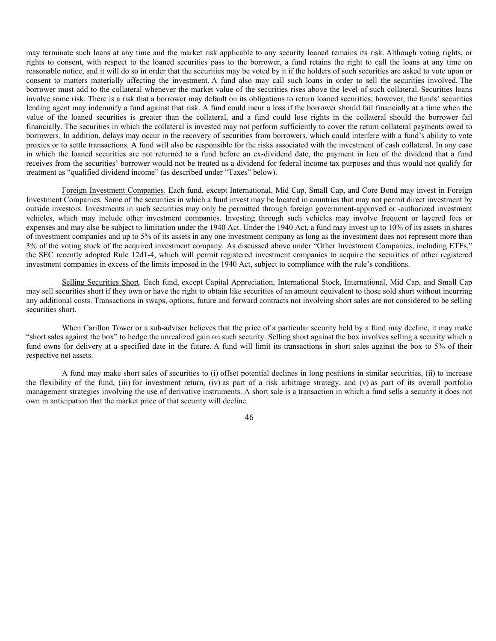may terminate such loans at any time and the market risk applicable to any security loaned remains its risk. Although voting rights, or rights to consent, with respect to the loaned securities pass to the borrower, a fund retains the right to call the loans at any time on reasonable notice, and it will do so in order that the securities may be voted by it if the holders of such securities are asked to vote upon or consent to matters materially affecting the investment. A fund also may call such loans in order to sell the securities involved. The borrower must add to the collateral whenever the market value of the securities rises above the level of such collateral. Securities loans involve some risk. There is a risk that a borrower may default on its obligations to return loaned securities; however, the funds' securities lending agent may indemnify a fund against that risk. A fund could incur a loss if the borrower should fail financially at a time when the value of the loaned securities is greater than the collateral, and a fund could lose rights in the collateral should the borrower fail financially. The securities in which the collateral is invested may not perform sufficiently to cover the return collateral payments owed to borrowers. In addition, delays may occur in the recovery of securities from borrowers, which could interfere with a fund's ability to vote proxies or to settle transactions. A fund will also be responsible for the risks associated with the investment of cash collateral. In any case in which the loaned securities are not returned to a fund before an ex-dividend date, the payment in lieu of the dividend that a fund receives from the securities' borrower would not be treated as a dividend for federal income tax purposes and thus would not qualify for treatment as "qualified dividend income" (as described under "Taxes" below).

Foreign Investment Companies. Each fund, except International, Mid Cap, Small Cap, and Core Bond may invest in Foreign Investment Companies. Some of the securities in which a fund invest may be located in countries that may not permit direct investment by outside investors. Investments in such securities may only be permitted through foreign government-approved or -authorized investment vehicles, which may include other investment companies. Investing through such vehicles may involve frequent or layered fees or expenses and may also be subject to limitation under the 1940 Act. Under the 1940 Act, a fund may invest up to 10% of its assets in shares of investment companies and up to 5% of its assets in any one investment company as long as the investment does not represent more than 3% of the voting stock of the acquired investment company. As discussed above under "Other Investment Companies, including ETFs," the SEC recently adopted Rule 12d1-4, which will permit registered investment companies to acquire the securities of other registered investment companies in excess of the limits imposed in the 1940 Act, subject to compliance with the rule's conditions.

Selling Securities Short. Each fund, except Capital Appreciation, International Stock, International, Mid Cap, and Small Cap may sell securities short if they own or have the right to obtain like securities of an amount equivalent to those sold short without incurring any additional costs. Transactions in swaps, options, future and forward contracts not involving short sales are not considered to be selling securities short.

When Carillon Tower or a sub-adviser believes that the price of a particular security held by a fund may decline, it may make "short sales against the box" to hedge the unrealized gain on such security. Selling short against the box involves selling a security which a fund owns for delivery at a specified date in the future. A fund will limit its transactions in short sales against the box to 5% of their respective net assets.

A fund may make short sales of securities to (i) offset potential declines in long positions in similar securities, (ii) to increase the flexibility of the fund, (iii) for investment return, (iv) as part of a risk arbitrage strategy, and (v) as part of its overall portfolio management strategies involving the use of derivative instruments. A short sale is a transaction in which a fund sells a security it does not own in anticipation that the market price of that security will decline.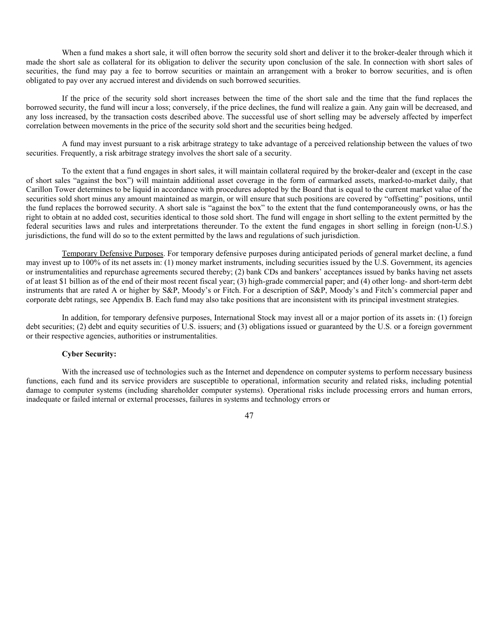When a fund makes a short sale, it will often borrow the security sold short and deliver it to the broker-dealer through which it made the short sale as collateral for its obligation to deliver the security upon conclusion of the sale. In connection with short sales of securities, the fund may pay a fee to borrow securities or maintain an arrangement with a broker to borrow securities, and is often obligated to pay over any accrued interest and dividends on such borrowed securities.

If the price of the security sold short increases between the time of the short sale and the time that the fund replaces the borrowed security, the fund will incur a loss; conversely, if the price declines, the fund will realize a gain. Any gain will be decreased, and any loss increased, by the transaction costs described above. The successful use of short selling may be adversely affected by imperfect correlation between movements in the price of the security sold short and the securities being hedged.

A fund may invest pursuant to a risk arbitrage strategy to take advantage of a perceived relationship between the values of two securities. Frequently, a risk arbitrage strategy involves the short sale of a security.

To the extent that a fund engages in short sales, it will maintain collateral required by the broker-dealer and (except in the case of short sales "against the box") will maintain additional asset coverage in the form of earmarked assets, marked-to-market daily, that Carillon Tower determines to be liquid in accordance with procedures adopted by the Board that is equal to the current market value of the securities sold short minus any amount maintained as margin, or will ensure that such positions are covered by "offsetting" positions, until the fund replaces the borrowed security. A short sale is "against the box" to the extent that the fund contemporaneously owns, or has the right to obtain at no added cost, securities identical to those sold short. The fund will engage in short selling to the extent permitted by the federal securities laws and rules and interpretations thereunder. To the extent the fund engages in short selling in foreign (non-U.S.) jurisdictions, the fund will do so to the extent permitted by the laws and regulations of such jurisdiction.

Temporary Defensive Purposes. For temporary defensive purposes during anticipated periods of general market decline, a fund may invest up to 100% of its net assets in: (1) money market instruments, including securities issued by the U.S. Government, its agencies or instrumentalities and repurchase agreements secured thereby; (2) bank CDs and bankers' acceptances issued by banks having net assets of at least \$1 billion as of the end of their most recent fiscal year; (3) high-grade commercial paper; and (4) other long- and short-term debt instruments that are rated A or higher by S&P, Moody's or Fitch. For a description of S&P, Moody's and Fitch's commercial paper and corporate debt ratings, see Appendix B. Each fund may also take positions that are inconsistent with its principal investment strategies.

In addition, for temporary defensive purposes, International Stock may invest all or a major portion of its assets in: (1) foreign debt securities; (2) debt and equity securities of U.S. issuers; and (3) obligations issued or guaranteed by the U.S. or a foreign government or their respective agencies, authorities or instrumentalities.

# **Cyber Security:**

With the increased use of technologies such as the Internet and dependence on computer systems to perform necessary business functions, each fund and its service providers are susceptible to operational, information security and related risks, including potential damage to computer systems (including shareholder computer systems). Operational risks include processing errors and human errors, inadequate or failed internal or external processes, failures in systems and technology errors or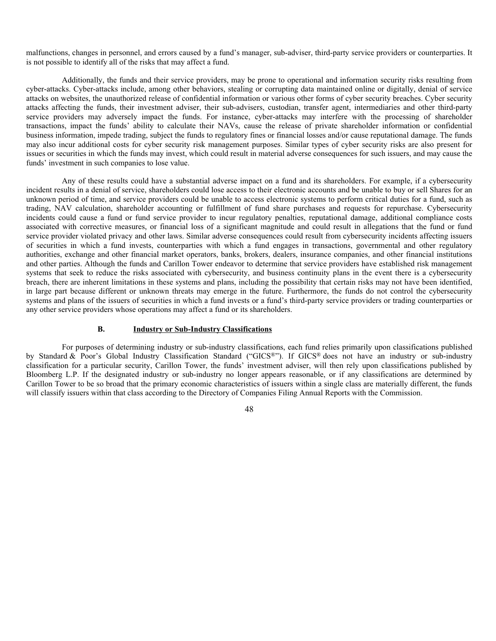malfunctions, changes in personnel, and errors caused by a fund's manager, sub-adviser, third-party service providers or counterparties. It is not possible to identify all of the risks that may affect a fund.

Additionally, the funds and their service providers, may be prone to operational and information security risks resulting from cyber-attacks. Cyber-attacks include, among other behaviors, stealing or corrupting data maintained online or digitally, denial of service attacks on websites, the unauthorized release of confidential information or various other forms of cyber security breaches. Cyber security attacks affecting the funds, their investment adviser, their sub-advisers, custodian, transfer agent, intermediaries and other third-party service providers may adversely impact the funds. For instance, cyber-attacks may interfere with the processing of shareholder transactions, impact the funds' ability to calculate their NAVs, cause the release of private shareholder information or confidential business information, impede trading, subject the funds to regulatory fines or financial losses and/or cause reputational damage. The funds may also incur additional costs for cyber security risk management purposes. Similar types of cyber security risks are also present for issues or securities in which the funds may invest, which could result in material adverse consequences for such issuers, and may cause the funds' investment in such companies to lose value.

Any of these results could have a substantial adverse impact on a fund and its shareholders. For example, if a cybersecurity incident results in a denial of service, shareholders could lose access to their electronic accounts and be unable to buy or sell Shares for an unknown period of time, and service providers could be unable to access electronic systems to perform critical duties for a fund, such as trading, NAV calculation, shareholder accounting or fulfillment of fund share purchases and requests for repurchase. Cybersecurity incidents could cause a fund or fund service provider to incur regulatory penalties, reputational damage, additional compliance costs associated with corrective measures, or financial loss of a significant magnitude and could result in allegations that the fund or fund service provider violated privacy and other laws. Similar adverse consequences could result from cybersecurity incidents affecting issuers of securities in which a fund invests, counterparties with which a fund engages in transactions, governmental and other regulatory authorities, exchange and other financial market operators, banks, brokers, dealers, insurance companies, and other financial institutions and other parties. Although the funds and Carillon Tower endeavor to determine that service providers have established risk management systems that seek to reduce the risks associated with cybersecurity, and business continuity plans in the event there is a cybersecurity breach, there are inherent limitations in these systems and plans, including the possibility that certain risks may not have been identified, in large part because different or unknown threats may emerge in the future. Furthermore, the funds do not control the cybersecurity systems and plans of the issuers of securities in which a fund invests or a fund's third-party service providers or trading counterparties or any other service providers whose operations may affect a fund or its shareholders.

## **B. Industry or Sub-Industry Classifications**

For purposes of determining industry or sub-industry classifications, each fund relies primarily upon classifications published by Standard & Poor's Global Industry Classification Standard ("GICS®"). If GICS® does not have an industry or sub-industry classification for a particular security, Carillon Tower, the funds' investment adviser, will then rely upon classifications published by Bloomberg L.P. If the designated industry or sub-industry no longer appears reasonable, or if any classifications are determined by Carillon Tower to be so broad that the primary economic characteristics of issuers within a single class are materially different, the funds will classify issuers within that class according to the Directory of Companies Filing Annual Reports with the Commission.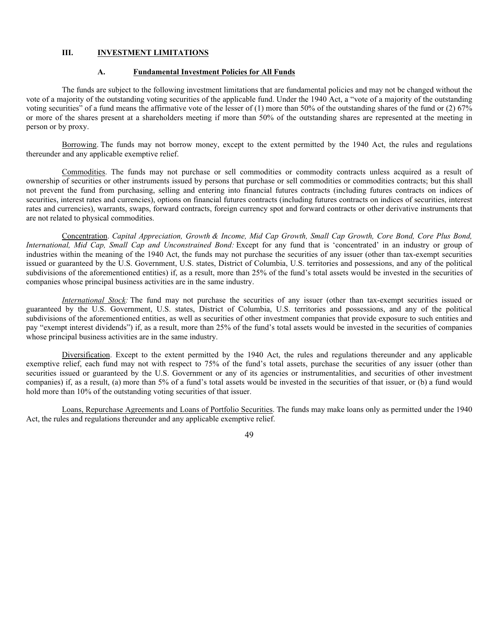# **III. INVESTMENT LIMITATIONS**

#### **A. Fundamental Investment Policies for All Funds**

The funds are subject to the following investment limitations that are fundamental policies and may not be changed without the vote of a majority of the outstanding voting securities of the applicable fund. Under the 1940 Act, a "vote of a majority of the outstanding voting securities" of a fund means the affirmative vote of the lesser of (1) more than 50% of the outstanding shares of the fund or (2) 67% or more of the shares present at a shareholders meeting if more than 50% of the outstanding shares are represented at the meeting in person or by proxy.

Borrowing. The funds may not borrow money, except to the extent permitted by the 1940 Act, the rules and regulations thereunder and any applicable exemptive relief.

Commodities. The funds may not purchase or sell commodities or commodity contracts unless acquired as a result of ownership of securities or other instruments issued by persons that purchase or sell commodities or commodities contracts; but this shall not prevent the fund from purchasing, selling and entering into financial futures contracts (including futures contracts on indices of securities, interest rates and currencies), options on financial futures contracts (including futures contracts on indices of securities, interest rates and currencies), warrants, swaps, forward contracts, foreign currency spot and forward contracts or other derivative instruments that are not related to physical commodities.

Concentration. *Capital Appreciation, Growth & Income, Mid Cap Growth, Small Cap Growth, Core Bond, Core Plus Bond, International, Mid Cap, Small Cap and Unconstrained Bond:* Except for any fund that is 'concentrated' in an industry or group of industries within the meaning of the 1940 Act, the funds may not purchase the securities of any issuer (other than tax-exempt securities issued or guaranteed by the U.S. Government, U.S. states, District of Columbia, U.S. territories and possessions, and any of the political subdivisions of the aforementioned entities) if, as a result, more than 25% of the fund's total assets would be invested in the securities of companies whose principal business activities are in the same industry.

*International Stock:* The fund may not purchase the securities of any issuer (other than tax-exempt securities issued or guaranteed by the U.S. Government, U.S. states, District of Columbia, U.S. territories and possessions, and any of the political subdivisions of the aforementioned entities, as well as securities of other investment companies that provide exposure to such entities and pay "exempt interest dividends") if, as a result, more than 25% of the fund's total assets would be invested in the securities of companies whose principal business activities are in the same industry.

Diversification. Except to the extent permitted by the 1940 Act, the rules and regulations thereunder and any applicable exemptive relief, each fund may not with respect to 75% of the fund's total assets, purchase the securities of any issuer (other than securities issued or guaranteed by the U.S. Government or any of its agencies or instrumentalities, and securities of other investment companies) if, as a result, (a) more than 5% of a fund's total assets would be invested in the securities of that issuer, or (b) a fund would hold more than 10% of the outstanding voting securities of that issuer.

Loans, Repurchase Agreements and Loans of Portfolio Securities. The funds may make loans only as permitted under the 1940 Act, the rules and regulations thereunder and any applicable exemptive relief.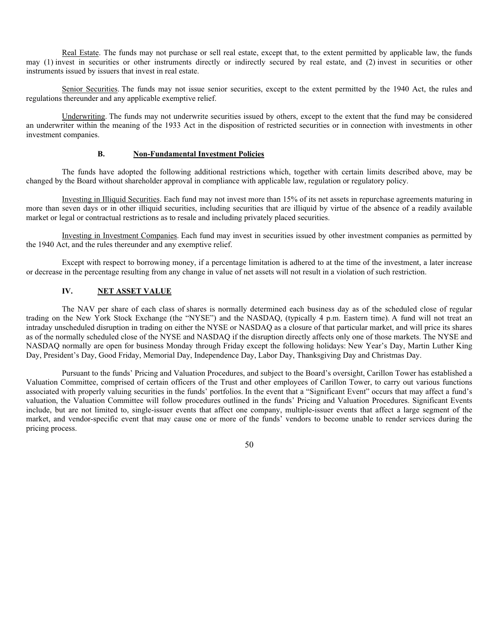Real Estate. The funds may not purchase or sell real estate, except that, to the extent permitted by applicable law, the funds may (1) invest in securities or other instruments directly or indirectly secured by real estate, and (2) invest in securities or other instruments issued by issuers that invest in real estate.

Senior Securities. The funds may not issue senior securities, except to the extent permitted by the 1940 Act, the rules and regulations thereunder and any applicable exemptive relief.

Underwriting. The funds may not underwrite securities issued by others, except to the extent that the fund may be considered an underwriter within the meaning of the 1933 Act in the disposition of restricted securities or in connection with investments in other investment companies.

### **B. Non-Fundamental Investment Policies**

The funds have adopted the following additional restrictions which, together with certain limits described above, may be changed by the Board without shareholder approval in compliance with applicable law, regulation or regulatory policy.

Investing in Illiquid Securities. Each fund may not invest more than 15% of its net assets in repurchase agreements maturing in more than seven days or in other illiquid securities, including securities that are illiquid by virtue of the absence of a readily available market or legal or contractual restrictions as to resale and including privately placed securities.

Investing in Investment Companies. Each fund may invest in securities issued by other investment companies as permitted by the 1940 Act, and the rules thereunder and any exemptive relief.

Except with respect to borrowing money, if a percentage limitation is adhered to at the time of the investment, a later increase or decrease in the percentage resulting from any change in value of net assets will not result in a violation of such restriction.

# **IV. NET ASSET VALUE**

The NAV per share of each class of shares is normally determined each business day as of the scheduled close of regular trading on the New York Stock Exchange (the "NYSE") and the NASDAQ, (typically 4 p.m. Eastern time). A fund will not treat an intraday unscheduled disruption in trading on either the NYSE or NASDAQ as a closure of that particular market, and will price its shares as of the normally scheduled close of the NYSE and NASDAQ if the disruption directly affects only one of those markets. The NYSE and NASDAQ normally are open for business Monday through Friday except the following holidays: New Year's Day, Martin Luther King Day, President's Day, Good Friday, Memorial Day, Independence Day, Labor Day, Thanksgiving Day and Christmas Day.

Pursuant to the funds' Pricing and Valuation Procedures, and subject to the Board's oversight, Carillon Tower has established a Valuation Committee, comprised of certain officers of the Trust and other employees of Carillon Tower, to carry out various functions associated with properly valuing securities in the funds' portfolios. In the event that a "Significant Event" occurs that may affect a fund's valuation, the Valuation Committee will follow procedures outlined in the funds' Pricing and Valuation Procedures. Significant Events include, but are not limited to, single-issuer events that affect one company, multiple-issuer events that affect a large segment of the market, and vendor-specific event that may cause one or more of the funds' vendors to become unable to render services during the pricing process.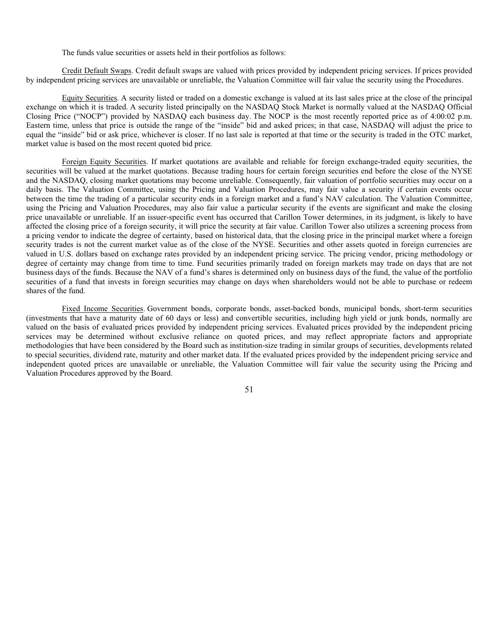The funds value securities or assets held in their portfolios as follows:

Credit Default Swaps. Credit default swaps are valued with prices provided by independent pricing services. If prices provided by independent pricing services are unavailable or unreliable, the Valuation Committee will fair value the security using the Procedures.

Equity Securities. A security listed or traded on a domestic exchange is valued at its last sales price at the close of the principal exchange on which it is traded. A security listed principally on the NASDAQ Stock Market is normally valued at the NASDAQ Official Closing Price ("NOCP") provided by NASDAQ each business day. The NOCP is the most recently reported price as of 4:00:02 p.m. Eastern time, unless that price is outside the range of the "inside" bid and asked prices; in that case, NASDAQ will adjust the price to equal the "inside" bid or ask price, whichever is closer. If no last sale is reported at that time or the security is traded in the OTC market, market value is based on the most recent quoted bid price.

Foreign Equity Securities. If market quotations are available and reliable for foreign exchange-traded equity securities, the securities will be valued at the market quotations. Because trading hours for certain foreign securities end before the close of the NYSE and the NASDAQ, closing market quotations may become unreliable. Consequently, fair valuation of portfolio securities may occur on a daily basis. The Valuation Committee, using the Pricing and Valuation Procedures, may fair value a security if certain events occur between the time the trading of a particular security ends in a foreign market and a fund's NAV calculation. The Valuation Committee, using the Pricing and Valuation Procedures, may also fair value a particular security if the events are significant and make the closing price unavailable or unreliable. If an issuer-specific event has occurred that Carillon Tower determines, in its judgment, is likely to have affected the closing price of a foreign security, it will price the security at fair value. Carillon Tower also utilizes a screening process from a pricing vendor to indicate the degree of certainty, based on historical data, that the closing price in the principal market where a foreign security trades is not the current market value as of the close of the NYSE. Securities and other assets quoted in foreign currencies are valued in U.S. dollars based on exchange rates provided by an independent pricing service. The pricing vendor, pricing methodology or degree of certainty may change from time to time. Fund securities primarily traded on foreign markets may trade on days that are not business days of the funds. Because the NAV of a fund's shares is determined only on business days of the fund, the value of the portfolio securities of a fund that invests in foreign securities may change on days when shareholders would not be able to purchase or redeem shares of the fund.

Fixed Income Securities. Government bonds, corporate bonds, asset-backed bonds, municipal bonds, short-term securities (investments that have a maturity date of 60 days or less) and convertible securities, including high yield or junk bonds, normally are valued on the basis of evaluated prices provided by independent pricing services. Evaluated prices provided by the independent pricing services may be determined without exclusive reliance on quoted prices, and may reflect appropriate factors and appropriate methodologies that have been considered by the Board such as institution-size trading in similar groups of securities, developments related to special securities, dividend rate, maturity and other market data. If the evaluated prices provided by the independent pricing service and independent quoted prices are unavailable or unreliable, the Valuation Committee will fair value the security using the Pricing and Valuation Procedures approved by the Board.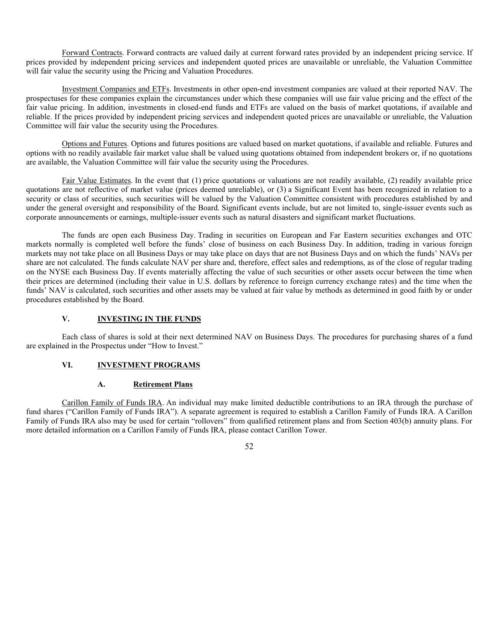Forward Contracts. Forward contracts are valued daily at current forward rates provided by an independent pricing service. If prices provided by independent pricing services and independent quoted prices are unavailable or unreliable, the Valuation Committee will fair value the security using the Pricing and Valuation Procedures.

Investment Companies and ETFs. Investments in other open-end investment companies are valued at their reported NAV. The prospectuses for these companies explain the circumstances under which these companies will use fair value pricing and the effect of the fair value pricing. In addition, investments in closed-end funds and ETFs are valued on the basis of market quotations, if available and reliable. If the prices provided by independent pricing services and independent quoted prices are unavailable or unreliable, the Valuation Committee will fair value the security using the Procedures.

Options and Futures. Options and futures positions are valued based on market quotations, if available and reliable. Futures and options with no readily available fair market value shall be valued using quotations obtained from independent brokers or, if no quotations are available, the Valuation Committee will fair value the security using the Procedures.

Fair Value Estimates. In the event that (1) price quotations or valuations are not readily available, (2) readily available price quotations are not reflective of market value (prices deemed unreliable), or (3) a Significant Event has been recognized in relation to a security or class of securities, such securities will be valued by the Valuation Committee consistent with procedures established by and under the general oversight and responsibility of the Board. Significant events include, but are not limited to, single-issuer events such as corporate announcements or earnings, multiple-issuer events such as natural disasters and significant market fluctuations.

The funds are open each Business Day. Trading in securities on European and Far Eastern securities exchanges and OTC markets normally is completed well before the funds' close of business on each Business Day. In addition, trading in various foreign markets may not take place on all Business Days or may take place on days that are not Business Days and on which the funds' NAVs per share are not calculated. The funds calculate NAV per share and, therefore, effect sales and redemptions, as of the close of regular trading on the NYSE each Business Day. If events materially affecting the value of such securities or other assets occur between the time when their prices are determined (including their value in U.S. dollars by reference to foreign currency exchange rates) and the time when the funds' NAV is calculated, such securities and other assets may be valued at fair value by methods as determined in good faith by or under procedures established by the Board.

# **V. INVESTING IN THE FUNDS**

Each class of shares is sold at their next determined NAV on Business Days. The procedures for purchasing shares of a fund are explained in the Prospectus under "How to Invest."

# **VI. INVESTMENT PROGRAMS**

## **A. Retirement Plans**

Carillon Family of Funds IRA. An individual may make limited deductible contributions to an IRA through the purchase of fund shares ("Carillon Family of Funds IRA"). A separate agreement is required to establish a Carillon Family of Funds IRA. A Carillon Family of Funds IRA also may be used for certain "rollovers" from qualified retirement plans and from Section 403(b) annuity plans. For more detailed information on a Carillon Family of Funds IRA, please contact Carillon Tower.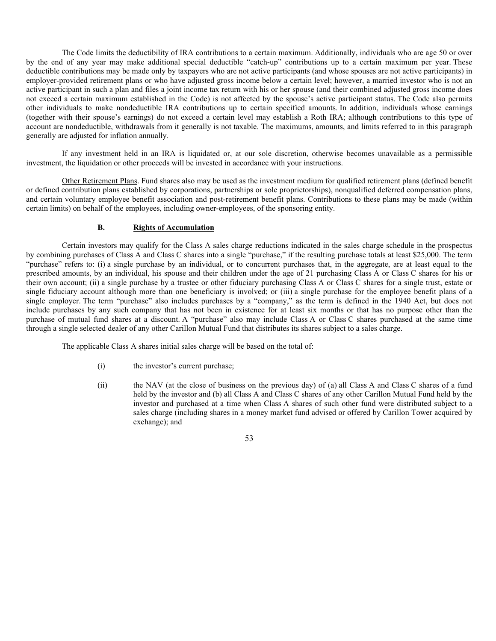The Code limits the deductibility of IRA contributions to a certain maximum. Additionally, individuals who are age 50 or over by the end of any year may make additional special deductible "catch-up" contributions up to a certain maximum per year. These deductible contributions may be made only by taxpayers who are not active participants (and whose spouses are not active participants) in employer-provided retirement plans or who have adjusted gross income below a certain level; however, a married investor who is not an active participant in such a plan and files a joint income tax return with his or her spouse (and their combined adjusted gross income does not exceed a certain maximum established in the Code) is not affected by the spouse's active participant status. The Code also permits other individuals to make nondeductible IRA contributions up to certain specified amounts. In addition, individuals whose earnings (together with their spouse's earnings) do not exceed a certain level may establish a Roth IRA; although contributions to this type of account are nondeductible, withdrawals from it generally is not taxable. The maximums, amounts, and limits referred to in this paragraph generally are adjusted for inflation annually.

If any investment held in an IRA is liquidated or, at our sole discretion, otherwise becomes unavailable as a permissible investment, the liquidation or other proceeds will be invested in accordance with your instructions.

Other Retirement Plans. Fund shares also may be used as the investment medium for qualified retirement plans (defined benefit or defined contribution plans established by corporations, partnerships or sole proprietorships), nonqualified deferred compensation plans, and certain voluntary employee benefit association and post-retirement benefit plans. Contributions to these plans may be made (within certain limits) on behalf of the employees, including owner-employees, of the sponsoring entity.

# **B. Rights of Accumulation**

Certain investors may qualify for the Class A sales charge reductions indicated in the sales charge schedule in the prospectus by combining purchases of Class A and Class C shares into a single "purchase," if the resulting purchase totals at least \$25,000. The term "purchase" refers to: (i) a single purchase by an individual, or to concurrent purchases that, in the aggregate, are at least equal to the prescribed amounts, by an individual, his spouse and their children under the age of 21 purchasing Class A or Class C shares for his or their own account; (ii) a single purchase by a trustee or other fiduciary purchasing Class A or Class C shares for a single trust, estate or single fiduciary account although more than one beneficiary is involved; or (iii) a single purchase for the employee benefit plans of a single employer. The term "purchase" also includes purchases by a "company," as the term is defined in the 1940 Act, but does not include purchases by any such company that has not been in existence for at least six months or that has no purpose other than the purchase of mutual fund shares at a discount. A "purchase" also may include Class A or Class C shares purchased at the same time through a single selected dealer of any other Carillon Mutual Fund that distributes its shares subject to a sales charge.

The applicable Class A shares initial sales charge will be based on the total of:

- (i) the investor's current purchase;
- (ii) the NAV (at the close of business on the previous day) of (a) all Class A and Class C shares of a fund held by the investor and (b) all Class A and Class C shares of any other Carillon Mutual Fund held by the investor and purchased at a time when Class A shares of such other fund were distributed subject to a sales charge (including shares in a money market fund advised or offered by Carillon Tower acquired by exchange); and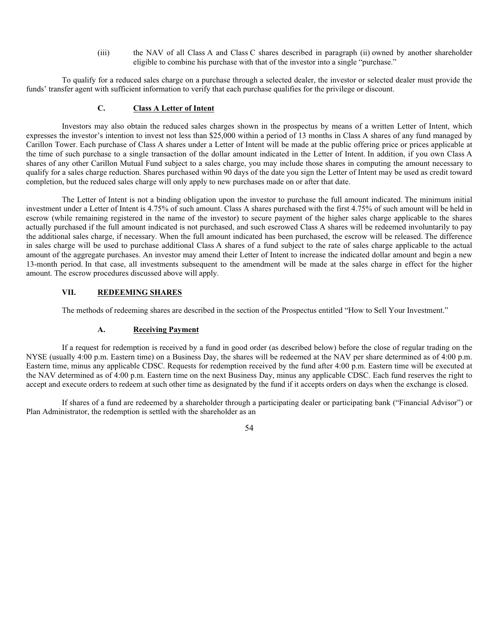(iii) the NAV of all Class A and Class C shares described in paragraph (ii) owned by another shareholder eligible to combine his purchase with that of the investor into a single "purchase."

To qualify for a reduced sales charge on a purchase through a selected dealer, the investor or selected dealer must provide the funds' transfer agent with sufficient information to verify that each purchase qualifies for the privilege or discount.

## **C. Class A Letter of Intent**

Investors may also obtain the reduced sales charges shown in the prospectus by means of a written Letter of Intent, which expresses the investor's intention to invest not less than \$25,000 within a period of 13 months in Class A shares of any fund managed by Carillon Tower. Each purchase of Class A shares under a Letter of Intent will be made at the public offering price or prices applicable at the time of such purchase to a single transaction of the dollar amount indicated in the Letter of Intent. In addition, if you own Class A shares of any other Carillon Mutual Fund subject to a sales charge, you may include those shares in computing the amount necessary to qualify for a sales charge reduction. Shares purchased within 90 days of the date you sign the Letter of Intent may be used as credit toward completion, but the reduced sales charge will only apply to new purchases made on or after that date.

The Letter of Intent is not a binding obligation upon the investor to purchase the full amount indicated. The minimum initial investment under a Letter of Intent is 4.75% of such amount. Class A shares purchased with the first 4.75% of such amount will be held in escrow (while remaining registered in the name of the investor) to secure payment of the higher sales charge applicable to the shares actually purchased if the full amount indicated is not purchased, and such escrowed Class A shares will be redeemed involuntarily to pay the additional sales charge, if necessary. When the full amount indicated has been purchased, the escrow will be released. The difference in sales charge will be used to purchase additional Class A shares of a fund subject to the rate of sales charge applicable to the actual amount of the aggregate purchases. An investor may amend their Letter of Intent to increase the indicated dollar amount and begin a new 13-month period. In that case, all investments subsequent to the amendment will be made at the sales charge in effect for the higher amount. The escrow procedures discussed above will apply.

# **VII. REDEEMING SHARES**

The methods of redeeming shares are described in the section of the Prospectus entitled "How to Sell Your Investment."

## **A. Receiving Payment**

If a request for redemption is received by a fund in good order (as described below) before the close of regular trading on the NYSE (usually 4:00 p.m. Eastern time) on a Business Day, the shares will be redeemed at the NAV per share determined as of 4:00 p.m. Eastern time, minus any applicable CDSC. Requests for redemption received by the fund after 4:00 p.m. Eastern time will be executed at the NAV determined as of 4:00 p.m. Eastern time on the next Business Day, minus any applicable CDSC. Each fund reserves the right to accept and execute orders to redeem at such other time as designated by the fund if it accepts orders on days when the exchange is closed.

If shares of a fund are redeemed by a shareholder through a participating dealer or participating bank ("Financial Advisor") or Plan Administrator, the redemption is settled with the shareholder as an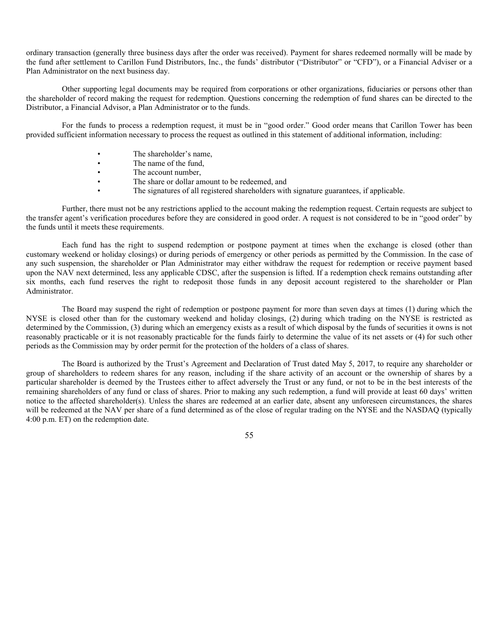ordinary transaction (generally three business days after the order was received). Payment for shares redeemed normally will be made by the fund after settlement to Carillon Fund Distributors, Inc., the funds' distributor ("Distributor" or "CFD"), or a Financial Adviser or a Plan Administrator on the next business day.

Other supporting legal documents may be required from corporations or other organizations, fiduciaries or persons other than the shareholder of record making the request for redemption. Questions concerning the redemption of fund shares can be directed to the Distributor, a Financial Advisor, a Plan Administrator or to the funds.

For the funds to process a redemption request, it must be in "good order." Good order means that Carillon Tower has been provided sufficient information necessary to process the request as outlined in this statement of additional information, including:

- The shareholder's name.
- The name of the fund.
- The account number,
- The share or dollar amount to be redeemed, and
	- The signatures of all registered shareholders with signature guarantees, if applicable.

Further, there must not be any restrictions applied to the account making the redemption request. Certain requests are subject to the transfer agent's verification procedures before they are considered in good order. A request is not considered to be in "good order" by the funds until it meets these requirements.

Each fund has the right to suspend redemption or postpone payment at times when the exchange is closed (other than customary weekend or holiday closings) or during periods of emergency or other periods as permitted by the Commission. In the case of any such suspension, the shareholder or Plan Administrator may either withdraw the request for redemption or receive payment based upon the NAV next determined, less any applicable CDSC, after the suspension is lifted. If a redemption check remains outstanding after six months, each fund reserves the right to redeposit those funds in any deposit account registered to the shareholder or Plan Administrator.

The Board may suspend the right of redemption or postpone payment for more than seven days at times (1) during which the NYSE is closed other than for the customary weekend and holiday closings, (2) during which trading on the NYSE is restricted as determined by the Commission, (3) during which an emergency exists as a result of which disposal by the funds of securities it owns is not reasonably practicable or it is not reasonably practicable for the funds fairly to determine the value of its net assets or (4) for such other periods as the Commission may by order permit for the protection of the holders of a class of shares.

The Board is authorized by the Trust's Agreement and Declaration of Trust dated May 5, 2017, to require any shareholder or group of shareholders to redeem shares for any reason, including if the share activity of an account or the ownership of shares by a particular shareholder is deemed by the Trustees either to affect adversely the Trust or any fund, or not to be in the best interests of the remaining shareholders of any fund or class of shares. Prior to making any such redemption, a fund will provide at least 60 days' written notice to the affected shareholder(s). Unless the shares are redeemed at an earlier date, absent any unforeseen circumstances, the shares will be redeemed at the NAV per share of a fund determined as of the close of regular trading on the NYSE and the NASDAQ (typically 4:00 p.m. ET) on the redemption date.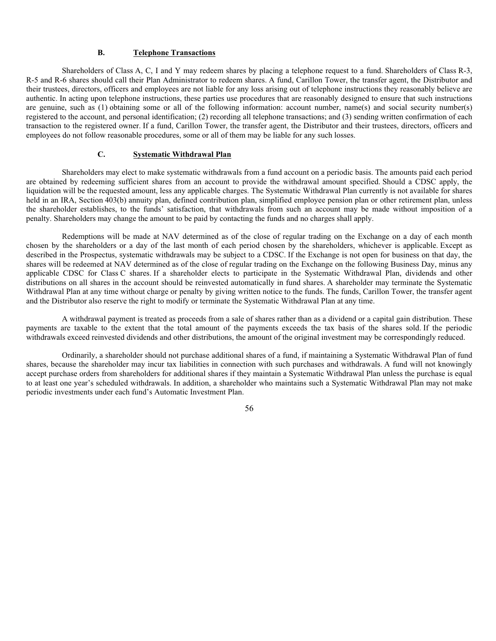## **B. Telephone Transactions**

Shareholders of Class A, C, I and Y may redeem shares by placing a telephone request to a fund. Shareholders of Class R-3, R-5 and R-6 shares should call their Plan Administrator to redeem shares. A fund, Carillon Tower, the transfer agent, the Distributor and their trustees, directors, officers and employees are not liable for any loss arising out of telephone instructions they reasonably believe are authentic. In acting upon telephone instructions, these parties use procedures that are reasonably designed to ensure that such instructions are genuine, such as (1) obtaining some or all of the following information: account number, name(s) and social security number(s) registered to the account, and personal identification; (2) recording all telephone transactions; and (3) sending written confirmation of each transaction to the registered owner. If a fund, Carillon Tower, the transfer agent, the Distributor and their trustees, directors, officers and employees do not follow reasonable procedures, some or all of them may be liable for any such losses.

## **C. Systematic Withdrawal Plan**

Shareholders may elect to make systematic withdrawals from a fund account on a periodic basis. The amounts paid each period are obtained by redeeming sufficient shares from an account to provide the withdrawal amount specified. Should a CDSC apply, the liquidation will be the requested amount, less any applicable charges. The Systematic Withdrawal Plan currently is not available for shares held in an IRA, Section 403(b) annuity plan, defined contribution plan, simplified employee pension plan or other retirement plan, unless the shareholder establishes, to the funds' satisfaction, that withdrawals from such an account may be made without imposition of a penalty. Shareholders may change the amount to be paid by contacting the funds and no charges shall apply.

Redemptions will be made at NAV determined as of the close of regular trading on the Exchange on a day of each month chosen by the shareholders or a day of the last month of each period chosen by the shareholders, whichever is applicable. Except as described in the Prospectus, systematic withdrawals may be subject to a CDSC. If the Exchange is not open for business on that day, the shares will be redeemed at NAV determined as of the close of regular trading on the Exchange on the following Business Day, minus any applicable CDSC for Class C shares. If a shareholder elects to participate in the Systematic Withdrawal Plan, dividends and other distributions on all shares in the account should be reinvested automatically in fund shares. A shareholder may terminate the Systematic Withdrawal Plan at any time without charge or penalty by giving written notice to the funds. The funds, Carillon Tower, the transfer agent and the Distributor also reserve the right to modify or terminate the Systematic Withdrawal Plan at any time.

A withdrawal payment is treated as proceeds from a sale of shares rather than as a dividend or a capital gain distribution. These payments are taxable to the extent that the total amount of the payments exceeds the tax basis of the shares sold. If the periodic withdrawals exceed reinvested dividends and other distributions, the amount of the original investment may be correspondingly reduced.

Ordinarily, a shareholder should not purchase additional shares of a fund, if maintaining a Systematic Withdrawal Plan of fund shares, because the shareholder may incur tax liabilities in connection with such purchases and withdrawals. A fund will not knowingly accept purchase orders from shareholders for additional shares if they maintain a Systematic Withdrawal Plan unless the purchase is equal to at least one year's scheduled withdrawals. In addition, a shareholder who maintains such a Systematic Withdrawal Plan may not make periodic investments under each fund's Automatic Investment Plan.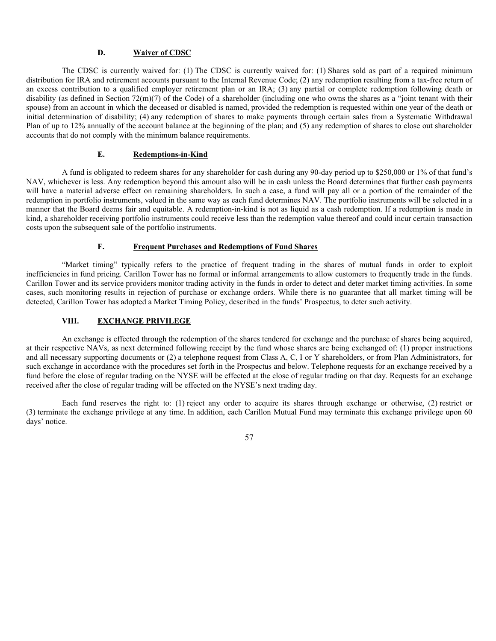## **D. Waiver of CDSC**

The CDSC is currently waived for: (1) The CDSC is currently waived for: (1) Shares sold as part of a required minimum distribution for IRA and retirement accounts pursuant to the Internal Revenue Code; (2) any redemption resulting from a tax-free return of an excess contribution to a qualified employer retirement plan or an IRA; (3) any partial or complete redemption following death or disability (as defined in Section 72(m)(7) of the Code) of a shareholder (including one who owns the shares as a "joint tenant with their spouse) from an account in which the deceased or disabled is named, provided the redemption is requested within one year of the death or initial determination of disability; (4) any redemption of shares to make payments through certain sales from a Systematic Withdrawal Plan of up to 12% annually of the account balance at the beginning of the plan; and (5) any redemption of shares to close out shareholder accounts that do not comply with the minimum balance requirements.

### **E. Redemptions-in-Kind**

A fund is obligated to redeem shares for any shareholder for cash during any 90-day period up to \$250,000 or 1% of that fund's NAV, whichever is less. Any redemption beyond this amount also will be in cash unless the Board determines that further cash payments will have a material adverse effect on remaining shareholders. In such a case, a fund will pay all or a portion of the remainder of the redemption in portfolio instruments, valued in the same way as each fund determines NAV. The portfolio instruments will be selected in a manner that the Board deems fair and equitable. A redemption-in-kind is not as liquid as a cash redemption. If a redemption is made in kind, a shareholder receiving portfolio instruments could receive less than the redemption value thereof and could incur certain transaction costs upon the subsequent sale of the portfolio instruments.

## **F. Frequent Purchases and Redemptions of Fund Shares**

"Market timing" typically refers to the practice of frequent trading in the shares of mutual funds in order to exploit inefficiencies in fund pricing. Carillon Tower has no formal or informal arrangements to allow customers to frequently trade in the funds. Carillon Tower and its service providers monitor trading activity in the funds in order to detect and deter market timing activities. In some cases, such monitoring results in rejection of purchase or exchange orders. While there is no guarantee that all market timing will be detected, Carillon Tower has adopted a Market Timing Policy, described in the funds' Prospectus, to deter such activity.

## **VIII. EXCHANGE PRIVILEGE**

An exchange is effected through the redemption of the shares tendered for exchange and the purchase of shares being acquired, at their respective NAVs, as next determined following receipt by the fund whose shares are being exchanged of: (1) proper instructions and all necessary supporting documents or (2) a telephone request from Class A, C, I or Y shareholders, or from Plan Administrators, for such exchange in accordance with the procedures set forth in the Prospectus and below. Telephone requests for an exchange received by a fund before the close of regular trading on the NYSE will be effected at the close of regular trading on that day. Requests for an exchange received after the close of regular trading will be effected on the NYSE's next trading day.

Each fund reserves the right to: (1) reject any order to acquire its shares through exchange or otherwise, (2) restrict or (3) terminate the exchange privilege at any time. In addition, each Carillon Mutual Fund may terminate this exchange privilege upon 60 days' notice.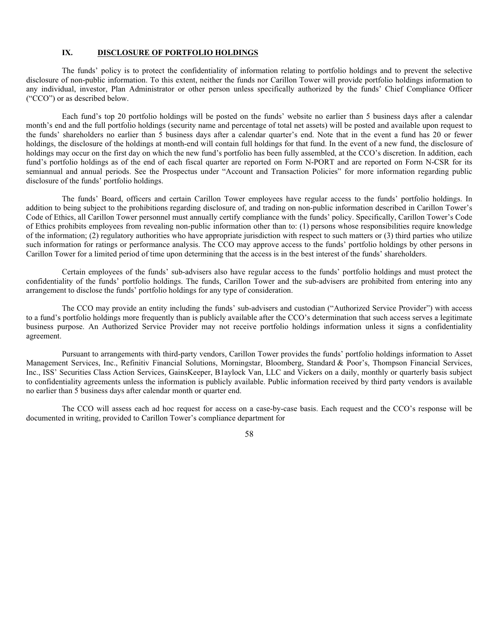## **IX. DISCLOSURE OF PORTFOLIO HOLDINGS**

The funds' policy is to protect the confidentiality of information relating to portfolio holdings and to prevent the selective disclosure of non-public information. To this extent, neither the funds nor Carillon Tower will provide portfolio holdings information to any individual, investor, Plan Administrator or other person unless specifically authorized by the funds' Chief Compliance Officer ("CCO") or as described below.

Each fund's top 20 portfolio holdings will be posted on the funds' website no earlier than 5 business days after a calendar month's end and the full portfolio holdings (security name and percentage of total net assets) will be posted and available upon request to the funds' shareholders no earlier than 5 business days after a calendar quarter's end. Note that in the event a fund has 20 or fewer holdings, the disclosure of the holdings at month-end will contain full holdings for that fund. In the event of a new fund, the disclosure of holdings may occur on the first day on which the new fund's portfolio has been fully assembled, at the CCO's discretion. In addition, each fund's portfolio holdings as of the end of each fiscal quarter are reported on Form N-PORT and are reported on Form N-CSR for its semiannual and annual periods. See the Prospectus under "Account and Transaction Policies" for more information regarding public disclosure of the funds' portfolio holdings.

The funds' Board, officers and certain Carillon Tower employees have regular access to the funds' portfolio holdings. In addition to being subject to the prohibitions regarding disclosure of, and trading on non-public information described in Carillon Tower's Code of Ethics, all Carillon Tower personnel must annually certify compliance with the funds' policy. Specifically, Carillon Tower's Code of Ethics prohibits employees from revealing non-public information other than to: (1) persons whose responsibilities require knowledge of the information; (2) regulatory authorities who have appropriate jurisdiction with respect to such matters or (3) third parties who utilize such information for ratings or performance analysis. The CCO may approve access to the funds' portfolio holdings by other persons in Carillon Tower for a limited period of time upon determining that the access is in the best interest of the funds' shareholders.

Certain employees of the funds' sub-advisers also have regular access to the funds' portfolio holdings and must protect the confidentiality of the funds' portfolio holdings. The funds, Carillon Tower and the sub-advisers are prohibited from entering into any arrangement to disclose the funds' portfolio holdings for any type of consideration.

The CCO may provide an entity including the funds' sub-advisers and custodian ("Authorized Service Provider") with access to a fund's portfolio holdings more frequently than is publicly available after the CCO's determination that such access serves a legitimate business purpose. An Authorized Service Provider may not receive portfolio holdings information unless it signs a confidentiality agreement.

Pursuant to arrangements with third-party vendors, Carillon Tower provides the funds' portfolio holdings information to Asset Management Services, Inc., Refinitiv Financial Solutions, Morningstar, Bloomberg, Standard & Poor's, Thompson Financial Services, Inc., ISS' Securities Class Action Services, GainsKeeper, B1aylock Van, LLC and Vickers on a daily, monthly or quarterly basis subject to confidentiality agreements unless the information is publicly available. Public information received by third party vendors is available no earlier than 5 business days after calendar month or quarter end.

The CCO will assess each ad hoc request for access on a case-by-case basis. Each request and the CCO's response will be documented in writing, provided to Carillon Tower's compliance department for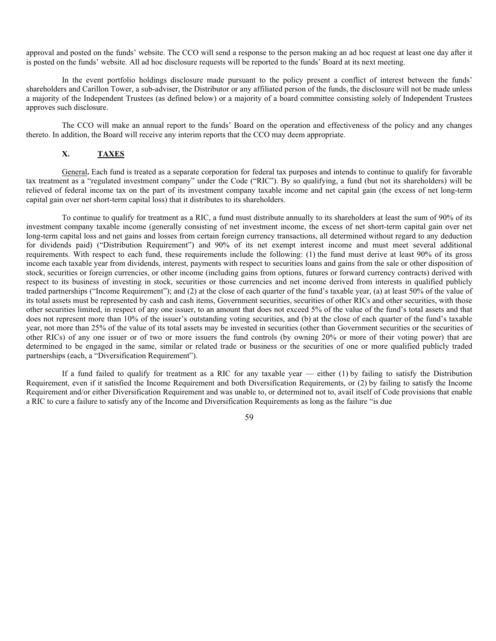approval and posted on the funds' website. The CCO will send a response to the person making an ad hoc request at least one day after it is posted on the funds' website. All ad hoc disclosure requests will be reported to the funds' Board at its next meeting.

In the event portfolio holdings disclosure made pursuant to the policy present a conflict of interest between the funds' shareholders and Carillon Tower, a sub-adviser, the Distributor or any affiliated person of the funds, the disclosure will not be made unless a majority of the Independent Trustees (as defined below) or a majority of a board committee consisting solely of Independent Trustees approves such disclosure.

The CCO will make an annual report to the funds' Board on the operation and effectiveness of the policy and any changes thereto. In addition, the Board will receive any interim reports that the CCO may deem appropriate.

# **X. TAXES**

General**.** Each fund is treated as a separate corporation for federal tax purposes and intends to continue to qualify for favorable tax treatment as a "regulated investment company" under the Code ("RIC"). By so qualifying, a fund (but not its shareholders) will be relieved of federal income tax on the part of its investment company taxable income and net capital gain (the excess of net long-term capital gain over net short-term capital loss) that it distributes to its shareholders.

To continue to qualify for treatment as a RIC, a fund must distribute annually to its shareholders at least the sum of 90% of its investment company taxable income (generally consisting of net investment income, the excess of net short-term capital gain over net long-term capital loss and net gains and losses from certain foreign currency transactions, all determined without regard to any deduction for dividends paid) ("Distribution Requirement") and 90% of its net exempt interest income and must meet several additional requirements. With respect to each fund, these requirements include the following: (1) the fund must derive at least 90% of its gross income each taxable year from dividends, interest, payments with respect to securities loans and gains from the sale or other disposition of stock, securities or foreign currencies, or other income (including gains from options, futures or forward currency contracts) derived with respect to its business of investing in stock, securities or those currencies and net income derived from interests in qualified publicly traded partnerships ("Income Requirement"); and (2) at the close of each quarter of the fund's taxable year, (a) at least 50% of the value of its total assets must be represented by cash and cash items, Government securities, securities of other RICs and other securities, with those other securities limited, in respect of any one issuer, to an amount that does not exceed 5% of the value of the fund's total assets and that does not represent more than 10% of the issuer's outstanding voting securities, and (b) at the close of each quarter of the fund's taxable year, not more than 25% of the value of its total assets may be invested in securities (other than Government securities or the securities of other RICs) of any one issuer or of two or more issuers the fund controls (by owning 20% or more of their voting power) that are determined to be engaged in the same, similar or related trade or business or the securities of one or more qualified publicly traded partnerships (each, a "Diversification Requirement").

If a fund failed to qualify for treatment as a RIC for any taxable year  $-$  either (1) by failing to satisfy the Distribution Requirement, even if it satisfied the Income Requirement and both Diversification Requirements, or (2) by failing to satisfy the Income Requirement and/or either Diversification Requirement and was unable to, or determined not to, avail itself of Code provisions that enable a RIC to cure a failure to satisfy any of the Income and Diversification Requirements as long as the failure "is due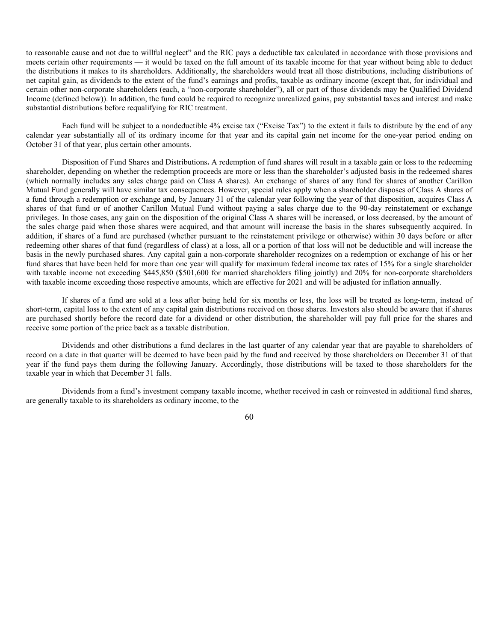to reasonable cause and not due to willful neglect" and the RIC pays a deductible tax calculated in accordance with those provisions and meets certain other requirements — it would be taxed on the full amount of its taxable income for that year without being able to deduct the distributions it makes to its shareholders. Additionally, the shareholders would treat all those distributions, including distributions of net capital gain, as dividends to the extent of the fund's earnings and profits, taxable as ordinary income (except that, for individual and certain other non-corporate shareholders (each, a "non-corporate shareholder"), all or part of those dividends may be Qualified Dividend Income (defined below)). In addition, the fund could be required to recognize unrealized gains, pay substantial taxes and interest and make substantial distributions before requalifying for RIC treatment.

Each fund will be subject to a nondeductible 4% excise tax ("Excise Tax") to the extent it fails to distribute by the end of any calendar year substantially all of its ordinary income for that year and its capital gain net income for the one-year period ending on October 31 of that year, plus certain other amounts.

Disposition of Fund Shares and Distributions**.** A redemption of fund shares will result in a taxable gain or loss to the redeeming shareholder, depending on whether the redemption proceeds are more or less than the shareholder's adjusted basis in the redeemed shares (which normally includes any sales charge paid on Class A shares). An exchange of shares of any fund for shares of another Carillon Mutual Fund generally will have similar tax consequences. However, special rules apply when a shareholder disposes of Class A shares of a fund through a redemption or exchange and, by January 31 of the calendar year following the year of that disposition, acquires Class A shares of that fund or of another Carillon Mutual Fund without paying a sales charge due to the 90-day reinstatement or exchange privileges. In those cases, any gain on the disposition of the original Class A shares will be increased, or loss decreased, by the amount of the sales charge paid when those shares were acquired, and that amount will increase the basis in the shares subsequently acquired. In addition, if shares of a fund are purchased (whether pursuant to the reinstatement privilege or otherwise) within 30 days before or after redeeming other shares of that fund (regardless of class) at a loss, all or a portion of that loss will not be deductible and will increase the basis in the newly purchased shares. Any capital gain a non-corporate shareholder recognizes on a redemption or exchange of his or her fund shares that have been held for more than one year will qualify for maximum federal income tax rates of 15% for a single shareholder with taxable income not exceeding \$445,850 (\$501,600 for married shareholders filing jointly) and 20% for non-corporate shareholders with taxable income exceeding those respective amounts, which are effective for 2021 and will be adjusted for inflation annually.

If shares of a fund are sold at a loss after being held for six months or less, the loss will be treated as long-term, instead of short-term, capital loss to the extent of any capital gain distributions received on those shares. Investors also should be aware that if shares are purchased shortly before the record date for a dividend or other distribution, the shareholder will pay full price for the shares and receive some portion of the price back as a taxable distribution.

Dividends and other distributions a fund declares in the last quarter of any calendar year that are payable to shareholders of record on a date in that quarter will be deemed to have been paid by the fund and received by those shareholders on December 31 of that year if the fund pays them during the following January. Accordingly, those distributions will be taxed to those shareholders for the taxable year in which that December 31 falls.

Dividends from a fund's investment company taxable income, whether received in cash or reinvested in additional fund shares, are generally taxable to its shareholders as ordinary income, to the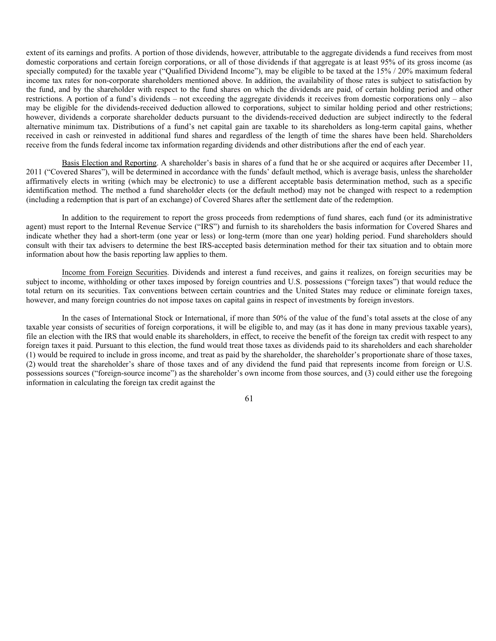extent of its earnings and profits. A portion of those dividends, however, attributable to the aggregate dividends a fund receives from most domestic corporations and certain foreign corporations, or all of those dividends if that aggregate is at least 95% of its gross income (as specially computed) for the taxable year ("Qualified Dividend Income"), may be eligible to be taxed at the 15% / 20% maximum federal income tax rates for non-corporate shareholders mentioned above. In addition, the availability of those rates is subject to satisfaction by the fund, and by the shareholder with respect to the fund shares on which the dividends are paid, of certain holding period and other restrictions. A portion of a fund's dividends – not exceeding the aggregate dividends it receives from domestic corporations only – also may be eligible for the dividends-received deduction allowed to corporations, subject to similar holding period and other restrictions; however, dividends a corporate shareholder deducts pursuant to the dividends-received deduction are subject indirectly to the federal alternative minimum tax. Distributions of a fund's net capital gain are taxable to its shareholders as long-term capital gains, whether received in cash or reinvested in additional fund shares and regardless of the length of time the shares have been held. Shareholders receive from the funds federal income tax information regarding dividends and other distributions after the end of each year.

Basis Election and Reporting. A shareholder's basis in shares of a fund that he or she acquired or acquires after December 11, 2011 ("Covered Shares"), will be determined in accordance with the funds' default method, which is average basis, unless the shareholder affirmatively elects in writing (which may be electronic) to use a different acceptable basis determination method, such as a specific identification method. The method a fund shareholder elects (or the default method) may not be changed with respect to a redemption (including a redemption that is part of an exchange) of Covered Shares after the settlement date of the redemption.

In addition to the requirement to report the gross proceeds from redemptions of fund shares, each fund (or its administrative agent) must report to the Internal Revenue Service ("IRS") and furnish to its shareholders the basis information for Covered Shares and indicate whether they had a short-term (one year or less) or long-term (more than one year) holding period. Fund shareholders should consult with their tax advisers to determine the best IRS-accepted basis determination method for their tax situation and to obtain more information about how the basis reporting law applies to them.

Income from Foreign Securities. Dividends and interest a fund receives, and gains it realizes, on foreign securities may be subject to income, withholding or other taxes imposed by foreign countries and U.S. possessions ("foreign taxes") that would reduce the total return on its securities. Tax conventions between certain countries and the United States may reduce or eliminate foreign taxes, however, and many foreign countries do not impose taxes on capital gains in respect of investments by foreign investors.

In the cases of International Stock or International, if more than 50% of the value of the fund's total assets at the close of any taxable year consists of securities of foreign corporations, it will be eligible to, and may (as it has done in many previous taxable years), file an election with the IRS that would enable its shareholders, in effect, to receive the benefit of the foreign tax credit with respect to any foreign taxes it paid. Pursuant to this election, the fund would treat those taxes as dividends paid to its shareholders and each shareholder (1) would be required to include in gross income, and treat as paid by the shareholder, the shareholder's proportionate share of those taxes, (2) would treat the shareholder's share of those taxes and of any dividend the fund paid that represents income from foreign or U.S. possessions sources ("foreign-source income") as the shareholder's own income from those sources, and (3) could either use the foregoing information in calculating the foreign tax credit against the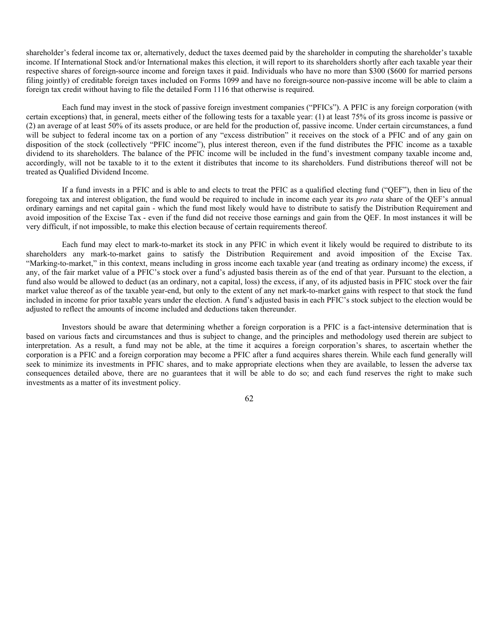shareholder's federal income tax or, alternatively, deduct the taxes deemed paid by the shareholder in computing the shareholder's taxable income. If International Stock and/or International makes this election, it will report to its shareholders shortly after each taxable year their respective shares of foreign-source income and foreign taxes it paid. Individuals who have no more than \$300 (\$600 for married persons filing jointly) of creditable foreign taxes included on Forms 1099 and have no foreign-source non-passive income will be able to claim a foreign tax credit without having to file the detailed Form 1116 that otherwise is required.

Each fund may invest in the stock of passive foreign investment companies ("PFICs"). A PFIC is any foreign corporation (with certain exceptions) that, in general, meets either of the following tests for a taxable year: (1) at least 75% of its gross income is passive or (2) an average of at least 50% of its assets produce, or are held for the production of, passive income. Under certain circumstances, a fund will be subject to federal income tax on a portion of any "excess distribution" it receives on the stock of a PFIC and of any gain on disposition of the stock (collectively "PFIC income"), plus interest thereon, even if the fund distributes the PFIC income as a taxable dividend to its shareholders. The balance of the PFIC income will be included in the fund's investment company taxable income and, accordingly, will not be taxable to it to the extent it distributes that income to its shareholders. Fund distributions thereof will not be treated as Qualified Dividend Income.

If a fund invests in a PFIC and is able to and elects to treat the PFIC as a qualified electing fund ("QEF"), then in lieu of the foregoing tax and interest obligation, the fund would be required to include in income each year its *pro rata* share of the QEF's annual ordinary earnings and net capital gain - which the fund most likely would have to distribute to satisfy the Distribution Requirement and avoid imposition of the Excise Tax - even if the fund did not receive those earnings and gain from the QEF. In most instances it will be very difficult, if not impossible, to make this election because of certain requirements thereof.

Each fund may elect to mark-to-market its stock in any PFIC in which event it likely would be required to distribute to its shareholders any mark-to-market gains to satisfy the Distribution Requirement and avoid imposition of the Excise Tax. "Marking-to-market," in this context, means including in gross income each taxable year (and treating as ordinary income) the excess, if any, of the fair market value of a PFIC's stock over a fund's adjusted basis therein as of the end of that year. Pursuant to the election, a fund also would be allowed to deduct (as an ordinary, not a capital, loss) the excess, if any, of its adjusted basis in PFIC stock over the fair market value thereof as of the taxable year-end, but only to the extent of any net mark-to-market gains with respect to that stock the fund included in income for prior taxable years under the election. A fund's adjusted basis in each PFIC's stock subject to the election would be adjusted to reflect the amounts of income included and deductions taken thereunder.

Investors should be aware that determining whether a foreign corporation is a PFIC is a fact-intensive determination that is based on various facts and circumstances and thus is subject to change, and the principles and methodology used therein are subject to interpretation. As a result, a fund may not be able, at the time it acquires a foreign corporation's shares, to ascertain whether the corporation is a PFIC and a foreign corporation may become a PFIC after a fund acquires shares therein. While each fund generally will seek to minimize its investments in PFIC shares, and to make appropriate elections when they are available, to lessen the adverse tax consequences detailed above, there are no guarantees that it will be able to do so; and each fund reserves the right to make such investments as a matter of its investment policy.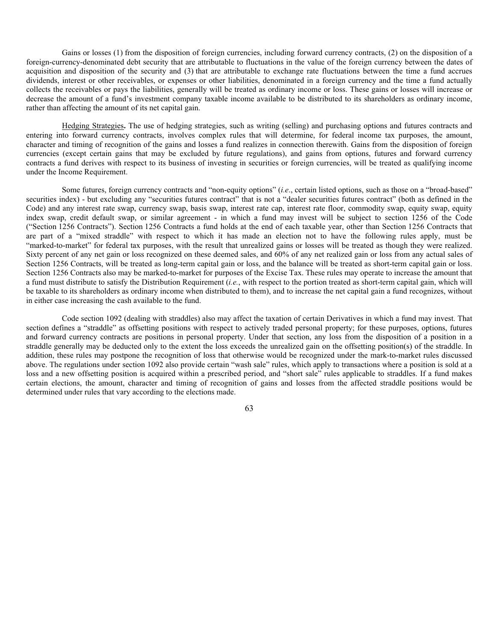Gains or losses (1) from the disposition of foreign currencies, including forward currency contracts, (2) on the disposition of a foreign-currency-denominated debt security that are attributable to fluctuations in the value of the foreign currency between the dates of acquisition and disposition of the security and (3) that are attributable to exchange rate fluctuations between the time a fund accrues dividends, interest or other receivables, or expenses or other liabilities, denominated in a foreign currency and the time a fund actually collects the receivables or pays the liabilities, generally will be treated as ordinary income or loss. These gains or losses will increase or decrease the amount of a fund's investment company taxable income available to be distributed to its shareholders as ordinary income, rather than affecting the amount of its net capital gain.

Hedging Strategies**.** The use of hedging strategies, such as writing (selling) and purchasing options and futures contracts and entering into forward currency contracts, involves complex rules that will determine, for federal income tax purposes, the amount, character and timing of recognition of the gains and losses a fund realizes in connection therewith. Gains from the disposition of foreign currencies (except certain gains that may be excluded by future regulations), and gains from options, futures and forward currency contracts a fund derives with respect to its business of investing in securities or foreign currencies, will be treated as qualifying income under the Income Requirement.

Some futures, foreign currency contracts and "non-equity options" (*i.e*., certain listed options, such as those on a "broad-based" securities index) - but excluding any "securities futures contract" that is not a "dealer securities futures contract" (both as defined in the Code) and any interest rate swap, currency swap, basis swap, interest rate cap, interest rate floor, commodity swap, equity swap, equity index swap, credit default swap, or similar agreement - in which a fund may invest will be subject to section 1256 of the Code ("Section 1256 Contracts"). Section 1256 Contracts a fund holds at the end of each taxable year, other than Section 1256 Contracts that are part of a "mixed straddle" with respect to which it has made an election not to have the following rules apply, must be "marked-to-market" for federal tax purposes, with the result that unrealized gains or losses will be treated as though they were realized. Sixty percent of any net gain or loss recognized on these deemed sales, and 60% of any net realized gain or loss from any actual sales of Section 1256 Contracts, will be treated as long-term capital gain or loss, and the balance will be treated as short-term capital gain or loss. Section 1256 Contracts also may be marked-to-market for purposes of the Excise Tax. These rules may operate to increase the amount that a fund must distribute to satisfy the Distribution Requirement (*i.e.*, with respect to the portion treated as short-term capital gain, which will be taxable to its shareholders as ordinary income when distributed to them), and to increase the net capital gain a fund recognizes, without in either case increasing the cash available to the fund.

Code section 1092 (dealing with straddles) also may affect the taxation of certain Derivatives in which a fund may invest. That section defines a "straddle" as offsetting positions with respect to actively traded personal property; for these purposes, options, futures and forward currency contracts are positions in personal property. Under that section, any loss from the disposition of a position in a straddle generally may be deducted only to the extent the loss exceeds the unrealized gain on the offsetting position(s) of the straddle. In addition, these rules may postpone the recognition of loss that otherwise would be recognized under the mark-to-market rules discussed above. The regulations under section 1092 also provide certain "wash sale" rules, which apply to transactions where a position is sold at a loss and a new offsetting position is acquired within a prescribed period, and "short sale" rules applicable to straddles. If a fund makes certain elections, the amount, character and timing of recognition of gains and losses from the affected straddle positions would be determined under rules that vary according to the elections made.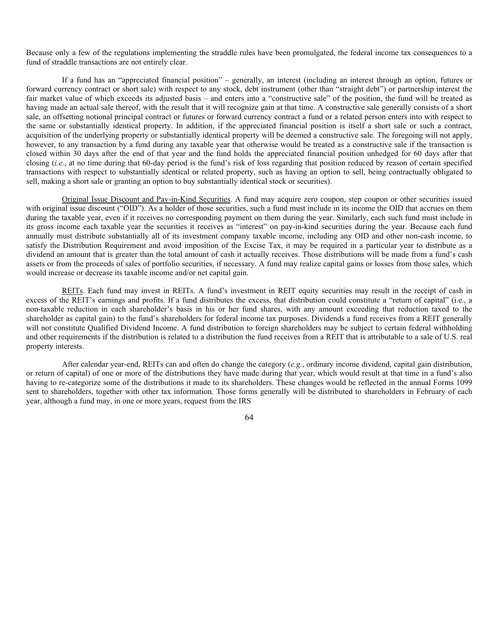Because only a few of the regulations implementing the straddle rules have been promulgated, the federal income tax consequences to a fund of straddle transactions are not entirely clear.

If a fund has an "appreciated financial position" – generally, an interest (including an interest through an option, futures or forward currency contract or short sale) with respect to any stock, debt instrument (other than "straight debt") or partnership interest the fair market value of which exceeds its adjusted basis – and enters into a "constructive sale" of the position, the fund will be treated as having made an actual sale thereof, with the result that it will recognize gain at that time. A constructive sale generally consists of a short sale, an offsetting notional principal contract or futures or forward currency contract a fund or a related person enters into with respect to the same or substantially identical property. In addition, if the appreciated financial position is itself a short sale or such a contract, acquisition of the underlying property or substantially identical property will be deemed a constructive sale. The foregoing will not apply, however, to any transaction by a fund during any taxable year that otherwise would be treated as a constructive sale if the transaction is closed within 30 days after the end of that year and the fund holds the appreciated financial position unhedged for 60 days after that closing (*i.e.*, at no time during that 60-day period is the fund's risk of loss regarding that position reduced by reason of certain specified transactions with respect to substantially identical or related property, such as having an option to sell, being contractually obligated to sell, making a short sale or granting an option to buy substantially identical stock or securities).

Original Issue Discount and Pay-in-Kind Securities. A fund may acquire zero coupon, step coupon or other securities issued with original issue discount ("OID"). As a holder of those securities, such a fund must include in its income the OID that accrues on them during the taxable year, even if it receives no corresponding payment on them during the year. Similarly, each such fund must include in its gross income each taxable year the securities it receives as "interest" on pay-in-kind securities during the year. Because each fund annually must distribute substantially all of its investment company taxable income, including any OID and other non-cash income, to satisfy the Distribution Requirement and avoid imposition of the Excise Tax, it may be required in a particular year to distribute as a dividend an amount that is greater than the total amount of cash it actually receives. Those distributions will be made from a fund's cash assets or from the proceeds of sales of portfolio securities, if necessary. A fund may realize capital gains or losses from those sales, which would increase or decrease its taxable income and/or net capital gain.

REITs. Each fund may invest in REITs. A fund's investment in REIT equity securities may result in the receipt of cash in excess of the REIT's earnings and profits. If a fund distributes the excess, that distribution could constitute a "return of capital" (i.e., a non-taxable reduction in each shareholder's basis in his or her fund shares, with any amount exceeding that reduction taxed to the shareholder as capital gain) to the fund's shareholders for federal income tax purposes. Dividends a fund receives from a REIT generally will not constitute Qualified Dividend Income. A fund distribution to foreign shareholders may be subject to certain federal withholding and other requirements if the distribution is related to a distribution the fund receives from a REIT that is attributable to a sale of U.S. real property interests.

After calendar year-end, REITs can and often do change the category (*e.g.*, ordinary income dividend, capital gain distribution, or return of capital) of one or more of the distributions they have made during that year, which would result at that time in a fund's also having to re-categorize some of the distributions it made to its shareholders. These changes would be reflected in the annual Forms 1099 sent to shareholders, together with other tax information. Those forms generally will be distributed to shareholders in February of each year, although a fund may, in one or more years, request from the IRS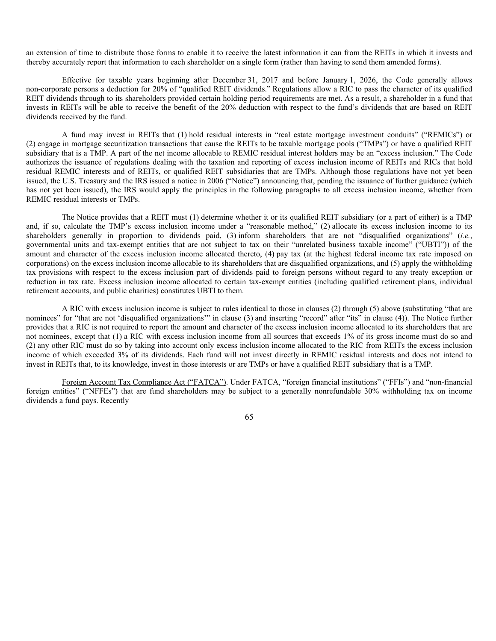an extension of time to distribute those forms to enable it to receive the latest information it can from the REITs in which it invests and thereby accurately report that information to each shareholder on a single form (rather than having to send them amended forms).

Effective for taxable years beginning after December 31, 2017 and before January 1, 2026, the Code generally allows non-corporate persons a deduction for 20% of "qualified REIT dividends." Regulations allow a RIC to pass the character of its qualified REIT dividends through to its shareholders provided certain holding period requirements are met. As a result, a shareholder in a fund that invests in REITs will be able to receive the benefit of the 20% deduction with respect to the fund's dividends that are based on REIT dividends received by the fund.

A fund may invest in REITs that (1) hold residual interests in "real estate mortgage investment conduits" ("REMICs") or (2) engage in mortgage securitization transactions that cause the REITs to be taxable mortgage pools ("TMPs") or have a qualified REIT subsidiary that is a TMP. A part of the net income allocable to REMIC residual interest holders may be an "excess inclusion." The Code authorizes the issuance of regulations dealing with the taxation and reporting of excess inclusion income of REITs and RICs that hold residual REMIC interests and of REITs, or qualified REIT subsidiaries that are TMPs. Although those regulations have not yet been issued, the U.S. Treasury and the IRS issued a notice in 2006 ("Notice") announcing that, pending the issuance of further guidance (which has not yet been issued), the IRS would apply the principles in the following paragraphs to all excess inclusion income, whether from REMIC residual interests or TMPs.

The Notice provides that a REIT must (1) determine whether it or its qualified REIT subsidiary (or a part of either) is a TMP and, if so, calculate the TMP's excess inclusion income under a "reasonable method," (2) allocate its excess inclusion income to its shareholders generally in proportion to dividends paid, (3) inform shareholders that are not "disqualified organizations" (*i.e.*, governmental units and tax-exempt entities that are not subject to tax on their "unrelated business taxable income" ("UBTI")) of the amount and character of the excess inclusion income allocated thereto, (4) pay tax (at the highest federal income tax rate imposed on corporations) on the excess inclusion income allocable to its shareholders that are disqualified organizations, and (5) apply the withholding tax provisions with respect to the excess inclusion part of dividends paid to foreign persons without regard to any treaty exception or reduction in tax rate. Excess inclusion income allocated to certain tax-exempt entities (including qualified retirement plans, individual retirement accounts, and public charities) constitutes UBTI to them.

A RIC with excess inclusion income is subject to rules identical to those in clauses (2) through (5) above (substituting "that are nominees" for "that are not 'disqualified organizations'" in clause (3) and inserting "record" after "its" in clause (4)). The Notice further provides that a RIC is not required to report the amount and character of the excess inclusion income allocated to its shareholders that are not nominees, except that (1) a RIC with excess inclusion income from all sources that exceeds 1% of its gross income must do so and (2) any other RIC must do so by taking into account only excess inclusion income allocated to the RIC from REITs the excess inclusion income of which exceeded 3% of its dividends. Each fund will not invest directly in REMIC residual interests and does not intend to invest in REITs that, to its knowledge, invest in those interests or are TMPs or have a qualified REIT subsidiary that is a TMP.

Foreign Account Tax Compliance Act ("FATCA"). Under FATCA, "foreign financial institutions" ("FFIs") and "non-financial foreign entities" ("NFFEs") that are fund shareholders may be subject to a generally nonrefundable 30% withholding tax on income dividends a fund pays. Recently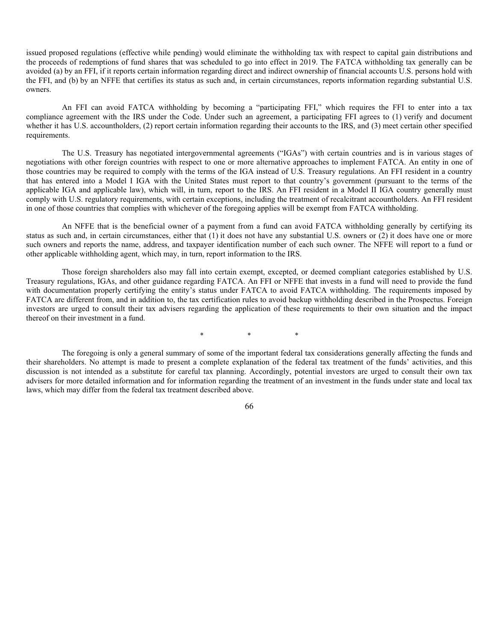issued proposed regulations (effective while pending) would eliminate the withholding tax with respect to capital gain distributions and the proceeds of redemptions of fund shares that was scheduled to go into effect in 2019. The FATCA withholding tax generally can be avoided (a) by an FFI, if it reports certain information regarding direct and indirect ownership of financial accounts U.S. persons hold with the FFI, and (b) by an NFFE that certifies its status as such and, in certain circumstances, reports information regarding substantial U.S. owners.

An FFI can avoid FATCA withholding by becoming a "participating FFI," which requires the FFI to enter into a tax compliance agreement with the IRS under the Code. Under such an agreement, a participating FFI agrees to (1) verify and document whether it has U.S. accountholders, (2) report certain information regarding their accounts to the IRS, and (3) meet certain other specified requirements.

The U.S. Treasury has negotiated intergovernmental agreements ("IGAs") with certain countries and is in various stages of negotiations with other foreign countries with respect to one or more alternative approaches to implement FATCA. An entity in one of those countries may be required to comply with the terms of the IGA instead of U.S. Treasury regulations. An FFI resident in a country that has entered into a Model I IGA with the United States must report to that country's government (pursuant to the terms of the applicable IGA and applicable law), which will, in turn, report to the IRS. An FFI resident in a Model II IGA country generally must comply with U.S. regulatory requirements, with certain exceptions, including the treatment of recalcitrant accountholders. An FFI resident in one of those countries that complies with whichever of the foregoing applies will be exempt from FATCA withholding.

An NFFE that is the beneficial owner of a payment from a fund can avoid FATCA withholding generally by certifying its status as such and, in certain circumstances, either that (1) it does not have any substantial U.S. owners or (2) it does have one or more such owners and reports the name, address, and taxpayer identification number of each such owner. The NFFE will report to a fund or other applicable withholding agent, which may, in turn, report information to the IRS.

Those foreign shareholders also may fall into certain exempt, excepted, or deemed compliant categories established by U.S. Treasury regulations, IGAs, and other guidance regarding FATCA. An FFI or NFFE that invests in a fund will need to provide the fund with documentation properly certifying the entity's status under FATCA to avoid FATCA withholding. The requirements imposed by FATCA are different from, and in addition to, the tax certification rules to avoid backup withholding described in the Prospectus. Foreign investors are urged to consult their tax advisers regarding the application of these requirements to their own situation and the impact thereof on their investment in a fund.

\* \* \*

The foregoing is only a general summary of some of the important federal tax considerations generally affecting the funds and their shareholders. No attempt is made to present a complete explanation of the federal tax treatment of the funds' activities, and this discussion is not intended as a substitute for careful tax planning. Accordingly, potential investors are urged to consult their own tax advisers for more detailed information and for information regarding the treatment of an investment in the funds under state and local tax laws, which may differ from the federal tax treatment described above.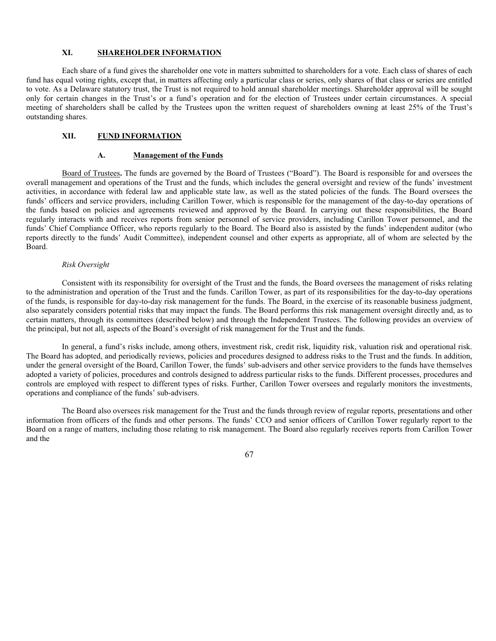## **XI. SHAREHOLDER INFORMATION**

Each share of a fund gives the shareholder one vote in matters submitted to shareholders for a vote. Each class of shares of each fund has equal voting rights, except that, in matters affecting only a particular class or series, only shares of that class or series are entitled to vote. As a Delaware statutory trust, the Trust is not required to hold annual shareholder meetings. Shareholder approval will be sought only for certain changes in the Trust's or a fund's operation and for the election of Trustees under certain circumstances. A special meeting of shareholders shall be called by the Trustees upon the written request of shareholders owning at least 25% of the Trust's outstanding shares.

## **XII. FUND INFORMATION**

### **A. Management of the Funds**

Board of Trustees**.** The funds are governed by the Board of Trustees ("Board"). The Board is responsible for and oversees the overall management and operations of the Trust and the funds, which includes the general oversight and review of the funds' investment activities, in accordance with federal law and applicable state law, as well as the stated policies of the funds. The Board oversees the funds' officers and service providers, including Carillon Tower, which is responsible for the management of the day-to-day operations of the funds based on policies and agreements reviewed and approved by the Board. In carrying out these responsibilities, the Board regularly interacts with and receives reports from senior personnel of service providers, including Carillon Tower personnel, and the funds' Chief Compliance Officer, who reports regularly to the Board. The Board also is assisted by the funds' independent auditor (who reports directly to the funds' Audit Committee), independent counsel and other experts as appropriate, all of whom are selected by the Board.

#### *Risk Oversight*

Consistent with its responsibility for oversight of the Trust and the funds, the Board oversees the management of risks relating to the administration and operation of the Trust and the funds. Carillon Tower, as part of its responsibilities for the day-to-day operations of the funds, is responsible for day-to-day risk management for the funds. The Board, in the exercise of its reasonable business judgment, also separately considers potential risks that may impact the funds. The Board performs this risk management oversight directly and, as to certain matters, through its committees (described below) and through the Independent Trustees. The following provides an overview of the principal, but not all, aspects of the Board's oversight of risk management for the Trust and the funds.

In general, a fund's risks include, among others, investment risk, credit risk, liquidity risk, valuation risk and operational risk. The Board has adopted, and periodically reviews, policies and procedures designed to address risks to the Trust and the funds. In addition, under the general oversight of the Board, Carillon Tower, the funds' sub-advisers and other service providers to the funds have themselves adopted a variety of policies, procedures and controls designed to address particular risks to the funds. Different processes, procedures and controls are employed with respect to different types of risks. Further, Carillon Tower oversees and regularly monitors the investments, operations and compliance of the funds' sub-advisers.

The Board also oversees risk management for the Trust and the funds through review of regular reports, presentations and other information from officers of the funds and other persons. The funds' CCO and senior officers of Carillon Tower regularly report to the Board on a range of matters, including those relating to risk management. The Board also regularly receives reports from Carillon Tower and the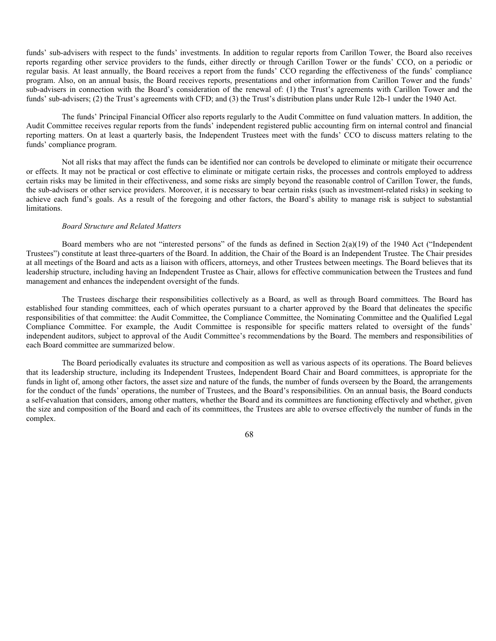funds' sub-advisers with respect to the funds' investments. In addition to regular reports from Carillon Tower, the Board also receives reports regarding other service providers to the funds, either directly or through Carillon Tower or the funds' CCO, on a periodic or regular basis. At least annually, the Board receives a report from the funds' CCO regarding the effectiveness of the funds' compliance program. Also, on an annual basis, the Board receives reports, presentations and other information from Carillon Tower and the funds' sub-advisers in connection with the Board's consideration of the renewal of: (1) the Trust's agreements with Carillon Tower and the funds' sub-advisers; (2) the Trust's agreements with CFD; and (3) the Trust's distribution plans under Rule 12b-1 under the 1940 Act.

The funds' Principal Financial Officer also reports regularly to the Audit Committee on fund valuation matters. In addition, the Audit Committee receives regular reports from the funds' independent registered public accounting firm on internal control and financial reporting matters. On at least a quarterly basis, the Independent Trustees meet with the funds' CCO to discuss matters relating to the funds' compliance program.

Not all risks that may affect the funds can be identified nor can controls be developed to eliminate or mitigate their occurrence or effects. It may not be practical or cost effective to eliminate or mitigate certain risks, the processes and controls employed to address certain risks may be limited in their effectiveness, and some risks are simply beyond the reasonable control of Carillon Tower, the funds, the sub-advisers or other service providers. Moreover, it is necessary to bear certain risks (such as investment-related risks) in seeking to achieve each fund's goals. As a result of the foregoing and other factors, the Board's ability to manage risk is subject to substantial limitations.

### *Board Structure and Related Matters*

Board members who are not "interested persons" of the funds as defined in Section 2(a)(19) of the 1940 Act ("Independent Trustees") constitute at least three-quarters of the Board. In addition, the Chair of the Board is an Independent Trustee. The Chair presides at all meetings of the Board and acts as a liaison with officers, attorneys, and other Trustees between meetings. The Board believes that its leadership structure, including having an Independent Trustee as Chair, allows for effective communication between the Trustees and fund management and enhances the independent oversight of the funds.

The Trustees discharge their responsibilities collectively as a Board, as well as through Board committees. The Board has established four standing committees, each of which operates pursuant to a charter approved by the Board that delineates the specific responsibilities of that committee: the Audit Committee, the Compliance Committee, the Nominating Committee and the Qualified Legal Compliance Committee. For example, the Audit Committee is responsible for specific matters related to oversight of the funds' independent auditors, subject to approval of the Audit Committee's recommendations by the Board. The members and responsibilities of each Board committee are summarized below.

The Board periodically evaluates its structure and composition as well as various aspects of its operations. The Board believes that its leadership structure, including its Independent Trustees, Independent Board Chair and Board committees, is appropriate for the funds in light of, among other factors, the asset size and nature of the funds, the number of funds overseen by the Board, the arrangements for the conduct of the funds' operations, the number of Trustees, and the Board's responsibilities. On an annual basis, the Board conducts a self-evaluation that considers, among other matters, whether the Board and its committees are functioning effectively and whether, given the size and composition of the Board and each of its committees, the Trustees are able to oversee effectively the number of funds in the complex.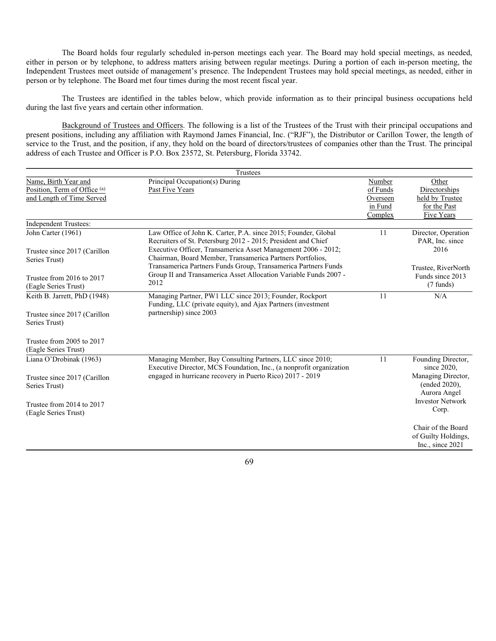The Board holds four regularly scheduled in-person meetings each year. The Board may hold special meetings, as needed, either in person or by telephone, to address matters arising between regular meetings. During a portion of each in-person meeting, the Independent Trustees meet outside of management's presence. The Independent Trustees may hold special meetings, as needed, either in person or by telephone. The Board met four times during the most recent fiscal year.

The Trustees are identified in the tables below, which provide information as to their principal business occupations held during the last five years and certain other information.

Background of Trustees and Officers. The following is a list of the Trustees of the Trust with their principal occupations and present positions, including any affiliation with Raymond James Financial, Inc. ("RJF"), the Distributor or Carillon Tower, the length of service to the Trust, and the position, if any, they hold on the board of directors/trustees of companies other than the Trust. The principal address of each Trustee and Officer is P.O. Box 23572, St. Petersburg, Florida 33742.

|                                                                                   | Trustees                                                                                                                                                                                     |                                |                                                               |
|-----------------------------------------------------------------------------------|----------------------------------------------------------------------------------------------------------------------------------------------------------------------------------------------|--------------------------------|---------------------------------------------------------------|
| Name, Birth Year and<br>Position, Term of Office (a)<br>and Length of Time Served | Principal Occupation(s) During<br>Past Five Years                                                                                                                                            | Number<br>of Funds<br>Overseen | Other<br>Directorships<br>held by Trustee                     |
|                                                                                   |                                                                                                                                                                                              | in Fund<br>Complex             | for the Past<br>Five Years                                    |
| <b>Independent Trustees:</b>                                                      |                                                                                                                                                                                              |                                |                                                               |
| John Carter (1961)                                                                | Law Office of John K. Carter, P.A. since 2015; Founder, Global<br>Recruiters of St. Petersburg 2012 - 2015; President and Chief                                                              | 11                             | Director, Operation<br>PAR, Inc. since                        |
| Trustee since 2017 (Carillon<br>Series Trust)                                     | Executive Officer, Transamerica Asset Management 2006 - 2012;<br>Chairman, Board Member, Transamerica Partners Portfolios,<br>Transamerica Partners Funds Group, Transamerica Partners Funds |                                | 2016<br>Trustee, RiverNorth                                   |
| Trustee from 2016 to 2017<br>(Eagle Series Trust)                                 | Group II and Transamerica Asset Allocation Variable Funds 2007 -<br>2012                                                                                                                     |                                | Funds since 2013<br>$(7 \text{ funds})$                       |
| Keith B. Jarrett, PhD (1948)                                                      | Managing Partner, PW1 LLC since 2013; Founder, Rockport<br>Funding, LLC (private equity), and Ajax Partners (investment                                                                      | 11                             | N/A                                                           |
| Trustee since 2017 (Carillon<br>Series Trust)                                     | partnership) since 2003                                                                                                                                                                      |                                |                                                               |
| Trustee from 2005 to 2017<br>(Eagle Series Trust)                                 |                                                                                                                                                                                              |                                |                                                               |
| Liana O'Drobinak (1963)                                                           | Managing Member, Bay Consulting Partners, LLC since 2010;<br>Executive Director, MCS Foundation, Inc., (a nonprofit organization                                                             | 11                             | Founding Director,<br>since 2020,                             |
| Trustee since 2017 (Carillon<br>Series Trust)                                     | engaged in hurricane recovery in Puerto Rico) 2017 - 2019                                                                                                                                    |                                | Managing Director,<br>(ended 2020),<br>Aurora Angel           |
| Trustee from 2014 to 2017<br>(Eagle Series Trust)                                 |                                                                                                                                                                                              |                                | <b>Investor Network</b><br>Corp.                              |
|                                                                                   |                                                                                                                                                                                              |                                | Chair of the Board<br>of Guilty Holdings,<br>Inc., since 2021 |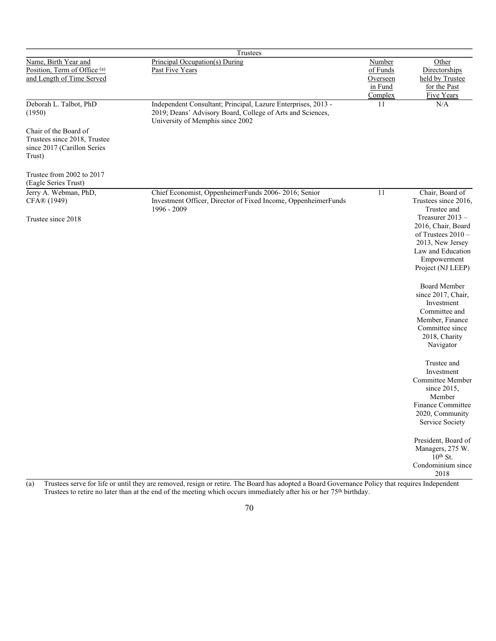|                                                                                                                                    | Trustees                                                                                                                                                        |                                                             |                                                                                                                                                                                                                                                                                                                                                       |
|------------------------------------------------------------------------------------------------------------------------------------|-----------------------------------------------------------------------------------------------------------------------------------------------------------------|-------------------------------------------------------------|-------------------------------------------------------------------------------------------------------------------------------------------------------------------------------------------------------------------------------------------------------------------------------------------------------------------------------------------------------|
| Name, Birth Year and<br>Position, Term of Office (a)<br>and Length of Time Served                                                  | Principal Occupation(s) During<br>Past Five Years                                                                                                               | <b>Number</b><br>of Funds<br>Overseen<br>in Fund<br>Complex | Other<br>Directorships<br>held by Trustee<br>for the Past<br><b>Five Years</b>                                                                                                                                                                                                                                                                        |
| Deborah L. Talbot, PhD<br>(1950)<br>Chair of the Board of<br>Trustees since 2018, Trustee<br>since 2017 (Carillon Series<br>Trust) | Independent Consultant; Principal, Lazure Enterprises, 2013 -<br>2019; Deans' Advisory Board, College of Arts and Sciences,<br>University of Memphis since 2002 | 11                                                          | N/A                                                                                                                                                                                                                                                                                                                                                   |
| Trustee from 2002 to 2017<br>(Eagle Series Trust)                                                                                  |                                                                                                                                                                 |                                                             |                                                                                                                                                                                                                                                                                                                                                       |
| Jerry A. Webman, PhD,<br>CFA® (1949)<br>Trustee since 2018                                                                         | Chief Economist, OppenheimerFunds 2006-2016; Senior<br>Investment Officer, Director of Fixed Income, OppenheimerFunds<br>1996 - 2009                            | 11                                                          | Chair, Board of<br>Trustees since 2016,<br>Trustee and<br>Treasurer 2013 -<br>2016, Chair, Board<br>of Trustees $2010 -$<br>2013, New Jersey<br>Law and Education<br>Empowerment<br>Project (NJ LEEP)<br><b>Board Member</b><br>since 2017, Chair,<br>Investment<br>Committee and<br>Member, Finance<br>Committee since<br>2018, Charity<br>Navigator |
|                                                                                                                                    |                                                                                                                                                                 |                                                             | Trustee and<br>Investment<br>Committee Member<br>since 2015,<br>Member<br><b>Finance Committee</b><br>2020, Community<br>Service Society<br>President, Board of<br>Managers, 275 W.<br>$10th$ St.<br>Condominium since                                                                                                                                |
|                                                                                                                                    |                                                                                                                                                                 |                                                             | 2018                                                                                                                                                                                                                                                                                                                                                  |

(a) Trustees serve for life or until they are removed, resign or retire. The Board has adopted a Board Governance Policy that requires Independent Trustees to retire no later than at the end of the meeting which occurs immediately after his or her 75<sup>th</sup> birthday.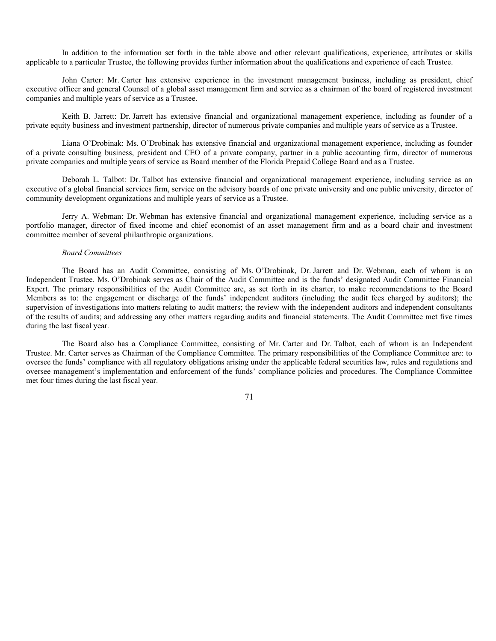In addition to the information set forth in the table above and other relevant qualifications, experience, attributes or skills applicable to a particular Trustee, the following provides further information about the qualifications and experience of each Trustee.

John Carter: Mr. Carter has extensive experience in the investment management business, including as president, chief executive officer and general Counsel of a global asset management firm and service as a chairman of the board of registered investment companies and multiple years of service as a Trustee.

Keith B. Jarrett: Dr. Jarrett has extensive financial and organizational management experience, including as founder of a private equity business and investment partnership, director of numerous private companies and multiple years of service as a Trustee.

Liana O'Drobinak: Ms. O'Drobinak has extensive financial and organizational management experience, including as founder of a private consulting business, president and CEO of a private company, partner in a public accounting firm, director of numerous private companies and multiple years of service as Board member of the Florida Prepaid College Board and as a Trustee.

Deborah L. Talbot: Dr. Talbot has extensive financial and organizational management experience, including service as an executive of a global financial services firm, service on the advisory boards of one private university and one public university, director of community development organizations and multiple years of service as a Trustee.

Jerry A. Webman: Dr. Webman has extensive financial and organizational management experience, including service as a portfolio manager, director of fixed income and chief economist of an asset management firm and as a board chair and investment committee member of several philanthropic organizations.

### *Board Committees*

The Board has an Audit Committee, consisting of Ms. O'Drobinak, Dr. Jarrett and Dr. Webman, each of whom is an Independent Trustee. Ms. O'Drobinak serves as Chair of the Audit Committee and is the funds' designated Audit Committee Financial Expert. The primary responsibilities of the Audit Committee are, as set forth in its charter, to make recommendations to the Board Members as to: the engagement or discharge of the funds' independent auditors (including the audit fees charged by auditors); the supervision of investigations into matters relating to audit matters; the review with the independent auditors and independent consultants of the results of audits; and addressing any other matters regarding audits and financial statements. The Audit Committee met five times during the last fiscal year.

The Board also has a Compliance Committee, consisting of Mr. Carter and Dr. Talbot, each of whom is an Independent Trustee. Mr. Carter serves as Chairman of the Compliance Committee. The primary responsibilities of the Compliance Committee are: to oversee the funds' compliance with all regulatory obligations arising under the applicable federal securities law, rules and regulations and oversee management's implementation and enforcement of the funds' compliance policies and procedures. The Compliance Committee met four times during the last fiscal year.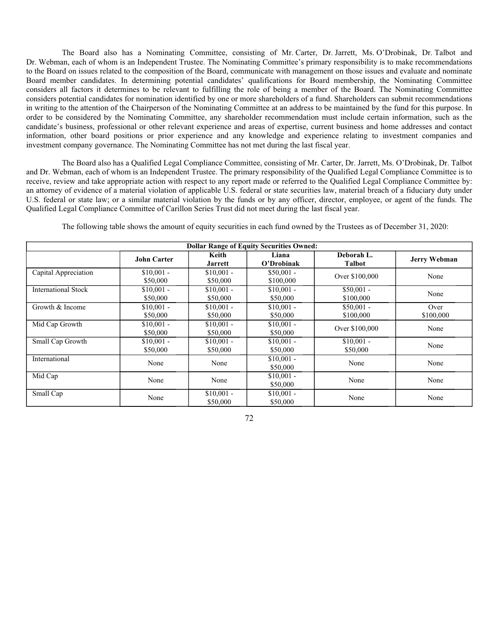The Board also has a Nominating Committee, consisting of Mr. Carter, Dr. Jarrett, Ms. O'Drobinak, Dr. Talbot and Dr. Webman, each of whom is an Independent Trustee. The Nominating Committee's primary responsibility is to make recommendations to the Board on issues related to the composition of the Board, communicate with management on those issues and evaluate and nominate Board member candidates. In determining potential candidates' qualifications for Board membership, the Nominating Committee considers all factors it determines to be relevant to fulfilling the role of being a member of the Board. The Nominating Committee considers potential candidates for nomination identified by one or more shareholders of a fund. Shareholders can submit recommendations in writing to the attention of the Chairperson of the Nominating Committee at an address to be maintained by the fund for this purpose. In order to be considered by the Nominating Committee, any shareholder recommendation must include certain information, such as the candidate's business, professional or other relevant experience and areas of expertise, current business and home addresses and contact information, other board positions or prior experience and any knowledge and experience relating to investment companies and investment company governance. The Nominating Committee has not met during the last fiscal year.

The Board also has a Qualified Legal Compliance Committee, consisting of Mr. Carter, Dr. Jarrett, Ms. O'Drobinak, Dr. Talbot and Dr. Webman, each of whom is an Independent Trustee. The primary responsibility of the Qualified Legal Compliance Committee is to receive, review and take appropriate action with respect to any report made or referred to the Qualified Legal Compliance Committee by: an attorney of evidence of a material violation of applicable U.S. federal or state securities law, material breach of a fiduciary duty under U.S. federal or state law; or a similar material violation by the funds or by any officer, director, employee, or agent of the funds. The Qualified Legal Compliance Committee of Carillon Series Trust did not meet during the last fiscal year.

The following table shows the amount of equity securities in each fund owned by the Trustees as of December 31, 2020:

| <b>Dollar Range of Equity Securities Owned:</b> |                         |                         |                          |                             |                     |  |  |  |  |  |
|-------------------------------------------------|-------------------------|-------------------------|--------------------------|-----------------------------|---------------------|--|--|--|--|--|
|                                                 | <b>John Carter</b>      | Keith<br><b>Jarrett</b> | Liana<br>O'Drobinak      | Deborah L.<br><b>Talbot</b> | <b>Jerry Webman</b> |  |  |  |  |  |
| Capital Appreciation                            | $$10,001 -$<br>\$50,000 | $$10,001 -$<br>\$50,000 | $$50,001 -$<br>\$100,000 | Over \$100,000              | None                |  |  |  |  |  |
| International Stock                             | $$10,001 -$<br>\$50,000 | $$10,001 -$<br>\$50,000 | $$10,001 -$<br>\$50,000  | $$50,001$ -<br>\$100,000    | None                |  |  |  |  |  |
| Growth & Income                                 | $$10,001 -$<br>\$50,000 | $$10,001 -$<br>\$50,000 | $$10,001 -$<br>\$50,000  | $$50,001 -$<br>\$100,000    | Over<br>\$100,000   |  |  |  |  |  |
| Mid Cap Growth                                  | $$10,001 -$<br>\$50,000 | $$10,001 -$<br>\$50,000 | $$10,001 -$<br>\$50,000  | Over \$100,000              | None                |  |  |  |  |  |
| Small Cap Growth                                | $$10,001$ -<br>\$50,000 | $$10,001 -$<br>\$50,000 | $$10,001 -$<br>\$50,000  | $$10,001$ -<br>\$50,000     | None                |  |  |  |  |  |
| International                                   | None                    | None                    | $$10,001 -$<br>\$50,000  | None                        | None                |  |  |  |  |  |
| Mid Cap                                         | None                    | None                    | $$10,001 -$<br>\$50,000  | None                        | None                |  |  |  |  |  |
| Small Cap                                       | None                    | $$10,001 -$<br>\$50,000 | $$10,001 -$<br>\$50,000  | None                        | None                |  |  |  |  |  |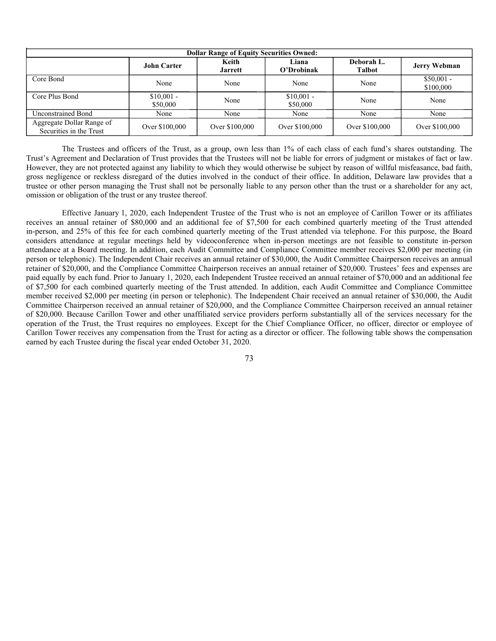| <b>Dollar Range of Equity Securities Owned:</b>      |                         |                         |                         |                             |                          |  |  |  |  |  |
|------------------------------------------------------|-------------------------|-------------------------|-------------------------|-----------------------------|--------------------------|--|--|--|--|--|
|                                                      | <b>John Carter</b>      | Keith<br><b>Jarrett</b> | Liana<br>O'Drobinak     | Deborah L.<br><b>Talbot</b> | <b>Jerry Webman</b>      |  |  |  |  |  |
| Core Bond                                            | None                    | None                    | None                    | None                        | $$50,001 -$<br>\$100,000 |  |  |  |  |  |
| Core Plus Bond                                       | $$10,001 -$<br>\$50,000 | None                    | $$10,001 -$<br>\$50,000 | None                        | None                     |  |  |  |  |  |
| <b>Unconstrained Bond</b>                            | None                    | None                    | None                    | None                        | None                     |  |  |  |  |  |
| Aggregate Dollar Range of<br>Securities in the Trust | Over \$100,000          | Over \$100,000          | Over \$100,000          | Over \$100,000              | Over \$100,000           |  |  |  |  |  |

The Trustees and officers of the Trust, as a group, own less than 1% of each class of each fund's shares outstanding. The Trust's Agreement and Declaration of Trust provides that the Trustees will not be liable for errors of judgment or mistakes of fact or law. However, they are not protected against any liability to which they would otherwise be subject by reason of willful misfeasance, bad faith, gross negligence or reckless disregard of the duties involved in the conduct of their office. In addition, Delaware law provides that a trustee or other person managing the Trust shall not be personally liable to any person other than the trust or a shareholder for any act, omission or obligation of the trust or any trustee thereof.

Effective January 1, 2020, each Independent Trustee of the Trust who is not an employee of Carillon Tower or its affiliates receives an annual retainer of \$80,000 and an additional fee of \$7,500 for each combined quarterly meeting of the Trust attended in-person, and 25% of this fee for each combined quarterly meeting of the Trust attended via telephone. For this purpose, the Board considers attendance at regular meetings held by videoconference when in-person meetings are not feasible to constitute in-person attendance at a Board meeting. In addition, each Audit Committee and Compliance Committee member receives \$2,000 per meeting (in person or telephonic). The Independent Chair receives an annual retainer of \$30,000, the Audit Committee Chairperson receives an annual retainer of \$20,000, and the Compliance Committee Chairperson receives an annual retainer of \$20,000. Trustees' fees and expenses are paid equally by each fund. Prior to January 1, 2020, each Independent Trustee received an annual retainer of \$70,000 and an additional fee of \$7,500 for each combined quarterly meeting of the Trust attended. In addition, each Audit Committee and Compliance Committee member received \$2,000 per meeting (in person or telephonic). The Independent Chair received an annual retainer of \$30,000, the Audit Committee Chairperson received an annual retainer of \$20,000, and the Compliance Committee Chairperson received an annual retainer of \$20,000. Because Carillon Tower and other unaffiliated service providers perform substantially all of the services necessary for the operation of the Trust, the Trust requires no employees. Except for the Chief Compliance Officer, no officer, director or employee of Carillon Tower receives any compensation from the Trust for acting as a director or officer. The following table shows the compensation earned by each Trustee during the fiscal year ended October 31, 2020.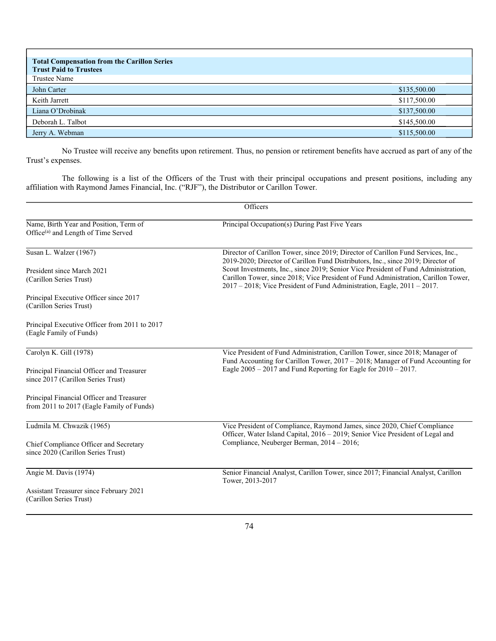| <b>Total Compensation from the Carillon Series</b> |              |
|----------------------------------------------------|--------------|
| <b>Trust Paid to Trustees</b>                      |              |
| Trustee Name                                       |              |
| John Carter                                        | \$135,500.00 |
| Keith Jarrett                                      | \$117,500.00 |
| Liana O'Drobinak                                   | \$137,500.00 |
| Deborah L. Talbot                                  | \$145,500.00 |
| Jerry A. Webman                                    | \$115,500.00 |

No Trustee will receive any benefits upon retirement. Thus, no pension or retirement benefits have accrued as part of any of the Trust's expenses.

The following is a list of the Officers of the Trust with their principal occupations and present positions, including any affiliation with Raymond James Financial, Inc. ("RJF"), the Distributor or Carillon Tower.

|                                                                                           | Officers                                                                                                                                                                                                                                            |
|-------------------------------------------------------------------------------------------|-----------------------------------------------------------------------------------------------------------------------------------------------------------------------------------------------------------------------------------------------------|
| Name, Birth Year and Position, Term of<br>Office <sup>(a)</sup> and Length of Time Served | Principal Occupation(s) During Past Five Years                                                                                                                                                                                                      |
| Susan L. Walzer (1967)                                                                    | Director of Carillon Tower, since 2019; Director of Carillon Fund Services, Inc.,<br>2019-2020; Director of Carillon Fund Distributors, Inc., since 2019; Director of                                                                               |
| President since March 2021<br>(Carillon Series Trust)                                     | Scout Investments, Inc., since 2019; Senior Vice President of Fund Administration,<br>Carillon Tower, since 2018; Vice President of Fund Administration, Carillon Tower,<br>2017 – 2018; Vice President of Fund Administration, Eagle, 2011 – 2017. |
| Principal Executive Officer since 2017<br>(Carillon Series Trust)                         |                                                                                                                                                                                                                                                     |
| Principal Executive Officer from 2011 to 2017<br>(Eagle Family of Funds)                  |                                                                                                                                                                                                                                                     |
| Carolyn K. Gill (1978)                                                                    | Vice President of Fund Administration, Carillon Tower, since 2018; Manager of<br>Fund Accounting for Carillon Tower, 2017 - 2018; Manager of Fund Accounting for                                                                                    |
| Principal Financial Officer and Treasurer<br>since 2017 (Carillon Series Trust)           | Eagle $2005 - 2017$ and Fund Reporting for Eagle for $2010 - 2017$ .                                                                                                                                                                                |
| Principal Financial Officer and Treasurer<br>from 2011 to 2017 (Eagle Family of Funds)    |                                                                                                                                                                                                                                                     |
| Ludmila M. Chwazik (1965)                                                                 | Vice President of Compliance, Raymond James, since 2020, Chief Compliance<br>Officer, Water Island Capital, 2016 - 2019; Senior Vice President of Legal and                                                                                         |
| Chief Compliance Officer and Secretary<br>since 2020 (Carillon Series Trust)              | Compliance, Neuberger Berman, 2014 - 2016;                                                                                                                                                                                                          |
| Angie M. Davis (1974)                                                                     | Senior Financial Analyst, Carillon Tower, since 2017; Financial Analyst, Carillon<br>Tower, 2013-2017                                                                                                                                               |
| Assistant Treasurer since February 2021<br>(Carillon Series Trust)                        |                                                                                                                                                                                                                                                     |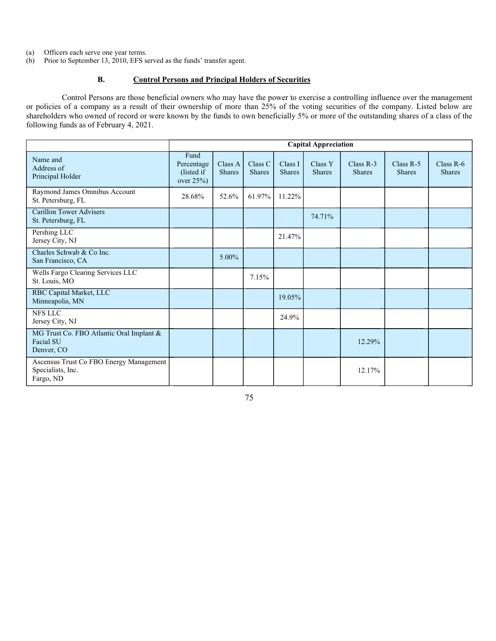(a) Officers each serve one year terms.

(b) Prior to September 13, 2010, EFS served as the funds' transfer agent.

## **B. Control Persons and Principal Holders of Securities**

Control Persons are those beneficial owners who may have the power to exercise a controlling influence over the management or policies of a company as a result of their ownership of more than 25% of the voting securities of the company. Listed below are shareholders who owned of record or were known by the funds to own beneficially 5% or more of the outstanding shares of a class of the following funds as of February 4, 2021.

|                                                                           |                                                    |                          |                          |                          | <b>Capital Appreciation</b> |                              |                              |                              |
|---------------------------------------------------------------------------|----------------------------------------------------|--------------------------|--------------------------|--------------------------|-----------------------------|------------------------------|------------------------------|------------------------------|
| Name and<br>Address of<br>Principal Holder                                | Fund<br>Percentage<br>(listed if)<br>over $25\%$ ) | Class A<br><b>Shares</b> | Class C<br><b>Shares</b> | Class I<br><b>Shares</b> | Class Y<br><b>Shares</b>    | Class $R-3$<br><b>Shares</b> | Class $R-5$<br><b>Shares</b> | Class $R-6$<br><b>Shares</b> |
| Raymond James Omnibus Account<br>St. Petersburg, FL                       | 28.68%                                             | 52.6%                    | 61.97%                   | 11.22%                   |                             |                              |                              |                              |
| <b>Carillon Tower Advisers</b><br>St. Petersburg, FL                      |                                                    |                          |                          |                          | 74.71%                      |                              |                              |                              |
| Pershing LLC<br>Jersey City, NJ                                           |                                                    |                          |                          | 21.47%                   |                             |                              |                              |                              |
| Charles Schwab & Co Inc.<br>San Francisco, CA                             |                                                    | 5.00%                    |                          |                          |                             |                              |                              |                              |
| Wells Fargo Clearing Services LLC<br>St. Louis, MO                        |                                                    |                          | 7.15%                    |                          |                             |                              |                              |                              |
| RBC Capital Market, LLC<br>Minneapolis, MN                                |                                                    |                          |                          | 19.05%                   |                             |                              |                              |                              |
| NFS LLC<br>Jersey City, NJ                                                |                                                    |                          |                          | 24.9%                    |                             |                              |                              |                              |
| MG Trust Co. FBO Atlantic Oral Implant &<br>Facial SU<br>Denver, CO       |                                                    |                          |                          |                          |                             | 12.29%                       |                              |                              |
| Ascensus Trust Co FBO Energy Management<br>Specialists, Inc.<br>Fargo, ND |                                                    |                          |                          |                          |                             | 12.17%                       |                              |                              |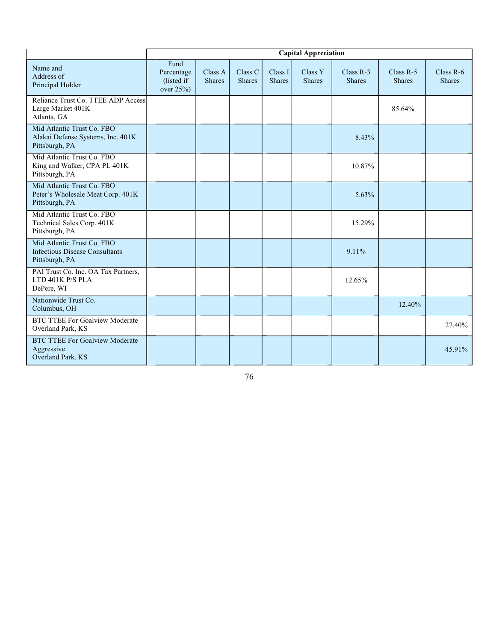|                                                                                       |                                                    | <b>Capital Appreciation</b> |                          |                          |                          |                              |                              |                              |  |  |
|---------------------------------------------------------------------------------------|----------------------------------------------------|-----------------------------|--------------------------|--------------------------|--------------------------|------------------------------|------------------------------|------------------------------|--|--|
| Name and<br>Address of<br>Principal Holder                                            | Fund<br>Percentage<br>(listed if)<br>over $25\%$ ) | Class A<br><b>Shares</b>    | Class C<br><b>Shares</b> | Class I<br><b>Shares</b> | Class Y<br><b>Shares</b> | Class $R-3$<br><b>Shares</b> | Class $R-5$<br><b>Shares</b> | Class $R-6$<br><b>Shares</b> |  |  |
| Reliance Trust Co. TTEE ADP Access<br>Large Market 401K<br>Atlanta, GA                |                                                    |                             |                          |                          |                          |                              | 85.64%                       |                              |  |  |
| Mid Atlantic Trust Co. FBO<br>Alakai Defense Systems, Inc. 401K<br>Pittsburgh, PA     |                                                    |                             |                          |                          |                          | 8.43%                        |                              |                              |  |  |
| Mid Atlantic Trust Co. FBO<br>King and Walker, CPA PL 401K<br>Pittsburgh, PA          |                                                    |                             |                          |                          |                          | 10.87%                       |                              |                              |  |  |
| Mid Atlantic Trust Co. FBO<br>Peter's Wholesale Meat Corp. 401K<br>Pittsburgh, PA     |                                                    |                             |                          |                          |                          | 5.63%                        |                              |                              |  |  |
| Mid Atlantic Trust Co. FBO<br>Technical Sales Corp. 401K<br>Pittsburgh, PA            |                                                    |                             |                          |                          |                          | 15.29%                       |                              |                              |  |  |
| Mid Atlantic Trust Co. FBO<br><b>Infectious Disease Consultants</b><br>Pittsburgh, PA |                                                    |                             |                          |                          |                          | 9.11%                        |                              |                              |  |  |
| PAI Trust Co. Inc. OA Tax Partners,<br>LTD 401K P/S PLA<br>DePere, WI                 |                                                    |                             |                          |                          |                          | 12.65%                       |                              |                              |  |  |
| Nationwide Trust Co.<br>Columbus, OH                                                  |                                                    |                             |                          |                          |                          |                              | 12.40%                       |                              |  |  |
| <b>BTC TTEE For Goalview Moderate</b><br>Overland Park, KS                            |                                                    |                             |                          |                          |                          |                              |                              | 27.40%                       |  |  |
| <b>BTC TTEE For Goalview Moderate</b><br>Aggressive<br>Overland Park, KS              |                                                    |                             |                          |                          |                          |                              |                              | 45.91%                       |  |  |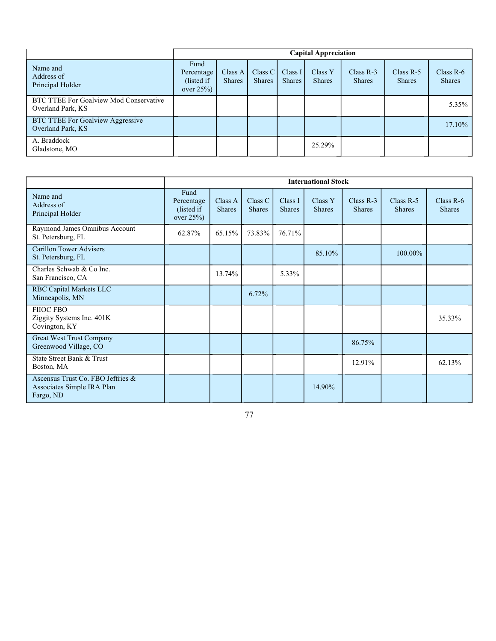|                                                                    |                                                    | <b>Capital Appreciation</b> |                          |                          |                          |                              |                              |                              |
|--------------------------------------------------------------------|----------------------------------------------------|-----------------------------|--------------------------|--------------------------|--------------------------|------------------------------|------------------------------|------------------------------|
| Name and<br>Address of<br>Principal Holder                         | Fund<br>Percentage<br>(listed if)<br>over $25\%$ ) | Class A<br><b>Shares</b>    | Class C<br><b>Shares</b> | Class I<br><b>Shares</b> | Class Y<br><b>Shares</b> | Class $R-3$<br><b>Shares</b> | Class $R-5$<br><b>Shares</b> | Class $R-6$<br><b>Shares</b> |
| <b>BTC TTEE For Goalview Mod Conservative</b><br>Overland Park, KS |                                                    |                             |                          |                          |                          |                              |                              | 5.35%                        |
| <b>BTC TTEE For Goalview Aggressive</b><br>Overland Park, KS       |                                                    |                             |                          |                          |                          |                              |                              | 17.10%                       |
| A. Braddock<br>Gladstone, MO                                       |                                                    |                             |                          |                          | 25.29%                   |                              |                              |                              |

|                                                                              |                                                    |                          |                          |                          | <b>International Stock</b> |                              |                              |                              |
|------------------------------------------------------------------------------|----------------------------------------------------|--------------------------|--------------------------|--------------------------|----------------------------|------------------------------|------------------------------|------------------------------|
| Name and<br>Address of<br>Principal Holder                                   | Fund<br>Percentage<br>(listed if)<br>over $25\%$ ) | Class A<br><b>Shares</b> | Class C<br><b>Shares</b> | Class I<br><b>Shares</b> | Class Y<br><b>Shares</b>   | Class $R-3$<br><b>Shares</b> | Class $R-5$<br><b>Shares</b> | $Class R-6$<br><b>Shares</b> |
| Raymond James Omnibus Account<br>St. Petersburg, FL                          | 62.87%                                             | 65.15%                   | 73.83%                   | 76.71%                   |                            |                              |                              |                              |
| <b>Carillon Tower Advisers</b><br>St. Petersburg, FL                         |                                                    |                          |                          |                          | 85.10%                     |                              | 100.00%                      |                              |
| Charles Schwab & Co Inc.<br>San Francisco, CA                                |                                                    | 13.74%                   |                          | 5.33%                    |                            |                              |                              |                              |
| RBC Capital Markets LLC<br>Minneapolis, MN                                   |                                                    |                          | $6.72\%$                 |                          |                            |                              |                              |                              |
| <b>FIIOC FBO</b><br>Ziggity Systems Inc. 401K<br>Covington, KY               |                                                    |                          |                          |                          |                            |                              |                              | 35.33%                       |
| Great West Trust Company<br>Greenwood Village, CO                            |                                                    |                          |                          |                          |                            | 86.75%                       |                              |                              |
| State Street Bank & Trust<br>Boston, MA                                      |                                                    |                          |                          |                          |                            | 12.91%                       |                              | 62.13%                       |
| Ascensus Trust Co. FBO Jeffries &<br>Associates Simple IRA Plan<br>Fargo, ND |                                                    |                          |                          |                          | 14.90%                     |                              |                              |                              |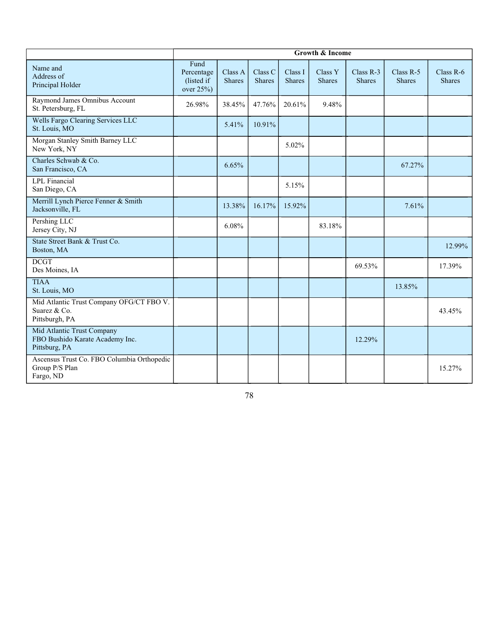|                                                                                |                                                    | <b>Growth &amp; Income</b> |                          |                          |                          |                            |                            |                              |
|--------------------------------------------------------------------------------|----------------------------------------------------|----------------------------|--------------------------|--------------------------|--------------------------|----------------------------|----------------------------|------------------------------|
| Name and<br>Address of<br>Principal Holder                                     | Fund<br>Percentage<br>(listed if)<br>over $25\%$ ) | Class A<br><b>Shares</b>   | Class C<br><b>Shares</b> | Class I<br><b>Shares</b> | Class Y<br><b>Shares</b> | Class R-3<br><b>Shares</b> | Class R-5<br><b>Shares</b> | $Class R-6$<br><b>Shares</b> |
| Raymond James Omnibus Account<br>St. Petersburg, FL                            | 26.98%                                             | 38.45%                     | 47.76%                   | 20.61%                   | 9.48%                    |                            |                            |                              |
| Wells Fargo Clearing Services LLC<br>St. Louis, MO                             |                                                    | 5.41%                      | 10.91%                   |                          |                          |                            |                            |                              |
| Morgan Stanley Smith Barney LLC<br>New York, NY                                |                                                    |                            |                          | 5.02%                    |                          |                            |                            |                              |
| Charles Schwab & Co.<br>San Francisco, CA                                      |                                                    | 6.65%                      |                          |                          |                          |                            | 67.27%                     |                              |
| LPL Financial<br>San Diego, CA                                                 |                                                    |                            |                          | 5.15%                    |                          |                            |                            |                              |
| Merrill Lynch Pierce Fenner & Smith<br>Jacksonville, FL                        |                                                    | 13.38%                     | 16.17%                   | 15.92%                   |                          |                            | 7.61%                      |                              |
| Pershing LLC<br>Jersey City, NJ                                                |                                                    | 6.08%                      |                          |                          | 83.18%                   |                            |                            |                              |
| State Street Bank & Trust Co.<br>Boston, MA                                    |                                                    |                            |                          |                          |                          |                            |                            | 12.99%                       |
| <b>DCGT</b><br>Des Moines, IA                                                  |                                                    |                            |                          |                          |                          | 69.53%                     |                            | 17.39%                       |
| <b>TIAA</b><br>St. Louis, MO                                                   |                                                    |                            |                          |                          |                          |                            | 13.85%                     |                              |
| Mid Atlantic Trust Company OFG/CT FBO V.<br>Suarez & Co.<br>Pittsburgh, PA     |                                                    |                            |                          |                          |                          |                            |                            | 43.45%                       |
| Mid Atlantic Trust Company<br>FBO Bushido Karate Academy Inc.<br>Pittsburg, PA |                                                    |                            |                          |                          |                          | 12.29%                     |                            |                              |
| Ascensus Trust Co. FBO Columbia Orthopedic<br>Group P/S Plan<br>Fargo, ND      |                                                    |                            |                          |                          |                          |                            |                            | 15.27%                       |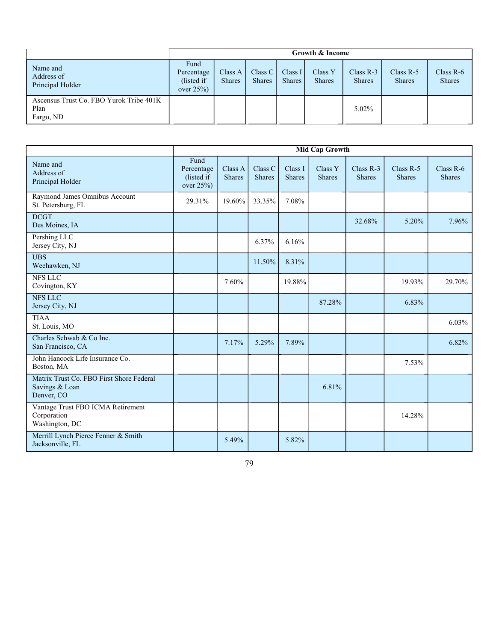|                                                              |                                                    | Growth & Income          |                          |                          |                          |                            |                            |                            |
|--------------------------------------------------------------|----------------------------------------------------|--------------------------|--------------------------|--------------------------|--------------------------|----------------------------|----------------------------|----------------------------|
| Name and<br>Address of<br>Principal Holder                   | Fund<br>Percentage<br>(listed if)<br>over $25\%$ ) | Class A<br><b>Shares</b> | Class C<br><b>Shares</b> | Class I<br><b>Shares</b> | Class Y<br><b>Shares</b> | Class R-3<br><b>Shares</b> | Class R-5<br><b>Shares</b> | Class R-6<br><b>Shares</b> |
| Ascensus Trust Co. FBO Yurok Tribe 401K<br>Plan<br>Fargo, ND |                                                    |                          |                          |                          |                          | $5.02\%$                   |                            |                            |

|                                                                          |                                                    |                          |                                     |                          | <b>Mid Cap Growth</b>    |                            |                            |                              |
|--------------------------------------------------------------------------|----------------------------------------------------|--------------------------|-------------------------------------|--------------------------|--------------------------|----------------------------|----------------------------|------------------------------|
| Name and<br>Address of<br>Principal Holder                               | Fund<br>Percentage<br>(listed if)<br>over $25\%$ ) | Class A<br><b>Shares</b> | Class <sub>C</sub><br><b>Shares</b> | Class I<br><b>Shares</b> | Class Y<br><b>Shares</b> | Class R-3<br><b>Shares</b> | Class R-5<br><b>Shares</b> | Class $R-6$<br><b>Shares</b> |
| Raymond James Omnibus Account<br>St. Petersburg, FL                      | 29.31%                                             | 19.60%                   | 33.35%                              | 7.08%                    |                          |                            |                            |                              |
| <b>DCGT</b><br>Des Moines, IA                                            |                                                    |                          |                                     |                          |                          | 32.68%                     | 5.20%                      | $7.96\%$                     |
| Pershing LLC<br>Jersey City, NJ                                          |                                                    |                          | 6.37%                               | 6.16%                    |                          |                            |                            |                              |
| <b>UBS</b><br>Weehawken, NJ                                              |                                                    |                          | 11.50%                              | 8.31%                    |                          |                            |                            |                              |
| <b>NFS LLC</b><br>Covington, KY                                          |                                                    | 7.60%                    |                                     | 19.88%                   |                          |                            | 19.93%                     | 29.70%                       |
| <b>NFS LLC</b><br>Jersey City, NJ                                        |                                                    |                          |                                     |                          | 87.28%                   |                            | 6.83%                      |                              |
| <b>TIAA</b><br>St. Louis, MO                                             |                                                    |                          |                                     |                          |                          |                            |                            | 6.03%                        |
| Charles Schwab & Co Inc.<br>San Francisco, CA                            |                                                    | 7.17%                    | 5.29%                               | 7.89%                    |                          |                            |                            | $6.82\%$                     |
| John Hancock Life Insurance Co.<br>Boston, MA                            |                                                    |                          |                                     |                          |                          |                            | 7.53%                      |                              |
| Matrix Trust Co. FBO First Shore Federal<br>Savings & Loan<br>Denver, CO |                                                    |                          |                                     |                          | 6.81%                    |                            |                            |                              |
| Vantage Trust FBO ICMA Retirement<br>Corporation<br>Washington, DC       |                                                    |                          |                                     |                          |                          |                            | 14.28%                     |                              |
| Merrill Lynch Pierce Fenner & Smith<br>Jacksonville, FL                  |                                                    | 5.49%                    |                                     | 5.82%                    |                          |                            |                            |                              |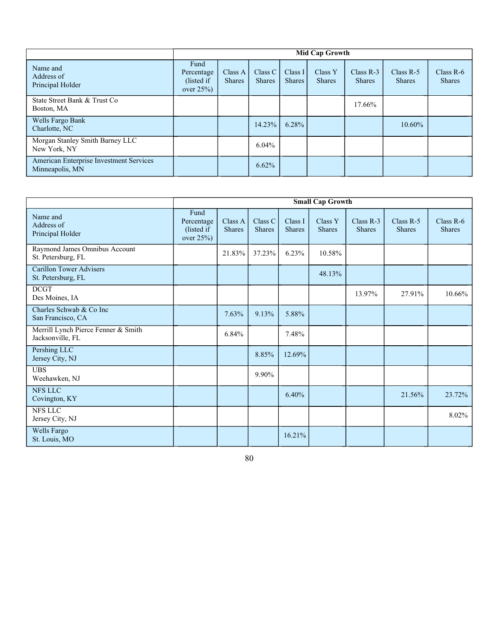|                                                            |                                                    | Mid Cap Growth           |                          |                          |                          |                              |                              |                              |  |  |  |
|------------------------------------------------------------|----------------------------------------------------|--------------------------|--------------------------|--------------------------|--------------------------|------------------------------|------------------------------|------------------------------|--|--|--|
| Name and<br>Address of<br>Principal Holder                 | Fund<br>Percentage<br>(listed if)<br>over $25\%$ ) | Class A<br><b>Shares</b> | Class C<br><b>Shares</b> | Class I<br><b>Shares</b> | Class Y<br><b>Shares</b> | Class $R-3$<br><b>Shares</b> | Class $R-5$<br><b>Shares</b> | Class $R-6$<br><b>Shares</b> |  |  |  |
| State Street Bank & Trust Co<br>Boston, MA                 |                                                    |                          |                          |                          |                          | 17.66%                       |                              |                              |  |  |  |
| Wells Fargo Bank<br>Charlotte, NC                          |                                                    |                          | 14.23%                   | 6.28%                    |                          |                              | $10.60\%$                    |                              |  |  |  |
| Morgan Stanley Smith Barney LLC<br>New York, NY            |                                                    |                          | $6.04\%$                 |                          |                          |                              |                              |                              |  |  |  |
| American Enterprise Investment Services<br>Minneapolis, MN |                                                    |                          | $6.62\%$                 |                          |                          |                              |                              |                              |  |  |  |

|                                                         |                                                    |                          |                          |                          | <b>Small Cap Growth</b> |                              |                              |                              |
|---------------------------------------------------------|----------------------------------------------------|--------------------------|--------------------------|--------------------------|-------------------------|------------------------------|------------------------------|------------------------------|
| Name and<br>Address of<br>Principal Holder              | Fund<br>Percentage<br>(listed if)<br>over $25\%$ ) | Class A<br><b>Shares</b> | Class C<br><b>Shares</b> | Class I<br><b>Shares</b> | Class Y<br>Shares       | Class $R-3$<br><b>Shares</b> | Class $R-5$<br><b>Shares</b> | Class $R-6$<br><b>Shares</b> |
| Raymond James Omnibus Account<br>St. Petersburg, FL     |                                                    | 21.83%                   | 37.23%                   | 6.23%                    | 10.58%                  |                              |                              |                              |
| <b>Carillon Tower Advisers</b><br>St. Petersburg, FL    |                                                    |                          |                          |                          | 48.13%                  |                              |                              |                              |
| <b>DCGT</b><br>Des Moines, IA                           |                                                    |                          |                          |                          |                         | 13.97%                       | 27.91%                       | 10.66%                       |
| Charles Schwab & Co Inc<br>San Francisco, CA            |                                                    | 7.63%                    | 9.13%                    | 5.88%                    |                         |                              |                              |                              |
| Merrill Lynch Pierce Fenner & Smith<br>Jacksonville, FL |                                                    | 6.84%                    |                          | 7.48%                    |                         |                              |                              |                              |
| Pershing LLC<br>Jersey City, NJ                         |                                                    |                          | 8.85%                    | 12.69%                   |                         |                              |                              |                              |
| <b>UBS</b><br>Weehawken, NJ                             |                                                    |                          | 9.90%                    |                          |                         |                              |                              |                              |
| NFS LLC<br>Covington, KY                                |                                                    |                          |                          | 6.40%                    |                         |                              | 21.56%                       | 23.72%                       |
| NFS LLC<br>Jersey City, NJ                              |                                                    |                          |                          |                          |                         |                              |                              | 8.02%                        |
| Wells Fargo<br>St. Louis, MO                            |                                                    |                          |                          | 16.21%                   |                         |                              |                              |                              |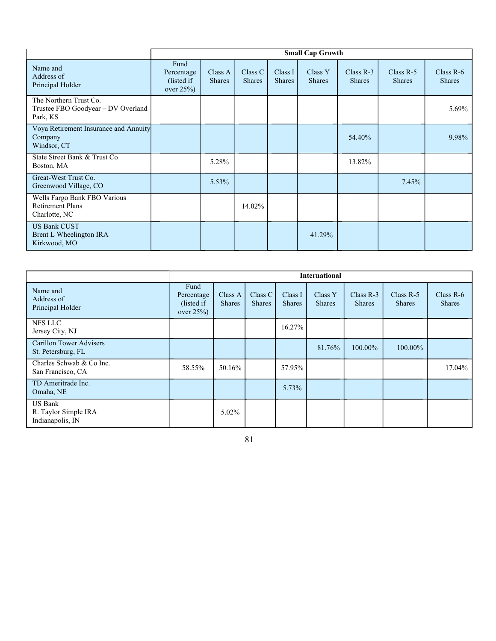|                                                                          |                                                    |                          |                          |                          | <b>Small Cap Growth</b>  |                              |                              |                              |
|--------------------------------------------------------------------------|----------------------------------------------------|--------------------------|--------------------------|--------------------------|--------------------------|------------------------------|------------------------------|------------------------------|
| Name and<br>Address of<br>Principal Holder                               | Fund<br>Percentage<br>(listed if)<br>over $25\%$ ) | Class A<br><b>Shares</b> | Class C<br><b>Shares</b> | Class I<br><b>Shares</b> | Class Y<br><b>Shares</b> | Class $R-3$<br><b>Shares</b> | Class $R-5$<br><b>Shares</b> | Class $R-6$<br><b>Shares</b> |
| The Northern Trust Co.<br>Trustee FBO Goodyear – DV Overland<br>Park, KS |                                                    |                          |                          |                          |                          |                              |                              | 5.69%                        |
| Voya Retirement Insurance and Annuity<br>Company<br>Windsor, CT          |                                                    |                          |                          |                          |                          | 54.40%                       |                              | 9.98%                        |
| State Street Bank & Trust Co<br>Boston, MA                               |                                                    | 5.28%                    |                          |                          |                          | 13.82%                       |                              |                              |
| Great-West Trust Co.<br>Greenwood Village, CO                            |                                                    | 5.53%                    |                          |                          |                          |                              | 7.45%                        |                              |
| Wells Fargo Bank FBO Various<br><b>Retirement Plans</b><br>Charlotte, NC |                                                    |                          | 14.02%                   |                          |                          |                              |                              |                              |
| <b>US Bank CUST</b><br>Brent L Wheelington IRA<br>Kirkwood, MO           |                                                    |                          |                          |                          | 41.29%                   |                              |                              |                              |

|                                                            |                                                    |                          |                          |                          | <b>International</b>     |                              |                              |                              |
|------------------------------------------------------------|----------------------------------------------------|--------------------------|--------------------------|--------------------------|--------------------------|------------------------------|------------------------------|------------------------------|
| Name and<br>Address of<br>Principal Holder                 | Fund<br>Percentage<br>(listed if)<br>over $25\%$ ) | Class A<br><b>Shares</b> | Class C<br><b>Shares</b> | Class I<br><b>Shares</b> | Class Y<br><b>Shares</b> | Class $R-3$<br><b>Shares</b> | Class $R-5$<br><b>Shares</b> | Class $R-6$<br><b>Shares</b> |
| NFS LLC<br>Jersey City, NJ                                 |                                                    |                          |                          | 16.27%                   |                          |                              |                              |                              |
| <b>Carillon Tower Advisers</b><br>St. Petersburg, FL       |                                                    |                          |                          |                          | 81.76%                   | $100.00\%$                   | $100.00\%$                   |                              |
| Charles Schwab & Co Inc.<br>San Francisco, CA              | 58.55%                                             | 50.16%                   |                          | 57.95%                   |                          |                              |                              | 17.04%                       |
| TD Ameritrade Inc.<br>Omaha, NE                            |                                                    |                          |                          | 5.73%                    |                          |                              |                              |                              |
| <b>US Bank</b><br>R. Taylor Simple IRA<br>Indianapolis, IN |                                                    | 5.02%                    |                          |                          |                          |                              |                              |                              |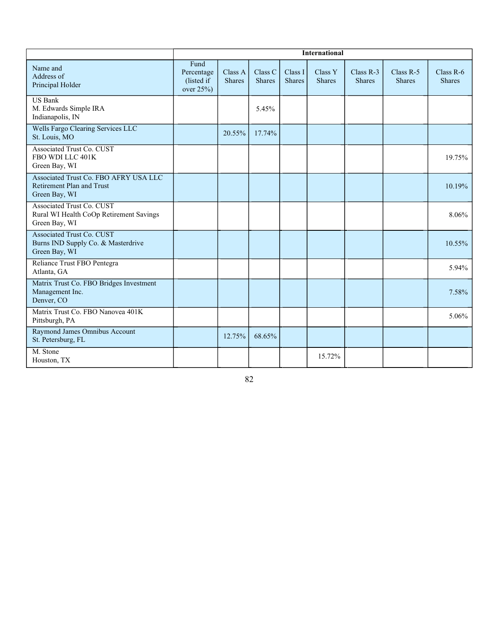|                                                                                            |                                                    |                          |                          |                          | <b>International</b>     |                              |                              |                              |
|--------------------------------------------------------------------------------------------|----------------------------------------------------|--------------------------|--------------------------|--------------------------|--------------------------|------------------------------|------------------------------|------------------------------|
| Name and<br>Address of<br>Principal Holder                                                 | Fund<br>Percentage<br>(listed if)<br>over $25\%$ ) | Class A<br><b>Shares</b> | Class C<br><b>Shares</b> | Class I<br><b>Shares</b> | Class Y<br><b>Shares</b> | Class $R-3$<br><b>Shares</b> | Class $R-5$<br><b>Shares</b> | Class $R-6$<br><b>Shares</b> |
| <b>US</b> Bank<br>M. Edwards Simple IRA<br>Indianapolis, IN                                |                                                    |                          | 5.45%                    |                          |                          |                              |                              |                              |
| Wells Fargo Clearing Services LLC<br>St. Louis, MO                                         |                                                    | 20.55%                   | 17.74%                   |                          |                          |                              |                              |                              |
| Associated Trust Co. CUST<br>FBO WDI LLC 401K<br>Green Bay, WI                             |                                                    |                          |                          |                          |                          |                              |                              | 19.75%                       |
| Associated Trust Co. FBO AFRY USA LLC<br><b>Retirement Plan and Trust</b><br>Green Bay, WI |                                                    |                          |                          |                          |                          |                              |                              | 10.19%                       |
| Associated Trust Co. CUST<br>Rural WI Health CoOp Retirement Savings<br>Green Bay, WI      |                                                    |                          |                          |                          |                          |                              |                              | 8.06%                        |
| Associated Trust Co. CUST<br>Burns IND Supply Co. & Masterdrive<br>Green Bay, WI           |                                                    |                          |                          |                          |                          |                              |                              | 10.55%                       |
| Reliance Trust FBO Pentegra<br>Atlanta, GA                                                 |                                                    |                          |                          |                          |                          |                              |                              | 5.94%                        |
| Matrix Trust Co. FBO Bridges Investment<br>Management Inc.<br>Denver, CO                   |                                                    |                          |                          |                          |                          |                              |                              | 7.58%                        |
| Matrix Trust Co. FBO Nanovea 401K<br>Pittsburgh, PA                                        |                                                    |                          |                          |                          |                          |                              |                              | 5.06%                        |
| Raymond James Omnibus Account<br>St. Petersburg, FL                                        |                                                    | 12.75%                   | 68.65%                   |                          |                          |                              |                              |                              |
| M. Stone<br>Houston, TX                                                                    |                                                    |                          |                          |                          | 15.72%                   |                              |                              |                              |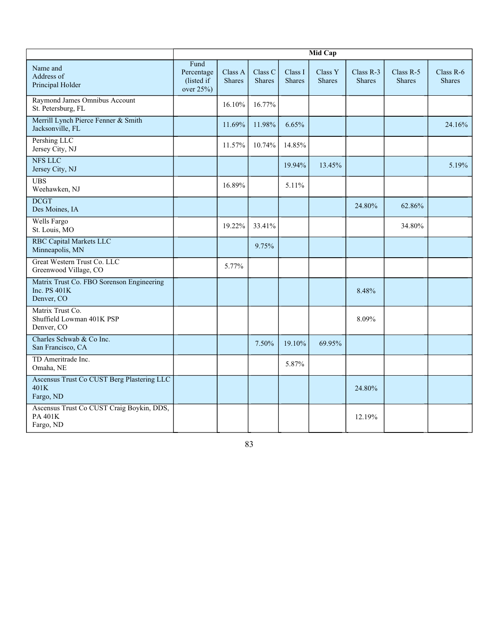|                                                                         | <b>Mid Cap</b>                                    |                          |                          |                          |                          |                            |                              |                            |  |  |
|-------------------------------------------------------------------------|---------------------------------------------------|--------------------------|--------------------------|--------------------------|--------------------------|----------------------------|------------------------------|----------------------------|--|--|
| Name and<br>Address of<br>Principal Holder                              | Fund<br>Percentage<br>(listed if<br>over $25\%$ ) | Class A<br><b>Shares</b> | Class C<br><b>Shares</b> | Class I<br><b>Shares</b> | Class Y<br><b>Shares</b> | Class R-3<br><b>Shares</b> | Class $R-5$<br><b>Shares</b> | Class R-6<br><b>Shares</b> |  |  |
| Raymond James Omnibus Account<br>St. Petersburg, FL                     |                                                   | 16.10%                   | 16.77%                   |                          |                          |                            |                              |                            |  |  |
| Merrill Lynch Pierce Fenner & Smith<br>Jacksonville, FL                 |                                                   | 11.69%                   | 11.98%                   | 6.65%                    |                          |                            |                              | 24.16%                     |  |  |
| Pershing LLC<br>Jersey City, NJ                                         |                                                   | 11.57%                   | 10.74%                   | 14.85%                   |                          |                            |                              |                            |  |  |
| <b>NFS LLC</b><br>Jersey City, NJ                                       |                                                   |                          |                          | 19.94%                   | 13.45%                   |                            |                              | 5.19%                      |  |  |
| <b>UBS</b><br>Weehawken, NJ                                             |                                                   | 16.89%                   |                          | 5.11%                    |                          |                            |                              |                            |  |  |
| <b>DCGT</b><br>Des Moines, IA                                           |                                                   |                          |                          |                          |                          | 24.80%                     | 62.86%                       |                            |  |  |
| Wells Fargo<br>St. Louis, MO                                            |                                                   | 19.22%                   | 33.41%                   |                          |                          |                            | 34.80%                       |                            |  |  |
| <b>RBC Capital Markets LLC</b><br>Minneapolis, MN                       |                                                   |                          | 9.75%                    |                          |                          |                            |                              |                            |  |  |
| Great Western Trust Co. LLC<br>Greenwood Village, CO                    |                                                   | 5.77%                    |                          |                          |                          |                            |                              |                            |  |  |
| Matrix Trust Co. FBO Sorenson Engineering<br>Inc. PS 401K<br>Denver, CO |                                                   |                          |                          |                          |                          | 8.48%                      |                              |                            |  |  |
| Matrix Trust Co.<br>Shuffield Lowman 401K PSP<br>Denver, CO             |                                                   |                          |                          |                          |                          | 8.09%                      |                              |                            |  |  |
| Charles Schwab & Co Inc.<br>San Francisco, CA                           |                                                   |                          | 7.50%                    | 19.10%                   | 69.95%                   |                            |                              |                            |  |  |
| TD Ameritrade Inc.<br>Omaha, NE                                         |                                                   |                          |                          | 5.87%                    |                          |                            |                              |                            |  |  |
| Ascensus Trust Co CUST Berg Plastering LLC<br>401K<br>Fargo, ND         |                                                   |                          |                          |                          |                          | 24.80%                     |                              |                            |  |  |
| Ascensus Trust Co CUST Craig Boykin, DDS,<br>PA 401K<br>Fargo, ND       |                                                   |                          |                          |                          |                          | 12.19%                     |                              |                            |  |  |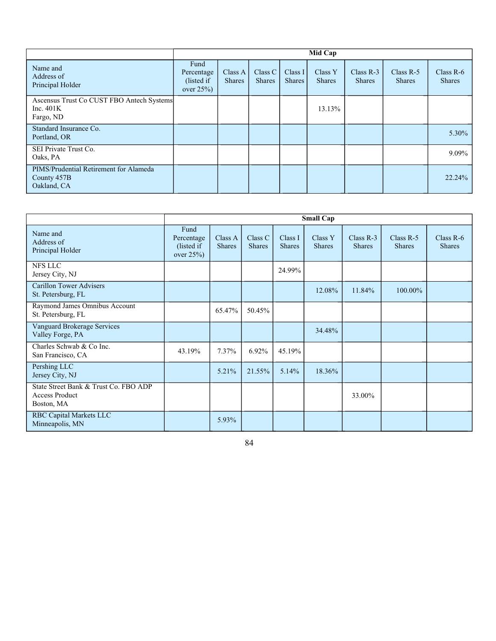|                                                                       |                                                    |                          |                          |                          | Mid Cap                  |                              |                              |                              |
|-----------------------------------------------------------------------|----------------------------------------------------|--------------------------|--------------------------|--------------------------|--------------------------|------------------------------|------------------------------|------------------------------|
| Name and<br>Address of<br>Principal Holder                            | Fund<br>Percentage<br>(listed if)<br>over $25\%$ ) | Class A<br><b>Shares</b> | Class C<br><b>Shares</b> | Class I<br><b>Shares</b> | Class Y<br><b>Shares</b> | Class $R-3$<br><b>Shares</b> | Class $R-5$<br><b>Shares</b> | Class $R-6$<br><b>Shares</b> |
| Ascensus Trust Co CUST FBO Antech Systems<br>Inc. $401K$<br>Fargo, ND |                                                    |                          |                          |                          | 13.13%                   |                              |                              |                              |
| Standard Insurance Co.<br>Portland, OR                                |                                                    |                          |                          |                          |                          |                              |                              | 5.30%                        |
| SEI Private Trust Co.<br>Oaks, PA                                     |                                                    |                          |                          |                          |                          |                              |                              | $9.09\%$                     |
| PIMS/Prudential Retirement for Alameda<br>County 457B<br>Oakland, CA  |                                                    |                          |                          |                          |                          |                              |                              | 22.24%                       |

|                                                                              |                                                    |                          |                          |                          | <b>Small Cap</b>         |                              |                              |                              |
|------------------------------------------------------------------------------|----------------------------------------------------|--------------------------|--------------------------|--------------------------|--------------------------|------------------------------|------------------------------|------------------------------|
| Name and<br>Address of<br>Principal Holder                                   | Fund<br>Percentage<br>(listed if)<br>over $25\%$ ) | Class A<br><b>Shares</b> | Class C<br><b>Shares</b> | Class I<br><b>Shares</b> | Class Y<br><b>Shares</b> | Class $R-3$<br><b>Shares</b> | Class $R-5$<br><b>Shares</b> | Class $R-6$<br><b>Shares</b> |
| NFS LLC<br>Jersey City, NJ                                                   |                                                    |                          |                          | 24.99%                   |                          |                              |                              |                              |
| <b>Carillon Tower Advisers</b><br>St. Petersburg, FL                         |                                                    |                          |                          |                          | 12.08%                   | 11.84%                       | $100.00\%$                   |                              |
| Raymond James Omnibus Account<br>St. Petersburg, FL                          |                                                    | 65.47%                   | 50.45%                   |                          |                          |                              |                              |                              |
| Vanguard Brokerage Services<br>Valley Forge, PA                              |                                                    |                          |                          |                          | 34.48%                   |                              |                              |                              |
| Charles Schwab & Co Inc.<br>San Francisco, CA                                | 43.19%                                             | $7.37\%$                 | 6.92%                    | 45.19%                   |                          |                              |                              |                              |
| Pershing LLC<br>Jersey City, NJ                                              |                                                    | $5.21\%$                 | 21.55%                   | 5.14%                    | 18.36%                   |                              |                              |                              |
| State Street Bank & Trust Co. FBO ADP<br><b>Access Product</b><br>Boston, MA |                                                    |                          |                          |                          |                          | 33.00%                       |                              |                              |
| RBC Capital Markets LLC<br>Minneapolis, MN                                   |                                                    | 5.93%                    |                          |                          |                          |                              |                              |                              |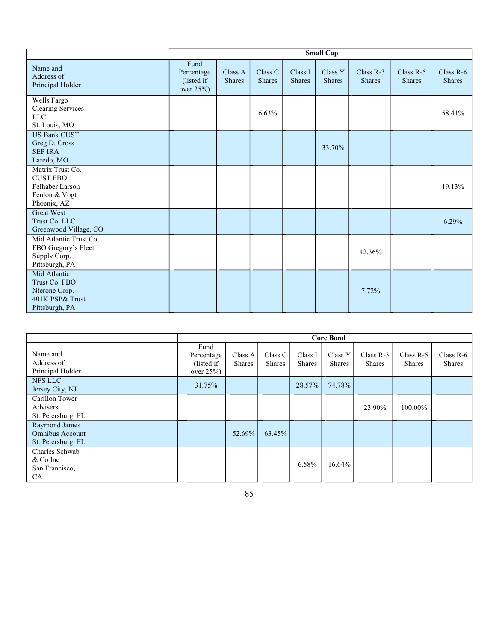|                                                                                        |                                               |                          |                          |                          | <b>Small Cap</b>         |                              |                              |                              |
|----------------------------------------------------------------------------------------|-----------------------------------------------|--------------------------|--------------------------|--------------------------|--------------------------|------------------------------|------------------------------|------------------------------|
| Name and<br>Address of<br>Principal Holder                                             | Fund<br>Percentage<br>(listed if<br>over 25%) | Class A<br><b>Shares</b> | Class C<br><b>Shares</b> | Class I<br><b>Shares</b> | Class Y<br><b>Shares</b> | Class $R-3$<br><b>Shares</b> | Class $R-5$<br><b>Shares</b> | Class $R-6$<br><b>Shares</b> |
| Wells Fargo<br><b>Clearing Services</b><br>LLC<br>St. Louis, MO                        |                                               |                          | 6.63%                    |                          |                          |                              |                              | 58.41%                       |
| <b>US Bank CUST</b><br>Greg D. Cross<br><b>SEP IRA</b><br>Laredo, MO                   |                                               |                          |                          |                          | 33.70%                   |                              |                              |                              |
| Matrix Trust Co.<br><b>CUST FBO</b><br>Felhaber Larson<br>Fenlon & Vogt<br>Phoenix, AZ |                                               |                          |                          |                          |                          |                              |                              | 19.13%                       |
| <b>Great West</b><br>Trust Co. LLC<br>Greenwood Village, CO                            |                                               |                          |                          |                          |                          |                              |                              | 6.29%                        |
| Mid Atlantic Trust Co.<br>FBO Gregory's Fleet<br>Supply Corp.<br>Pittsburgh, PA        |                                               |                          |                          |                          |                          | 42.36%                       |                              |                              |
| Mid Atlantic<br>Trust Co. FBO<br>Nterone Corp.<br>401K PSP& Trust<br>Pittsburgh, PA    |                                               |                          |                          |                          |                          | 7.72%                        |                              |                              |

|                                                               |                                                    |                          |                          |                          | <b>Core Bond</b>         |                              |                            |                              |
|---------------------------------------------------------------|----------------------------------------------------|--------------------------|--------------------------|--------------------------|--------------------------|------------------------------|----------------------------|------------------------------|
| Name and<br>Address of<br>Principal Holder                    | Fund<br>Percentage<br>(listed if)<br>over $25\%$ ) | Class A<br><b>Shares</b> | Class C<br><b>Shares</b> | Class I<br><b>Shares</b> | Class Y<br><b>Shares</b> | Class $R-3$<br><b>Shares</b> | Class R-5<br><b>Shares</b> | Class $R-6$<br><b>Shares</b> |
| NFS LLC<br>Jersey City, NJ                                    | 31.75%                                             |                          |                          | $28.57\%$                | 74.78%                   |                              |                            |                              |
| Carillon Tower<br>Advisers<br>St. Petersburg, FL              |                                                    |                          |                          |                          |                          | 23.90%                       | $100.00\%$                 |                              |
| Raymond James<br><b>Omnibus Account</b><br>St. Petersburg, FL |                                                    | 52.69%                   | 63.45%                   |                          |                          |                              |                            |                              |
| Charles Schwab<br>& Co Inc<br>San Francisco,<br><b>CA</b>     |                                                    |                          |                          | 6.58%                    | 16.64%                   |                              |                            |                              |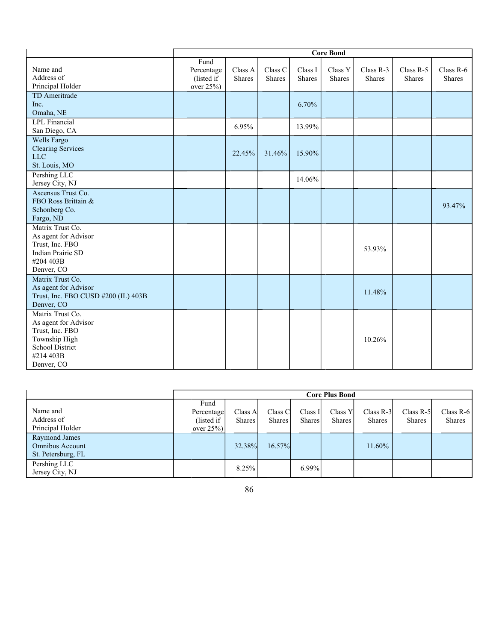|                                                                                                                                   |                                               |                          |                          |                          | <b>Core Bond</b>         |                     |                            |                            |
|-----------------------------------------------------------------------------------------------------------------------------------|-----------------------------------------------|--------------------------|--------------------------|--------------------------|--------------------------|---------------------|----------------------------|----------------------------|
| Name and<br>Address of<br>Principal Holder                                                                                        | Fund<br>Percentage<br>(listed if<br>over 25%) | Class A<br><b>Shares</b> | Class C<br><b>Shares</b> | Class I<br><b>Shares</b> | Class Y<br><b>Shares</b> | Class R-3<br>Shares | Class R-5<br><b>Shares</b> | Class R-6<br><b>Shares</b> |
| TD Ameritrade<br>Inc.<br>Omaha, NE                                                                                                |                                               |                          |                          | 6.70%                    |                          |                     |                            |                            |
| LPL Financial<br>San Diego, CA                                                                                                    |                                               | 6.95%                    |                          | 13.99%                   |                          |                     |                            |                            |
| Wells Fargo<br><b>Clearing Services</b><br><b>LLC</b><br>St. Louis, MO                                                            |                                               | 22.45%                   | 31.46%                   | 15.90%                   |                          |                     |                            |                            |
| Pershing LLC<br>Jersey City, NJ                                                                                                   |                                               |                          |                          | 14.06%                   |                          |                     |                            |                            |
| Ascensus Trust Co.<br>FBO Ross Brittain &<br>Schonberg Co.<br>Fargo, ND                                                           |                                               |                          |                          |                          |                          |                     |                            | 93.47%                     |
| Matrix Trust Co.<br>As agent for Advisor<br>Trust, Inc. FBO<br>Indian Prairie SD<br>#204 403B<br>Denver, CO                       |                                               |                          |                          |                          |                          | 53.93%              |                            |                            |
| Matrix Trust Co.<br>As agent for Advisor<br>Trust, Inc. FBO CUSD #200 (IL) 403B<br>Denver, CO                                     |                                               |                          |                          |                          |                          | 11.48%              |                            |                            |
| Matrix Trust Co.<br>As agent for Advisor<br>Trust, Inc. FBO<br>Township High<br><b>School District</b><br>#214 403B<br>Denver, CO |                                               |                          |                          |                          |                          | 10.26%              |                            |                            |

|                                                               | <b>Core Plus Bond</b>                              |                          |                           |                          |                          |                     |                            |                              |
|---------------------------------------------------------------|----------------------------------------------------|--------------------------|---------------------------|--------------------------|--------------------------|---------------------|----------------------------|------------------------------|
| Name and<br>Address of<br>Principal Holder                    | Fund<br>Percentage<br>(listed if)<br>over $25\%$ ) | Class A<br><b>Shares</b> | Class Cl<br><b>Shares</b> | Class I<br><b>Shares</b> | Class Y<br><b>Shares</b> | Class R-3<br>Shares | Class R-5<br><b>Shares</b> | Class $R-6$<br><b>Shares</b> |
| Raymond James<br><b>Omnibus Account</b><br>St. Petersburg, FL |                                                    | 32.38%                   | 16.57%                    |                          |                          | 11.60%              |                            |                              |
| Pershing LLC<br>Jersey City, NJ                               |                                                    | 8.25%                    |                           | $6.99\%$                 |                          |                     |                            |                              |

| v<br>c<br>۰,<br>I<br>×<br>٧ | ۰.<br>v<br>۰.<br>٠<br>I<br>I<br>×<br>w<br>۰. |
|-----------------------------|----------------------------------------------|
|-----------------------------|----------------------------------------------|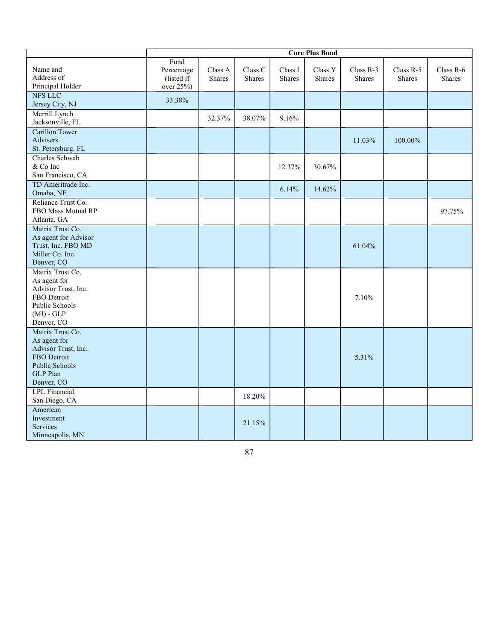|                                                                                                                           |                                               |                          |                          |                          | <b>Core Plus Bond</b>    |                            |                              |                     |
|---------------------------------------------------------------------------------------------------------------------------|-----------------------------------------------|--------------------------|--------------------------|--------------------------|--------------------------|----------------------------|------------------------------|---------------------|
| Name and<br>Address of<br>Principal Holder                                                                                | Fund<br>Percentage<br>(listed if<br>over 25%) | Class A<br><b>Shares</b> | Class C<br><b>Shares</b> | Class I<br><b>Shares</b> | Class Y<br><b>Shares</b> | Class R-3<br><b>Shares</b> | Class $R-5$<br><b>Shares</b> | Class R-6<br>Shares |
| <b>NFS LLC</b><br>Jersey City, NJ                                                                                         | 33.38%                                        |                          |                          |                          |                          |                            |                              |                     |
| Merrill Lynch<br>Jacksonville, FL                                                                                         |                                               | 32.37%                   | 38.07%                   | 9.16%                    |                          |                            |                              |                     |
| <b>Carillon Tower</b><br>Advisers<br>St. Petersburg, FL                                                                   |                                               |                          |                          |                          |                          | 11.03%                     | 100.00%                      |                     |
| Charles Schwab<br>& Co Inc<br>San Francisco, CA                                                                           |                                               |                          |                          | 12.37%                   | 30.67%                   |                            |                              |                     |
| TD Ameritrade Inc.<br>Omaha, NE                                                                                           |                                               |                          |                          | 6.14%                    | 14.62%                   |                            |                              |                     |
| Reliance Trust Co.<br>FBO Mass Mutual RP<br>Atlanta, GA                                                                   |                                               |                          |                          |                          |                          |                            |                              | 97.75%              |
| Matrix Trust Co.<br>As agent for Advisor<br>Trust, Inc. FBO MD<br>Miller Co. Inc.<br>Denver, CO                           |                                               |                          |                          |                          |                          | 61.04%                     |                              |                     |
| Matrix Trust Co.<br>As agent for<br>Advisor Trust, Inc.<br>FBO Detroit<br>Public Schools<br>$(MI) - GLP$<br>Denver, CO    |                                               |                          |                          |                          |                          | 7.10%                      |                              |                     |
| Matrix Trust Co.<br>As agent for<br>Advisor Trust, Inc.<br>FBO Detroit<br>Public Schools<br><b>GLP Plan</b><br>Denver, CO |                                               |                          |                          |                          |                          | 5.31%                      |                              |                     |
| <b>LPL</b> Financial<br>San Diego, CA                                                                                     |                                               |                          | 18.20%                   |                          |                          |                            |                              |                     |
| American<br>Investment<br>Services<br>Minneapolis, MN                                                                     |                                               |                          | 21.15%                   |                          |                          |                            |                              |                     |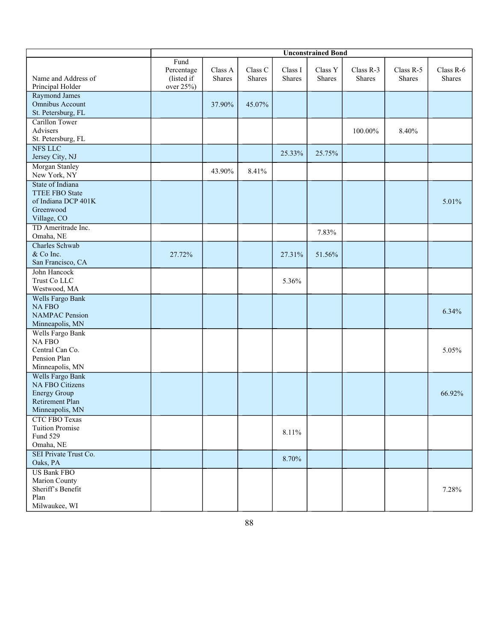|                                                                                                  |                                               |                   |                          |                   | <b>Unconstrained Bond</b> |                            |                            |                            |
|--------------------------------------------------------------------------------------------------|-----------------------------------------------|-------------------|--------------------------|-------------------|---------------------------|----------------------------|----------------------------|----------------------------|
| Name and Address of<br>Principal Holder                                                          | Fund<br>Percentage<br>(listed if<br>over 25%) | Class A<br>Shares | Class C<br><b>Shares</b> | Class I<br>Shares | Class Y<br>Shares         | Class R-3<br><b>Shares</b> | Class R-5<br><b>Shares</b> | Class R-6<br><b>Shares</b> |
| Raymond James<br>Omnibus Account<br>St. Petersburg, FL                                           |                                               | 37.90%            | 45.07%                   |                   |                           |                            |                            |                            |
| Carillon Tower<br>Advisers<br>St. Petersburg, FL                                                 |                                               |                   |                          |                   |                           | 100.00%                    | 8.40%                      |                            |
| <b>NFS LLC</b><br>Jersey City, NJ                                                                |                                               |                   |                          | 25.33%            | 25.75%                    |                            |                            |                            |
| Morgan Stanley<br>New York, NY                                                                   |                                               | 43.90%            | 8.41%                    |                   |                           |                            |                            |                            |
| State of Indiana<br><b>TTEE FBO State</b><br>of Indiana DCP 401K<br>Greenwood<br>Village, CO     |                                               |                   |                          |                   |                           |                            |                            | 5.01%                      |
| TD Ameritrade Inc.<br>Omaha, NE                                                                  |                                               |                   |                          |                   | 7.83%                     |                            |                            |                            |
| Charles Schwab<br>& Co Inc.<br>San Francisco, CA                                                 | 27.72%                                        |                   |                          | 27.31%            | 51.56%                    |                            |                            |                            |
| John Hancock<br>Trust Co LLC<br>Westwood, MA                                                     |                                               |                   |                          | 5.36%             |                           |                            |                            |                            |
| Wells Fargo Bank<br><b>NAFBO</b><br><b>NAMPAC Pension</b><br>Minneapolis, MN                     |                                               |                   |                          |                   |                           |                            |                            | 6.34%                      |
| Wells Fargo Bank<br><b>NAFBO</b><br>Central Can Co.<br>Pension Plan<br>Minneapolis, MN           |                                               |                   |                          |                   |                           |                            |                            | 5.05%                      |
| Wells Fargo Bank<br>NA FBO Citizens<br><b>Energy Group</b><br>Retirement Plan<br>Minneapolis, MN |                                               |                   |                          |                   |                           |                            |                            | 66.92%                     |
| CTC FBO Texas<br><b>Tuition Promise</b><br>Fund 529<br>Omaha, NE                                 |                                               |                   |                          | 8.11%             |                           |                            |                            |                            |
| SEI Private Trust Co.<br>Oaks, PA                                                                |                                               |                   |                          | 8.70%             |                           |                            |                            |                            |
| <b>US Bank FBO</b><br>Marion County<br>Sheriff's Benefit<br>Plan<br>Milwaukee, WI                |                                               |                   |                          |                   |                           |                            |                            | 7.28%                      |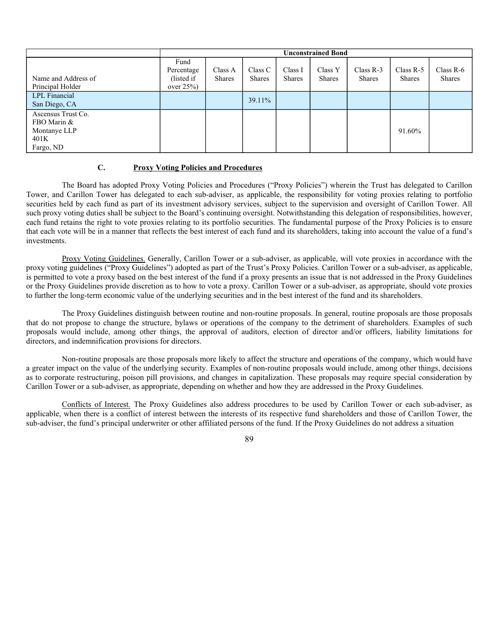|                                                                        | <b>Unconstrained Bond</b>                          |                   |                          |                          |                          |                              |                            |                       |
|------------------------------------------------------------------------|----------------------------------------------------|-------------------|--------------------------|--------------------------|--------------------------|------------------------------|----------------------------|-----------------------|
| Name and Address of<br>Principal Holder                                | Fund<br>Percentage<br>(listed if)<br>over $25\%$ ) | Class A<br>Shares | Class C<br><b>Shares</b> | Class I<br><b>Shares</b> | Class Y<br><b>Shares</b> | Class $R-3$<br><b>Shares</b> | Class R-5<br><b>Shares</b> | Class $R-6$<br>Shares |
| LPL Financial<br>San Diego, CA                                         |                                                    |                   | 39.11%                   |                          |                          |                              |                            |                       |
| Ascensus Trust Co.<br>FBO Marin &<br>Montanye LLP<br>401K<br>Fargo, ND |                                                    |                   |                          |                          |                          |                              | 91.60%                     |                       |

## **C. Proxy Voting Policies and Procedures**

The Board has adopted Proxy Voting Policies and Procedures ("Proxy Policies") wherein the Trust has delegated to Carillon Tower, and Carillon Tower has delegated to each sub-adviser, as applicable, the responsibility for voting proxies relating to portfolio securities held by each fund as part of its investment advisory services, subject to the supervision and oversight of Carillon Tower. All such proxy voting duties shall be subject to the Board's continuing oversight. Notwithstanding this delegation of responsibilities, however, each fund retains the right to vote proxies relating to its portfolio securities. The fundamental purpose of the Proxy Policies is to ensure that each vote will be in a manner that reflects the best interest of each fund and its shareholders, taking into account the value of a fund's investments.

Proxy Voting Guidelines. Generally, Carillon Tower or a sub-adviser, as applicable, will vote proxies in accordance with the proxy voting guidelines ("Proxy Guidelines") adopted as part of the Trust's Proxy Policies. Carillon Tower or a sub-adviser, as applicable, is permitted to vote a proxy based on the best interest of the fund if a proxy presents an issue that is not addressed in the Proxy Guidelines or the Proxy Guidelines provide discretion as to how to vote a proxy. Carillon Tower or a sub-adviser, as appropriate, should vote proxies to further the long-term economic value of the underlying securities and in the best interest of the fund and its shareholders.

The Proxy Guidelines distinguish between routine and non-routine proposals. In general, routine proposals are those proposals that do not propose to change the structure, bylaws or operations of the company to the detriment of shareholders. Examples of such proposals would include, among other things, the approval of auditors, election of director and/or officers, liability limitations for directors, and indemnification provisions for directors.

Non-routine proposals are those proposals more likely to affect the structure and operations of the company, which would have a greater impact on the value of the underlying security. Examples of non-routine proposals would include, among other things, decisions as to corporate restructuring, poison pill provisions, and changes in capitalization. These proposals may require special consideration by Carillon Tower or a sub-adviser, as appropriate, depending on whether and how they are addressed in the Proxy Guidelines.

Conflicts of Interest*.* The Proxy Guidelines also address procedures to be used by Carillon Tower or each sub-adviser, as applicable, when there is a conflict of interest between the interests of its respective fund shareholders and those of Carillon Tower, the sub-adviser, the fund's principal underwriter or other affiliated persons of the fund. If the Proxy Guidelines do not address a situation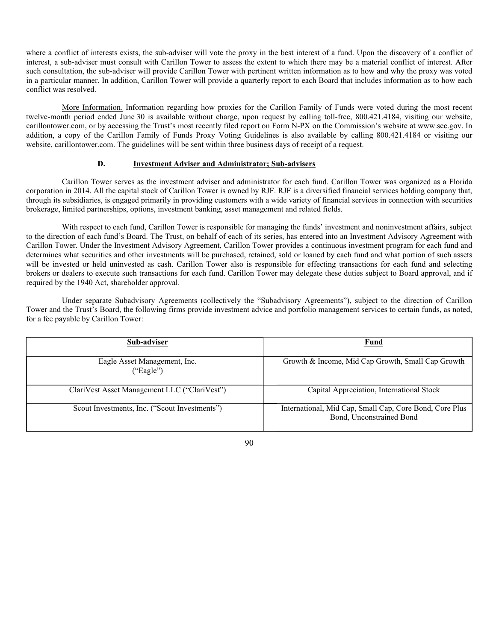where a conflict of interests exists, the sub-adviser will vote the proxy in the best interest of a fund. Upon the discovery of a conflict of interest, a sub-adviser must consult with Carillon Tower to assess the extent to which there may be a material conflict of interest. After such consultation, the sub-adviser will provide Carillon Tower with pertinent written information as to how and why the proxy was voted in a particular manner. In addition, Carillon Tower will provide a quarterly report to each Board that includes information as to how each conflict was resolved.

More Information*.* Information regarding how proxies for the Carillon Family of Funds were voted during the most recent twelve-month period ended June 30 is available without charge, upon request by calling toll-free, 800.421.4184, visiting our website, carillontower.com, or by accessing the Trust's most recently filed report on Form N-PX on the Commission's website at www.sec.gov. In addition, a copy of the Carillon Family of Funds Proxy Voting Guidelines is also available by calling 800.421.4184 or visiting our website, carillontower.com. The guidelines will be sent within three business days of receipt of a request.

### **D. Investment Adviser and Administrator; Sub-advisers**

Carillon Tower serves as the investment adviser and administrator for each fund. Carillon Tower was organized as a Florida corporation in 2014. All the capital stock of Carillon Tower is owned by RJF. RJF is a diversified financial services holding company that, through its subsidiaries, is engaged primarily in providing customers with a wide variety of financial services in connection with securities brokerage, limited partnerships, options, investment banking, asset management and related fields.

With respect to each fund, Carillon Tower is responsible for managing the funds' investment and noninvestment affairs, subject to the direction of each fund's Board. The Trust, on behalf of each of its series, has entered into an Investment Advisory Agreement with Carillon Tower. Under the Investment Advisory Agreement, Carillon Tower provides a continuous investment program for each fund and determines what securities and other investments will be purchased, retained, sold or loaned by each fund and what portion of such assets will be invested or held uninvested as cash. Carillon Tower also is responsible for effecting transactions for each fund and selecting brokers or dealers to execute such transactions for each fund. Carillon Tower may delegate these duties subject to Board approval, and if required by the 1940 Act, shareholder approval.

Under separate Subadvisory Agreements (collectively the "Subadvisory Agreements"), subject to the direction of Carillon Tower and the Trust's Board, the following firms provide investment advice and portfolio management services to certain funds, as noted, for a fee payable by Carillon Tower:

| Sub-adviser                                   | Fund                                                                                |
|-----------------------------------------------|-------------------------------------------------------------------------------------|
| Eagle Asset Management, Inc.<br>("Eagle")     | Growth & Income, Mid Cap Growth, Small Cap Growth                                   |
| ClariVest Asset Management LLC ("ClariVest")  | Capital Appreciation, International Stock                                           |
| Scout Investments, Inc. ("Scout Investments") | International, Mid Cap, Small Cap, Core Bond, Core Plus<br>Bond, Unconstrained Bond |

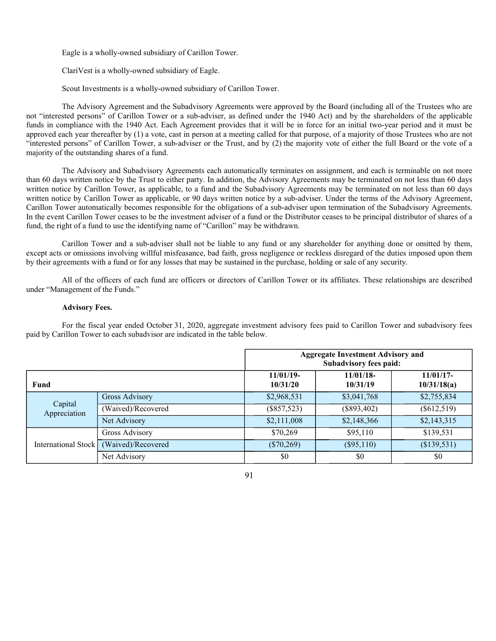Eagle is a wholly-owned subsidiary of Carillon Tower.

ClariVest is a wholly-owned subsidiary of Eagle.

Scout Investments is a wholly-owned subsidiary of Carillon Tower.

The Advisory Agreement and the Subadvisory Agreements were approved by the Board (including all of the Trustees who are not "interested persons" of Carillon Tower or a sub-adviser, as defined under the 1940 Act) and by the shareholders of the applicable funds in compliance with the 1940 Act. Each Agreement provides that it will be in force for an initial two-year period and it must be approved each year thereafter by (1) a vote, cast in person at a meeting called for that purpose, of a majority of those Trustees who are not "interested persons" of Carillon Tower, a sub-adviser or the Trust, and by (2) the majority vote of either the full Board or the vote of a majority of the outstanding shares of a fund.

The Advisory and Subadvisory Agreements each automatically terminates on assignment, and each is terminable on not more than 60 days written notice by the Trust to either party. In addition, the Advisory Agreements may be terminated on not less than 60 days written notice by Carillon Tower, as applicable, to a fund and the Subadvisory Agreements may be terminated on not less than 60 days written notice by Carillon Tower as applicable, or 90 days written notice by a sub-adviser. Under the terms of the Advisory Agreement, Carillon Tower automatically becomes responsible for the obligations of a sub-adviser upon termination of the Subadvisory Agreements. In the event Carillon Tower ceases to be the investment adviser of a fund or the Distributor ceases to be principal distributor of shares of a fund, the right of a fund to use the identifying name of "Carillon" may be withdrawn.

Carillon Tower and a sub-adviser shall not be liable to any fund or any shareholder for anything done or omitted by them, except acts or omissions involving willful misfeasance, bad faith, gross negligence or reckless disregard of the duties imposed upon them by their agreements with a fund or for any losses that may be sustained in the purchase, holding or sale of any security.

All of the officers of each fund are officers or directors of Carillon Tower or its affiliates. These relationships are described under "Management of the Funds."

## **Advisory Fees.**

For the fiscal year ended October 31, 2020, aggregate investment advisory fees paid to Carillon Tower and subadvisory fees paid by Carillon Tower to each subadvisor are indicated in the table below.

|                         |                       | <b>Aggregate Investment Advisory and</b><br>Subadvisory fees paid: |                          |                             |  |
|-------------------------|-----------------------|--------------------------------------------------------------------|--------------------------|-----------------------------|--|
| Fund                    |                       | $11/01/19$ -<br>10/31/20                                           | $11/01/18$ -<br>10/31/19 | $11/01/17$ -<br>10/31/18(a) |  |
| Capital<br>Appreciation | <b>Gross Advisory</b> | \$2,968,531                                                        | \$3,041,768              | \$2,755,834                 |  |
|                         | (Waived)/Recovered    | $(\$857,523)$                                                      | $(\$893,402)$            | $(\$612,519)$               |  |
|                         | Net Advisory          | \$2,111,008                                                        | \$2,148,366              | \$2,143,315                 |  |
|                         | Gross Advisory        | \$70,269                                                           | \$95,110                 | \$139,531                   |  |
| International Stock     | (Waived)/Recovered    | $(\$70,269)$                                                       | $(\$95,110)$             | (\$139,531)                 |  |
|                         | Net Advisory          | \$0                                                                | \$0                      | \$0                         |  |

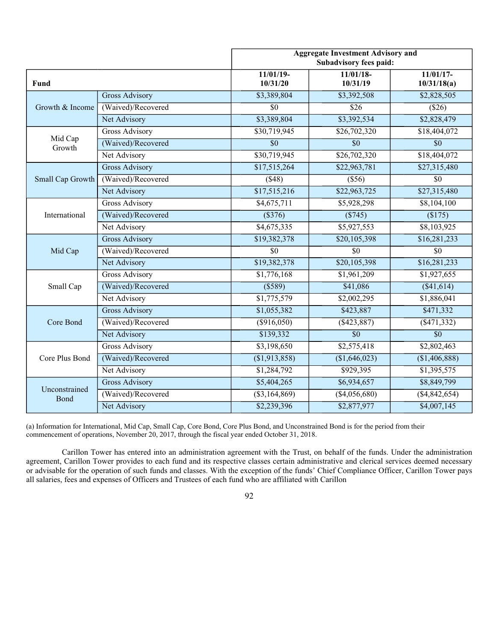|                       |                       | <b>Aggregate Investment Advisory and</b><br><b>Subadvisory fees paid:</b> |                         |                            |  |  |
|-----------------------|-----------------------|---------------------------------------------------------------------------|-------------------------|----------------------------|--|--|
| Fund                  |                       | 11/01/19-<br>10/31/20                                                     | $11/01/18-$<br>10/31/19 | $11/01/17-$<br>10/31/18(a) |  |  |
|                       | <b>Gross Advisory</b> | \$3,389,804                                                               | \$3,392,508             | \$2,828,505                |  |  |
| Growth & Income       | (Waived)/Recovered    | \$0                                                                       | \$26                    | (\$26)                     |  |  |
|                       | Net Advisory          | \$3,389,804                                                               | \$3,392,534             | \$2,828,479                |  |  |
|                       | <b>Gross Advisory</b> | \$30,719,945                                                              | \$26,702,320            | \$18,404,072               |  |  |
| Mid Cap<br>Growth     | (Waived)/Recovered    | $\overline{\$0}$                                                          | $\overline{\$0}$        | $\overline{\$0}$           |  |  |
|                       | Net Advisory          | \$30,719,945                                                              | \$26,702,320            | \$18,404,072               |  |  |
|                       | <b>Gross Advisory</b> | \$17,515,264                                                              | \$22,963,781            | \$27,315,480               |  |  |
| Small Cap Growth      | (Waived)/Recovered    | ( \$48)                                                                   | (\$56)                  | \$0                        |  |  |
|                       | Net Advisory          | \$17,515,216                                                              | \$22,963,725            | \$27,315,480               |  |  |
|                       | <b>Gross Advisory</b> | \$4,675,711                                                               | \$5,928,298             | \$8,104,100                |  |  |
| International         | (Waived)/Recovered    | (\$376)                                                                   | (\$745)                 | (\$175)                    |  |  |
|                       | Net Advisory          | \$4,675,335                                                               | \$5,927,553             | \$8,103,925                |  |  |
|                       | <b>Gross Advisory</b> | \$19,382,378                                                              | \$20,105,398            | \$16,281,233               |  |  |
| Mid Cap               | (Waived)/Recovered    | \$0                                                                       | \$0                     | \$0                        |  |  |
|                       | Net Advisory          | \$19,382,378                                                              | \$20,105,398            | \$16,281,233               |  |  |
|                       | <b>Gross Advisory</b> | \$1,776,168                                                               | \$1,961,209             | \$1,927,655                |  |  |
| Small Cap             | (Waived)/Recovered    | (\$589)                                                                   | \$41,086                | ( \$41,614)                |  |  |
|                       | Net Advisory          | \$1,775,579                                                               | \$2,002,295             | \$1,886,041                |  |  |
|                       | <b>Gross Advisory</b> | \$1,055,382                                                               | \$423,887               | \$471,332                  |  |  |
| Core Bond             | (Waived)/Recovered    | $(\$916,050)$                                                             | (\$423,887)             | $($ \$471,332)             |  |  |
|                       | <b>Net Advisory</b>   | \$139,332                                                                 | $\overline{30}$         | $\overline{50}$            |  |  |
|                       | <b>Gross Advisory</b> | \$3,198,650                                                               | \$2,575,418             | \$2,802,463                |  |  |
| Core Plus Bond        | (Waived)/Recovered    | (\$1,913,858)                                                             | (\$1,646,023)           | (\$1,406,888)              |  |  |
|                       | Net Advisory          | \$1,284,792                                                               | \$929,395               | \$1,395,575                |  |  |
|                       | <b>Gross Advisory</b> | \$5,404,265                                                               | \$6,934,657             | \$8,849,799                |  |  |
| Unconstrained<br>Bond | (Waived)/Recovered    | $($ \$3,164,869)                                                          | ( \$4,056,680)          | (\$4,842,654)              |  |  |
|                       | Net Advisory          | \$2,239,396                                                               | \$2,877,977             | \$4,007,145                |  |  |

(a) Information for International, Mid Cap, Small Cap, Core Bond, Core Plus Bond, and Unconstrained Bond is for the period from their commencement of operations, November 20, 2017, through the fiscal year ended October 31, 2018.

Carillon Tower has entered into an administration agreement with the Trust, on behalf of the funds. Under the administration agreement, Carillon Tower provides to each fund and its respective classes certain administrative and clerical services deemed necessary or advisable for the operation of such funds and classes. With the exception of the funds' Chief Compliance Officer, Carillon Tower pays all salaries, fees and expenses of Officers and Trustees of each fund who are affiliated with Carillon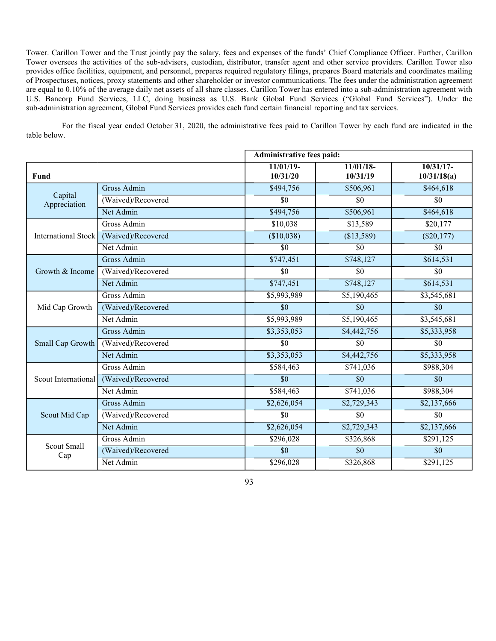Tower. Carillon Tower and the Trust jointly pay the salary, fees and expenses of the funds' Chief Compliance Officer. Further, Carillon Tower oversees the activities of the sub-advisers, custodian, distributor, transfer agent and other service providers. Carillon Tower also provides office facilities, equipment, and personnel, prepares required regulatory filings, prepares Board materials and coordinates mailing of Prospectuses, notices, proxy statements and other shareholder or investor communications. The fees under the administration agreement are equal to 0.10% of the average daily net assets of all share classes. Carillon Tower has entered into a sub-administration agreement with U.S. Bancorp Fund Services, LLC, doing business as U.S. Bank Global Fund Services ("Global Fund Services"). Under the sub-administration agreement, Global Fund Services provides each fund certain financial reporting and tax services.

For the fiscal year ended October 31, 2020, the administrative fees paid to Carillon Tower by each fund are indicated in the table below.

|                            |                    | Administrative fees paid: |                          |                            |  |  |
|----------------------------|--------------------|---------------------------|--------------------------|----------------------------|--|--|
| Fund                       |                    | 11/01/19-<br>10/31/20     | $11/01/18$ -<br>10/31/19 | $10/31/17-$<br>10/31/18(a) |  |  |
|                            | Gross Admin        | \$494,756                 | \$506,961                | \$464,618                  |  |  |
| Capital<br>Appreciation    | (Waived)/Recovered | \$0                       | \$0                      | \$0                        |  |  |
|                            | Net Admin          | \$494,756                 | \$506,961                | \$464,618                  |  |  |
|                            | Gross Admin        | \$10,038                  | \$13,589                 | \$20,177                   |  |  |
| <b>International Stock</b> | (Waived)/Recovered | (\$10,038)                | (\$13,589)               | $(\$20,177)$               |  |  |
|                            | Net Admin          | \$0                       | \$0                      | \$0                        |  |  |
|                            | Gross Admin        | \$747,451                 | \$748,127                | \$614,531                  |  |  |
| Growth & Income            | (Waived)/Recovered | \$0                       | \$0                      | \$0                        |  |  |
|                            | Net Admin          | \$747,451                 | \$748,127                | \$614,531                  |  |  |
| Mid Cap Growth             | Gross Admin        | \$5,993,989               | \$5,190,465              | \$3,545,681                |  |  |
|                            | (Waived)/Recovered | \$0                       | \$0                      | \$0                        |  |  |
|                            | Net Admin          | \$5,993,989               | \$5,190,465              | \$3,545,681                |  |  |
|                            | Gross Admin        | \$3,353,053               | \$4,442,756              | \$5,333,958                |  |  |
| Small Cap Growth           | (Waived)/Recovered | \$0                       | \$0                      | \$0                        |  |  |
|                            | Net Admin          | \$3,353,053               | \$4,442,756              | \$5,333,958                |  |  |
|                            | Gross Admin        | \$584,463                 | \$741,036                | \$988,304                  |  |  |
| Scout International        | (Waived)/Recovered | \$0                       | \$0                      | \$0                        |  |  |
|                            | Net Admin          | \$584,463                 | \$741,036                | \$988,304                  |  |  |
|                            | Gross Admin        | \$2,626,054               | \$2,729,343              | \$2,137,666                |  |  |
| Scout Mid Cap              | (Waived)/Recovered | \$0                       | \$0                      | \$0                        |  |  |
|                            | Net Admin          | \$2,626,054               | \$2,729,343              | \$2,137,666                |  |  |
|                            | Gross Admin        | \$296,028                 | \$326,868                | \$291,125                  |  |  |
| Scout Small<br>Cap         | (Waived)/Recovered | \$0                       | \$0                      | \$0                        |  |  |
|                            | Net Admin          | \$296,028                 | \$326,868                | \$291,125                  |  |  |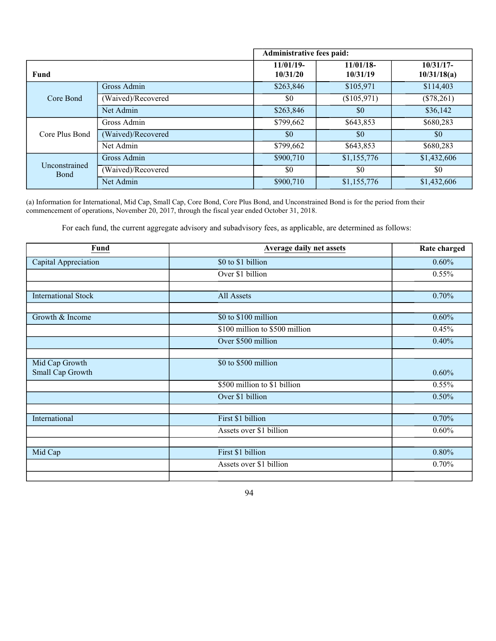|                       |                    | Administrative fees paid: |                          |                             |
|-----------------------|--------------------|---------------------------|--------------------------|-----------------------------|
| <b>Fund</b>           |                    | $11/01/19$ -<br>10/31/20  | $11/01/18$ -<br>10/31/19 | $10/31/17$ -<br>10/31/18(a) |
|                       | Gross Admin        | \$263,846                 | \$105,971                | \$114,403                   |
| Core Bond             | (Waived)/Recovered | \$0                       | (\$105,971)              | $(\$78,261)$                |
|                       | Net Admin          | \$263,846                 | \$0                      | \$36,142                    |
|                       | Gross Admin        | \$799,662                 | \$643,853                | \$680,283                   |
| Core Plus Bond        | (Waived)/Recovered | \$0                       | \$0                      | \$0                         |
|                       | Net Admin          | \$799,662                 | \$643,853                | \$680,283                   |
|                       | Gross Admin        | \$900,710                 | \$1,155,776              | \$1,432,606                 |
| Unconstrained<br>Bond | (Waived)/Recovered | \$0                       | \$0                      | \$0                         |
|                       | Net Admin          | \$900,710                 | \$1,155,776              | \$1,432,606                 |

(a) Information for International, Mid Cap, Small Cap, Core Bond, Core Plus Bond, and Unconstrained Bond is for the period from their commencement of operations, November 20, 2017, through the fiscal year ended October 31, 2018.

For each fund, the current aggregate advisory and subadvisory fees, as applicable, are determined as follows:

| <b>Fund</b>                        | Average daily net assets                     | Rate charged   |
|------------------------------------|----------------------------------------------|----------------|
| Capital Appreciation               | \$0 to \$1 billion                           | 0.60%          |
|                                    | Over \$1 billion                             | 0.55%          |
| <b>International Stock</b>         | All Assets                                   | 0.70%          |
| Growth & Income                    | \$0 to \$100 million                         | $0.60\%$       |
|                                    | \$100 million to \$500 million               | 0.45%          |
|                                    | Over \$500 million                           | 0.40%          |
| Mid Cap Growth<br>Small Cap Growth | \$0 to \$500 million                         | 0.60%          |
|                                    | \$500 million to \$1 billion                 | $0.55\%$       |
|                                    | Over \$1 billion                             | 0.50%          |
| International                      | First \$1 billion<br>Assets over \$1 billion | 0.70%<br>0.60% |
|                                    |                                              |                |
| Mid Cap                            | First \$1 billion                            | 0.80%          |
|                                    | Assets over \$1 billion                      | 0.70%          |
|                                    |                                              |                |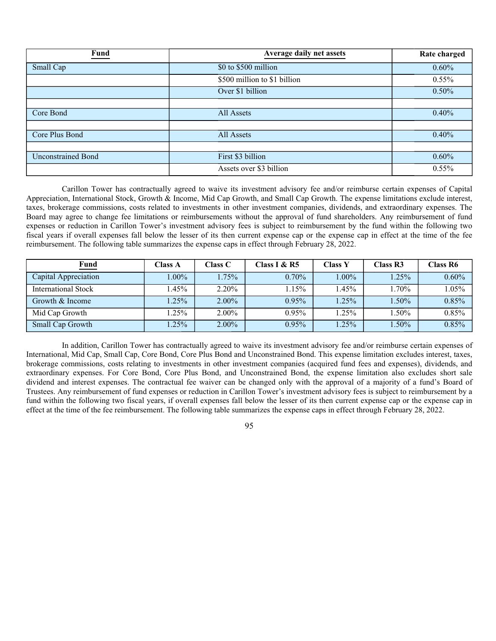| <b>Fund</b>               | Average daily net assets     | Rate charged |
|---------------------------|------------------------------|--------------|
| Small Cap                 | \$0 to \$500 million         | $0.60\%$     |
|                           | \$500 million to \$1 billion | $0.55\%$     |
|                           | Over \$1 billion             | $0.50\%$     |
|                           |                              |              |
| Core Bond                 | All Assets                   | $0.40\%$     |
|                           |                              |              |
| Core Plus Bond            | All Assets                   | $0.40\%$     |
|                           |                              |              |
| <b>Unconstrained Bond</b> | First \$3 billion            | $0.60\%$     |
|                           | Assets over \$3 billion      | 0.55%        |

Carillon Tower has contractually agreed to waive its investment advisory fee and/or reimburse certain expenses of Capital Appreciation, International Stock, Growth & Income, Mid Cap Growth, and Small Cap Growth. The expense limitations exclude interest, taxes, brokerage commissions, costs related to investments in other investment companies, dividends, and extraordinary expenses. The Board may agree to change fee limitations or reimbursements without the approval of fund shareholders. Any reimbursement of fund expenses or reduction in Carillon Tower's investment advisory fees is subject to reimbursement by the fund within the following two fiscal years if overall expenses fall below the lesser of its then current expense cap or the expense cap in effect at the time of the fee reimbursement. The following table summarizes the expense caps in effect through February 28, 2022.

| Fund                       | <b>Class A</b> | <b>Class C</b> | Class I & $R5$ | <b>Class Y</b> | Class R3 | <b>Class R6</b> |
|----------------------------|----------------|----------------|----------------|----------------|----------|-----------------|
| Capital Appreciation       | $1.00\%$       | $1.75\%$       | $0.70\%$       | $1.00\%$       | $1.25\%$ | $0.60\%$        |
| <b>International Stock</b> | $1.45\%$       | $2.20\%$       | 1.15%          | 1.45%          | 1.70%    | $.05\%$         |
| Growth & Income            | $1.25\%$       | $2.00\%$       | $0.95\%$       | $1.25\%$       | 1.50%    | 0.85%           |
| Mid Cap Growth             | $1.25\%$       | $2.00\%$       | 0.95%          | $1.25\%$       | $1.50\%$ | 0.85%           |
| Small Cap Growth           | $1.25\%$       | $2.00\%$       | $0.95\%$       | $1.25\%$       | .50%     | 0.85%           |

In addition, Carillon Tower has contractually agreed to waive its investment advisory fee and/or reimburse certain expenses of International, Mid Cap, Small Cap, Core Bond, Core Plus Bond and Unconstrained Bond. This expense limitation excludes interest, taxes, brokerage commissions, costs relating to investments in other investment companies (acquired fund fees and expenses), dividends, and extraordinary expenses. For Core Bond, Core Plus Bond, and Unconstrained Bond, the expense limitation also excludes short sale dividend and interest expenses. The contractual fee waiver can be changed only with the approval of a majority of a fund's Board of Trustees. Any reimbursement of fund expenses or reduction in Carillon Tower's investment advisory fees is subject to reimbursement by a fund within the following two fiscal years, if overall expenses fall below the lesser of its then current expense cap or the expense cap in effect at the time of the fee reimbursement. The following table summarizes the expense caps in effect through February 28, 2022.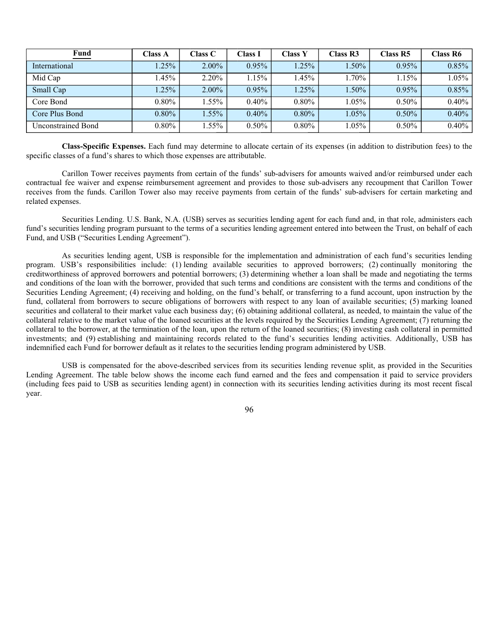| Fund                      | <b>Class A</b> | <b>Class C</b> | <b>Class I</b> | <b>Class Y</b> | Class R3 | Class R5 | <b>Class R6</b> |
|---------------------------|----------------|----------------|----------------|----------------|----------|----------|-----------------|
| International             | $1.25\%$       | $2.00\%$       | $0.95\%$       | 1.25%          | $1.50\%$ | $0.95\%$ | 0.85%           |
| Mid Cap                   | 1.45%          | $2.20\%$       | $1.15\%$       | $1.45\%$       | $1.70\%$ | $1.15\%$ | $1.05\%$        |
| Small Cap                 | $1.25\%$       | $2.00\%$       | $0.95\%$       | $1.25\%$       | $1.50\%$ | $0.95\%$ | 0.85%           |
| Core Bond                 | $0.80\%$       | $1.55\%$       | $0.40\%$       | $0.80\%$       | $1.05\%$ | $0.50\%$ | $0.40\%$        |
| Core Plus Bond            | $0.80\%$       | $1.55\%$       | $0.40\%$       | $0.80\%$       | $1.05\%$ | $0.50\%$ | 0.40%           |
| <b>Unconstrained Bond</b> | $0.80\%$       | $1.55\%$       | $0.50\%$       | $0.80\%$       | $0.05\%$ | $0.50\%$ | $0.40\%$        |

**Class-Specific Expenses.** Each fund may determine to allocate certain of its expenses (in addition to distribution fees) to the specific classes of a fund's shares to which those expenses are attributable.

Carillon Tower receives payments from certain of the funds' sub-advisers for amounts waived and/or reimbursed under each contractual fee waiver and expense reimbursement agreement and provides to those sub-advisers any recoupment that Carillon Tower receives from the funds. Carillon Tower also may receive payments from certain of the funds' sub-advisers for certain marketing and related expenses.

Securities Lending. U.S. Bank, N.A. (USB) serves as securities lending agent for each fund and, in that role, administers each fund's securities lending program pursuant to the terms of a securities lending agreement entered into between the Trust, on behalf of each Fund, and USB ("Securities Lending Agreement").

As securities lending agent, USB is responsible for the implementation and administration of each fund's securities lending program. USB's responsibilities include: (1) lending available securities to approved borrowers; (2) continually monitoring the creditworthiness of approved borrowers and potential borrowers; (3) determining whether a loan shall be made and negotiating the terms and conditions of the loan with the borrower, provided that such terms and conditions are consistent with the terms and conditions of the Securities Lending Agreement; (4) receiving and holding, on the fund's behalf, or transferring to a fund account, upon instruction by the fund, collateral from borrowers to secure obligations of borrowers with respect to any loan of available securities; (5) marking loaned securities and collateral to their market value each business day; (6) obtaining additional collateral, as needed, to maintain the value of the collateral relative to the market value of the loaned securities at the levels required by the Securities Lending Agreement; (7) returning the collateral to the borrower, at the termination of the loan, upon the return of the loaned securities; (8) investing cash collateral in permitted investments; and (9) establishing and maintaining records related to the fund's securities lending activities. Additionally, USB has indemnified each Fund for borrower default as it relates to the securities lending program administered by USB.

USB is compensated for the above-described services from its securities lending revenue split, as provided in the Securities Lending Agreement. The table below shows the income each fund earned and the fees and compensation it paid to service providers (including fees paid to USB as securities lending agent) in connection with its securities lending activities during its most recent fiscal year.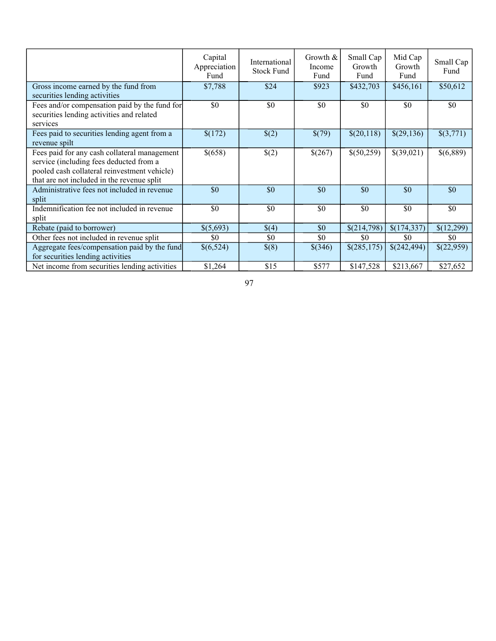|                                                                                                                                                                                       | Capital<br>Appreciation<br>Fund | <b>International</b><br><b>Stock Fund</b> | Growth $&$<br>Income<br>Fund | Small Cap<br>Growth<br>Fund | Mid Cap<br>Growth<br>Fund | Small Cap<br>Fund |
|---------------------------------------------------------------------------------------------------------------------------------------------------------------------------------------|---------------------------------|-------------------------------------------|------------------------------|-----------------------------|---------------------------|-------------------|
| Gross income earned by the fund from<br>securities lending activities                                                                                                                 | \$7,788                         | \$24                                      | \$923                        | \$432,703                   | \$456,161                 | \$50,612          |
| Fees and/or compensation paid by the fund for<br>securities lending activities and related<br>services                                                                                | \$0                             | \$0                                       | \$0                          | \$0                         | \$0                       | \$0               |
| Fees paid to securities lending agent from a<br>revenue spilt                                                                                                                         | \$(172)                         | \$(2)                                     | \$(79)                       | \$(20,118)                  | \$(29,136)                | \$(3,771)         |
| Fees paid for any cash collateral management<br>service (including fees deducted from a<br>pooled cash collateral reinvestment vehicle)<br>that are not included in the revenue split | \$(658)                         | \$(2)                                     | \$(267)                      | \$(50,259)                  | \$(39,021)                | \$(6,889)         |
| Administrative fees not included in revenue<br>split                                                                                                                                  | \$0                             | \$0                                       | \$0                          | \$0                         | \$0                       | \$0               |
| Indemnification fee not included in revenue<br>split                                                                                                                                  | \$0                             | \$0                                       | \$0                          | \$0                         | \$0                       | \$0               |
| Rebate (paid to borrower)                                                                                                                                                             | \$(5,693)                       | \$(4)                                     | \$0                          | \$(214,798)                 | \$(174,337)               | \$(12,299)        |
| Other fees not included in revenue split                                                                                                                                              | \$0                             | \$0                                       | \$0                          | \$0                         | \$0                       | \$0               |
| Aggregate fees/compensation paid by the fund<br>for securities lending activities                                                                                                     | \$(6,524)                       | \$(8)                                     | \$(346)                      | \$(285,175)                 | \$(242,494)               | \$(22,959)        |
| Net income from securities lending activities                                                                                                                                         | \$1,264                         | \$15                                      | \$577                        | \$147,528                   | \$213,667                 | \$27,652          |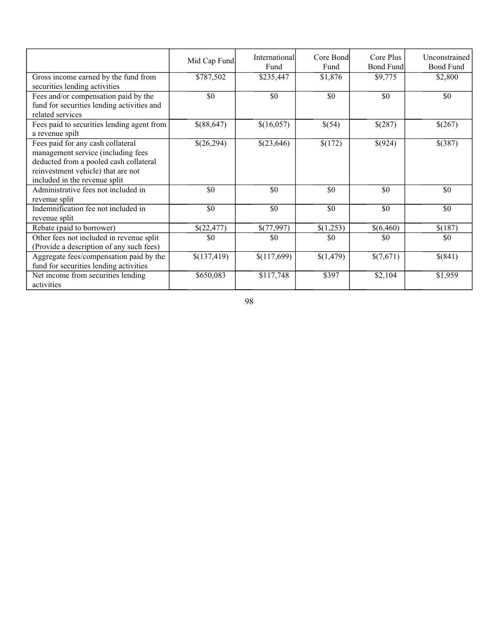|                                                                                                                                                                                          | Mid Cap Fund | International<br>Fund | Core Bond<br>Fund | Core Plus<br><b>Bond Fund</b> | Unconstrained<br><b>Bond Fund</b> |
|------------------------------------------------------------------------------------------------------------------------------------------------------------------------------------------|--------------|-----------------------|-------------------|-------------------------------|-----------------------------------|
| Gross income earned by the fund from<br>securities lending activities                                                                                                                    | \$787,502    | \$235,447             | \$1,876           | \$9,775                       | \$2,800                           |
| Fees and/or compensation paid by the<br>fund for securities lending activities and<br>related services                                                                                   | \$0          | \$0                   | \$0               | \$0                           | \$0                               |
| Fees paid to securities lending agent from<br>a revenue spilt                                                                                                                            | \$(88,647)   | \$(16,057)            | \$(54)            | \$(287)                       | \$(267)                           |
| Fees paid for any cash collateral<br>management service (including fees<br>deducted from a pooled cash collateral<br>reinvestment vehicle) that are not<br>included in the revenue split | \$(26,294)   | \$(23,646)            | \$(172)           | \$(924)                       | \$(387)                           |
| Administrative fees not included in<br>revenue split                                                                                                                                     | \$0          | \$0                   | \$0               | \$0                           | \$0                               |
| Indemnification fee not included in<br>revenue split                                                                                                                                     | \$0          | \$0                   | \$0               | \$0                           | \$0                               |
| Rebate (paid to borrower)                                                                                                                                                                | \$(22,477)   | \$(77,997)            | \$(1,253)         | \$(6,460)                     | \$(187)                           |
| Other fees not included in revenue split<br>(Provide a description of any such fees)                                                                                                     | \$0          | \$0                   | \$0               | \$0                           | \$0                               |
| Aggregate fees/compensation paid by the<br>fund for securities lending activities                                                                                                        | \$(137,419)  | \$(117,699)           | \$(1,479)         | \$(7,671)                     | \$(841)                           |
| Net income from securities lending<br>activities                                                                                                                                         | \$650,083    | \$117,748             | \$397             | \$2,104                       | \$1,959                           |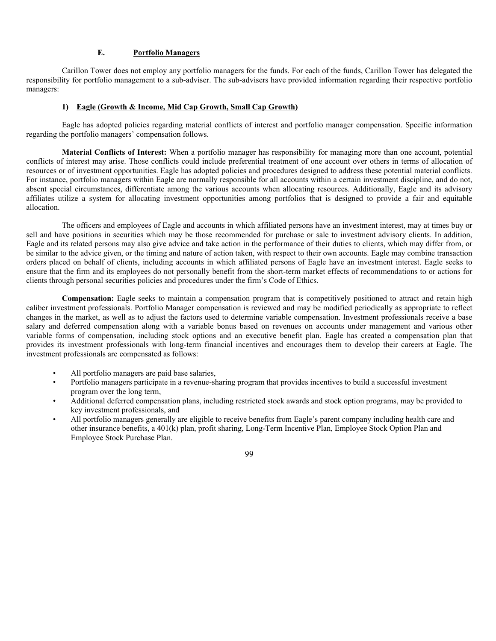### **E. Portfolio Managers**

Carillon Tower does not employ any portfolio managers for the funds. For each of the funds, Carillon Tower has delegated the responsibility for portfolio management to a sub-adviser. The sub-advisers have provided information regarding their respective portfolio managers:

### **1) Eagle (Growth & Income, Mid Cap Growth, Small Cap Growth)**

Eagle has adopted policies regarding material conflicts of interest and portfolio manager compensation. Specific information regarding the portfolio managers' compensation follows.

**Material Conflicts of Interest:** When a portfolio manager has responsibility for managing more than one account, potential conflicts of interest may arise. Those conflicts could include preferential treatment of one account over others in terms of allocation of resources or of investment opportunities. Eagle has adopted policies and procedures designed to address these potential material conflicts. For instance, portfolio managers within Eagle are normally responsible for all accounts within a certain investment discipline, and do not, absent special circumstances, differentiate among the various accounts when allocating resources. Additionally, Eagle and its advisory affiliates utilize a system for allocating investment opportunities among portfolios that is designed to provide a fair and equitable allocation.

The officers and employees of Eagle and accounts in which affiliated persons have an investment interest, may at times buy or sell and have positions in securities which may be those recommended for purchase or sale to investment advisory clients. In addition, Eagle and its related persons may also give advice and take action in the performance of their duties to clients, which may differ from, or be similar to the advice given, or the timing and nature of action taken, with respect to their own accounts. Eagle may combine transaction orders placed on behalf of clients, including accounts in which affiliated persons of Eagle have an investment interest. Eagle seeks to ensure that the firm and its employees do not personally benefit from the short-term market effects of recommendations to or actions for clients through personal securities policies and procedures under the firm's Code of Ethics.

**Compensation:** Eagle seeks to maintain a compensation program that is competitively positioned to attract and retain high caliber investment professionals. Portfolio Manager compensation is reviewed and may be modified periodically as appropriate to reflect changes in the market, as well as to adjust the factors used to determine variable compensation. Investment professionals receive a base salary and deferred compensation along with a variable bonus based on revenues on accounts under management and various other variable forms of compensation, including stock options and an executive benefit plan. Eagle has created a compensation plan that provides its investment professionals with long-term financial incentives and encourages them to develop their careers at Eagle. The investment professionals are compensated as follows:

- All portfolio managers are paid base salaries,
- Portfolio managers participate in a revenue-sharing program that provides incentives to build a successful investment program over the long term,
- Additional deferred compensation plans, including restricted stock awards and stock option programs, may be provided to key investment professionals, and
- All portfolio managers generally are eligible to receive benefits from Eagle's parent company including health care and other insurance benefits, a 401(k) plan, profit sharing, Long-Term Incentive Plan, Employee Stock Option Plan and Employee Stock Purchase Plan.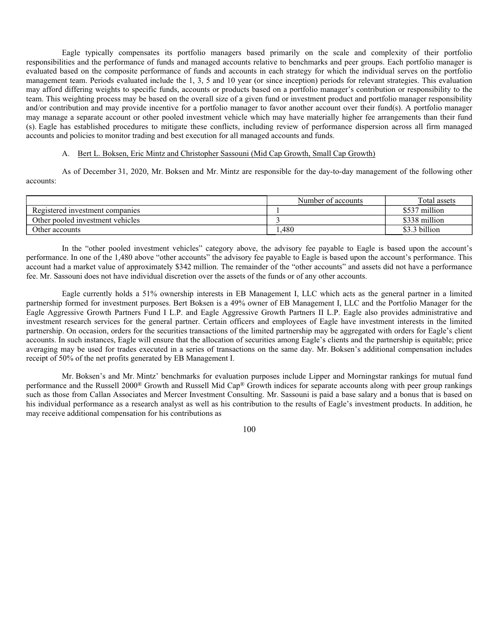Eagle typically compensates its portfolio managers based primarily on the scale and complexity of their portfolio responsibilities and the performance of funds and managed accounts relative to benchmarks and peer groups. Each portfolio manager is evaluated based on the composite performance of funds and accounts in each strategy for which the individual serves on the portfolio management team. Periods evaluated include the 1, 3, 5 and 10 year (or since inception) periods for relevant strategies. This evaluation may afford differing weights to specific funds, accounts or products based on a portfolio manager's contribution or responsibility to the team. This weighting process may be based on the overall size of a given fund or investment product and portfolio manager responsibility and/or contribution and may provide incentive for a portfolio manager to favor another account over their fund(s). A portfolio manager may manage a separate account or other pooled investment vehicle which may have materially higher fee arrangements than their fund (s). Eagle has established procedures to mitigate these conflicts, including review of performance dispersion across all firm managed accounts and policies to monitor trading and best execution for all managed accounts and funds.

### A. Bert L. Boksen, Eric Mintz and Christopher Sassouni (Mid Cap Growth, Small Cap Growth)

As of December 31, 2020, Mr. Boksen and Mr. Mintz are responsible for the day-to-day management of the following other accounts:

|                                  | Number of accounts | Total assets  |
|----------------------------------|--------------------|---------------|
| Registered investment companies  |                    | \$537 million |
| Other pooled investment vehicles |                    | \$338 million |
| Other accounts                   | .480               | \$3.3 billion |

In the "other pooled investment vehicles" category above, the advisory fee payable to Eagle is based upon the account's performance. In one of the 1,480 above "other accounts" the advisory fee payable to Eagle is based upon the account's performance. This account had a market value of approximately \$342 million. The remainder of the "other accounts" and assets did not have a performance fee. Mr. Sassouni does not have individual discretion over the assets of the funds or of any other accounts.

Eagle currently holds a 51% ownership interests in EB Management I, LLC which acts as the general partner in a limited partnership formed for investment purposes. Bert Boksen is a 49% owner of EB Management I, LLC and the Portfolio Manager for the Eagle Aggressive Growth Partners Fund I L.P. and Eagle Aggressive Growth Partners II L.P. Eagle also provides administrative and investment research services for the general partner. Certain officers and employees of Eagle have investment interests in the limited partnership. On occasion, orders for the securities transactions of the limited partnership may be aggregated with orders for Eagle's client accounts. In such instances, Eagle will ensure that the allocation of securities among Eagle's clients and the partnership is equitable; price averaging may be used for trades executed in a series of transactions on the same day. Mr. Boksen's additional compensation includes receipt of 50% of the net profits generated by EB Management I.

Mr. Boksen's and Mr. Mintz' benchmarks for evaluation purposes include Lipper and Morningstar rankings for mutual fund performance and the Russell 2000® Growth and Russell Mid Cap® Growth indices for separate accounts along with peer group rankings such as those from Callan Associates and Mercer Investment Consulting. Mr. Sassouni is paid a base salary and a bonus that is based on his individual performance as a research analyst as well as his contribution to the results of Eagle's investment products. In addition, he may receive additional compensation for his contributions as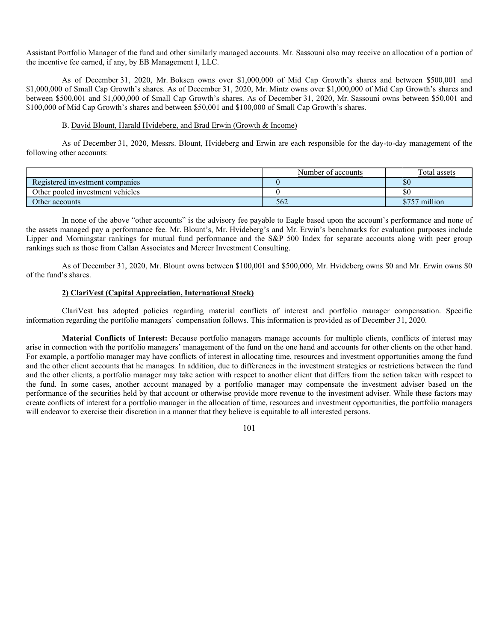Assistant Portfolio Manager of the fund and other similarly managed accounts. Mr. Sassouni also may receive an allocation of a portion of the incentive fee earned, if any, by EB Management I, LLC.

As of December 31, 2020, Mr. Boksen owns over \$1,000,000 of Mid Cap Growth's shares and between \$500,001 and \$1,000,000 of Small Cap Growth's shares. As of December 31, 2020, Mr. Mintz owns over \$1,000,000 of Mid Cap Growth's shares and between \$500,001 and \$1,000,000 of Small Cap Growth's shares. As of December 31, 2020, Mr. Sassouni owns between \$50,001 and \$100,000 of Mid Cap Growth's shares and between \$50,001 and \$100,000 of Small Cap Growth's shares.

### B. David Blount, Harald Hvideberg, and Brad Erwin (Growth & Income)

As of December 31, 2020, Messrs. Blount, Hvideberg and Erwin are each responsible for the day-to-day management of the following other accounts:

|                                  | Number of accounts | Total assets  |
|----------------------------------|--------------------|---------------|
| Registered investment companies  |                    | \$0           |
| Other pooled investment vehicles |                    | \$0           |
| Other accounts                   | 562                | \$757 million |

In none of the above "other accounts" is the advisory fee payable to Eagle based upon the account's performance and none of the assets managed pay a performance fee. Mr. Blount's, Mr. Hvideberg's and Mr. Erwin's benchmarks for evaluation purposes include Lipper and Morningstar rankings for mutual fund performance and the S&P 500 Index for separate accounts along with peer group rankings such as those from Callan Associates and Mercer Investment Consulting.

As of December 31, 2020, Mr. Blount owns between \$100,001 and \$500,000, Mr. Hvideberg owns \$0 and Mr. Erwin owns \$0 of the fund's shares.

# **2) ClariVest (Capital Appreciation, International Stock)**

ClariVest has adopted policies regarding material conflicts of interest and portfolio manager compensation. Specific information regarding the portfolio managers' compensation follows. This information is provided as of December 31, 2020.

**Material Conflicts of Interest:** Because portfolio managers manage accounts for multiple clients, conflicts of interest may arise in connection with the portfolio managers' management of the fund on the one hand and accounts for other clients on the other hand. For example, a portfolio manager may have conflicts of interest in allocating time, resources and investment opportunities among the fund and the other client accounts that he manages. In addition, due to differences in the investment strategies or restrictions between the fund and the other clients, a portfolio manager may take action with respect to another client that differs from the action taken with respect to the fund. In some cases, another account managed by a portfolio manager may compensate the investment adviser based on the performance of the securities held by that account or otherwise provide more revenue to the investment adviser. While these factors may create conflicts of interest for a portfolio manager in the allocation of time, resources and investment opportunities, the portfolio managers will endeavor to exercise their discretion in a manner that they believe is equitable to all interested persons.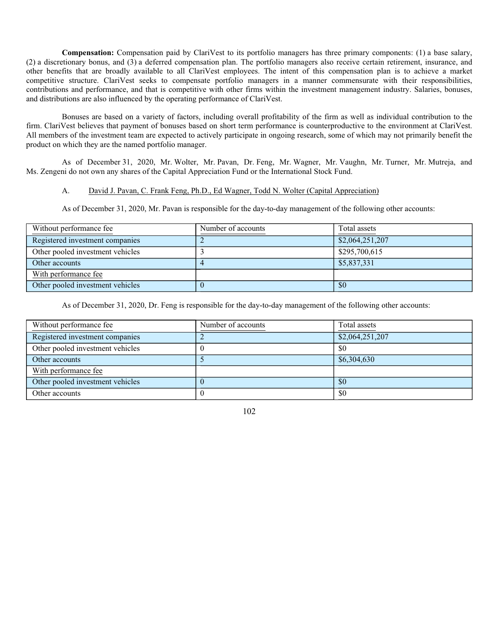**Compensation:** Compensation paid by ClariVest to its portfolio managers has three primary components: (1) a base salary, (2) a discretionary bonus, and (3) a deferred compensation plan. The portfolio managers also receive certain retirement, insurance, and other benefits that are broadly available to all ClariVest employees. The intent of this compensation plan is to achieve a market competitive structure. ClariVest seeks to compensate portfolio managers in a manner commensurate with their responsibilities, contributions and performance, and that is competitive with other firms within the investment management industry. Salaries, bonuses, and distributions are also influenced by the operating performance of ClariVest.

Bonuses are based on a variety of factors, including overall profitability of the firm as well as individual contribution to the firm. ClariVest believes that payment of bonuses based on short term performance is counterproductive to the environment at ClariVest. All members of the investment team are expected to actively participate in ongoing research, some of which may not primarily benefit the product on which they are the named portfolio manager.

As of December 31, 2020, Mr. Wolter, Mr. Pavan, Dr. Feng, Mr. Wagner, Mr. Vaughn, Mr. Turner, Mr. Mutreja, and Ms. Zengeni do not own any shares of the Capital Appreciation Fund or the International Stock Fund.

## A. David J. Pavan, C. Frank Feng, Ph.D., Ed Wagner, Todd N. Wolter (Capital Appreciation)

As of December 31, 2020, Mr. Pavan is responsible for the day-to-day management of the following other accounts:

| Without performance fee          | Number of accounts | Total assets    |
|----------------------------------|--------------------|-----------------|
| Registered investment companies  |                    | \$2,064,251,207 |
| Other pooled investment vehicles |                    | \$295,700,615   |
| Other accounts                   |                    | \$5,837,331     |
| With performance fee             |                    |                 |
| Other pooled investment vehicles |                    | \$0             |

As of December 31, 2020, Dr. Feng is responsible for the day-to-day management of the following other accounts:

| Without performance fee          | Number of accounts | Total assets    |
|----------------------------------|--------------------|-----------------|
| Registered investment companies  |                    | \$2,064,251,207 |
| Other pooled investment vehicles |                    | \$0             |
| Other accounts                   |                    | \$6,304,630     |
| With performance fee             |                    |                 |
| Other pooled investment vehicles |                    | \$0             |
| Other accounts                   |                    | \$0             |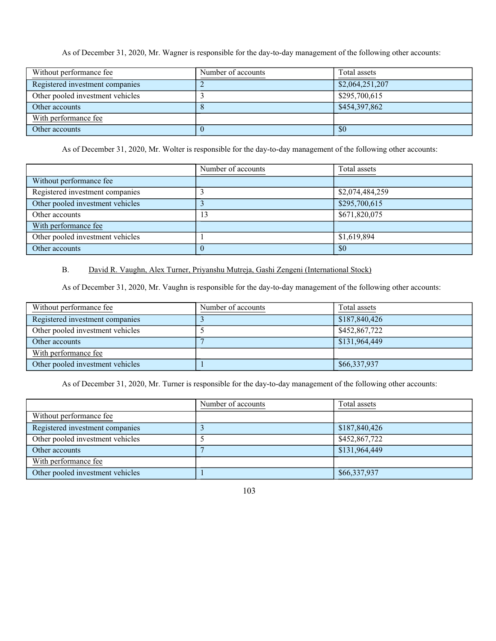As of December 31, 2020, Mr. Wagner is responsible for the day-to-day management of the following other accounts:

| Without performance fee          | Number of accounts | Total assets    |
|----------------------------------|--------------------|-----------------|
| Registered investment companies  |                    | \$2,064,251,207 |
| Other pooled investment vehicles |                    | \$295,700,615   |
| Other accounts                   |                    | \$454,397,862   |
| With performance fee             |                    |                 |
| Other accounts                   |                    | \$0             |

As of December 31, 2020, Mr. Wolter is responsible for the day-to-day management of the following other accounts:

|                                  | Number of accounts | Total assets    |
|----------------------------------|--------------------|-----------------|
| Without performance fee          |                    |                 |
| Registered investment companies  |                    | \$2,074,484,259 |
| Other pooled investment vehicles |                    | \$295,700,615   |
| Other accounts                   | 13                 | \$671,820,075   |
| With performance fee             |                    |                 |
| Other pooled investment vehicles |                    | \$1,619,894     |
| Other accounts                   |                    | \$0             |

# B. David R. Vaughn, Alex Turner, Priyanshu Mutreja, Gashi Zengeni (International Stock)

As of December 31, 2020, Mr. Vaughn is responsible for the day-to-day management of the following other accounts:

| Without performance fee          | Number of accounts | Total assets  |
|----------------------------------|--------------------|---------------|
| Registered investment companies  |                    | \$187,840,426 |
| Other pooled investment vehicles |                    | \$452,867,722 |
| Other accounts                   |                    | \$131,964,449 |
| With performance fee             |                    |               |
| Other pooled investment vehicles |                    | \$66,337,937  |

As of December 31, 2020, Mr. Turner is responsible for the day-to-day management of the following other accounts:

|                                  | Number of accounts | Total assets  |
|----------------------------------|--------------------|---------------|
| Without performance fee          |                    |               |
| Registered investment companies  |                    | \$187,840,426 |
| Other pooled investment vehicles |                    | \$452,867,722 |
| Other accounts                   |                    | \$131,964,449 |
| With performance fee             |                    |               |
| Other pooled investment vehicles |                    | \$66,337,937  |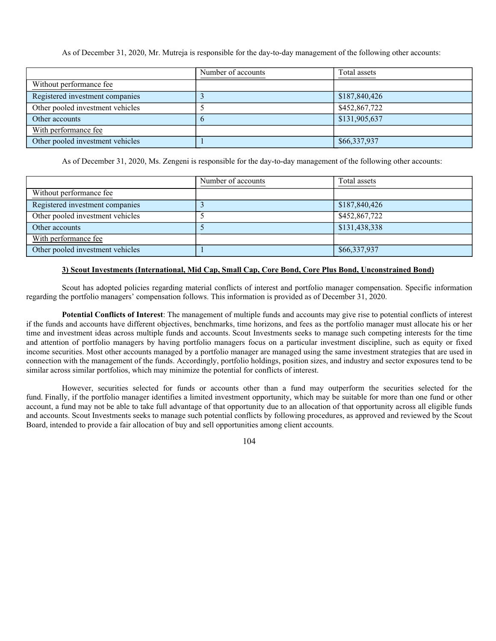As of December 31, 2020, Mr. Mutreja is responsible for the day-to-day management of the following other accounts:

|                                  | Number of accounts | Total assets  |
|----------------------------------|--------------------|---------------|
| Without performance fee          |                    |               |
| Registered investment companies  |                    | \$187,840,426 |
| Other pooled investment vehicles |                    | \$452,867,722 |
| Other accounts                   |                    | \$131,905,637 |
| With performance fee             |                    |               |
| Other pooled investment vehicles |                    | \$66,337,937  |

As of December 31, 2020, Ms. Zengeni is responsible for the day-to-day management of the following other accounts:

|                                  | Number of accounts | Total assets  |
|----------------------------------|--------------------|---------------|
| Without performance fee          |                    |               |
| Registered investment companies  |                    | \$187,840,426 |
| Other pooled investment vehicles |                    | \$452,867,722 |
| Other accounts                   |                    | \$131,438,338 |
| With performance fee             |                    |               |
| Other pooled investment vehicles |                    | \$66,337,937  |

# **3) Scout Investments (International, Mid Cap, Small Cap, Core Bond, Core Plus Bond, Unconstrained Bond)**

Scout has adopted policies regarding material conflicts of interest and portfolio manager compensation. Specific information regarding the portfolio managers' compensation follows. This information is provided as of December 31, 2020.

**Potential Conflicts of Interest**: The management of multiple funds and accounts may give rise to potential conflicts of interest if the funds and accounts have different objectives, benchmarks, time horizons, and fees as the portfolio manager must allocate his or her time and investment ideas across multiple funds and accounts. Scout Investments seeks to manage such competing interests for the time and attention of portfolio managers by having portfolio managers focus on a particular investment discipline, such as equity or fixed income securities. Most other accounts managed by a portfolio manager are managed using the same investment strategies that are used in connection with the management of the funds. Accordingly, portfolio holdings, position sizes, and industry and sector exposures tend to be similar across similar portfolios, which may minimize the potential for conflicts of interest.

However, securities selected for funds or accounts other than a fund may outperform the securities selected for the fund. Finally, if the portfolio manager identifies a limited investment opportunity, which may be suitable for more than one fund or other account, a fund may not be able to take full advantage of that opportunity due to an allocation of that opportunity across all eligible funds and accounts. Scout Investments seeks to manage such potential conflicts by following procedures, as approved and reviewed by the Scout Board, intended to provide a fair allocation of buy and sell opportunities among client accounts.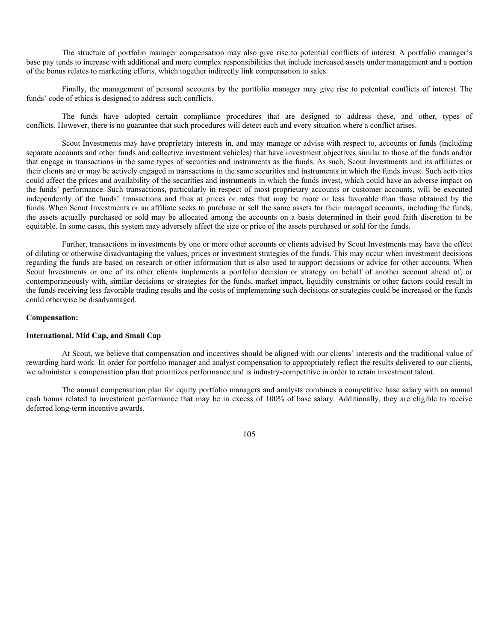The structure of portfolio manager compensation may also give rise to potential conflicts of interest. A portfolio manager's base pay tends to increase with additional and more complex responsibilities that include increased assets under management and a portion of the bonus relates to marketing efforts, which together indirectly link compensation to sales.

Finally, the management of personal accounts by the portfolio manager may give rise to potential conflicts of interest. The funds' code of ethics is designed to address such conflicts.

The funds have adopted certain compliance procedures that are designed to address these, and other, types of conflicts. However, there is no guarantee that such procedures will detect each and every situation where a conflict arises.

Scout Investments may have proprietary interests in, and may manage or advise with respect to, accounts or funds (including separate accounts and other funds and collective investment vehicles) that have investment objectives similar to those of the funds and/or that engage in transactions in the same types of securities and instruments as the funds. As such, Scout Investments and its affiliates or their clients are or may be actively engaged in transactions in the same securities and instruments in which the funds invest. Such activities could affect the prices and availability of the securities and instruments in which the funds invest, which could have an adverse impact on the funds' performance. Such transactions, particularly in respect of most proprietary accounts or customer accounts, will be executed independently of the funds' transactions and thus at prices or rates that may be more or less favorable than those obtained by the funds. When Scout Investments or an affiliate seeks to purchase or sell the same assets for their managed accounts, including the funds, the assets actually purchased or sold may be allocated among the accounts on a basis determined in their good faith discretion to be equitable. In some cases, this system may adversely affect the size or price of the assets purchased or sold for the funds.

Further, transactions in investments by one or more other accounts or clients advised by Scout Investments may have the effect of diluting or otherwise disadvantaging the values, prices or investment strategies of the funds. This may occur when investment decisions regarding the funds are based on research or other information that is also used to support decisions or advice for other accounts. When Scout Investments or one of its other clients implements a portfolio decision or strategy on behalf of another account ahead of, or contemporaneously with, similar decisions or strategies for the funds, market impact, liquidity constraints or other factors could result in the funds receiving less favorable trading results and the costs of implementing such decisions or strategies could be increased or the funds could otherwise be disadvantaged.

### **Compensation:**

#### **International, Mid Cap, and Small Cap**

At Scout, we believe that compensation and incentives should be aligned with our clients' interests and the traditional value of rewarding hard work. In order for portfolio manager and analyst compensation to appropriately reflect the results delivered to our clients, we administer a compensation plan that prioritizes performance and is industry-competitive in order to retain investment talent.

The annual compensation plan for equity portfolio managers and analysts combines a competitive base salary with an annual cash bonus related to investment performance that may be in excess of 100% of base salary. Additionally, they are eligible to receive deferred long-term incentive awards.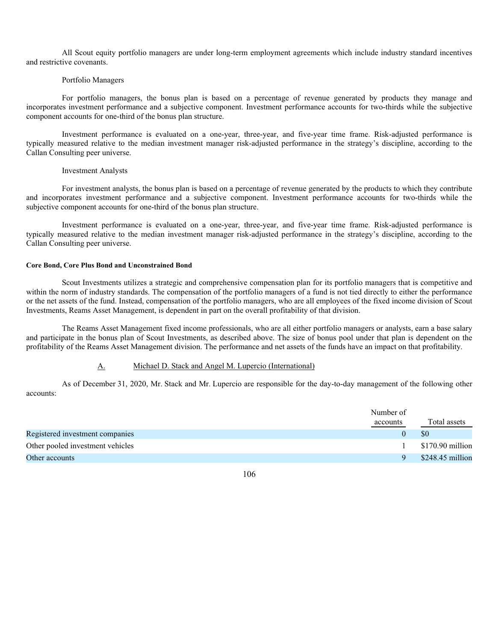All Scout equity portfolio managers are under long-term employment agreements which include industry standard incentives and restrictive covenants.

### Portfolio Managers

For portfolio managers, the bonus plan is based on a percentage of revenue generated by products they manage and incorporates investment performance and a subjective component. Investment performance accounts for two-thirds while the subjective component accounts for one-third of the bonus plan structure.

Investment performance is evaluated on a one-year, three-year, and five-year time frame. Risk-adjusted performance is typically measured relative to the median investment manager risk-adjusted performance in the strategy's discipline, according to the Callan Consulting peer universe.

### Investment Analysts

For investment analysts, the bonus plan is based on a percentage of revenue generated by the products to which they contribute and incorporates investment performance and a subjective component. Investment performance accounts for two-thirds while the subjective component accounts for one-third of the bonus plan structure.

Investment performance is evaluated on a one-year, three-year, and five-year time frame. Risk-adjusted performance is typically measured relative to the median investment manager risk-adjusted performance in the strategy's discipline, according to the Callan Consulting peer universe.

### **Core Bond, Core Plus Bond and Unconstrained Bond**

Scout Investments utilizes a strategic and comprehensive compensation plan for its portfolio managers that is competitive and within the norm of industry standards. The compensation of the portfolio managers of a fund is not tied directly to either the performance or the net assets of the fund. Instead, compensation of the portfolio managers, who are all employees of the fixed income division of Scout Investments, Reams Asset Management, is dependent in part on the overall profitability of that division.

The Reams Asset Management fixed income professionals, who are all either portfolio managers or analysts, earn a base salary and participate in the bonus plan of Scout Investments, as described above. The size of bonus pool under that plan is dependent on the profitability of the Reams Asset Management division. The performance and net assets of the funds have an impact on that profitability.

# A. Michael D. Stack and Angel M. Lupercio (International)

As of December 31, 2020, Mr. Stack and Mr. Lupercio are responsible for the day-to-day management of the following other accounts:

| Number of                        |                  |
|----------------------------------|------------------|
| accounts                         | Total assets     |
| Registered investment companies  | \$0              |
| Other pooled investment vehicles | \$170.90 million |
| Other accounts                   | \$248.45 million |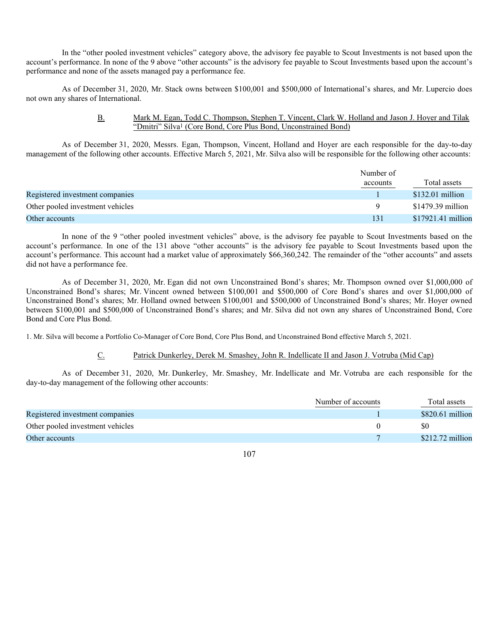In the "other pooled investment vehicles" category above, the advisory fee payable to Scout Investments is not based upon the account's performance. In none of the 9 above "other accounts" is the advisory fee payable to Scout Investments based upon the account's performance and none of the assets managed pay a performance fee.

As of December 31, 2020, Mr. Stack owns between \$100,001 and \$500,000 of International's shares, and Mr. Lupercio does not own any shares of International.

# B. Mark M. Egan, Todd C. Thompson, Stephen T. Vincent, Clark W. Holland and Jason J. Hoyer and Tilak "Dmitri" Silva1 (Core Bond, Core Plus Bond, Unconstrained Bond)

As of December 31, 2020, Messrs. Egan, Thompson, Vincent, Holland and Hoyer are each responsible for the day-to-day management of the following other accounts. Effective March 5, 2021, Mr. Silva also will be responsible for the following other accounts:

|                                  | Number of |                     |
|----------------------------------|-----------|---------------------|
|                                  | accounts  | Total assets        |
| Registered investment companies  |           | $$132.01$ million   |
| Other pooled investment vehicles |           | $$1479.39$ million  |
| Other accounts                   | 131       | $$17921.41$ million |

In none of the 9 "other pooled investment vehicles" above, is the advisory fee payable to Scout Investments based on the account's performance. In one of the 131 above "other accounts" is the advisory fee payable to Scout Investments based upon the account's performance. This account had a market value of approximately \$66,360,242. The remainder of the "other accounts" and assets did not have a performance fee.

As of December 31, 2020, Mr. Egan did not own Unconstrained Bond's shares; Mr. Thompson owned over \$1,000,000 of Unconstrained Bond's shares; Mr. Vincent owned between \$100,001 and \$500,000 of Core Bond's shares and over \$1,000,000 of Unconstrained Bond's shares; Mr. Holland owned between \$100,001 and \$500,000 of Unconstrained Bond's shares; Mr. Hoyer owned between \$100,001 and \$500,000 of Unconstrained Bond's shares; and Mr. Silva did not own any shares of Unconstrained Bond, Core Bond and Core Plus Bond.

1. Mr. Silva will become a Portfolio Co-Manager of Core Bond, Core Plus Bond, and Unconstrained Bond effective March 5, 2021.

# C. Patrick Dunkerley, Derek M. Smashey, John R. Indellicate II and Jason J. Votruba (Mid Cap)

As of December 31, 2020, Mr. Dunkerley, Mr. Smashey, Mr. Indellicate and Mr. Votruba are each responsible for the day-to-day management of the following other accounts:

|                                  | Number of accounts | Total assets      |
|----------------------------------|--------------------|-------------------|
| Registered investment companies  |                    | \$820.61 million  |
| Other pooled investment vehicles |                    | -80               |
| Other accounts                   |                    | $$212.72$ million |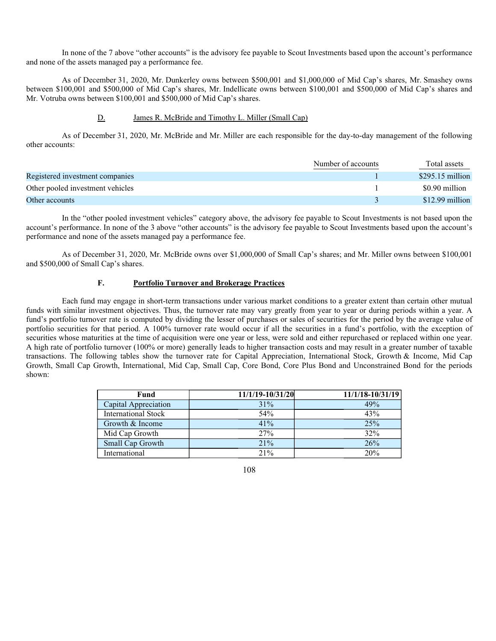In none of the 7 above "other accounts" is the advisory fee payable to Scout Investments based upon the account's performance and none of the assets managed pay a performance fee.

As of December 31, 2020, Mr. Dunkerley owns between \$500,001 and \$1,000,000 of Mid Cap's shares, Mr. Smashey owns between \$100,001 and \$500,000 of Mid Cap's shares, Mr. Indellicate owns between \$100,001 and \$500,000 of Mid Cap's shares and Mr. Votruba owns between \$100,001 and \$500,000 of Mid Cap's shares.

# D. James R. McBride and Timothy L. Miller (Small Cap)

As of December 31, 2020, Mr. McBride and Mr. Miller are each responsible for the day-to-day management of the following other accounts:

|                                  | Number of accounts | Total assets      |
|----------------------------------|--------------------|-------------------|
| Registered investment companies  |                    | $$295.15$ million |
| Other pooled investment vehicles |                    | \$0.90 million    |
| Other accounts                   |                    | $$12.99$ million  |

In the "other pooled investment vehicles" category above, the advisory fee payable to Scout Investments is not based upon the account's performance. In none of the 3 above "other accounts" is the advisory fee payable to Scout Investments based upon the account's performance and none of the assets managed pay a performance fee.

As of December 31, 2020, Mr. McBride owns over \$1,000,000 of Small Cap's shares; and Mr. Miller owns between \$100,001 and \$500,000 of Small Cap's shares.

# **F. Portfolio Turnover and Brokerage Practices**

Each fund may engage in short-term transactions under various market conditions to a greater extent than certain other mutual funds with similar investment objectives. Thus, the turnover rate may vary greatly from year to year or during periods within a year. A fund's portfolio turnover rate is computed by dividing the lesser of purchases or sales of securities for the period by the average value of portfolio securities for that period. A 100% turnover rate would occur if all the securities in a fund's portfolio, with the exception of securities whose maturities at the time of acquisition were one year or less, were sold and either repurchased or replaced within one year. A high rate of portfolio turnover (100% or more) generally leads to higher transaction costs and may result in a greater number of taxable transactions. The following tables show the turnover rate for Capital Appreciation, International Stock, Growth & Income, Mid Cap Growth, Small Cap Growth, International, Mid Cap, Small Cap, Core Bond, Core Plus Bond and Unconstrained Bond for the periods shown:

| <b>Fund</b>                | 11/1/19-10/31/20 | 11/1/18-10/31/19 |
|----------------------------|------------------|------------------|
| Capital Appreciation       | $31\%$           | 49%              |
| <b>International Stock</b> | 54%              | 43%              |
| Growth & Income            | 41%              | 25%              |
| Mid Cap Growth             | 27%              | 32%              |
| Small Cap Growth           | 21%              | 26%              |
| International              | 21%              | 20%              |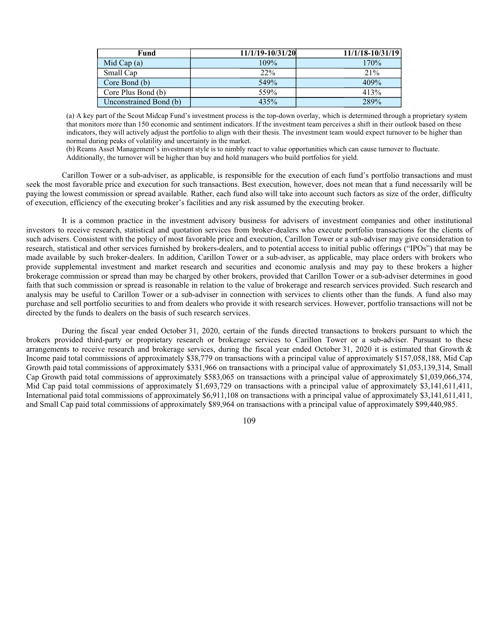| Fund                   | 11/1/19-10/31/20 | 11/1/18-10/31/19 |
|------------------------|------------------|------------------|
| Mid Cap $(a)$          | 109%             | 170%             |
| Small Cap              | $22\%$           | 21%              |
| Core Bond (b)          | 549%             | 409%             |
| Core Plus Bond (b)     | 559%             | 413%             |
| Unconstrained Bond (b) | 435%             | 289%             |

(a) A key part of the Scout Midcap Fund's investment process is the top-down overlay, which is determined through a proprietary system that monitors more than 150 economic and sentiment indicators. If the investment team perceives a shift in their outlook based on these indicators, they will actively adjust the portfolio to align with their thesis. The investment team would expect turnover to be higher than normal during peaks of volatility and uncertainty in the market.

(b) Reams Asset Management's investment style is to nimbly react to value opportunities which can cause turnover to fluctuate. Additionally, the turnover will be higher than buy and hold managers who build portfolios for yield.

Carillon Tower or a sub-adviser, as applicable, is responsible for the execution of each fund's portfolio transactions and must seek the most favorable price and execution for such transactions. Best execution, however, does not mean that a fund necessarily will be paying the lowest commission or spread available. Rather, each fund also will take into account such factors as size of the order, difficulty of execution, efficiency of the executing broker's facilities and any risk assumed by the executing broker.

It is a common practice in the investment advisory business for advisers of investment companies and other institutional investors to receive research, statistical and quotation services from broker-dealers who execute portfolio transactions for the clients of such advisers. Consistent with the policy of most favorable price and execution, Carillon Tower or a sub-adviser may give consideration to research, statistical and other services furnished by brokers-dealers, and to potential access to initial public offerings ("IPOs") that may be made available by such broker-dealers. In addition, Carillon Tower or a sub-adviser, as applicable, may place orders with brokers who provide supplemental investment and market research and securities and economic analysis and may pay to these brokers a higher brokerage commission or spread than may be charged by other brokers, provided that Carillon Tower or a sub-adviser determines in good faith that such commission or spread is reasonable in relation to the value of brokerage and research services provided. Such research and analysis may be useful to Carillon Tower or a sub-adviser in connection with services to clients other than the funds. A fund also may purchase and sell portfolio securities to and from dealers who provide it with research services. However, portfolio transactions will not be directed by the funds to dealers on the basis of such research services.

During the fiscal year ended October 31, 2020, certain of the funds directed transactions to brokers pursuant to which the brokers provided third-party or proprietary research or brokerage services to Carillon Tower or a sub-adviser. Pursuant to these arrangements to receive research and brokerage services, during the fiscal year ended October 31, 2020 it is estimated that Growth  $\&$ Income paid total commissions of approximately \$38,779 on transactions with a principal value of approximately \$157,058,188, Mid Cap Growth paid total commissions of approximately \$331,966 on transactions with a principal value of approximately \$1,053,139,314, Small Cap Growth paid total commissions of approximately \$583,065 on transactions with a principal value of approximately \$1,039,066,374, Mid Cap paid total commissions of approximately \$1,693,729 on transactions with a principal value of approximately \$3,141,611,411, International paid total commissions of approximately \$6,911,108 on transactions with a principal value of approximately \$3,141,611,411, and Small Cap paid total commissions of approximately \$89,964 on transactions with a principal value of approximately \$99,440,985.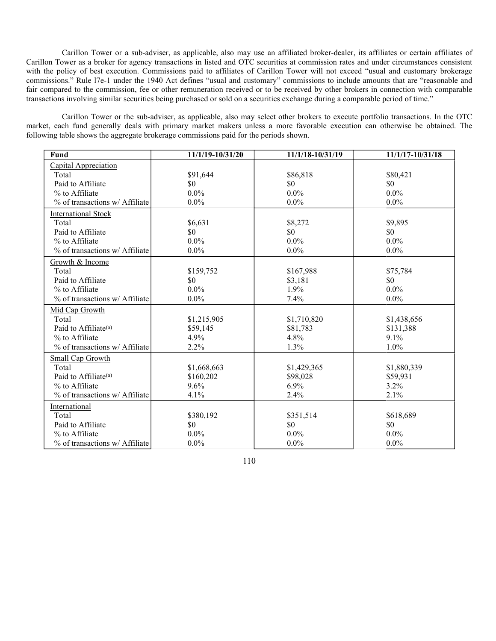Carillon Tower or a sub-adviser, as applicable, also may use an affiliated broker-dealer, its affiliates or certain affiliates of Carillon Tower as a broker for agency transactions in listed and OTC securities at commission rates and under circumstances consistent with the policy of best execution. Commissions paid to affiliates of Carillon Tower will not exceed "usual and customary brokerage commissions." Rule l7e-1 under the 1940 Act defines "usual and customary" commissions to include amounts that are "reasonable and fair compared to the commission, fee or other remuneration received or to be received by other brokers in connection with comparable transactions involving similar securities being purchased or sold on a securities exchange during a comparable period of time."

Carillon Tower or the sub-adviser, as applicable, also may select other brokers to execute portfolio transactions. In the OTC market, each fund generally deals with primary market makers unless a more favorable execution can otherwise be obtained. The following table shows the aggregate brokerage commissions paid for the periods shown.

| <b>Fund</b>                      | 11/1/19-10/31/20 | 11/1/18-10/31/19 | 11/1/17-10/31/18 |
|----------------------------------|------------------|------------------|------------------|
| Capital Appreciation             |                  |                  |                  |
| Total                            | \$91,644         | \$86,818         | \$80,421         |
| Paid to Affiliate                | \$0              | \$0              | \$0              |
| % to Affiliate                   | $0.0\%$          | $0.0\%$          | $0.0\%$          |
| % of transactions w/ Affiliate   | $0.0\%$          | $0.0\%$          | $0.0\%$          |
| <b>International Stock</b>       |                  |                  |                  |
| Total                            | \$6,631          | \$8,272          | \$9,895          |
| Paid to Affiliate                | \$0              | \$0              | \$0              |
| % to Affiliate                   | $0.0\%$          | $0.0\%$          | $0.0\%$          |
| % of transactions w/ Affiliate   | $0.0\%$          | $0.0\%$          | $0.0\%$          |
| Growth & Income                  |                  |                  |                  |
| Total                            | \$159,752        | \$167,988        | \$75,784         |
| Paid to Affiliate                | \$0              | \$3,181          | \$0              |
| % to Affiliate                   | $0.0\%$          | 1.9%             | $0.0\%$          |
| % of transactions w/ Affiliate   | $0.0\%$          | 7.4%             | $0.0\%$          |
| Mid Cap Growth                   |                  |                  |                  |
| Total                            | \$1,215,905      | \$1,710,820      | \$1,438,656      |
| Paid to Affiliate <sup>(a)</sup> | \$59,145         | \$81,783         | \$131,388        |
| % to Affiliate                   | 4.9%             | 4.8%             | $9.1\%$          |
| % of transactions w/ Affiliate   | 2.2%             | 1.3%             | 1.0%             |
| <b>Small Cap Growth</b>          |                  |                  |                  |
| Total                            | \$1,668,663      | \$1,429,365      | \$1,880,339      |
| Paid to Affiliate <sup>(a)</sup> | \$160,202        | \$98,028         | \$59,931         |
| % to Affiliate                   | 9.6%             | 6.9%             | 3.2%             |
| % of transactions w/ Affiliate   | 4.1%             | 2.4%             | 2.1%             |
| International                    |                  |                  |                  |
| Total                            | \$380,192        | \$351,514        | \$618,689        |
| Paid to Affiliate                | \$0              | \$0              | \$0              |
| % to Affiliate                   | $0.0\%$          | $0.0\%$          | $0.0\%$          |
| % of transactions w/ Affiliate   | $0.0\%$          | $0.0\%$          | $0.0\%$          |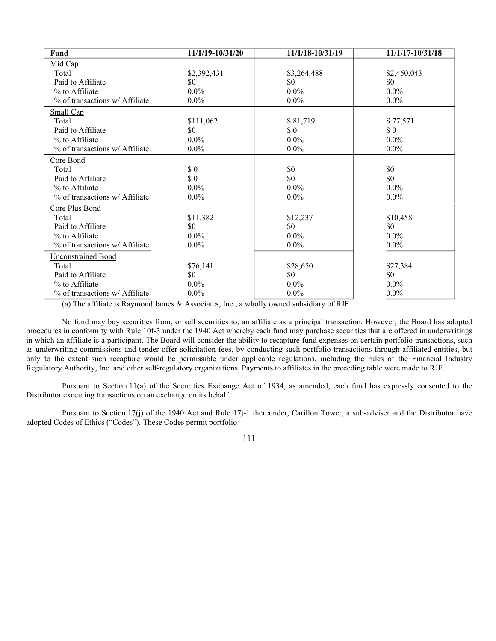| Fund                           | 11/1/19-10/31/20 | 11/1/18-10/31/19 | 11/1/17-10/31/18 |
|--------------------------------|------------------|------------------|------------------|
| Mid Cap                        |                  |                  |                  |
| Total                          | \$2,392,431      | \$3,264,488      | \$2,450,043      |
| Paid to Affiliate              | \$0              | \$0              | \$0              |
| % to Affiliate                 | $0.0\%$          | $0.0\%$          | $0.0\%$          |
| % of transactions w/ Affiliate | $0.0\%$          | $0.0\%$          | $0.0\%$          |
| Small Cap                      |                  |                  |                  |
| Total                          | \$111,062        | \$81,719         | \$77,571         |
| Paid to Affiliate              | \$0              | \$0              | \$0              |
| % to Affiliate                 | $0.0\%$          | $0.0\%$          | $0.0\%$          |
| % of transactions w/ Affiliate | $0.0\%$          | $0.0\%$          | $0.0\%$          |
| Core Bond                      |                  |                  |                  |
| Total                          | \$0              | \$0              | \$0              |
| Paid to Affiliate              | \$0              | \$0              | \$0              |
| % to Affiliate                 | $0.0\%$          | $0.0\%$          | $0.0\%$          |
| % of transactions w/ Affiliate | $0.0\%$          | $0.0\%$          | $0.0\%$          |
| Core Plus Bond                 |                  |                  |                  |
| Total                          | \$11,382         | \$12,237         | \$10,458         |
| Paid to Affiliate              | \$0              | \$0              | \$0              |
| % to Affiliate                 | $0.0\%$          | $0.0\%$          | $0.0\%$          |
| % of transactions w/ Affiliate | $0.0\%$          | $0.0\%$          | $0.0\%$          |
| <b>Unconstrained Bond</b>      |                  |                  |                  |
| Total                          | \$76,141         | \$28,650         | \$27,384         |
| Paid to Affiliate              | \$0              | \$0              | \$0              |
| % to Affiliate                 | $0.0\%$          | $0.0\%$          | $0.0\%$          |
| % of transactions w/ Affiliate | $0.0\%$          | $0.0\%$          | $0.0\%$          |

(a) The affiliate is Raymond James & Associates, Inc., a wholly owned subsidiary of RJF.

No fund may buy securities from, or sell securities to, an affiliate as a principal transaction. However, the Board has adopted procedures in conformity with Rule 10f-3 under the 1940 Act whereby each fund may purchase securities that are offered in underwritings in which an affiliate is a participant. The Board will consider the ability to recapture fund expenses on certain portfolio transactions, such as underwriting commissions and tender offer solicitation fees, by conducting such portfolio transactions through affiliated entities, but only to the extent such recapture would be permissible under applicable regulations, including the rules of the Financial Industry Regulatory Authority, Inc. and other self-regulatory organizations. Payments to affiliates in the preceding table were made to RJF.

Pursuant to Section 11(a) of the Securities Exchange Act of 1934, as amended, each fund has expressly consented to the Distributor executing transactions on an exchange on its behalf.

Pursuant to Section 17(j) of the 1940 Act and Rule 17j-1 thereunder, Carillon Tower, a sub-adviser and the Distributor have adopted Codes of Ethics ("Codes"). These Codes permit portfolio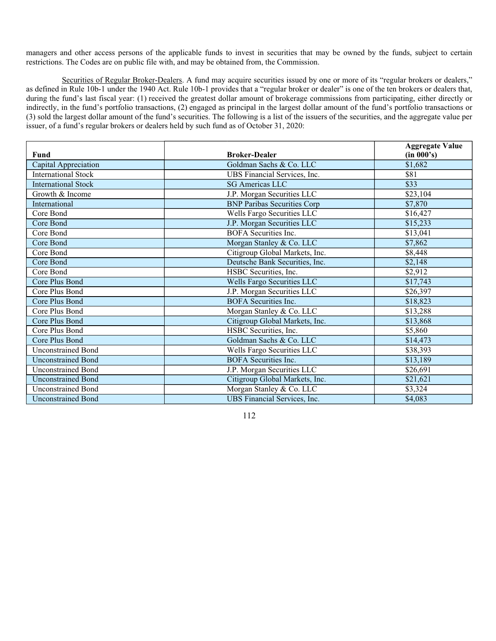managers and other access persons of the applicable funds to invest in securities that may be owned by the funds, subject to certain restrictions. The Codes are on public file with, and may be obtained from, the Commission.

Securities of Regular Broker-Dealers. A fund may acquire securities issued by one or more of its "regular brokers or dealers," as defined in Rule 10b-1 under the 1940 Act. Rule 10b-1 provides that a "regular broker or dealer" is one of the ten brokers or dealers that, during the fund's last fiscal year: (1) received the greatest dollar amount of brokerage commissions from participating, either directly or indirectly, in the fund's portfolio transactions, (2) engaged as principal in the largest dollar amount of the fund's portfolio transactions or (3) sold the largest dollar amount of the fund's securities. The following is a list of the issuers of the securities, and the aggregate value per issuer, of a fund's regular brokers or dealers held by such fund as of October 31, 2020:

|                            |                                    | <b>Aggregate Value</b> |
|----------------------------|------------------------------------|------------------------|
| Fund                       | <b>Broker-Dealer</b>               | (in 000's)             |
| Capital Appreciation       | Goldman Sachs & Co. LLC            | \$1,682                |
| <b>International Stock</b> | UBS Financial Services, Inc.       | \$81                   |
| <b>International Stock</b> | <b>SG Americas LLC</b>             | \$33                   |
| Growth & Income            | J.P. Morgan Securities LLC         | \$23,104               |
| International              | <b>BNP Paribas Securities Corp</b> | \$7,870                |
| Core Bond                  | Wells Fargo Securities LLC         | \$16,427               |
| Core Bond                  | J.P. Morgan Securities LLC         | \$15,233               |
| Core Bond                  | <b>BOFA</b> Securities Inc.        | \$13,041               |
| Core Bond                  | Morgan Stanley & Co. LLC           | \$7,862                |
| Core Bond                  | Citigroup Global Markets, Inc.     | \$8,448                |
| Core Bond                  | Deutsche Bank Securities, Inc.     | \$2,148                |
| Core Bond                  | HSBC Securities, Inc.              | \$2,912                |
| Core Plus Bond             | Wells Fargo Securities LLC         | \$17,743               |
| Core Plus Bond             | J.P. Morgan Securities LLC         | \$26,397               |
| Core Plus Bond             | <b>BOFA</b> Securities Inc.        | \$18,823               |
| Core Plus Bond             | Morgan Stanley & Co. LLC           | \$13,288               |
| Core Plus Bond             | Citigroup Global Markets, Inc.     | \$13,868               |
| Core Plus Bond             | HSBC Securities, Inc.              | \$5,860                |
| Core Plus Bond             | Goldman Sachs & Co. LLC            | \$14,473               |
| <b>Unconstrained Bond</b>  | Wells Fargo Securities LLC         | \$38,393               |
| <b>Unconstrained Bond</b>  | <b>BOFA</b> Securities Inc.        | \$13,189               |
| <b>Unconstrained Bond</b>  | J.P. Morgan Securities LLC         | \$26,691               |
| <b>Unconstrained Bond</b>  | Citigroup Global Markets, Inc.     | \$21,621               |
| <b>Unconstrained Bond</b>  | Morgan Stanley & Co. LLC           | \$3,324                |
| <b>Unconstrained Bond</b>  | UBS Financial Services, Inc.       | \$4,083                |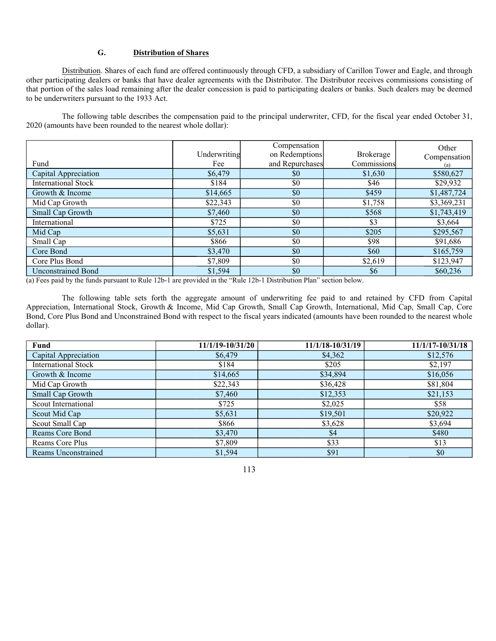## **G. Distribution of Shares**

Distribution. Shares of each fund are offered continuously through CFD, a subsidiary of Carillon Tower and Eagle, and through other participating dealers or banks that have dealer agreements with the Distributor. The Distributor receives commissions consisting of that portion of the sales load remaining after the dealer concession is paid to participating dealers or banks. Such dealers may be deemed to be underwriters pursuant to the 1933 Act.

The following table describes the compensation paid to the principal underwriter, CFD, for the fiscal year ended October 31, 2020 (amounts have been rounded to the nearest whole dollar):

|                            | Underwriting | Compensation<br>on Redemptions | <b>Brokerage</b> | Other<br>Compensation |
|----------------------------|--------------|--------------------------------|------------------|-----------------------|
| Fund                       | Fee          | and Repurchases                | Commissions      | (a)                   |
| Capital Appreciation       | \$6,479      | \$0                            | \$1,630          | \$580,627             |
| <b>International Stock</b> | \$184        | \$0                            | \$46             | \$29,932              |
| Growth & Income            | \$14,665     | \$0                            | \$459            | \$1,487,724           |
| Mid Cap Growth             | \$22,343     | \$0                            | \$1,758          | \$3,369,231           |
| Small Cap Growth           | \$7,460      | \$0                            | \$568            | \$1,743,419           |
| International              | \$725        | \$0                            | \$3              | \$3,664               |
| Mid Cap                    | \$5,631      | \$0                            | \$205            | \$295,567             |
| Small Cap                  | \$866        | \$0                            | \$98             | \$91,686              |
| Core Bond                  | \$3,470      | \$0                            | \$60             | \$165,759             |
| Core Plus Bond             | \$7,809      | \$0                            | \$2,619          | \$123,947             |
| <b>Unconstrained Bond</b>  | \$1,594      | \$0                            | \$6              | \$60,236              |

(a) Fees paid by the funds pursuant to Rule 12b-1 are provided in the "Rule 12b-1 Distribution Plan" section below.

The following table sets forth the aggregate amount of underwriting fee paid to and retained by CFD from Capital Appreciation, International Stock, Growth & Income, Mid Cap Growth, Small Cap Growth, International, Mid Cap, Small Cap, Core Bond, Core Plus Bond and Unconstrained Bond with respect to the fiscal years indicated (amounts have been rounded to the nearest whole dollar).

| Fund                       | 11/1/19-10/31/20 | 11/1/18-10/31/19 | 11/1/17-10/31/18 |
|----------------------------|------------------|------------------|------------------|
| Capital Appreciation       | \$6,479          | \$4,362          | \$12,576         |
| <b>International Stock</b> | \$184            | \$205            | \$2,197          |
| Growth & Income            | \$14,665         | \$34,894         | \$16,056         |
| Mid Cap Growth             | \$22,343         | \$36,428         | \$81,804         |
| Small Cap Growth           | \$7,460          | \$12,353         | \$21,153         |
| Scout International        | \$725            | \$2,025          | \$58             |
| Scout Mid Cap              | \$5,631          | \$19,501         | \$20,922         |
| Scout Small Cap            | \$866            | \$3,628          | \$3,694          |
| Reams Core Bond            | \$3,470          | \$4              | \$480            |
| Reams Core Plus            | \$7,809          | \$33             | \$13             |
| Reams Unconstrained        | \$1,594          | \$91             | \$0              |

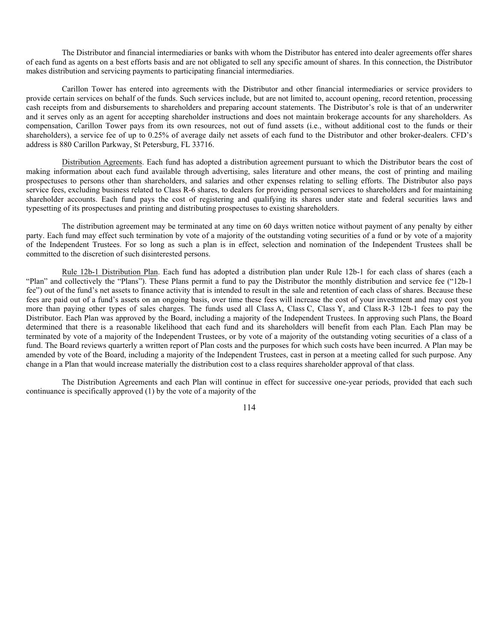The Distributor and financial intermediaries or banks with whom the Distributor has entered into dealer agreements offer shares of each fund as agents on a best efforts basis and are not obligated to sell any specific amount of shares. In this connection, the Distributor makes distribution and servicing payments to participating financial intermediaries.

Carillon Tower has entered into agreements with the Distributor and other financial intermediaries or service providers to provide certain services on behalf of the funds. Such services include, but are not limited to, account opening, record retention, processing cash receipts from and disbursements to shareholders and preparing account statements. The Distributor's role is that of an underwriter and it serves only as an agent for accepting shareholder instructions and does not maintain brokerage accounts for any shareholders. As compensation, Carillon Tower pays from its own resources, not out of fund assets (i.e., without additional cost to the funds or their shareholders), a service fee of up to 0.25% of average daily net assets of each fund to the Distributor and other broker-dealers. CFD's address is 880 Carillon Parkway, St Petersburg, FL 33716.

Distribution Agreements. Each fund has adopted a distribution agreement pursuant to which the Distributor bears the cost of making information about each fund available through advertising, sales literature and other means, the cost of printing and mailing prospectuses to persons other than shareholders, and salaries and other expenses relating to selling efforts. The Distributor also pays service fees, excluding business related to Class R-6 shares, to dealers for providing personal services to shareholders and for maintaining shareholder accounts. Each fund pays the cost of registering and qualifying its shares under state and federal securities laws and typesetting of its prospectuses and printing and distributing prospectuses to existing shareholders.

The distribution agreement may be terminated at any time on 60 days written notice without payment of any penalty by either party. Each fund may effect such termination by vote of a majority of the outstanding voting securities of a fund or by vote of a majority of the Independent Trustees. For so long as such a plan is in effect, selection and nomination of the Independent Trustees shall be committed to the discretion of such disinterested persons.

Rule 12b-1 Distribution Plan. Each fund has adopted a distribution plan under Rule 12b-1 for each class of shares (each a "Plan" and collectively the "Plans"). These Plans permit a fund to pay the Distributor the monthly distribution and service fee ("12b-1 fee") out of the fund's net assets to finance activity that is intended to result in the sale and retention of each class of shares. Because these fees are paid out of a fund's assets on an ongoing basis, over time these fees will increase the cost of your investment and may cost you more than paying other types of sales charges. The funds used all Class A, Class C, Class Y, and Class R-3 12b-1 fees to pay the Distributor. Each Plan was approved by the Board, including a majority of the Independent Trustees. In approving such Plans, the Board determined that there is a reasonable likelihood that each fund and its shareholders will benefit from each Plan. Each Plan may be terminated by vote of a majority of the Independent Trustees, or by vote of a majority of the outstanding voting securities of a class of a fund. The Board reviews quarterly a written report of Plan costs and the purposes for which such costs have been incurred. A Plan may be amended by vote of the Board, including a majority of the Independent Trustees, cast in person at a meeting called for such purpose. Any change in a Plan that would increase materially the distribution cost to a class requires shareholder approval of that class.

The Distribution Agreements and each Plan will continue in effect for successive one-year periods, provided that each such continuance is specifically approved (1) by the vote of a majority of the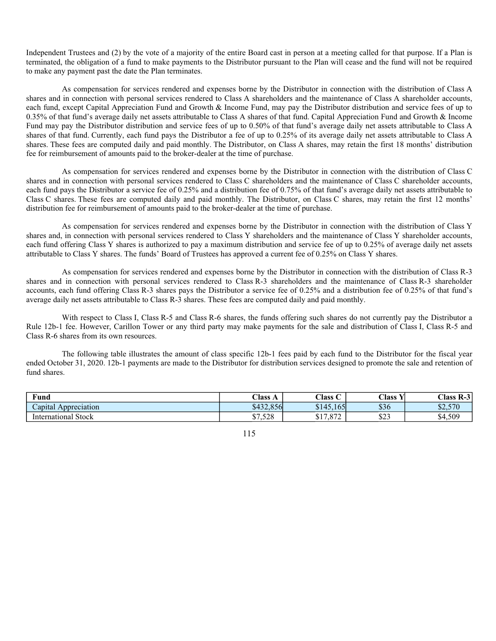Independent Trustees and (2) by the vote of a majority of the entire Board cast in person at a meeting called for that purpose. If a Plan is terminated, the obligation of a fund to make payments to the Distributor pursuant to the Plan will cease and the fund will not be required to make any payment past the date the Plan terminates.

As compensation for services rendered and expenses borne by the Distributor in connection with the distribution of Class A shares and in connection with personal services rendered to Class A shareholders and the maintenance of Class A shareholder accounts, each fund, except Capital Appreciation Fund and Growth & Income Fund, may pay the Distributor distribution and service fees of up to 0.35% of that fund's average daily net assets attributable to Class A shares of that fund. Capital Appreciation Fund and Growth & Income Fund may pay the Distributor distribution and service fees of up to 0.50% of that fund's average daily net assets attributable to Class A shares of that fund. Currently, each fund pays the Distributor a fee of up to 0.25% of its average daily net assets attributable to Class A shares. These fees are computed daily and paid monthly. The Distributor, on Class A shares, may retain the first 18 months' distribution fee for reimbursement of amounts paid to the broker-dealer at the time of purchase.

As compensation for services rendered and expenses borne by the Distributor in connection with the distribution of Class C shares and in connection with personal services rendered to Class C shareholders and the maintenance of Class C shareholder accounts, each fund pays the Distributor a service fee of 0.25% and a distribution fee of 0.75% of that fund's average daily net assets attributable to Class C shares. These fees are computed daily and paid monthly. The Distributor, on Class C shares, may retain the first 12 months' distribution fee for reimbursement of amounts paid to the broker-dealer at the time of purchase.

As compensation for services rendered and expenses borne by the Distributor in connection with the distribution of Class Y shares and, in connection with personal services rendered to Class Y shareholders and the maintenance of Class Y shareholder accounts, each fund offering Class Y shares is authorized to pay a maximum distribution and service fee of up to 0.25% of average daily net assets attributable to Class Y shares. The funds' Board of Trustees has approved a current fee of 0.25% on Class Y shares.

As compensation for services rendered and expenses borne by the Distributor in connection with the distribution of Class R-3 shares and in connection with personal services rendered to Class R-3 shareholders and the maintenance of Class R-3 shareholder accounts, each fund offering Class R-3 shares pays the Distributor a service fee of 0.25% and a distribution fee of 0.25% of that fund's average daily net assets attributable to Class R-3 shares. These fees are computed daily and paid monthly.

With respect to Class I, Class R-5 and Class R-6 shares, the funds offering such shares do not currently pay the Distributor a Rule 12b-1 fee. However, Carillon Tower or any third party may make payments for the sale and distribution of Class I, Class R-5 and Class R-6 shares from its own resources.

The following table illustrates the amount of class specific 12b-1 fees paid by each fund to the Distributor for the fiscal year ended October 31, 2020. 12b-1 payments are made to the Distributor for distribution services designed to promote the sale and retention of fund shares.

| Fund                    | <b>Class A</b>      | <b>Class</b><br>$\sim$<br>╰       | <b>Class</b> | Class $R-3$ |
|-------------------------|---------------------|-----------------------------------|--------------|-------------|
| ∠apıtal<br>Appreciation | \$432,856           | \$145.<br>165                     | \$36         | \$2,570     |
| Stock<br>International  | ሰማ<br>500<br>91.JZ0 | \$17,872<br>$\cdot$<br>$\sqrt{2}$ | 0.22<br>ر∠ت  | \$4,509     |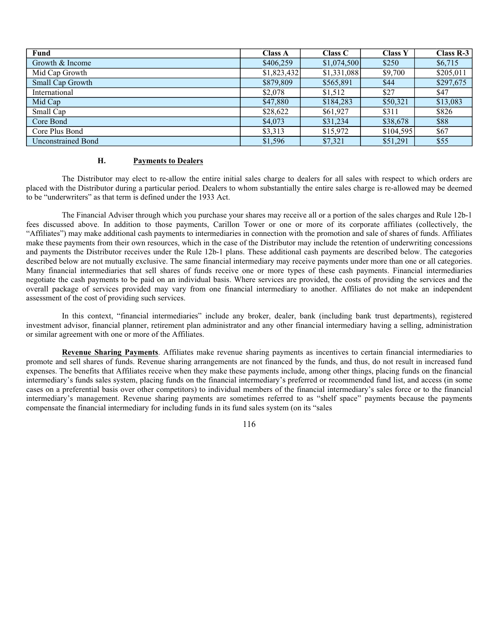| Fund                      | <b>Class A</b> | Class C     | <b>Class Y</b> | Class R-3 |
|---------------------------|----------------|-------------|----------------|-----------|
| Growth & Income           | \$406,259      | \$1,074,500 | \$250          | \$6,715   |
| Mid Cap Growth            | \$1,823,432    | \$1,331,088 | \$9,700        | \$205,011 |
| Small Cap Growth          | \$879,809      | \$565,891   | \$44           | \$297,675 |
| International             | \$2,078        | \$1,512     | \$27           | \$47      |
| Mid Cap                   | \$47,880       | \$184,283   | \$50,321       | \$13,083  |
| Small Cap                 | \$28,622       | \$61,927    | \$311          | \$826     |
| Core Bond                 | \$4,073        | \$31,234    | \$38,678       | \$88      |
| Core Plus Bond            | \$3,313        | \$15,972    | \$104,595      | \$67      |
| <b>Unconstrained Bond</b> | \$1,596        | \$7,321     | \$51,291       | \$55      |

# **H. Payments to Dealers**

The Distributor may elect to re-allow the entire initial sales charge to dealers for all sales with respect to which orders are placed with the Distributor during a particular period. Dealers to whom substantially the entire sales charge is re-allowed may be deemed to be "underwriters" as that term is defined under the 1933 Act.

The Financial Adviser through which you purchase your shares may receive all or a portion of the sales charges and Rule 12b-1 fees discussed above. In addition to those payments, Carillon Tower or one or more of its corporate affiliates (collectively, the "Affiliates") may make additional cash payments to intermediaries in connection with the promotion and sale of shares of funds. Affiliates make these payments from their own resources, which in the case of the Distributor may include the retention of underwriting concessions and payments the Distributor receives under the Rule 12b-1 plans. These additional cash payments are described below. The categories described below are not mutually exclusive. The same financial intermediary may receive payments under more than one or all categories. Many financial intermediaries that sell shares of funds receive one or more types of these cash payments. Financial intermediaries negotiate the cash payments to be paid on an individual basis. Where services are provided, the costs of providing the services and the overall package of services provided may vary from one financial intermediary to another. Affiliates do not make an independent assessment of the cost of providing such services.

In this context, "financial intermediaries" include any broker, dealer, bank (including bank trust departments), registered investment advisor, financial planner, retirement plan administrator and any other financial intermediary having a selling, administration or similar agreement with one or more of the Affiliates.

**Revenue Sharing Payments**. Affiliates make revenue sharing payments as incentives to certain financial intermediaries to promote and sell shares of funds. Revenue sharing arrangements are not financed by the funds, and thus, do not result in increased fund expenses. The benefits that Affiliates receive when they make these payments include, among other things, placing funds on the financial intermediary's funds sales system, placing funds on the financial intermediary's preferred or recommended fund list, and access (in some cases on a preferential basis over other competitors) to individual members of the financial intermediary's sales force or to the financial intermediary's management. Revenue sharing payments are sometimes referred to as "shelf space" payments because the payments compensate the financial intermediary for including funds in its fund sales system (on its "sales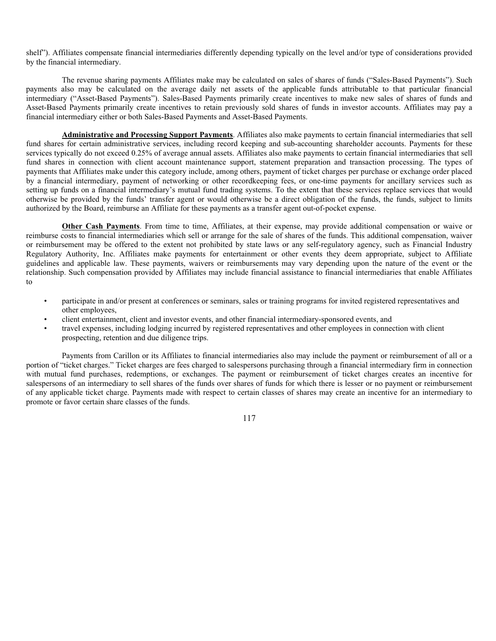shelf"). Affiliates compensate financial intermediaries differently depending typically on the level and/or type of considerations provided by the financial intermediary.

The revenue sharing payments Affiliates make may be calculated on sales of shares of funds ("Sales-Based Payments"). Such payments also may be calculated on the average daily net assets of the applicable funds attributable to that particular financial intermediary ("Asset-Based Payments"). Sales-Based Payments primarily create incentives to make new sales of shares of funds and Asset-Based Payments primarily create incentives to retain previously sold shares of funds in investor accounts. Affiliates may pay a financial intermediary either or both Sales-Based Payments and Asset-Based Payments.

**Administrative and Processing Support Payments**. Affiliates also make payments to certain financial intermediaries that sell fund shares for certain administrative services, including record keeping and sub-accounting shareholder accounts. Payments for these services typically do not exceed 0.25% of average annual assets. Affiliates also make payments to certain financial intermediaries that sell fund shares in connection with client account maintenance support, statement preparation and transaction processing. The types of payments that Affiliates make under this category include, among others, payment of ticket charges per purchase or exchange order placed by a financial intermediary, payment of networking or other recordkeeping fees, or one-time payments for ancillary services such as setting up funds on a financial intermediary's mutual fund trading systems. To the extent that these services replace services that would otherwise be provided by the funds' transfer agent or would otherwise be a direct obligation of the funds, the funds, subject to limits authorized by the Board, reimburse an Affiliate for these payments as a transfer agent out-of-pocket expense.

**Other Cash Payments**. From time to time, Affiliates, at their expense, may provide additional compensation or waive or reimburse costs to financial intermediaries which sell or arrange for the sale of shares of the funds. This additional compensation, waiver or reimbursement may be offered to the extent not prohibited by state laws or any self-regulatory agency, such as Financial Industry Regulatory Authority, Inc. Affiliates make payments for entertainment or other events they deem appropriate, subject to Affiliate guidelines and applicable law. These payments, waivers or reimbursements may vary depending upon the nature of the event or the relationship. Such compensation provided by Affiliates may include financial assistance to financial intermediaries that enable Affiliates to

- participate in and/or present at conferences or seminars, sales or training programs for invited registered representatives and other employees,
- client entertainment, client and investor events, and other financial intermediary-sponsored events, and
- travel expenses, including lodging incurred by registered representatives and other employees in connection with client prospecting, retention and due diligence trips.

Payments from Carillon or its Affiliates to financial intermediaries also may include the payment or reimbursement of all or a portion of "ticket charges." Ticket charges are fees charged to salespersons purchasing through a financial intermediary firm in connection with mutual fund purchases, redemptions, or exchanges. The payment or reimbursement of ticket charges creates an incentive for salespersons of an intermediary to sell shares of the funds over shares of funds for which there is lesser or no payment or reimbursement of any applicable ticket charge. Payments made with respect to certain classes of shares may create an incentive for an intermediary to promote or favor certain share classes of the funds.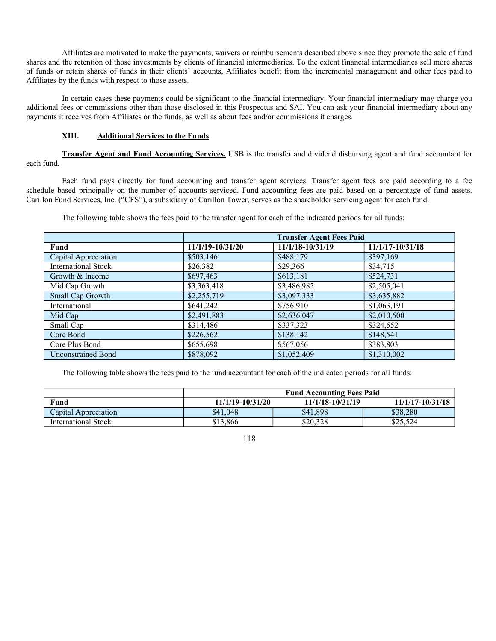Affiliates are motivated to make the payments, waivers or reimbursements described above since they promote the sale of fund shares and the retention of those investments by clients of financial intermediaries. To the extent financial intermediaries sell more shares of funds or retain shares of funds in their clients' accounts, Affiliates benefit from the incremental management and other fees paid to Affiliates by the funds with respect to those assets.

In certain cases these payments could be significant to the financial intermediary. Your financial intermediary may charge you additional fees or commissions other than those disclosed in this Prospectus and SAI. You can ask your financial intermediary about any payments it receives from Affiliates or the funds, as well as about fees and/or commissions it charges.

# **XIII. Additional Services to the Funds**

**Transfer Agent and Fund Accounting Services.** USB is the transfer and dividend disbursing agent and fund accountant for each fund.

Each fund pays directly for fund accounting and transfer agent services. Transfer agent fees are paid according to a fee schedule based principally on the number of accounts serviced. Fund accounting fees are paid based on a percentage of fund assets. Carillon Fund Services, Inc. ("CFS"), a subsidiary of Carillon Tower, serves as the shareholder servicing agent for each fund.

The following table shows the fees paid to the transfer agent for each of the indicated periods for all funds:

|                            | <b>Transfer Agent Fees Paid</b> |                  |                  |  |
|----------------------------|---------------------------------|------------------|------------------|--|
| Fund                       | 11/1/19-10/31/20                | 11/1/18-10/31/19 | 11/1/17-10/31/18 |  |
| Capital Appreciation       | \$503,146                       | \$488,179        | \$397,169        |  |
| <b>International Stock</b> | \$26,382                        | \$29,366         | \$34,715         |  |
| Growth & Income            | \$697,463                       | \$613,181        | \$524,731        |  |
| Mid Cap Growth             | \$3,363,418                     | \$3,486,985      | \$2,505,041      |  |
| Small Cap Growth           | \$2,255,719                     | \$3,097,333      | \$3,635,882      |  |
| International              | \$641,242                       | \$756,910        | \$1,063,191      |  |
| Mid Cap                    | \$2,491,883                     | \$2,636,047      | \$2,010,500      |  |
| Small Cap                  | \$314,486                       | \$337,323        | \$324,552        |  |
| Core Bond                  | \$226,562                       | \$138,142        | \$148,541        |  |
| Core Plus Bond             | \$655,698                       | \$567,056        | \$383,803        |  |
| <b>Unconstrained Bond</b>  | \$878,092                       | \$1,052,409      | \$1,310,002      |  |

The following table shows the fees paid to the fund accountant for each of the indicated periods for all funds:

|                      | <b>Fund Accounting Fees Paid</b> |                  |                  |
|----------------------|----------------------------------|------------------|------------------|
| Fund                 | 11/1/19-10/31/20                 | 11/1/18-10/31/19 | 11/1/17-10/31/18 |
| Capital Appreciation | \$41,048                         | \$41,898         | \$38,280         |
| International Stock  | \$13,866                         | \$20,328         | \$25,524         |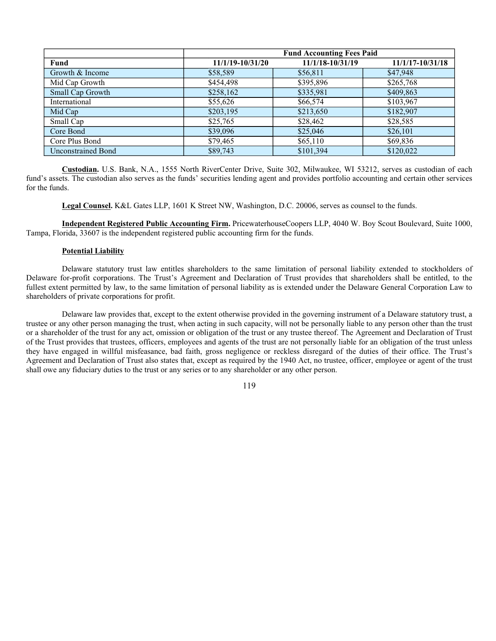|                           | <b>Fund Accounting Fees Paid</b> |                  |                  |
|---------------------------|----------------------------------|------------------|------------------|
| Fund                      | 11/1/19-10/31/20                 | 11/1/18-10/31/19 | 11/1/17-10/31/18 |
| Growth & Income           | \$58,589                         | \$56,811         | \$47,948         |
| Mid Cap Growth            | \$454,498                        | \$395,896        | \$265,768        |
| Small Cap Growth          | \$258,162                        | \$335,981        | \$409,863        |
| International             | \$55,626                         | \$66,574         | \$103,967        |
| Mid Cap                   | \$203,195                        | \$213,650        | \$182,907        |
| Small Cap                 | \$25,765                         | \$28,462         | \$28,585         |
| Core Bond                 | \$39,096                         | \$25,046         | \$26,101         |
| Core Plus Bond            | \$79,465                         | \$65,110         | \$69,836         |
| <b>Unconstrained Bond</b> | \$89,743                         | \$101,394        | \$120,022        |

**Custodian.** U.S. Bank, N.A., 1555 North RiverCenter Drive, Suite 302, Milwaukee, WI 53212, serves as custodian of each fund's assets. The custodian also serves as the funds' securities lending agent and provides portfolio accounting and certain other services for the funds.

**Legal Counsel.** K&L Gates LLP, 1601 K Street NW, Washington, D.C. 20006, serves as counsel to the funds.

**Independent Registered Public Accounting Firm.** PricewaterhouseCoopers LLP, 4040 W. Boy Scout Boulevard, Suite 1000, Tampa, Florida, 33607 is the independent registered public accounting firm for the funds.

### **Potential Liability**

Delaware statutory trust law entitles shareholders to the same limitation of personal liability extended to stockholders of Delaware for-profit corporations. The Trust's Agreement and Declaration of Trust provides that shareholders shall be entitled, to the fullest extent permitted by law, to the same limitation of personal liability as is extended under the Delaware General Corporation Law to shareholders of private corporations for profit.

Delaware law provides that, except to the extent otherwise provided in the governing instrument of a Delaware statutory trust, a trustee or any other person managing the trust, when acting in such capacity, will not be personally liable to any person other than the trust or a shareholder of the trust for any act, omission or obligation of the trust or any trustee thereof. The Agreement and Declaration of Trust of the Trust provides that trustees, officers, employees and agents of the trust are not personally liable for an obligation of the trust unless they have engaged in willful misfeasance, bad faith, gross negligence or reckless disregard of the duties of their office. The Trust's Agreement and Declaration of Trust also states that, except as required by the 1940 Act, no trustee, officer, employee or agent of the trust shall owe any fiduciary duties to the trust or any series or to any shareholder or any other person.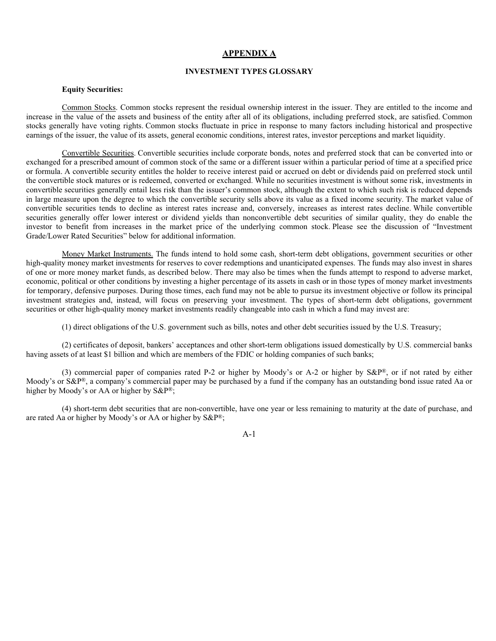# **APPENDIX A**

# **INVESTMENT TYPES GLOSSARY**

#### **Equity Securities:**

Common Stocks. Common stocks represent the residual ownership interest in the issuer. They are entitled to the income and increase in the value of the assets and business of the entity after all of its obligations, including preferred stock, are satisfied. Common stocks generally have voting rights. Common stocks fluctuate in price in response to many factors including historical and prospective earnings of the issuer, the value of its assets, general economic conditions, interest rates, investor perceptions and market liquidity.

Convertible Securities. Convertible securities include corporate bonds, notes and preferred stock that can be converted into or exchanged for a prescribed amount of common stock of the same or a different issuer within a particular period of time at a specified price or formula. A convertible security entitles the holder to receive interest paid or accrued on debt or dividends paid on preferred stock until the convertible stock matures or is redeemed, converted or exchanged. While no securities investment is without some risk, investments in convertible securities generally entail less risk than the issuer's common stock, although the extent to which such risk is reduced depends in large measure upon the degree to which the convertible security sells above its value as a fixed income security. The market value of convertible securities tends to decline as interest rates increase and, conversely, increases as interest rates decline. While convertible securities generally offer lower interest or dividend yields than nonconvertible debt securities of similar quality, they do enable the investor to benefit from increases in the market price of the underlying common stock. Please see the discussion of "Investment Grade/Lower Rated Securities" below for additional information.

Money Market Instruments. The funds intend to hold some cash, short-term debt obligations, government securities or other high-quality money market investments for reserves to cover redemptions and unanticipated expenses. The funds may also invest in shares of one or more money market funds, as described below. There may also be times when the funds attempt to respond to adverse market, economic, political or other conditions by investing a higher percentage of its assets in cash or in those types of money market investments for temporary, defensive purposes. During those times, each fund may not be able to pursue its investment objective or follow its principal investment strategies and, instead, will focus on preserving your investment. The types of short-term debt obligations, government securities or other high-quality money market investments readily changeable into cash in which a fund may invest are:

(1) direct obligations of the U.S. government such as bills, notes and other debt securities issued by the U.S. Treasury;

(2) certificates of deposit, bankers' acceptances and other short-term obligations issued domestically by U.S. commercial banks having assets of at least \$1 billion and which are members of the FDIC or holding companies of such banks;

(3) commercial paper of companies rated P-2 or higher by Moody's or A-2 or higher by S&P®, or if not rated by either Moody's or  $S\&P^{\mathbb{B}}$ , a company's commercial paper may be purchased by a fund if the company has an outstanding bond issue rated Aa or higher by Moody's or AA or higher by  $S\&P^{\circledR}$ ;

(4) short-term debt securities that are non-convertible, have one year or less remaining to maturity at the date of purchase, and are rated Aa or higher by Moody's or AA or higher by S&P®;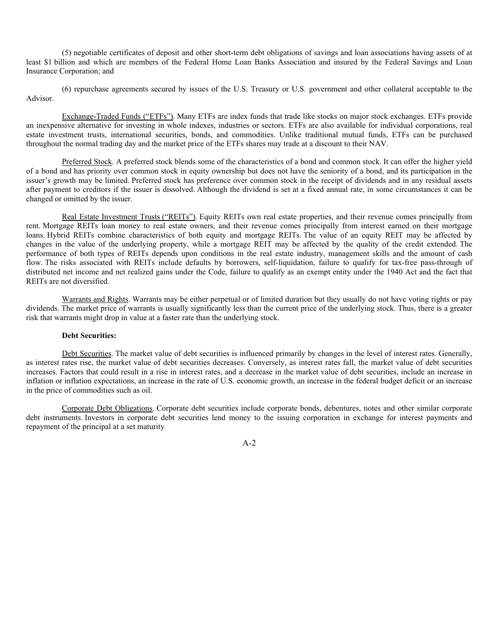(5) negotiable certificates of deposit and other short-term debt obligations of savings and loan associations having assets of at least \$1 billion and which are members of the Federal Home Loan Banks Association and insured by the Federal Savings and Loan Insurance Corporation; and

(6) repurchase agreements secured by issues of the U.S. Treasury or U.S. government and other collateral acceptable to the Advisor.

Exchange-Traded Funds ("ETFs"). Many ETFs are index funds that trade like stocks on major stock exchanges. ETFs provide an inexpensive alternative for investing in whole indexes, industries or sectors. ETFs are also available for individual corporations, real estate investment trusts, international securities, bonds, and commodities. Unlike traditional mutual funds, ETFs can be purchased throughout the normal trading day and the market price of the ETFs shares may trade at a discount to their NAV.

Preferred Stock. A preferred stock blends some of the characteristics of a bond and common stock. It can offer the higher yield of a bond and has priority over common stock in equity ownership but does not have the seniority of a bond, and its participation in the issuer's growth may be limited. Preferred stock has preference over common stock in the receipt of dividends and in any residual assets after payment to creditors if the issuer is dissolved. Although the dividend is set at a fixed annual rate, in some circumstances it can be changed or omitted by the issuer.

Real Estate Investment Trusts ("REITs"). Equity REITs own real estate properties, and their revenue comes principally from rent. Mortgage REITs loan money to real estate owners, and their revenue comes principally from interest earned on their mortgage loans. Hybrid REITs combine characteristics of both equity and mortgage REITs. The value of an equity REIT may be affected by changes in the value of the underlying property, while a mortgage REIT may be affected by the quality of the credit extended. The performance of both types of REITs depends upon conditions in the real estate industry, management skills and the amount of cash flow. The risks associated with REITs include defaults by borrowers, self-liquidation, failure to qualify for tax-free pass-through of distributed net income and net realized gains under the Code, failure to qualify as an exempt entity under the 1940 Act and the fact that REITs are not diversified.

Warrants and Rights. Warrants may be either perpetual or of limited duration but they usually do not have voting rights or pay dividends. The market price of warrants is usually significantly less than the current price of the underlying stock. Thus, there is a greater risk that warrants might drop in value at a faster rate than the underlying stock.

## **Debt Securities:**

Debt Securities. The market value of debt securities is influenced primarily by changes in the level of interest rates. Generally, as interest rates rise, the market value of debt securities decreases. Conversely, as interest rates fall, the market value of debt securities increases. Factors that could result in a rise in interest rates, and a decrease in the market value of debt securities, include an increase in inflation or inflation expectations, an increase in the rate of U.S. economic growth, an increase in the federal budget deficit or an increase in the price of commodities such as oil.

Corporate Debt Obligations. Corporate debt securities include corporate bonds, debentures, notes and other similar corporate debt instruments. Investors in corporate debt securities lend money to the issuing corporation in exchange for interest payments and repayment of the principal at a set maturity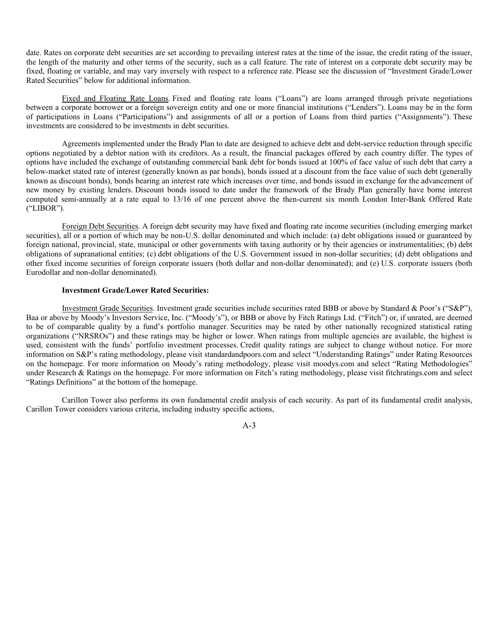date. Rates on corporate debt securities are set according to prevailing interest rates at the time of the issue, the credit rating of the issuer, the length of the maturity and other terms of the security, such as a call feature. The rate of interest on a corporate debt security may be fixed, floating or variable, and may vary inversely with respect to a reference rate. Please see the discussion of "Investment Grade/Lower Rated Securities" below for additional information.

Fixed and Floating Rate Loans. Fixed and floating rate loans ("Loans") are loans arranged through private negotiations between a corporate borrower or a foreign sovereign entity and one or more financial institutions ("Lenders"). Loans may be in the form of participations in Loans ("Participations") and assignments of all or a portion of Loans from third parties ("Assignments"). These investments are considered to be investments in debt securities.

Agreements implemented under the Brady Plan to date are designed to achieve debt and debt-service reduction through specific options negotiated by a debtor nation with its creditors. As a result, the financial packages offered by each country differ. The types of options have included the exchange of outstanding commercial bank debt for bonds issued at 100% of face value of such debt that carry a below-market stated rate of interest (generally known as par bonds), bonds issued at a discount from the face value of such debt (generally known as discount bonds), bonds bearing an interest rate which increases over time, and bonds issued in exchange for the advancement of new money by existing lenders. Discount bonds issued to date under the framework of the Brady Plan generally have borne interest computed semi-annually at a rate equal to 13/16 of one percent above the then-current six month London Inter-Bank Offered Rate ("LIBOR").

Foreign Debt Securities. A foreign debt security may have fixed and floating rate income securities (including emerging market securities), all or a portion of which may be non-U.S. dollar denominated and which include: (a) debt obligations issued or guaranteed by foreign national, provincial, state, municipal or other governments with taxing authority or by their agencies or instrumentalities; (b) debt obligations of supranational entities; (c) debt obligations of the U.S. Government issued in non-dollar securities; (d) debt obligations and other fixed income securities of foreign corporate issuers (both dollar and non-dollar denominated); and (e) U.S. corporate issuers (both Eurodollar and non-dollar denominated).

### **Investment Grade/Lower Rated Securities:**

Investment Grade Securities. Investment grade securities include securities rated BBB or above by Standard & Poor's ("S&P"), Baa or above by Moody's Investors Service, Inc. ("Moody's"), or BBB or above by Fitch Ratings Ltd. ("Fitch") or, if unrated, are deemed to be of comparable quality by a fund's portfolio manager. Securities may be rated by other nationally recognized statistical rating organizations ("NRSROs") and these ratings may be higher or lower. When ratings from multiple agencies are available, the highest is used, consistent with the funds' portfolio investment processes. Credit quality ratings are subject to change without notice. For more information on S&P's rating methodology, please visit standardandpoors.com and select "Understanding Ratings" under Rating Resources on the homepage. For more information on Moody's rating methodology, please visit moodys.com and select "Rating Methodologies" under Research & Ratings on the homepage. For more information on Fitch's rating methodology, please visit fitchratings.com and select "Ratings Definitions" at the bottom of the homepage.

Carillon Tower also performs its own fundamental credit analysis of each security. As part of its fundamental credit analysis, Carillon Tower considers various criteria, including industry specific actions,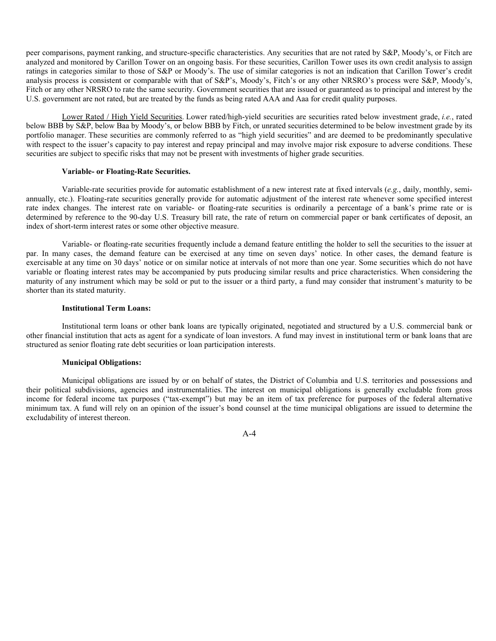peer comparisons, payment ranking, and structure-specific characteristics. Any securities that are not rated by S&P, Moody's, or Fitch are analyzed and monitored by Carillon Tower on an ongoing basis. For these securities, Carillon Tower uses its own credit analysis to assign ratings in categories similar to those of S&P or Moody's. The use of similar categories is not an indication that Carillon Tower's credit analysis process is consistent or comparable with that of S&P's, Moody's, Fitch's or any other NRSRO's process were S&P, Moody's, Fitch or any other NRSRO to rate the same security. Government securities that are issued or guaranteed as to principal and interest by the U.S. government are not rated, but are treated by the funds as being rated AAA and Aaa for credit quality purposes.

Lower Rated / High Yield Securities. Lower rated/high-yield securities are securities rated below investment grade, *i.e.*, rated below BBB by S&P, below Baa by Moody's, or below BBB by Fitch, or unrated securities determined to be below investment grade by its portfolio manager. These securities are commonly referred to as "high yield securities" and are deemed to be predominantly speculative with respect to the issuer's capacity to pay interest and repay principal and may involve major risk exposure to adverse conditions. These securities are subject to specific risks that may not be present with investments of higher grade securities.

#### **Variable- or Floating-Rate Securities.**

Variable-rate securities provide for automatic establishment of a new interest rate at fixed intervals (*e.g.*, daily, monthly, semiannually, etc.). Floating-rate securities generally provide for automatic adjustment of the interest rate whenever some specified interest rate index changes. The interest rate on variable- or floating-rate securities is ordinarily a percentage of a bank's prime rate or is determined by reference to the 90-day U.S. Treasury bill rate, the rate of return on commercial paper or bank certificates of deposit, an index of short-term interest rates or some other objective measure.

Variable- or floating-rate securities frequently include a demand feature entitling the holder to sell the securities to the issuer at par. In many cases, the demand feature can be exercised at any time on seven days' notice. In other cases, the demand feature is exercisable at any time on 30 days' notice or on similar notice at intervals of not more than one year. Some securities which do not have variable or floating interest rates may be accompanied by puts producing similar results and price characteristics. When considering the maturity of any instrument which may be sold or put to the issuer or a third party, a fund may consider that instrument's maturity to be shorter than its stated maturity.

### **Institutional Term Loans:**

Institutional term loans or other bank loans are typically originated, negotiated and structured by a U.S. commercial bank or other financial institution that acts as agent for a syndicate of loan investors. A fund may invest in institutional term or bank loans that are structured as senior floating rate debt securities or loan participation interests.

#### **Municipal Obligations:**

Municipal obligations are issued by or on behalf of states, the District of Columbia and U.S. territories and possessions and their political subdivisions, agencies and instrumentalities. The interest on municipal obligations is generally excludable from gross income for federal income tax purposes ("tax-exempt") but may be an item of tax preference for purposes of the federal alternative minimum tax. A fund will rely on an opinion of the issuer's bond counsel at the time municipal obligations are issued to determine the excludability of interest thereon.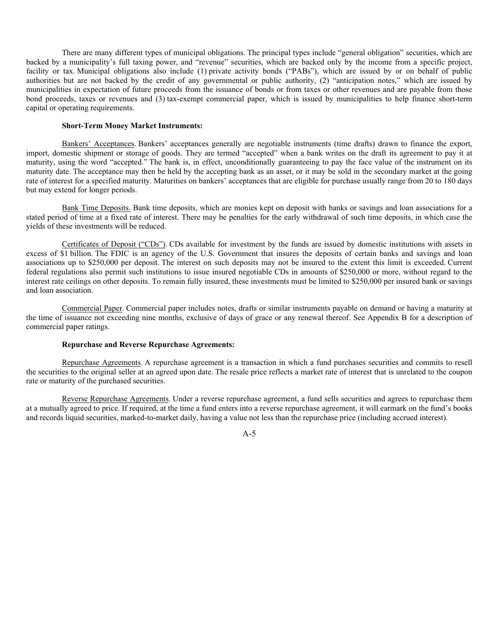There are many different types of municipal obligations. The principal types include "general obligation" securities, which are backed by a municipality's full taxing power, and "revenue" securities, which are backed only by the income from a specific project, facility or tax. Municipal obligations also include (1) private activity bonds ("PABs"), which are issued by or on behalf of public authorities but are not backed by the credit of any governmental or public authority, (2) "anticipation notes," which are issued by municipalities in expectation of future proceeds from the issuance of bonds or from taxes or other revenues and are payable from those bond proceeds, taxes or revenues and (3) tax-exempt commercial paper, which is issued by municipalities to help finance short-term capital or operating requirements.

#### **Short-Term Money Market Instruments:**

Bankers' Acceptances. Bankers' acceptances generally are negotiable instruments (time drafts) drawn to finance the export, import, domestic shipment or storage of goods. They are termed "accepted" when a bank writes on the draft its agreement to pay it at maturity, using the word "accepted." The bank is, in effect, unconditionally guaranteeing to pay the face value of the instrument on its maturity date. The acceptance may then be held by the accepting bank as an asset, or it may be sold in the secondary market at the going rate of interest for a specified maturity. Maturities on bankers' acceptances that are eligible for purchase usually range from 20 to 180 days but may extend for longer periods.

Bank Time Deposits. Bank time deposits, which are monies kept on deposit with banks or savings and loan associations for a stated period of time at a fixed rate of interest. There may be penalties for the early withdrawal of such time deposits, in which case the yields of these investments will be reduced.

Certificates of Deposit ("CDs"). CDs available for investment by the funds are issued by domestic institutions with assets in excess of \$1 billion. The FDIC is an agency of the U.S. Government that insures the deposits of certain banks and savings and loan associations up to \$250,000 per deposit. The interest on such deposits may not be insured to the extent this limit is exceeded. Current federal regulations also permit such institutions to issue insured negotiable CDs in amounts of \$250,000 or more, without regard to the interest rate ceilings on other deposits. To remain fully insured, these investments must be limited to \$250,000 per insured bank or savings and loan association.

Commercial Paper. Commercial paper includes notes, drafts or similar instruments payable on demand or having a maturity at the time of issuance not exceeding nine months, exclusive of days of grace or any renewal thereof. See Appendix B for a description of commercial paper ratings.

## **Repurchase and Reverse Repurchase Agreements:**

Repurchase Agreements. A repurchase agreement is a transaction in which a fund purchases securities and commits to resell the securities to the original seller at an agreed upon date. The resale price reflects a market rate of interest that is unrelated to the coupon rate or maturity of the purchased securities.

Reverse Repurchase Agreements. Under a reverse repurchase agreement, a fund sells securities and agrees to repurchase them at a mutually agreed to price. If required, at the time a fund enters into a reverse repurchase agreement, it will earmark on the fund's books and records liquid securities, marked-to-market daily, having a value not less than the repurchase price (including accrued interest).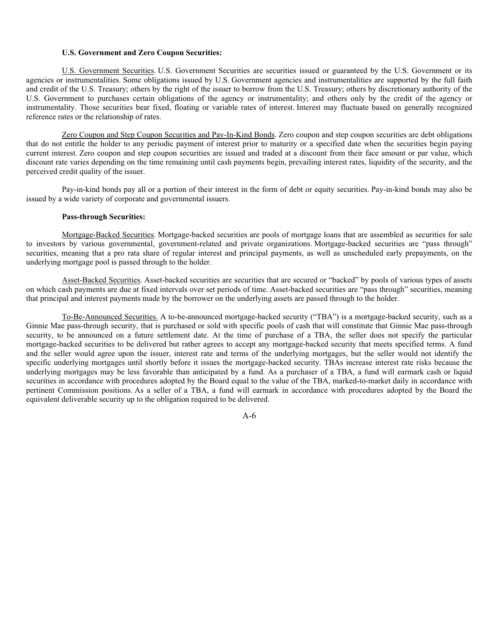## **U.S. Government and Zero Coupon Securities:**

U.S. Government Securities. U.S. Government Securities are securities issued or guaranteed by the U.S. Government or its agencies or instrumentalities. Some obligations issued by U.S. Government agencies and instrumentalities are supported by the full faith and credit of the U.S. Treasury; others by the right of the issuer to borrow from the U.S. Treasury; others by discretionary authority of the U.S. Government to purchases certain obligations of the agency or instrumentality; and others only by the credit of the agency or instrumentality. Those securities bear fixed, floating or variable rates of interest. Interest may fluctuate based on generally recognized reference rates or the relationship of rates.

Zero Coupon and Step Coupon Securities and Pay-In-Kind Bonds. Zero coupon and step coupon securities are debt obligations that do not entitle the holder to any periodic payment of interest prior to maturity or a specified date when the securities begin paying current interest. Zero coupon and step coupon securities are issued and traded at a discount from their face amount or par value, which discount rate varies depending on the time remaining until cash payments begin, prevailing interest rates, liquidity of the security, and the perceived credit quality of the issuer.

Pay-in-kind bonds pay all or a portion of their interest in the form of debt or equity securities. Pay-in-kind bonds may also be issued by a wide variety of corporate and governmental issuers.

## **Pass-through Securities:**

Mortgage-Backed Securities. Mortgage-backed securities are pools of mortgage loans that are assembled as securities for sale to investors by various governmental, government-related and private organizations. Mortgage-backed securities are "pass through" securities, meaning that a pro rata share of regular interest and principal payments, as well as unscheduled early prepayments, on the underlying mortgage pool is passed through to the holder.

Asset-Backed Securities. Asset-backed securities are securities that are secured or "backed" by pools of various types of assets on which cash payments are due at fixed intervals over set periods of time. Asset-backed securities are "pass through" securities, meaning that principal and interest payments made by the borrower on the underlying assets are passed through to the holder.

To-Be-Announced Securities. A to-be-announced mortgage-backed security ("TBA") is a mortgage-backed security, such as a Ginnie Mae pass-through security, that is purchased or sold with specific pools of cash that will constitute that Ginnie Mae pass-through security, to be announced on a future settlement date. At the time of purchase of a TBA, the seller does not specify the particular mortgage-backed securities to be delivered but rather agrees to accept any mortgage-backed security that meets specified terms. A fund and the seller would agree upon the issuer, interest rate and terms of the underlying mortgages, but the seller would not identify the specific underlying mortgages until shortly before it issues the mortgage-backed security. TBAs increase interest rate risks because the underlying mortgages may be less favorable than anticipated by a fund. As a purchaser of a TBA, a fund will earmark cash or liquid securities in accordance with procedures adopted by the Board equal to the value of the TBA, marked-to-market daily in accordance with pertinent Commission positions. As a seller of a TBA, a fund will earmark in accordance with procedures adopted by the Board the equivalent deliverable security up to the obligation required to be delivered.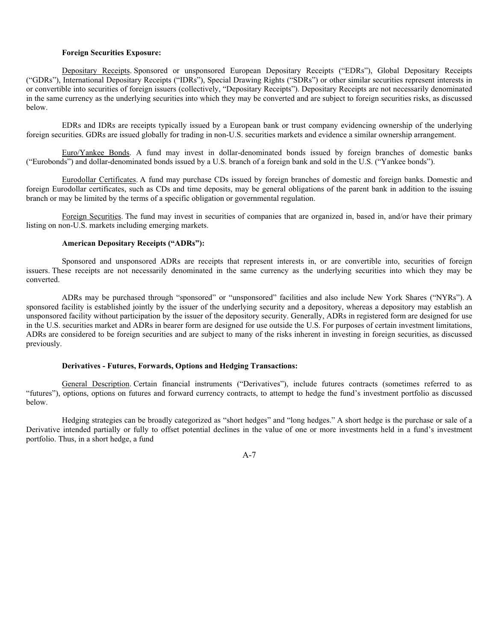## **Foreign Securities Exposure:**

Depositary Receipts. Sponsored or unsponsored European Depositary Receipts ("EDRs"), Global Depositary Receipts ("GDRs"), International Depositary Receipts ("IDRs"), Special Drawing Rights ("SDRs") or other similar securities represent interests in or convertible into securities of foreign issuers (collectively, "Depositary Receipts"). Depositary Receipts are not necessarily denominated in the same currency as the underlying securities into which they may be converted and are subject to foreign securities risks, as discussed below.

EDRs and IDRs are receipts typically issued by a European bank or trust company evidencing ownership of the underlying foreign securities. GDRs are issued globally for trading in non-U.S. securities markets and evidence a similar ownership arrangement.

Euro/Yankee Bonds. A fund may invest in dollar-denominated bonds issued by foreign branches of domestic banks ("Eurobonds") and dollar-denominated bonds issued by a U.S. branch of a foreign bank and sold in the U.S. ("Yankee bonds").

Eurodollar Certificates. A fund may purchase CDs issued by foreign branches of domestic and foreign banks. Domestic and foreign Eurodollar certificates, such as CDs and time deposits, may be general obligations of the parent bank in addition to the issuing branch or may be limited by the terms of a specific obligation or governmental regulation.

Foreign Securities. The fund may invest in securities of companies that are organized in, based in, and/or have their primary listing on non-U.S. markets including emerging markets.

### **American Depositary Receipts ("ADRs"):**

Sponsored and unsponsored ADRs are receipts that represent interests in, or are convertible into, securities of foreign issuers. These receipts are not necessarily denominated in the same currency as the underlying securities into which they may be converted.

ADRs may be purchased through "sponsored" or "unsponsored" facilities and also include New York Shares ("NYRs"). A sponsored facility is established jointly by the issuer of the underlying security and a depository, whereas a depository may establish an unsponsored facility without participation by the issuer of the depository security. Generally, ADRs in registered form are designed for use in the U.S. securities market and ADRs in bearer form are designed for use outside the U.S. For purposes of certain investment limitations, ADRs are considered to be foreign securities and are subject to many of the risks inherent in investing in foreign securities, as discussed previously.

### **Derivatives - Futures, Forwards, Options and Hedging Transactions:**

General Description. Certain financial instruments ("Derivatives"), include futures contracts (sometimes referred to as "futures"), options, options on futures and forward currency contracts, to attempt to hedge the fund's investment portfolio as discussed below.

Hedging strategies can be broadly categorized as "short hedges" and "long hedges." A short hedge is the purchase or sale of a Derivative intended partially or fully to offset potential declines in the value of one or more investments held in a fund's investment portfolio. Thus, in a short hedge, a fund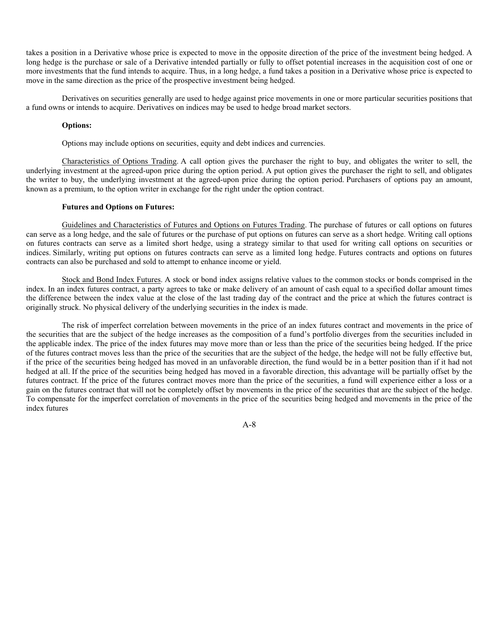takes a position in a Derivative whose price is expected to move in the opposite direction of the price of the investment being hedged. A long hedge is the purchase or sale of a Derivative intended partially or fully to offset potential increases in the acquisition cost of one or more investments that the fund intends to acquire. Thus, in a long hedge, a fund takes a position in a Derivative whose price is expected to move in the same direction as the price of the prospective investment being hedged.

Derivatives on securities generally are used to hedge against price movements in one or more particular securities positions that a fund owns or intends to acquire. Derivatives on indices may be used to hedge broad market sectors.

### **Options:**

Options may include options on securities, equity and debt indices and currencies.

Characteristics of Options Trading. A call option gives the purchaser the right to buy, and obligates the writer to sell, the underlying investment at the agreed-upon price during the option period. A put option gives the purchaser the right to sell, and obligates the writer to buy, the underlying investment at the agreed-upon price during the option period. Purchasers of options pay an amount, known as a premium, to the option writer in exchange for the right under the option contract.

### **Futures and Options on Futures:**

Guidelines and Characteristics of Futures and Options on Futures Trading. The purchase of futures or call options on futures can serve as a long hedge, and the sale of futures or the purchase of put options on futures can serve as a short hedge. Writing call options on futures contracts can serve as a limited short hedge, using a strategy similar to that used for writing call options on securities or indices. Similarly, writing put options on futures contracts can serve as a limited long hedge. Futures contracts and options on futures contracts can also be purchased and sold to attempt to enhance income or yield.

Stock and Bond Index Futures. A stock or bond index assigns relative values to the common stocks or bonds comprised in the index. In an index futures contract, a party agrees to take or make delivery of an amount of cash equal to a specified dollar amount times the difference between the index value at the close of the last trading day of the contract and the price at which the futures contract is originally struck. No physical delivery of the underlying securities in the index is made.

The risk of imperfect correlation between movements in the price of an index futures contract and movements in the price of the securities that are the subject of the hedge increases as the composition of a fund's portfolio diverges from the securities included in the applicable index. The price of the index futures may move more than or less than the price of the securities being hedged. If the price of the futures contract moves less than the price of the securities that are the subject of the hedge, the hedge will not be fully effective but, if the price of the securities being hedged has moved in an unfavorable direction, the fund would be in a better position than if it had not hedged at all. If the price of the securities being hedged has moved in a favorable direction, this advantage will be partially offset by the futures contract. If the price of the futures contract moves more than the price of the securities, a fund will experience either a loss or a gain on the futures contract that will not be completely offset by movements in the price of the securities that are the subject of the hedge. To compensate for the imperfect correlation of movements in the price of the securities being hedged and movements in the price of the index futures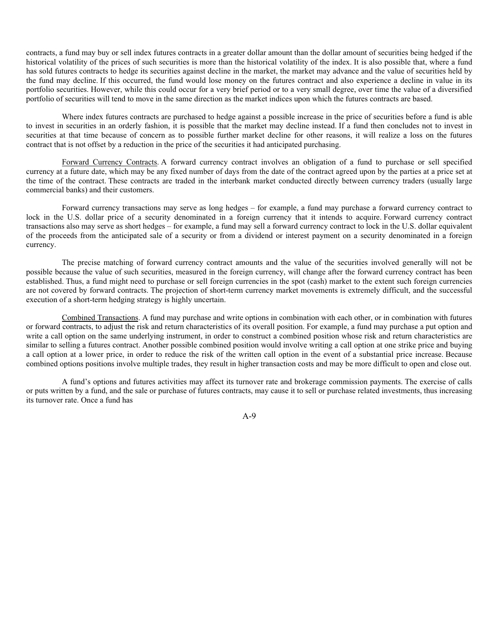contracts, a fund may buy or sell index futures contracts in a greater dollar amount than the dollar amount of securities being hedged if the historical volatility of the prices of such securities is more than the historical volatility of the index. It is also possible that, where a fund has sold futures contracts to hedge its securities against decline in the market, the market may advance and the value of securities held by the fund may decline. If this occurred, the fund would lose money on the futures contract and also experience a decline in value in its portfolio securities. However, while this could occur for a very brief period or to a very small degree, over time the value of a diversified portfolio of securities will tend to move in the same direction as the market indices upon which the futures contracts are based.

Where index futures contracts are purchased to hedge against a possible increase in the price of securities before a fund is able to invest in securities in an orderly fashion, it is possible that the market may decline instead. If a fund then concludes not to invest in securities at that time because of concern as to possible further market decline for other reasons, it will realize a loss on the futures contract that is not offset by a reduction in the price of the securities it had anticipated purchasing.

Forward Currency Contracts. A forward currency contract involves an obligation of a fund to purchase or sell specified currency at a future date, which may be any fixed number of days from the date of the contract agreed upon by the parties at a price set at the time of the contract. These contracts are traded in the interbank market conducted directly between currency traders (usually large commercial banks) and their customers.

Forward currency transactions may serve as long hedges – for example, a fund may purchase a forward currency contract to lock in the U.S. dollar price of a security denominated in a foreign currency that it intends to acquire. Forward currency contract transactions also may serve as short hedges – for example, a fund may sell a forward currency contract to lock in the U.S. dollar equivalent of the proceeds from the anticipated sale of a security or from a dividend or interest payment on a security denominated in a foreign currency.

The precise matching of forward currency contract amounts and the value of the securities involved generally will not be possible because the value of such securities, measured in the foreign currency, will change after the forward currency contract has been established. Thus, a fund might need to purchase or sell foreign currencies in the spot (cash) market to the extent such foreign currencies are not covered by forward contracts. The projection of short-term currency market movements is extremely difficult, and the successful execution of a short-term hedging strategy is highly uncertain.

Combined Transactions. A fund may purchase and write options in combination with each other, or in combination with futures or forward contracts, to adjust the risk and return characteristics of its overall position. For example, a fund may purchase a put option and write a call option on the same underlying instrument, in order to construct a combined position whose risk and return characteristics are similar to selling a futures contract. Another possible combined position would involve writing a call option at one strike price and buying a call option at a lower price, in order to reduce the risk of the written call option in the event of a substantial price increase. Because combined options positions involve multiple trades, they result in higher transaction costs and may be more difficult to open and close out.

A fund's options and futures activities may affect its turnover rate and brokerage commission payments. The exercise of calls or puts written by a fund, and the sale or purchase of futures contracts, may cause it to sell or purchase related investments, thus increasing its turnover rate. Once a fund has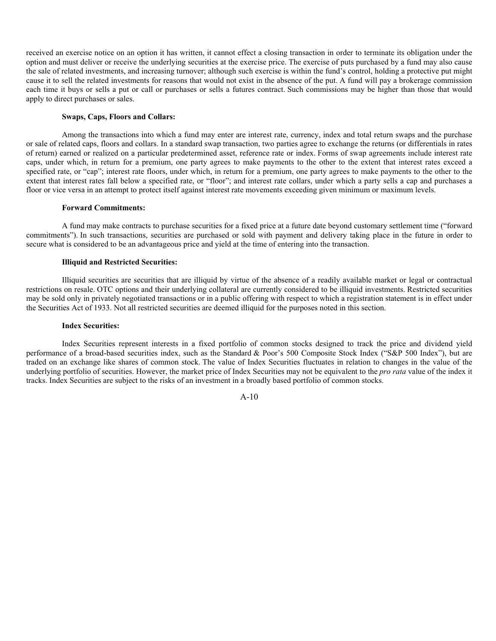received an exercise notice on an option it has written, it cannot effect a closing transaction in order to terminate its obligation under the option and must deliver or receive the underlying securities at the exercise price. The exercise of puts purchased by a fund may also cause the sale of related investments, and increasing turnover; although such exercise is within the fund's control, holding a protective put might cause it to sell the related investments for reasons that would not exist in the absence of the put. A fund will pay a brokerage commission each time it buys or sells a put or call or purchases or sells a futures contract. Such commissions may be higher than those that would apply to direct purchases or sales.

## **Swaps, Caps, Floors and Collars:**

Among the transactions into which a fund may enter are interest rate, currency, index and total return swaps and the purchase or sale of related caps, floors and collars. In a standard swap transaction, two parties agree to exchange the returns (or differentials in rates of return) earned or realized on a particular predetermined asset, reference rate or index. Forms of swap agreements include interest rate caps, under which, in return for a premium, one party agrees to make payments to the other to the extent that interest rates exceed a specified rate, or "cap"; interest rate floors, under which, in return for a premium, one party agrees to make payments to the other to the extent that interest rates fall below a specified rate, or "floor"; and interest rate collars, under which a party sells a cap and purchases a floor or vice versa in an attempt to protect itself against interest rate movements exceeding given minimum or maximum levels.

#### **Forward Commitments:**

A fund may make contracts to purchase securities for a fixed price at a future date beyond customary settlement time ("forward commitments"). In such transactions, securities are purchased or sold with payment and delivery taking place in the future in order to secure what is considered to be an advantageous price and yield at the time of entering into the transaction.

### **Illiquid and Restricted Securities:**

Illiquid securities are securities that are illiquid by virtue of the absence of a readily available market or legal or contractual restrictions on resale. OTC options and their underlying collateral are currently considered to be illiquid investments. Restricted securities may be sold only in privately negotiated transactions or in a public offering with respect to which a registration statement is in effect under the Securities Act of 1933. Not all restricted securities are deemed illiquid for the purposes noted in this section.

## **Index Securities:**

Index Securities represent interests in a fixed portfolio of common stocks designed to track the price and dividend yield performance of a broad-based securities index, such as the Standard & Poor's 500 Composite Stock Index ("S&P 500 Index"), but are traded on an exchange like shares of common stock. The value of Index Securities fluctuates in relation to changes in the value of the underlying portfolio of securities. However, the market price of Index Securities may not be equivalent to the *pro rata* value of the index it tracks. Index Securities are subject to the risks of an investment in a broadly based portfolio of common stocks.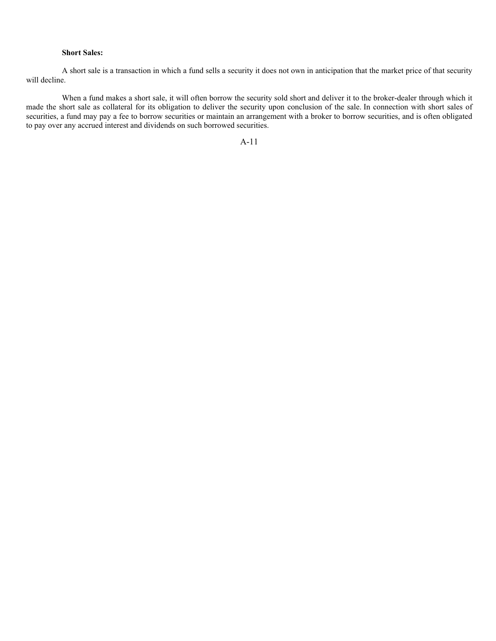### **Short Sales:**

A short sale is a transaction in which a fund sells a security it does not own in anticipation that the market price of that security will decline.

When a fund makes a short sale, it will often borrow the security sold short and deliver it to the broker-dealer through which it made the short sale as collateral for its obligation to deliver the security upon conclusion of the sale. In connection with short sales of securities, a fund may pay a fee to borrow securities or maintain an arrangement with a broker to borrow securities, and is often obligated to pay over any accrued interest and dividends on such borrowed securities.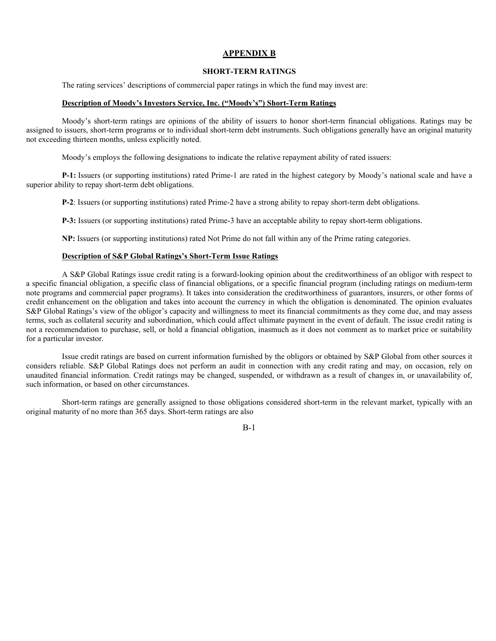## **APPENDIX B**

## **SHORT-TERM RATINGS**

The rating services' descriptions of commercial paper ratings in which the fund may invest are:

## **Description of Moody's Investors Service, Inc. ("Moody's") Short-Term Ratings**

Moody's short-term ratings are opinions of the ability of issuers to honor short-term financial obligations. Ratings may be assigned to issuers, short-term programs or to individual short-term debt instruments. Such obligations generally have an original maturity not exceeding thirteen months, unless explicitly noted.

Moody's employs the following designations to indicate the relative repayment ability of rated issuers:

**P-1:** Issuers (or supporting institutions) rated Prime-1 are rated in the highest category by Moody's national scale and have a superior ability to repay short-term debt obligations.

**P-2**: Issuers (or supporting institutions) rated Prime-2 have a strong ability to repay short-term debt obligations.

**P-3:** Issuers (or supporting institutions) rated Prime-3 have an acceptable ability to repay short-term obligations.

**NP:** Issuers (or supporting institutions) rated Not Prime do not fall within any of the Prime rating categories.

## **Description of S&P Global Ratings's Short-Term Issue Ratings**

A S&P Global Ratings issue credit rating is a forward-looking opinion about the creditworthiness of an obligor with respect to a specific financial obligation, a specific class of financial obligations, or a specific financial program (including ratings on medium-term note programs and commercial paper programs). It takes into consideration the creditworthiness of guarantors, insurers, or other forms of credit enhancement on the obligation and takes into account the currency in which the obligation is denominated. The opinion evaluates S&P Global Ratings's view of the obligor's capacity and willingness to meet its financial commitments as they come due, and may assess terms, such as collateral security and subordination, which could affect ultimate payment in the event of default. The issue credit rating is not a recommendation to purchase, sell, or hold a financial obligation, inasmuch as it does not comment as to market price or suitability for a particular investor.

Issue credit ratings are based on current information furnished by the obligors or obtained by S&P Global from other sources it considers reliable. S&P Global Ratings does not perform an audit in connection with any credit rating and may, on occasion, rely on unaudited financial information. Credit ratings may be changed, suspended, or withdrawn as a result of changes in, or unavailability of, such information, or based on other circumstances.

Short-term ratings are generally assigned to those obligations considered short-term in the relevant market, typically with an original maturity of no more than 365 days. Short-term ratings are also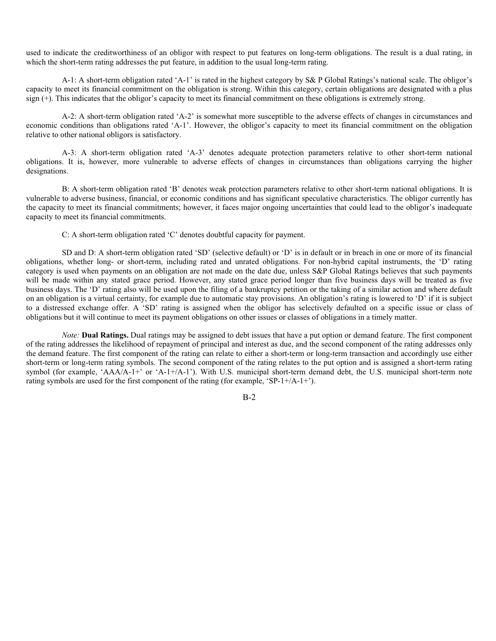used to indicate the creditworthiness of an obligor with respect to put features on long-term obligations. The result is a dual rating, in which the short-term rating addresses the put feature, in addition to the usual long-term rating.

A-1: A short-term obligation rated 'A-1' is rated in the highest category by S& P Global Ratings's national scale. The obligor's capacity to meet its financial commitment on the obligation is strong. Within this category, certain obligations are designated with a plus  $sign (+)$ . This indicates that the obligor's capacity to meet its financial commitment on these obligations is extremely strong.

A-2: A short-term obligation rated 'A-2' is somewhat more susceptible to the adverse effects of changes in circumstances and economic conditions than obligations rated 'A-1'. However, the obligor's capacity to meet its financial commitment on the obligation relative to other national obligors is satisfactory.

A-3: A short-term obligation rated 'A-3' denotes adequate protection parameters relative to other short-term national obligations. It is, however, more vulnerable to adverse effects of changes in circumstances than obligations carrying the higher designations.

B: A short-term obligation rated 'B' denotes weak protection parameters relative to other short-term national obligations. It is vulnerable to adverse business, financial, or economic conditions and has significant speculative characteristics. The obligor currently has the capacity to meet its financial commitments; however, it faces major ongoing uncertainties that could lead to the obligor's inadequate capacity to meet its financial commitments.

C: A short-term obligation rated 'C' denotes doubtful capacity for payment.

SD and D: A short-term obligation rated 'SD' (selective default) or 'D' is in default or in breach in one or more of its financial obligations, whether long- or short-term, including rated and unrated obligations. For non-hybrid capital instruments, the 'D' rating category is used when payments on an obligation are not made on the date due, unless S&P Global Ratings believes that such payments will be made within any stated grace period. However, any stated grace period longer than five business days will be treated as five business days. The 'D' rating also will be used upon the filing of a bankruptcy petition or the taking of a similar action and where default on an obligation is a virtual certainty, for example due to automatic stay provisions. An obligation's rating is lowered to 'D' if it is subject to a distressed exchange offer. A 'SD' rating is assigned when the obligor has selectively defaulted on a specific issue or class of obligations but it will continue to meet its payment obligations on other issues or classes of obligations in a timely matter.

*Note:* **Dual Ratings.** Dual ratings may be assigned to debt issues that have a put option or demand feature. The first component of the rating addresses the likelihood of repayment of principal and interest as due, and the second component of the rating addresses only the demand feature. The first component of the rating can relate to either a short-term or long-term transaction and accordingly use either short-term or long-term rating symbols. The second component of the rating relates to the put option and is assigned a short-term rating symbol (for example, 'AAA/A-1+' or 'A-1+/A-1'). With U.S. municipal short-term demand debt, the U.S. municipal short-term note rating symbols are used for the first component of the rating (for example, 'SP-1+/A-1+').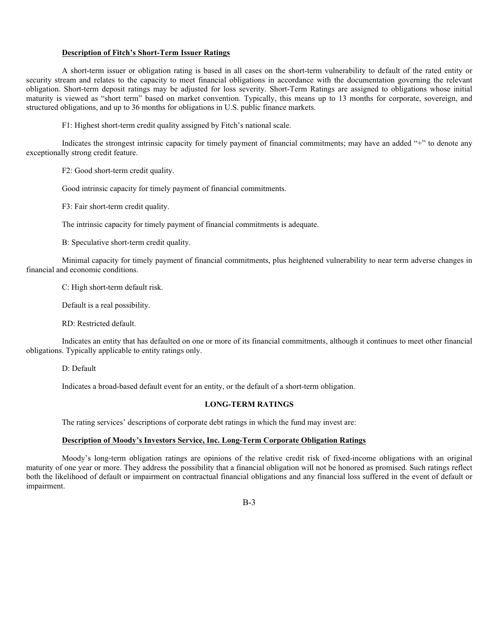## **Description of Fitch's Short-Term Issuer Ratings**

A short-term issuer or obligation rating is based in all cases on the short-term vulnerability to default of the rated entity or security stream and relates to the capacity to meet financial obligations in accordance with the documentation governing the relevant obligation. Short-term deposit ratings may be adjusted for loss severity. Short-Term Ratings are assigned to obligations whose initial maturity is viewed as "short term" based on market convention. Typically, this means up to 13 months for corporate, sovereign, and structured obligations, and up to 36 months for obligations in U.S. public finance markets.

F1: Highest short-term credit quality assigned by Fitch's national scale.

Indicates the strongest intrinsic capacity for timely payment of financial commitments; may have an added "+" to denote any exceptionally strong credit feature.

F2: Good short-term credit quality.

Good intrinsic capacity for timely payment of financial commitments.

F3: Fair short-term credit quality.

The intrinsic capacity for timely payment of financial commitments is adequate.

B: Speculative short-term credit quality.

Minimal capacity for timely payment of financial commitments, plus heightened vulnerability to near term adverse changes in financial and economic conditions.

C: High short-term default risk.

Default is a real possibility.

RD: Restricted default.

Indicates an entity that has defaulted on one or more of its financial commitments, although it continues to meet other financial obligations. Typically applicable to entity ratings only.

D: Default

Indicates a broad-based default event for an entity, or the default of a short-term obligation.

# **LONG-TERM RATINGS**

The rating services' descriptions of corporate debt ratings in which the fund may invest are:

# **Description of Moody's Investors Service, Inc. Long-Term Corporate Obligation Ratings**

Moody's long-term obligation ratings are opinions of the relative credit risk of fixed-income obligations with an original maturity of one year or more. They address the possibility that a financial obligation will not be honored as promised. Such ratings reflect both the likelihood of default or impairment on contractual financial obligations and any financial loss suffered in the event of default or impairment.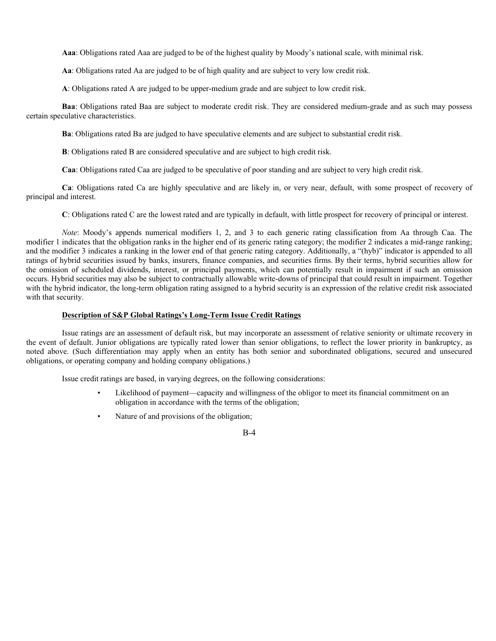**Aaa**: Obligations rated Aaa are judged to be of the highest quality by Moody's national scale, with minimal risk.

**Aa**: Obligations rated Aa are judged to be of high quality and are subject to very low credit risk.

**A**: Obligations rated A are judged to be upper-medium grade and are subject to low credit risk.

**Baa**: Obligations rated Baa are subject to moderate credit risk. They are considered medium-grade and as such may possess certain speculative characteristics.

**Ba**: Obligations rated Ba are judged to have speculative elements and are subject to substantial credit risk.

**B**: Obligations rated B are considered speculative and are subject to high credit risk.

**Caa**: Obligations rated Caa are judged to be speculative of poor standing and are subject to very high credit risk.

**Ca**: Obligations rated Ca are highly speculative and are likely in, or very near, default, with some prospect of recovery of principal and interest.

**C**: Obligations rated C are the lowest rated and are typically in default, with little prospect for recovery of principal or interest.

*Note*: Moody's appends numerical modifiers 1, 2, and 3 to each generic rating classification from Aa through Caa. The modifier 1 indicates that the obligation ranks in the higher end of its generic rating category; the modifier 2 indicates a mid-range ranking; and the modifier 3 indicates a ranking in the lower end of that generic rating category. Additionally, a "(hyb)" indicator is appended to all ratings of hybrid securities issued by banks, insurers, finance companies, and securities firms. By their terms, hybrid securities allow for the omission of scheduled dividends, interest, or principal payments, which can potentially result in impairment if such an omission occurs. Hybrid securities may also be subject to contractually allowable write-downs of principal that could result in impairment. Together with the hybrid indicator, the long-term obligation rating assigned to a hybrid security is an expression of the relative credit risk associated with that security.

# **Description of S&P Global Ratings's Long-Term Issue Credit Ratings**

Issue ratings are an assessment of default risk, but may incorporate an assessment of relative seniority or ultimate recovery in the event of default. Junior obligations are typically rated lower than senior obligations, to reflect the lower priority in bankruptcy, as noted above. (Such differentiation may apply when an entity has both senior and subordinated obligations, secured and unsecured obligations, or operating company and holding company obligations.)

Issue credit ratings are based, in varying degrees, on the following considerations:

- Likelihood of payment—capacity and willingness of the obligor to meet its financial commitment on an obligation in accordance with the terms of the obligation;
- Nature of and provisions of the obligation;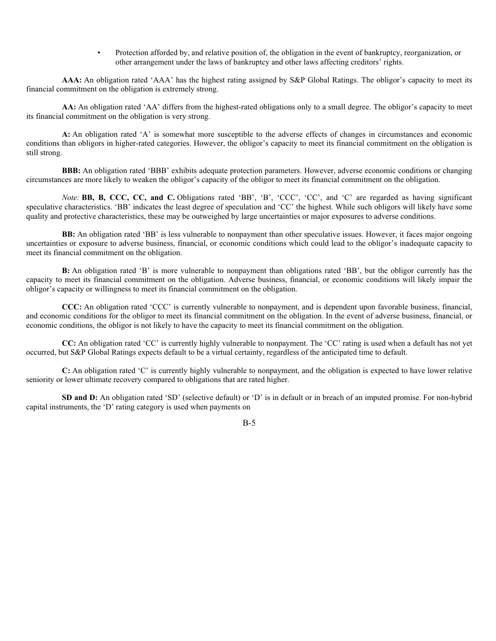• Protection afforded by, and relative position of, the obligation in the event of bankruptcy, reorganization, or other arrangement under the laws of bankruptcy and other laws affecting creditors' rights.

**AAA:** An obligation rated 'AAA' has the highest rating assigned by S&P Global Ratings. The obligor's capacity to meet its financial commitment on the obligation is extremely strong.

**AA:** An obligation rated 'AA' differs from the highest-rated obligations only to a small degree. The obligor's capacity to meet its financial commitment on the obligation is very strong.

**A:** An obligation rated 'A' is somewhat more susceptible to the adverse effects of changes in circumstances and economic conditions than obligors in higher-rated categories. However, the obligor's capacity to meet its financial commitment on the obligation is still strong.

**BBB:** An obligation rated 'BBB' exhibits adequate protection parameters. However, adverse economic conditions or changing circumstances are more likely to weaken the obligor's capacity of the obligor to meet its financial commitment on the obligation.

*Note:* BB, B, CCC, CC, and C. Obligations rated 'BB', 'B', 'CCC', 'CC', and 'C' are regarded as having significant speculative characteristics. 'BB' indicates the least degree of speculation and 'CC' the highest. While such obligors will likely have some quality and protective characteristics, these may be outweighed by large uncertainties or major exposures to adverse conditions.

**BB:** An obligation rated 'BB' is less vulnerable to nonpayment than other speculative issues. However, it faces major ongoing uncertainties or exposure to adverse business, financial, or economic conditions which could lead to the obligor's inadequate capacity to meet its financial commitment on the obligation.

**B:** An obligation rated 'B' is more vulnerable to nonpayment than obligations rated 'BB', but the obligor currently has the capacity to meet its financial commitment on the obligation. Adverse business, financial, or economic conditions will likely impair the obligor's capacity or willingness to meet its financial commitment on the obligation.

**CCC:** An obligation rated 'CCC' is currently vulnerable to nonpayment, and is dependent upon favorable business, financial, and economic conditions for the obligor to meet its financial commitment on the obligation. In the event of adverse business, financial, or economic conditions, the obligor is not likely to have the capacity to meet its financial commitment on the obligation.

**CC:** An obligation rated 'CC' is currently highly vulnerable to nonpayment. The 'CC' rating is used when a default has not yet occurred, but S&P Global Ratings expects default to be a virtual certainty, regardless of the anticipated time to default.

**C:** An obligation rated 'C' is currently highly vulnerable to nonpayment, and the obligation is expected to have lower relative seniority or lower ultimate recovery compared to obligations that are rated higher.

**SD and D:** An obligation rated 'SD' (selective default) or 'D' is in default or in breach of an imputed promise. For non-hybrid capital instruments, the 'D' rating category is used when payments on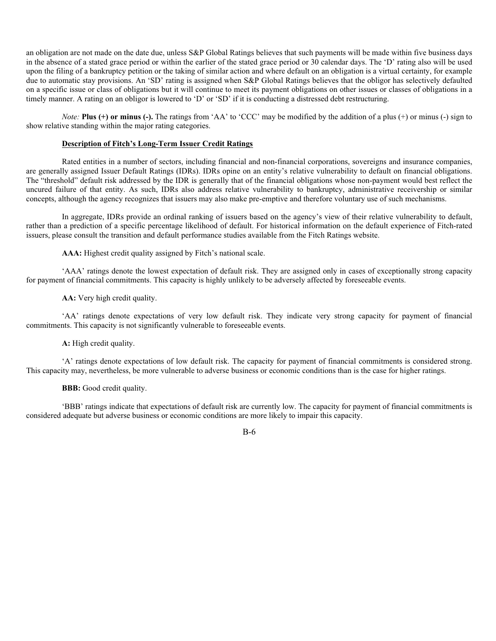an obligation are not made on the date due, unless S&P Global Ratings believes that such payments will be made within five business days in the absence of a stated grace period or within the earlier of the stated grace period or 30 calendar days. The 'D' rating also will be used upon the filing of a bankruptcy petition or the taking of similar action and where default on an obligation is a virtual certainty, for example due to automatic stay provisions. An 'SD' rating is assigned when S&P Global Ratings believes that the obligor has selectively defaulted on a specific issue or class of obligations but it will continue to meet its payment obligations on other issues or classes of obligations in a timely manner. A rating on an obligor is lowered to 'D' or 'SD' if it is conducting a distressed debt restructuring.

*Note:* **Plus (+) or minus (-).** The ratings from 'AA' to 'CCC' may be modified by the addition of a plus (+) or minus (-) sign to show relative standing within the major rating categories.

# **Description of Fitch's Long-Term Issuer Credit Ratings**

Rated entities in a number of sectors, including financial and non-financial corporations, sovereigns and insurance companies, are generally assigned Issuer Default Ratings (IDRs). IDRs opine on an entity's relative vulnerability to default on financial obligations. The "threshold" default risk addressed by the IDR is generally that of the financial obligations whose non-payment would best reflect the uncured failure of that entity. As such, IDRs also address relative vulnerability to bankruptcy, administrative receivership or similar concepts, although the agency recognizes that issuers may also make pre-emptive and therefore voluntary use of such mechanisms.

In aggregate, IDRs provide an ordinal ranking of issuers based on the agency's view of their relative vulnerability to default, rather than a prediction of a specific percentage likelihood of default. For historical information on the default experience of Fitch-rated issuers, please consult the transition and default performance studies available from the Fitch Ratings website.

**AAA:** Highest credit quality assigned by Fitch's national scale.

'AAA' ratings denote the lowest expectation of default risk. They are assigned only in cases of exceptionally strong capacity for payment of financial commitments. This capacity is highly unlikely to be adversely affected by foreseeable events.

**AA:** Very high credit quality.

'AA' ratings denote expectations of very low default risk. They indicate very strong capacity for payment of financial commitments. This capacity is not significantly vulnerable to foreseeable events.

**A:** High credit quality.

'A' ratings denote expectations of low default risk. The capacity for payment of financial commitments is considered strong. This capacity may, nevertheless, be more vulnerable to adverse business or economic conditions than is the case for higher ratings.

**BBB:** Good credit quality.

'BBB' ratings indicate that expectations of default risk are currently low. The capacity for payment of financial commitments is considered adequate but adverse business or economic conditions are more likely to impair this capacity.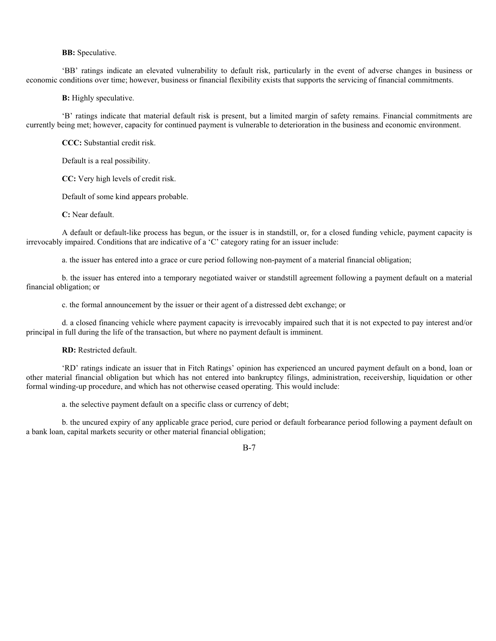## **BB:** Speculative.

'BB' ratings indicate an elevated vulnerability to default risk, particularly in the event of adverse changes in business or economic conditions over time; however, business or financial flexibility exists that supports the servicing of financial commitments.

**B:** Highly speculative.

'B' ratings indicate that material default risk is present, but a limited margin of safety remains. Financial commitments are currently being met; however, capacity for continued payment is vulnerable to deterioration in the business and economic environment.

**CCC:** Substantial credit risk.

Default is a real possibility.

**CC:** Very high levels of credit risk.

Default of some kind appears probable.

**C:** Near default.

A default or default-like process has begun, or the issuer is in standstill, or, for a closed funding vehicle, payment capacity is irrevocably impaired. Conditions that are indicative of a 'C' category rating for an issuer include:

a. the issuer has entered into a grace or cure period following non-payment of a material financial obligation;

b. the issuer has entered into a temporary negotiated waiver or standstill agreement following a payment default on a material financial obligation; or

c. the formal announcement by the issuer or their agent of a distressed debt exchange; or

d. a closed financing vehicle where payment capacity is irrevocably impaired such that it is not expected to pay interest and/or principal in full during the life of the transaction, but where no payment default is imminent.

**RD:** Restricted default.

'RD' ratings indicate an issuer that in Fitch Ratings' opinion has experienced an uncured payment default on a bond, loan or other material financial obligation but which has not entered into bankruptcy filings, administration, receivership, liquidation or other formal winding-up procedure, and which has not otherwise ceased operating. This would include:

a. the selective payment default on a specific class or currency of debt;

b. the uncured expiry of any applicable grace period, cure period or default forbearance period following a payment default on a bank loan, capital markets security or other material financial obligation;

B-7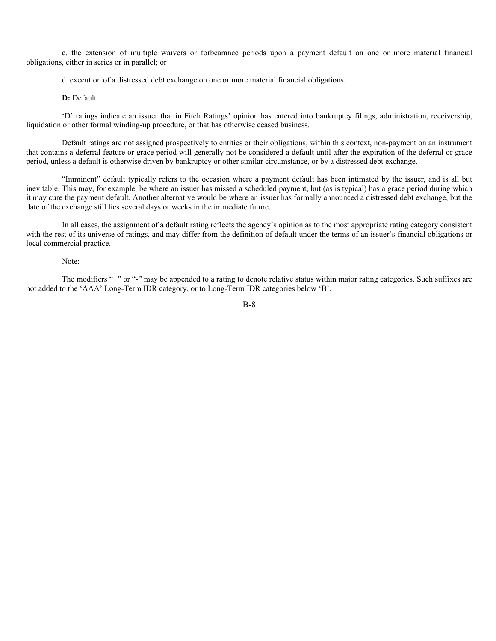c. the extension of multiple waivers or forbearance periods upon a payment default on one or more material financial obligations, either in series or in parallel; or

d. execution of a distressed debt exchange on one or more material financial obligations.

**D:** Default.

'D' ratings indicate an issuer that in Fitch Ratings' opinion has entered into bankruptcy filings, administration, receivership, liquidation or other formal winding-up procedure, or that has otherwise ceased business.

Default ratings are not assigned prospectively to entities or their obligations; within this context, non-payment on an instrument that contains a deferral feature or grace period will generally not be considered a default until after the expiration of the deferral or grace period, unless a default is otherwise driven by bankruptcy or other similar circumstance, or by a distressed debt exchange.

"Imminent" default typically refers to the occasion where a payment default has been intimated by the issuer, and is all but inevitable. This may, for example, be where an issuer has missed a scheduled payment, but (as is typical) has a grace period during which it may cure the payment default. Another alternative would be where an issuer has formally announced a distressed debt exchange, but the date of the exchange still lies several days or weeks in the immediate future.

In all cases, the assignment of a default rating reflects the agency's opinion as to the most appropriate rating category consistent with the rest of its universe of ratings, and may differ from the definition of default under the terms of an issuer's financial obligations or local commercial practice.

Note:

The modifiers "+" or "-" may be appended to a rating to denote relative status within major rating categories. Such suffixes are not added to the 'AAA' Long-Term IDR category, or to Long-Term IDR categories below 'B'.

B-8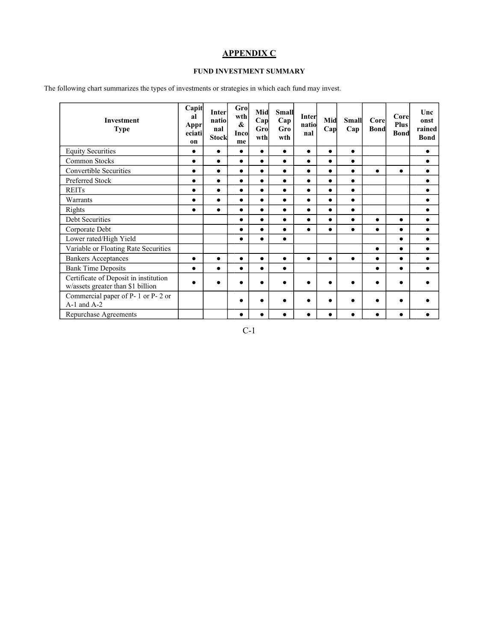## **APPENDIX C**

## **FUND INVESTMENT SUMMARY**

The following chart summarizes the types of investments or strategies in which each fund may invest.

| <b>Investment</b><br><b>Type</b>                                           | Capit<br>al<br>Appr<br>eciati<br>on | <b>Inter</b><br>natio<br>nal<br><b>Stock</b> | Gro<br>wth<br>&<br>Inco<br>me | Mid<br>Cap<br>Gro<br>wth | <b>Small</b><br>Cap<br>Gro<br>wth | <b>Inter</b><br>natio<br>nal | Mid<br>Cap | <b>Small</b><br>Cap | Core<br><b>Bond</b> | Core<br>Plus<br><b>Bond</b> | Unc<br>onst<br>rained<br><b>Bond</b> |
|----------------------------------------------------------------------------|-------------------------------------|----------------------------------------------|-------------------------------|--------------------------|-----------------------------------|------------------------------|------------|---------------------|---------------------|-----------------------------|--------------------------------------|
| <b>Equity Securities</b>                                                   | $\bullet$                           | $\bullet$                                    | $\bullet$                     | $\bullet$                | $\bullet$                         | $\bullet$                    | $\bullet$  | $\bullet$           |                     |                             | $\bullet$                            |
| Common Stocks                                                              | $\bullet$                           | $\bullet$                                    | $\bullet$                     | $\bullet$                | $\bullet$                         | $\bullet$                    | $\bullet$  | $\bullet$           |                     |                             | $\bullet$                            |
| <b>Convertible Securities</b>                                              | $\bullet$                           | $\bullet$                                    | $\bullet$                     | $\bullet$                | $\bullet$                         | $\bullet$                    | ٠          | $\bullet$           | $\bullet$           | $\bullet$                   | $\bullet$                            |
| Preferred Stock                                                            | $\bullet$                           | $\bullet$                                    | $\bullet$                     | $\bullet$                | $\bullet$                         | $\bullet$                    | $\bullet$  | $\bullet$           |                     |                             | $\bullet$                            |
| <b>REITs</b>                                                               | $\bullet$                           | $\bullet$                                    | $\bullet$                     | $\bullet$                | $\bullet$                         | $\bullet$                    | $\bullet$  | $\bullet$           |                     |                             | $\bullet$                            |
| Warrants                                                                   | $\bullet$                           | $\bullet$                                    | $\bullet$                     | $\bullet$                | $\bullet$                         | $\bullet$                    | $\bullet$  | $\bullet$           |                     |                             | $\bullet$                            |
| Rights                                                                     | $\bullet$                           | $\bullet$                                    | $\bullet$                     | $\bullet$                | $\bullet$                         | $\bullet$                    | $\bullet$  | $\bullet$           |                     |                             | $\bullet$                            |
| <b>Debt Securities</b>                                                     |                                     |                                              | $\bullet$                     | $\bullet$                | $\bullet$                         | $\bullet$                    | $\bullet$  | $\bullet$           | $\bullet$           | $\bullet$                   | $\bullet$                            |
| Corporate Debt                                                             |                                     |                                              | $\bullet$                     | $\bullet$                | $\bullet$                         | $\bullet$                    | $\bullet$  |                     | $\bullet$           | $\bullet$                   | $\bullet$                            |
| Lower rated/High Yield                                                     |                                     |                                              | $\bullet$                     | $\bullet$                | $\bullet$                         |                              |            |                     |                     | $\bullet$                   | $\bullet$                            |
| Variable or Floating Rate Securities                                       |                                     |                                              |                               |                          |                                   |                              |            |                     | $\bullet$           | $\bullet$                   | $\bullet$                            |
| <b>Bankers Acceptances</b>                                                 | $\bullet$                           | $\bullet$                                    | $\bullet$                     | $\bullet$                | $\bullet$                         | $\bullet$                    | $\bullet$  | $\bullet$           | $\bullet$           | $\bullet$                   | $\bullet$                            |
| <b>Bank Time Deposits</b>                                                  | $\bullet$                           | $\bullet$                                    | $\bullet$                     | ٠                        | $\bullet$                         |                              |            |                     | $\bullet$           | ٠                           | $\bullet$                            |
| Certificate of Deposit in institution<br>w/assets greater than \$1 billion | $\epsilon$                          |                                              |                               |                          |                                   |                              |            |                     |                     |                             |                                      |
| Commercial paper of P-1 or P-2 or<br>$A-1$ and $A-2$                       |                                     |                                              |                               |                          | $\bullet$                         |                              |            |                     | $\bullet$           |                             |                                      |
| Repurchase Agreements                                                      |                                     |                                              | $\bullet$                     | $\bullet$                | $\bullet$                         |                              | $\bullet$  | $\bullet$           | $\bullet$           |                             |                                      |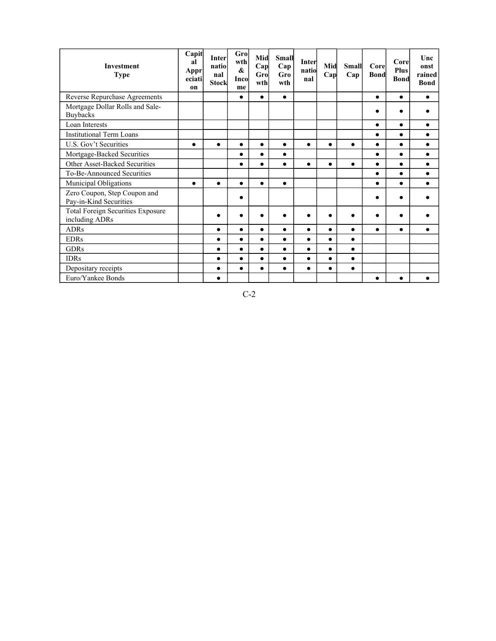| <b>Investment</b><br><b>Type</b>                           | Capit<br>al<br>Appr<br>eciati<br><sub>on</sub> | <b>Inter</b><br>natio<br>nal<br><b>Stock</b> | Gro<br>wth<br>$\boldsymbol{\&}$<br>Inco<br>me | Mid<br>Cap<br>Gro<br>wth | <b>Small</b><br>Cap<br>Gro<br>wth | Inter<br>natio<br>nal | Mid<br>Cap | Small<br>Cap | Core<br><b>Bond</b> | Core<br><b>Plus</b><br><b>Bond</b> | Unc<br>onst<br>rained<br><b>Bond</b> |
|------------------------------------------------------------|------------------------------------------------|----------------------------------------------|-----------------------------------------------|--------------------------|-----------------------------------|-----------------------|------------|--------------|---------------------|------------------------------------|--------------------------------------|
| Reverse Repurchase Agreements                              |                                                |                                              | $\bullet$                                     | $\bullet$                | $\bullet$                         |                       |            |              | $\bullet$           | $\bullet$                          | $\bullet$                            |
| Mortgage Dollar Rolls and Sale-<br><b>Buybacks</b>         |                                                |                                              |                                               |                          |                                   |                       |            |              |                     |                                    |                                      |
| Loan Interests                                             |                                                |                                              |                                               |                          |                                   |                       |            |              | $\bullet$           | $\bullet$                          | ٠                                    |
| <b>Institutional Term Loans</b>                            |                                                |                                              |                                               |                          |                                   |                       |            |              | $\bullet$           | $\bullet$                          | $\bullet$                            |
| U.S. Gov't Securities                                      | $\bullet$                                      | $\bullet$                                    | $\bullet$                                     | $\bullet$                | $\bullet$                         | $\bullet$             | $\bullet$  | $\bullet$    | $\bullet$           | $\bullet$                          | $\bullet$                            |
| Mortgage-Backed Securities                                 |                                                |                                              | $\bullet$                                     | $\bullet$                | $\bullet$                         |                       |            |              | $\bullet$           | $\bullet$                          | $\bullet$                            |
| Other Asset-Backed Securities                              |                                                |                                              | $\bullet$                                     | $\bullet$                | $\bullet$                         | $\bullet$             | $\bullet$  | $\bullet$    | $\bullet$           | $\bullet$                          | $\bullet$                            |
| To-Be-Announced Securities                                 |                                                |                                              |                                               |                          |                                   |                       |            |              | $\bullet$           | $\bullet$                          | $\bullet$                            |
| Municipal Obligations                                      | $\bullet$                                      | $\bullet$                                    | $\bullet$                                     | $\bullet$                | $\bullet$                         |                       |            |              | $\bullet$           | $\bullet$                          | $\bullet$                            |
| Zero Coupon, Step Coupon and<br>Pay-in-Kind Securities     |                                                |                                              | $\bullet$                                     |                          |                                   |                       |            |              | $\bullet$           |                                    |                                      |
| <b>Total Foreign Securities Exposure</b><br>including ADRs |                                                |                                              |                                               |                          |                                   |                       |            |              |                     |                                    |                                      |
| <b>ADRs</b>                                                |                                                | $\bullet$                                    | $\bullet$                                     | $\bullet$                | $\bullet$                         | $\bullet$             | $\bullet$  | $\bullet$    | $\bullet$           | $\bullet$                          | $\bullet$                            |
| <b>EDRs</b>                                                |                                                | $\bullet$                                    | $\bullet$                                     | $\bullet$                | $\bullet$                         | $\bullet$             | $\bullet$  | $\bullet$    |                     |                                    |                                      |
| <b>GDRs</b>                                                |                                                | $\bullet$                                    | $\bullet$                                     | $\bullet$                | $\bullet$                         | $\bullet$             | $\bullet$  | $\bullet$    |                     |                                    |                                      |
| <b>IDRs</b>                                                |                                                | $\bullet$                                    | $\bullet$                                     | $\bullet$                | $\bullet$                         | $\bullet$             | $\bullet$  | $\bullet$    |                     |                                    |                                      |
| Depositary receipts                                        |                                                | $\bullet$                                    | $\bullet$                                     | $\bullet$                | $\bullet$                         | $\bullet$             | $\bullet$  | $\bullet$    |                     |                                    |                                      |
| Euro/Yankee Bonds                                          |                                                | $\bullet$                                    |                                               |                          |                                   |                       |            |              | $\bullet$           |                                    |                                      |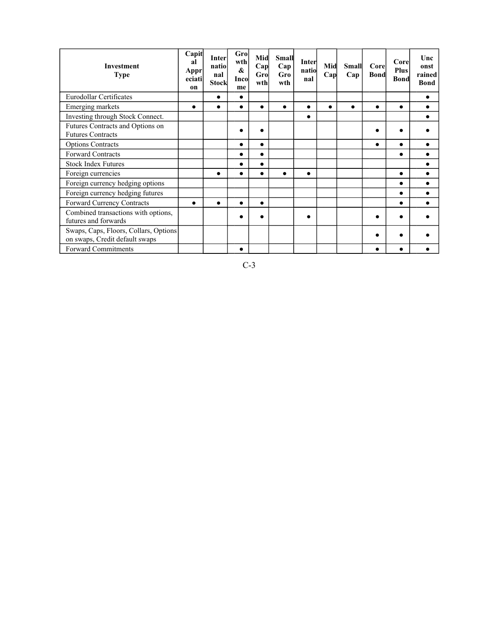| Investment<br><b>Type</b>                                               | Capit<br>al<br>Appr<br>eciati<br>on | <b>Inter</b><br>natio<br>nal<br><b>Stock</b> | Gro<br>wth<br>&<br>Inco<br>me | Mid<br>Cap<br>Gro<br>wth | <b>Small</b><br>Cap<br>Gro<br>wth | Inter<br>natio<br>nal | Mid<br>Cap | <b>Small</b><br>Cap | Core<br><b>Bond</b> | Core<br><b>Plus</b><br>Bond | Unc<br>onst<br>rained<br><b>Bond</b> |
|-------------------------------------------------------------------------|-------------------------------------|----------------------------------------------|-------------------------------|--------------------------|-----------------------------------|-----------------------|------------|---------------------|---------------------|-----------------------------|--------------------------------------|
| Eurodollar Certificates                                                 |                                     | $\bullet$                                    |                               |                          |                                   |                       |            |                     |                     |                             | $\bullet$                            |
| Emerging markets                                                        | $\bullet$                           |                                              |                               |                          | $\bullet$                         |                       |            |                     | $\bullet$           |                             |                                      |
| Investing through Stock Connect.                                        |                                     |                                              |                               |                          |                                   | $\bullet$             |            |                     |                     |                             |                                      |
| Futures Contracts and Options on<br><b>Futures Contracts</b>            |                                     |                                              |                               |                          |                                   |                       |            |                     |                     |                             |                                      |
| <b>Options Contracts</b>                                                |                                     |                                              |                               | $\bullet$                |                                   |                       |            |                     | $\bullet$           |                             |                                      |
| Forward Contracts                                                       |                                     |                                              |                               |                          |                                   |                       |            |                     |                     |                             |                                      |
| <b>Stock Index Futures</b>                                              |                                     |                                              |                               |                          |                                   |                       |            |                     |                     |                             | ٠                                    |
| Foreign currencies                                                      |                                     |                                              |                               |                          |                                   | $\bullet$             |            |                     |                     |                             |                                      |
| Foreign currency hedging options                                        |                                     |                                              |                               |                          |                                   |                       |            |                     |                     |                             |                                      |
| Foreign currency hedging futures                                        |                                     |                                              |                               |                          |                                   |                       |            |                     |                     |                             |                                      |
| Forward Currency Contracts                                              | $\bullet$                           |                                              |                               | $\bullet$                |                                   |                       |            |                     |                     | $\bullet$                   | ٠                                    |
| Combined transactions with options,<br>futures and forwards             |                                     |                                              |                               |                          |                                   |                       |            |                     |                     |                             |                                      |
| Swaps, Caps, Floors, Collars, Options<br>on swaps, Credit default swaps |                                     |                                              |                               |                          |                                   |                       |            |                     |                     |                             |                                      |
| <b>Forward Commitments</b>                                              |                                     |                                              |                               |                          |                                   |                       |            |                     |                     |                             |                                      |